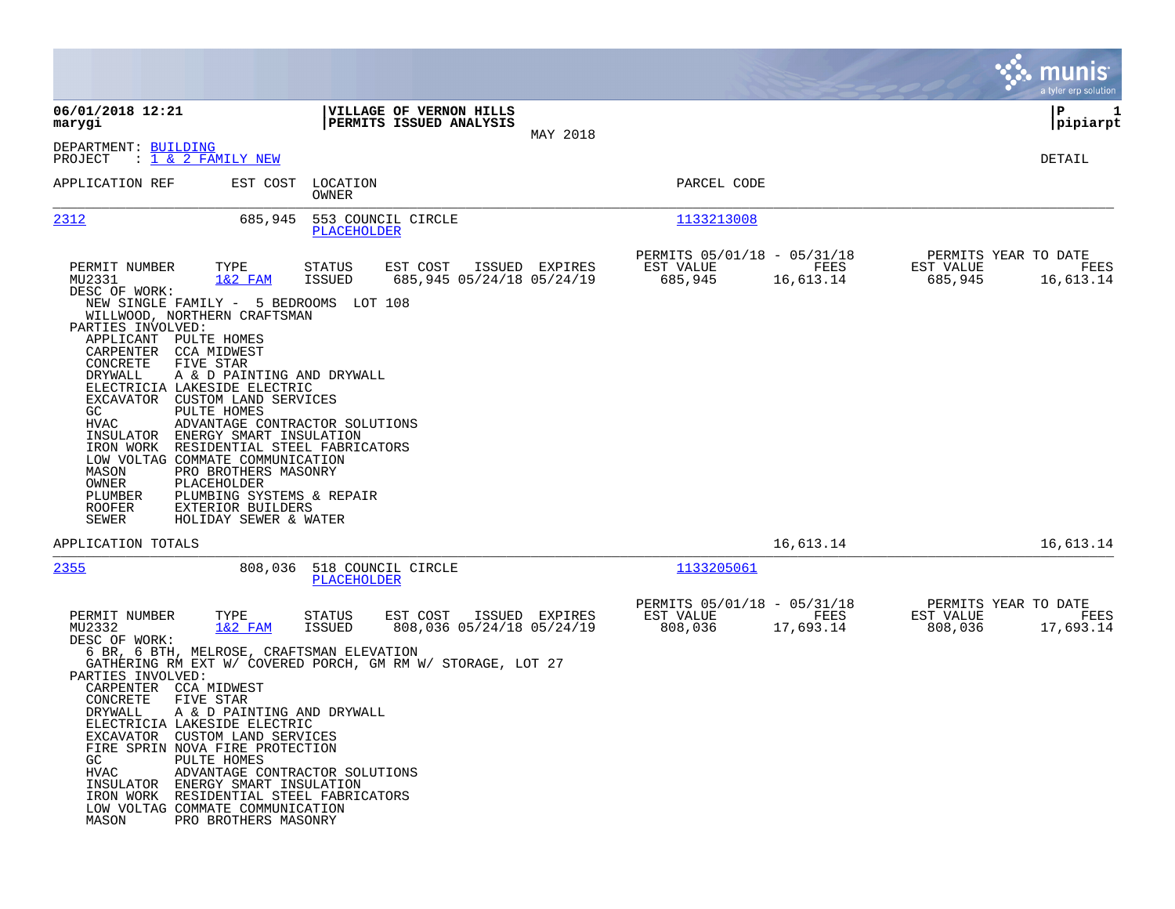|                                                                                                                                                                                                                                                                                                                                                                                                                                                                                                                                                                                                                                                                                                                                                                                                            | munis<br>a tyler erp solution                                                                                                                 |
|------------------------------------------------------------------------------------------------------------------------------------------------------------------------------------------------------------------------------------------------------------------------------------------------------------------------------------------------------------------------------------------------------------------------------------------------------------------------------------------------------------------------------------------------------------------------------------------------------------------------------------------------------------------------------------------------------------------------------------------------------------------------------------------------------------|-----------------------------------------------------------------------------------------------------------------------------------------------|
| 06/01/2018 12:21<br>VILLAGE OF VERNON HILLS<br>PERMITS ISSUED ANALYSIS<br>marygi                                                                                                                                                                                                                                                                                                                                                                                                                                                                                                                                                                                                                                                                                                                           | P<br>1<br>pipiarpt                                                                                                                            |
| MAY 2018<br>DEPARTMENT: BUILDING<br>PROJECT<br>: <u>1 &amp; 2 FAMILY NEW</u>                                                                                                                                                                                                                                                                                                                                                                                                                                                                                                                                                                                                                                                                                                                               | DETAIL                                                                                                                                        |
| APPLICATION REF<br>EST COST<br>LOCATION<br>OWNER                                                                                                                                                                                                                                                                                                                                                                                                                                                                                                                                                                                                                                                                                                                                                           | PARCEL CODE                                                                                                                                   |
| 2312<br>685,945<br>553 COUNCIL CIRCLE<br>PLACEHOLDER                                                                                                                                                                                                                                                                                                                                                                                                                                                                                                                                                                                                                                                                                                                                                       | 1133213008                                                                                                                                    |
| PERMIT NUMBER<br>TYPE<br>ISSUED EXPIRES<br>STATUS<br>EST COST<br>MU2331<br>$1&2$ FAM<br>ISSUED<br>685,945 05/24/18 05/24/19<br>DESC OF WORK:<br>NEW SINGLE FAMILY - 5 BEDROOMS LOT 108<br>WILLWOOD, NORTHERN CRAFTSMAN<br>PARTIES INVOLVED:<br>APPLICANT PULTE HOMES<br>CARPENTER<br>CCA MIDWEST<br>CONCRETE<br>FIVE STAR<br>DRYWALL<br>A & D PAINTING AND DRYWALL<br>ELECTRICIA LAKESIDE ELECTRIC<br>EXCAVATOR CUSTOM LAND SERVICES<br>GC<br><b>PULTE HOMES</b><br><b>HVAC</b><br>ADVANTAGE CONTRACTOR SOLUTIONS<br>INSULATOR ENERGY SMART INSULATION<br>IRON WORK<br>RESIDENTIAL STEEL FABRICATORS<br>LOW VOLTAG COMMATE COMMUNICATION<br>MASON<br>PRO BROTHERS MASONRY<br>OWNER<br>PLACEHOLDER<br>PLUMBING SYSTEMS & REPAIR<br>PLUMBER<br>ROOFER<br>EXTERIOR BUILDERS<br>SEWER<br>HOLIDAY SEWER & WATER | PERMITS 05/01/18 - 05/31/18<br>PERMITS YEAR TO DATE<br>FEES<br>EST VALUE<br>EST VALUE<br>FEES<br>685,945<br>16,613.14<br>685,945<br>16,613.14 |
| APPLICATION TOTALS                                                                                                                                                                                                                                                                                                                                                                                                                                                                                                                                                                                                                                                                                                                                                                                         | 16,613.14<br>16,613.14                                                                                                                        |
| 2355<br>808,036<br>518 COUNCIL CIRCLE<br>PLACEHOLDER                                                                                                                                                                                                                                                                                                                                                                                                                                                                                                                                                                                                                                                                                                                                                       | 1133205061                                                                                                                                    |
| PERMIT NUMBER<br>TYPE<br>EST COST<br>ISSUED EXPIRES<br>STATUS<br>$1&2$ FAM<br>ISSUED<br>808,036 05/24/18 05/24/19<br>MU2332<br>DESC OF WORK:<br>6 BR, 6 BTH, MELROSE, CRAFTSMAN ELEVATION<br>GATHERING RM EXT W/ COVERED PORCH, GM RM W/ STORAGE, LOT 27<br>PARTIES INVOLVED:<br>CARPENTER CCA MIDWEST<br>CONCRETE<br>FIVE STAR<br>DRYWALL<br>A & D PAINTING AND DRYWALL<br>ELECTRICIA LAKESIDE ELECTRIC<br>EXCAVATOR CUSTOM LAND SERVICES<br>FIRE SPRIN NOVA FIRE PROTECTION<br>GC<br>PULTE HOMES<br><b>HVAC</b><br>ADVANTAGE CONTRACTOR SOLUTIONS<br>INSULATOR ENERGY SMART INSULATION<br>IRON WORK RESIDENTIAL STEEL FABRICATORS<br>LOW VOLTAG COMMATE COMMUNICATION<br>MASON<br>PRO BROTHERS MASONRY                                                                                                   | PERMITS 05/01/18 - 05/31/18<br>PERMITS YEAR TO DATE<br>EST VALUE<br>FEES<br>EST VALUE<br>FEES<br>808,036<br>17,693.14<br>808,036<br>17,693.14 |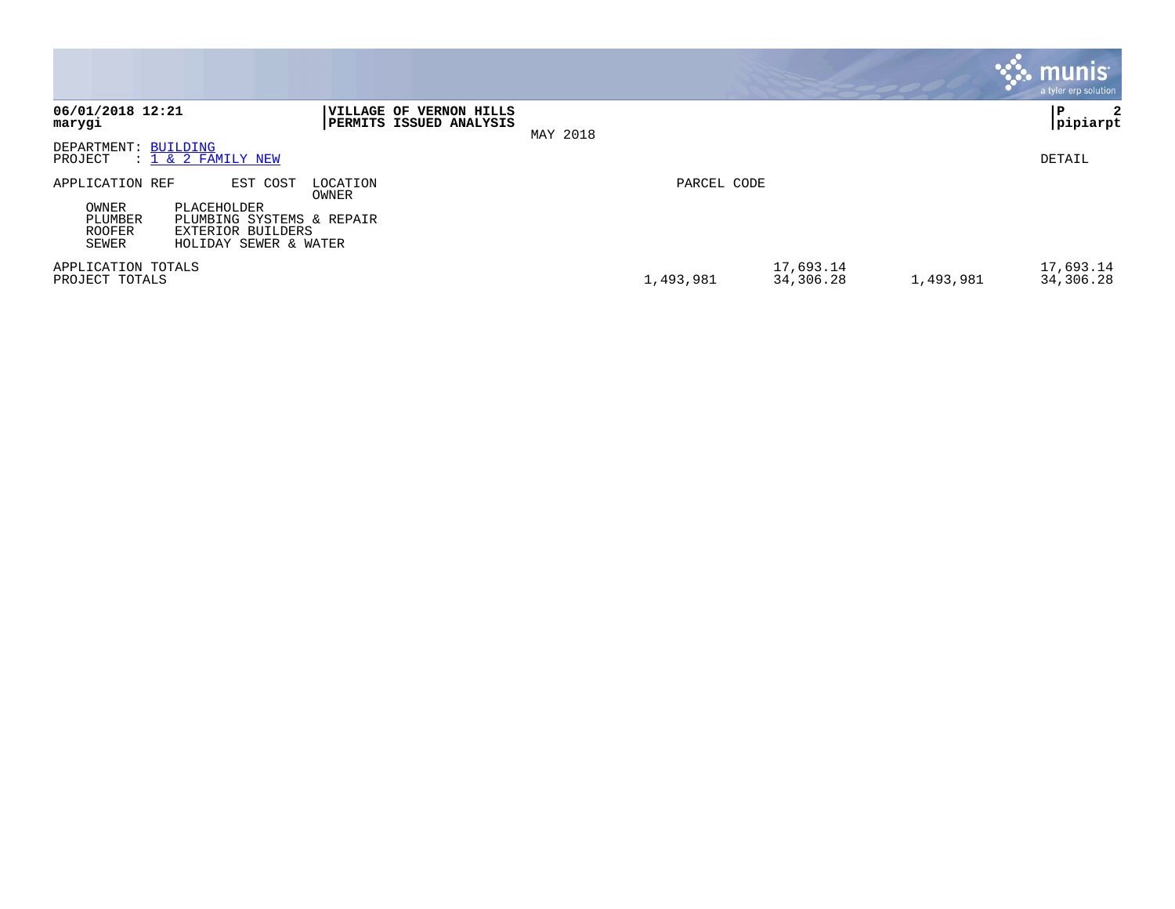|                                      |                                                                                |                    |                                                |          |             |                        |           | <b>munis</b><br>a tyler erp solution |
|--------------------------------------|--------------------------------------------------------------------------------|--------------------|------------------------------------------------|----------|-------------|------------------------|-----------|--------------------------------------|
| 06/01/2018 12:21<br>marygi           |                                                                                | <b> VILLAGE OF</b> | <b>VERNON HILLS</b><br>PERMITS ISSUED ANALYSIS | MAY 2018 |             |                        |           | ΙP<br>2<br> pipiarpt                 |
| DEPARTMENT: BUILDING<br>PROJECT      | $: 1 \& 2$ FAMILY NEW                                                          |                    |                                                |          |             |                        |           | DETAIL                               |
| APPLICATION REF<br>OWNER             | EST COST<br>PLACEHOLDER                                                        | LOCATION<br>OWNER  |                                                |          | PARCEL CODE |                        |           |                                      |
| PLUMBER<br>ROOFER<br>SEWER           | PLUMBING SYSTEMS & REPAIR<br><b>EXTERIOR BUILDERS</b><br>HOLIDAY SEWER & WATER |                    |                                                |          |             |                        |           |                                      |
| APPLICATION TOTALS<br>PROJECT TOTALS |                                                                                |                    |                                                |          | 1,493,981   | 17,693.14<br>34,306.28 | 1,493,981 | 17,693.14<br>34,306.28               |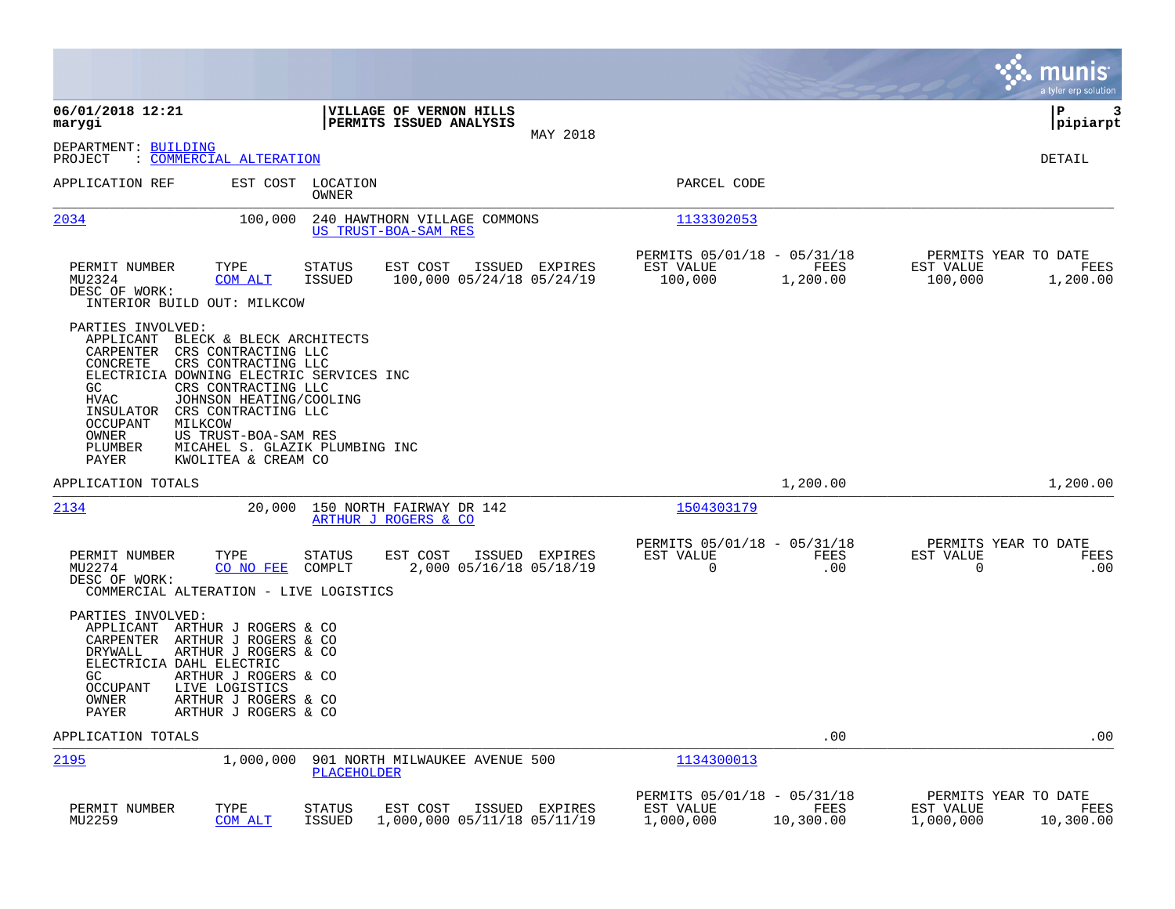|                                                                                                                                                                                                                                                                                                                                              |                                                                                           |                                                                            | munis<br>a tyler erp solution                                       |
|----------------------------------------------------------------------------------------------------------------------------------------------------------------------------------------------------------------------------------------------------------------------------------------------------------------------------------------------|-------------------------------------------------------------------------------------------|----------------------------------------------------------------------------|---------------------------------------------------------------------|
| 06/01/2018 12:21<br>marygi                                                                                                                                                                                                                                                                                                                   | VILLAGE OF VERNON HILLS<br>PERMITS ISSUED ANALYSIS<br>MAY 2018                            |                                                                            | ∣P<br>3<br> pipiarpt                                                |
| DEPARTMENT: BUILDING<br>: COMMERCIAL ALTERATION<br>PROJECT                                                                                                                                                                                                                                                                                   |                                                                                           |                                                                            | DETAIL                                                              |
| APPLICATION REF                                                                                                                                                                                                                                                                                                                              | EST COST<br>LOCATION<br>OWNER                                                             | PARCEL CODE                                                                |                                                                     |
| 2034                                                                                                                                                                                                                                                                                                                                         | 100,000<br>240 HAWTHORN VILLAGE COMMONS<br>US TRUST-BOA-SAM RES                           | 1133302053                                                                 |                                                                     |
| PERMIT NUMBER<br>TYPE<br>MU2324<br><b>COM ALT</b><br>DESC OF WORK:<br>INTERIOR BUILD OUT: MILKCOW                                                                                                                                                                                                                                            | <b>STATUS</b><br>EST COST<br>ISSUED EXPIRES<br><b>ISSUED</b><br>100,000 05/24/18 05/24/19 | PERMITS 05/01/18 - 05/31/18<br>EST VALUE<br>FEES<br>100,000<br>1,200.00    | PERMITS YEAR TO DATE<br>EST VALUE<br>FEES<br>100,000<br>1,200.00    |
| PARTIES INVOLVED:<br>APPLICANT<br>CARPENTER<br>CRS CONTRACTING LLC<br>CONCRETE<br>CRS CONTRACTING LLC<br>ELECTRICIA DOWNING ELECTRIC SERVICES INC<br>GC.<br>CRS CONTRACTING LLC<br><b>HVAC</b><br>INSULATOR<br>CRS CONTRACTING LLC<br><b>OCCUPANT</b><br>MILKCOW<br>OWNER<br>US TRUST-BOA-SAM RES<br>PLUMBER<br>PAYER<br>KWOLITEA & CREAM CO | BLECK & BLECK ARCHITECTS<br>JOHNSON HEATING/COOLING<br>MICAHEL S. GLAZIK PLUMBING INC     |                                                                            |                                                                     |
| APPLICATION TOTALS                                                                                                                                                                                                                                                                                                                           |                                                                                           | 1,200.00                                                                   | 1,200.00                                                            |
| 2134                                                                                                                                                                                                                                                                                                                                         | 20,000<br>150 NORTH FAIRWAY DR 142<br>ARTHUR J ROGERS & CO                                | 1504303179                                                                 |                                                                     |
| PERMIT NUMBER<br>TYPE<br>MU2274<br>CO NO FEE<br>DESC OF WORK:<br>COMMERCIAL ALTERATION - LIVE LOGISTICS                                                                                                                                                                                                                                      | EST COST<br>ISSUED EXPIRES<br>STATUS<br>COMPLT<br>2,000 05/16/18 05/18/19                 | PERMITS 05/01/18 - 05/31/18<br>EST VALUE<br><b>FEES</b><br>.00<br>0        | PERMITS YEAR TO DATE<br>EST VALUE<br>FEES<br>0<br>.00               |
| PARTIES INVOLVED:<br>APPLICANT<br>ARTHUR J ROGERS & CO<br>CARPENTER<br>ARTHUR J ROGERS & CO<br>ARTHUR J ROGERS & CO<br>DRYWALL<br>ELECTRICIA DAHL ELECTRIC<br>GC.<br>ARTHUR J ROGERS & CO<br>LIVE LOGISTICS<br><b>OCCUPANT</b><br>OWNER<br>ARTHUR J ROGERS & CO<br>PAYER<br>ARTHUR J ROGERS & CO                                             |                                                                                           |                                                                            |                                                                     |
| APPLICATION TOTALS                                                                                                                                                                                                                                                                                                                           |                                                                                           | .00                                                                        | .00                                                                 |
| 2195<br>1,000,000                                                                                                                                                                                                                                                                                                                            | 901 NORTH MILWAUKEE AVENUE 500<br>PLACEHOLDER                                             | 1134300013                                                                 |                                                                     |
| PERMIT NUMBER<br>TYPE<br>MU2259<br>COM ALT                                                                                                                                                                                                                                                                                                   | EST COST<br>STATUS<br>ISSUED EXPIRES<br><b>ISSUED</b><br>1,000,000 05/11/18 05/11/19      | PERMITS 05/01/18 - 05/31/18<br>FEES<br>EST VALUE<br>1,000,000<br>10,300.00 | PERMITS YEAR TO DATE<br>EST VALUE<br>FEES<br>1,000,000<br>10,300.00 |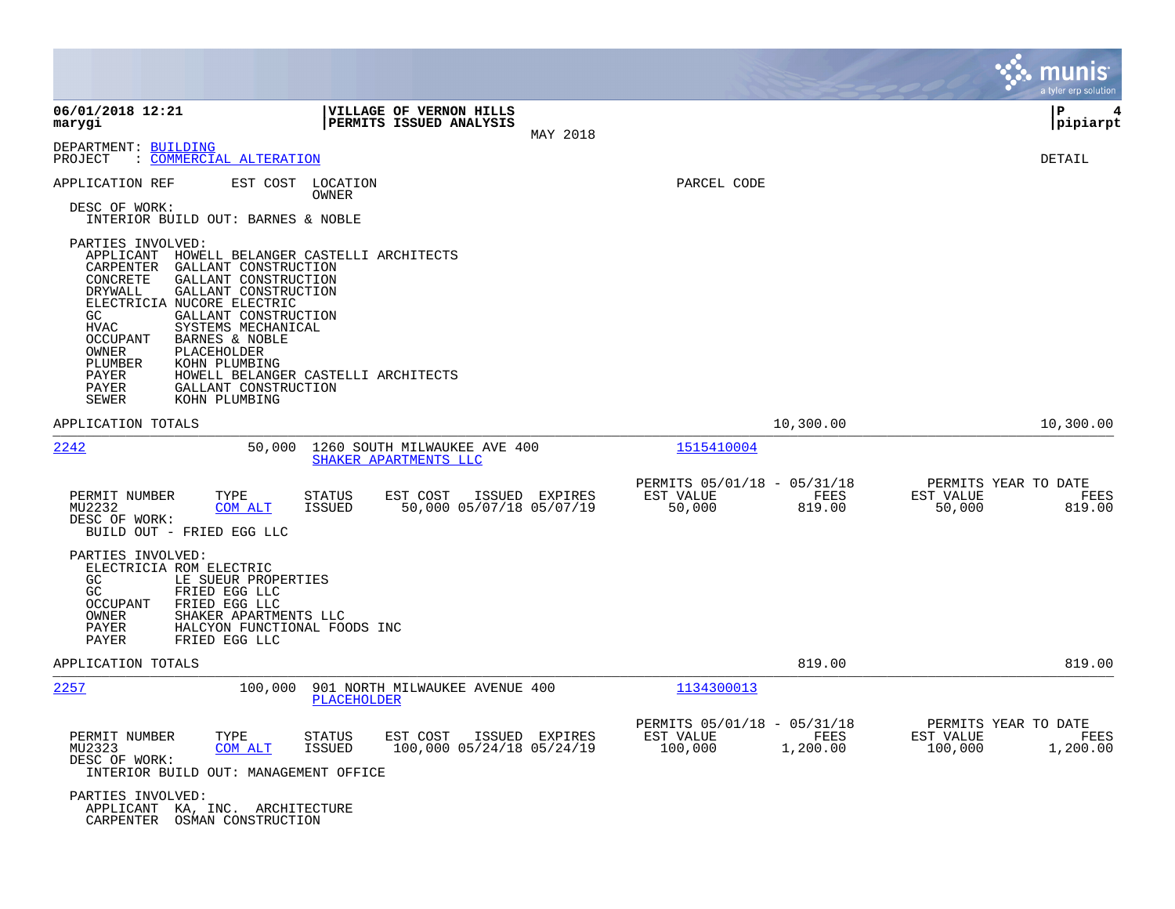|                                                                                                                                                                                                                                                                                                                                                                                                           |                                                                                    |                                                                         | munis<br>a tyler erp solution                                    |
|-----------------------------------------------------------------------------------------------------------------------------------------------------------------------------------------------------------------------------------------------------------------------------------------------------------------------------------------------------------------------------------------------------------|------------------------------------------------------------------------------------|-------------------------------------------------------------------------|------------------------------------------------------------------|
| 06/01/2018 12:21<br>marygi                                                                                                                                                                                                                                                                                                                                                                                | VILLAGE OF VERNON HILLS<br>PERMITS ISSUED ANALYSIS<br>MAY 2018                     |                                                                         | l P<br> pipiarpt                                                 |
| DEPARTMENT: BUILDING<br>PROJECT<br>: COMMERCIAL ALTERATION                                                                                                                                                                                                                                                                                                                                                |                                                                                    |                                                                         | DETAIL                                                           |
| APPLICATION REF<br>EST COST<br>DESC OF WORK:<br>INTERIOR BUILD OUT: BARNES & NOBLE                                                                                                                                                                                                                                                                                                                        | LOCATION<br>OWNER                                                                  | PARCEL CODE                                                             |                                                                  |
| PARTIES INVOLVED:<br>APPLICANT<br>CARPENTER<br>GALLANT CONSTRUCTION<br>CONCRETE<br>GALLANT CONSTRUCTION<br>GALLANT CONSTRUCTION<br>DRYWALL<br>ELECTRICIA NUCORE ELECTRIC<br>GALLANT CONSTRUCTION<br>GC.<br><b>HVAC</b><br>SYSTEMS MECHANICAL<br><b>OCCUPANT</b><br>BARNES & NOBLE<br>PLACEHOLDER<br>OWNER<br>PLUMBER<br>KOHN PLUMBING<br>PAYER<br>PAYER<br>GALLANT CONSTRUCTION<br>KOHN PLUMBING<br>SEWER | HOWELL BELANGER CASTELLI ARCHITECTS<br>HOWELL BELANGER CASTELLI ARCHITECTS         |                                                                         |                                                                  |
| APPLICATION TOTALS                                                                                                                                                                                                                                                                                                                                                                                        |                                                                                    | 10,300.00                                                               | 10,300.00                                                        |
| 2242<br>50,000                                                                                                                                                                                                                                                                                                                                                                                            | 1260 SOUTH MILWAUKEE AVE 400<br>SHAKER APARTMENTS LLC                              | 1515410004                                                              |                                                                  |
| PERMIT NUMBER<br>TYPE<br>MU2232<br><b>COM ALT</b><br>DESC OF WORK:<br>BUILD OUT - FRIED EGG LLC                                                                                                                                                                                                                                                                                                           | STATUS<br>EST COST<br>ISSUED EXPIRES<br><b>ISSUED</b><br>50,000 05/07/18 05/07/19  | PERMITS 05/01/18 - 05/31/18<br>EST VALUE<br>FEES<br>50,000<br>819.00    | PERMITS YEAR TO DATE<br>EST VALUE<br>FEES<br>50,000<br>819.00    |
| PARTIES INVOLVED:<br>ELECTRICIA ROM ELECTRIC<br>GC<br>LE SUEUR PROPERTIES<br>GC<br>FRIED EGG LLC<br><b>OCCUPANT</b><br>FRIED EGG LLC<br>OWNER<br>SHAKER APARTMENTS LLC<br>PAYER<br>HALCYON FUNCTIONAL FOODS INC<br>PAYER<br>FRIED EGG LLC                                                                                                                                                                 |                                                                                    |                                                                         |                                                                  |
| APPLICATION TOTALS                                                                                                                                                                                                                                                                                                                                                                                        |                                                                                    | 819.00                                                                  | 819.00                                                           |
| 2257<br>100,000                                                                                                                                                                                                                                                                                                                                                                                           | 901 NORTH MILWAUKEE AVENUE 400<br>PLACEHOLDER                                      | 1134300013                                                              |                                                                  |
| PERMIT NUMBER<br>TYPE<br>MU2323<br><b>COM ALT</b><br>DESC OF WORK:<br>INTERIOR BUILD OUT: MANAGEMENT OFFICE                                                                                                                                                                                                                                                                                               | <b>STATUS</b><br>EST COST<br>ISSUED EXPIRES<br>ISSUED<br>100,000 05/24/18 05/24/19 | PERMITS 05/01/18 - 05/31/18<br>EST VALUE<br>FEES<br>1,200.00<br>100,000 | PERMITS YEAR TO DATE<br>EST VALUE<br>FEES<br>100,000<br>1,200.00 |
| PARTIES INVOLVED:<br>APPLICANT KA, INC. ARCHITECTURE<br>CARPENTER OSMAN CONSTRUCTION                                                                                                                                                                                                                                                                                                                      |                                                                                    |                                                                         |                                                                  |

 $\mathcal{L}^{\text{max}}$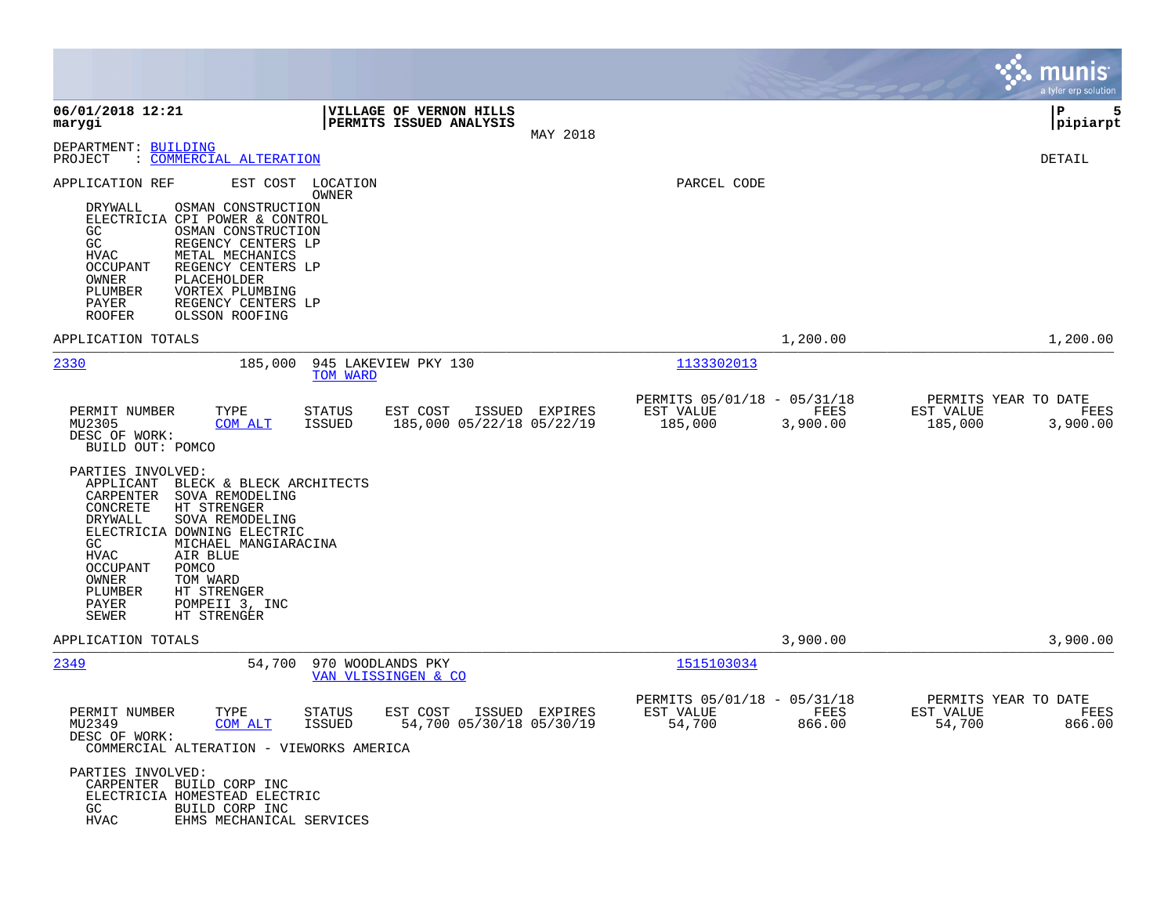|                                                                                                                                                  |                                                                                                                                                                                                                       |                            |                                                    |                |                                                     |                  |                      | munis<br>a tyler erp solution            |
|--------------------------------------------------------------------------------------------------------------------------------------------------|-----------------------------------------------------------------------------------------------------------------------------------------------------------------------------------------------------------------------|----------------------------|----------------------------------------------------|----------------|-----------------------------------------------------|------------------|----------------------|------------------------------------------|
| 06/01/2018 12:21<br>marygi                                                                                                                       |                                                                                                                                                                                                                       |                            | VILLAGE OF VERNON HILLS<br>PERMITS ISSUED ANALYSIS | MAY 2018       |                                                     |                  |                      | Р<br>5<br> pipiarpt                      |
| DEPARTMENT: BUILDING<br>PROJECT                                                                                                                  | : COMMERCIAL ALTERATION                                                                                                                                                                                               |                            |                                                    |                |                                                     |                  |                      | DETAIL                                   |
| APPLICATION REF<br><b>DRYWALL</b><br>GC<br>GC<br>HVAC<br>OCCUPANT<br>OWNER<br>PLUMBER<br>PAYER<br><b>ROOFER</b>                                  | OSMAN CONSTRUCTION<br>ELECTRICIA CPI POWER & CONTROL<br>OSMAN CONSTRUCTION<br>REGENCY CENTERS LP<br>METAL MECHANICS<br>REGENCY CENTERS LP<br>PLACEHOLDER<br>VORTEX PLUMBING<br>REGENCY CENTERS LP<br>OLSSON ROOFING   | EST COST LOCATION<br>OWNER |                                                    |                | PARCEL CODE                                         |                  |                      |                                          |
| APPLICATION TOTALS                                                                                                                               |                                                                                                                                                                                                                       |                            |                                                    |                |                                                     | 1,200.00         |                      | 1,200.00                                 |
| 2330                                                                                                                                             | 185,000                                                                                                                                                                                                               | TOM WARD                   | 945 LAKEVIEW PKY 130                               |                | 1133302013                                          |                  |                      |                                          |
| PERMIT NUMBER<br>MU2305<br>DESC OF WORK:                                                                                                         | TYPE<br>COM ALT<br>BUILD OUT: POMCO                                                                                                                                                                                   | <b>STATUS</b><br>ISSUED    | EST COST<br>185,000 05/22/18 05/22/19              | ISSUED EXPIRES | PERMITS 05/01/18 - 05/31/18<br>EST VALUE<br>185,000 | FEES<br>3,900.00 | EST VALUE<br>185,000 | PERMITS YEAR TO DATE<br>FEES<br>3,900.00 |
| PARTIES INVOLVED:<br>APPLICANT<br>CARPENTER<br>CONCRETE<br>DRYWALL<br>GC<br><b>HVAC</b><br>OCCUPANT<br>OWNER<br>PLUMBER<br>PAYER<br><b>SEWER</b> | BLECK & BLECK ARCHITECTS<br>SOVA REMODELING<br>HT STRENGER<br>SOVA REMODELING<br>ELECTRICIA DOWNING ELECTRIC<br>MICHAEL MANGIARACINA<br>AIR BLUE<br>POMCO<br>TOM WARD<br>HT STRENGER<br>POMPEII 3, INC<br>HT STRENGER |                            |                                                    |                |                                                     |                  |                      |                                          |
| APPLICATION TOTALS                                                                                                                               |                                                                                                                                                                                                                       |                            |                                                    |                |                                                     | 3,900.00         |                      | 3,900.00                                 |
| 2349                                                                                                                                             | 54,700                                                                                                                                                                                                                | 970 WOODLANDS PKY          | VAN VLISSINGEN & CO                                |                | 1515103034                                          |                  |                      |                                          |
| PERMIT NUMBER<br>MU2349<br>DESC OF WORK:                                                                                                         | TYPE<br><u>COM ALT</u><br>COMMERCIAL ALTERATION - VIEWORKS AMERICA                                                                                                                                                    | <b>STATUS</b><br>ISSUED    | EST COST<br>ISSUED<br>54,700 05/30/18 05/30/19     | EXPIRES        | PERMITS 05/01/18 - 05/31/18<br>EST VALUE<br>54,700  | FEES<br>866.00   | EST VALUE<br>54,700  | PERMITS YEAR TO DATE<br>FEES<br>866.00   |
| PARTIES INVOLVED:<br>GC<br>HVAC                                                                                                                  | CARPENTER BUILD CORP INC<br>ELECTRICIA HOMESTEAD ELECTRIC<br>BUILD CORP INC<br>EHMS MECHANICAL SERVICES                                                                                                               |                            |                                                    |                |                                                     |                  |                      |                                          |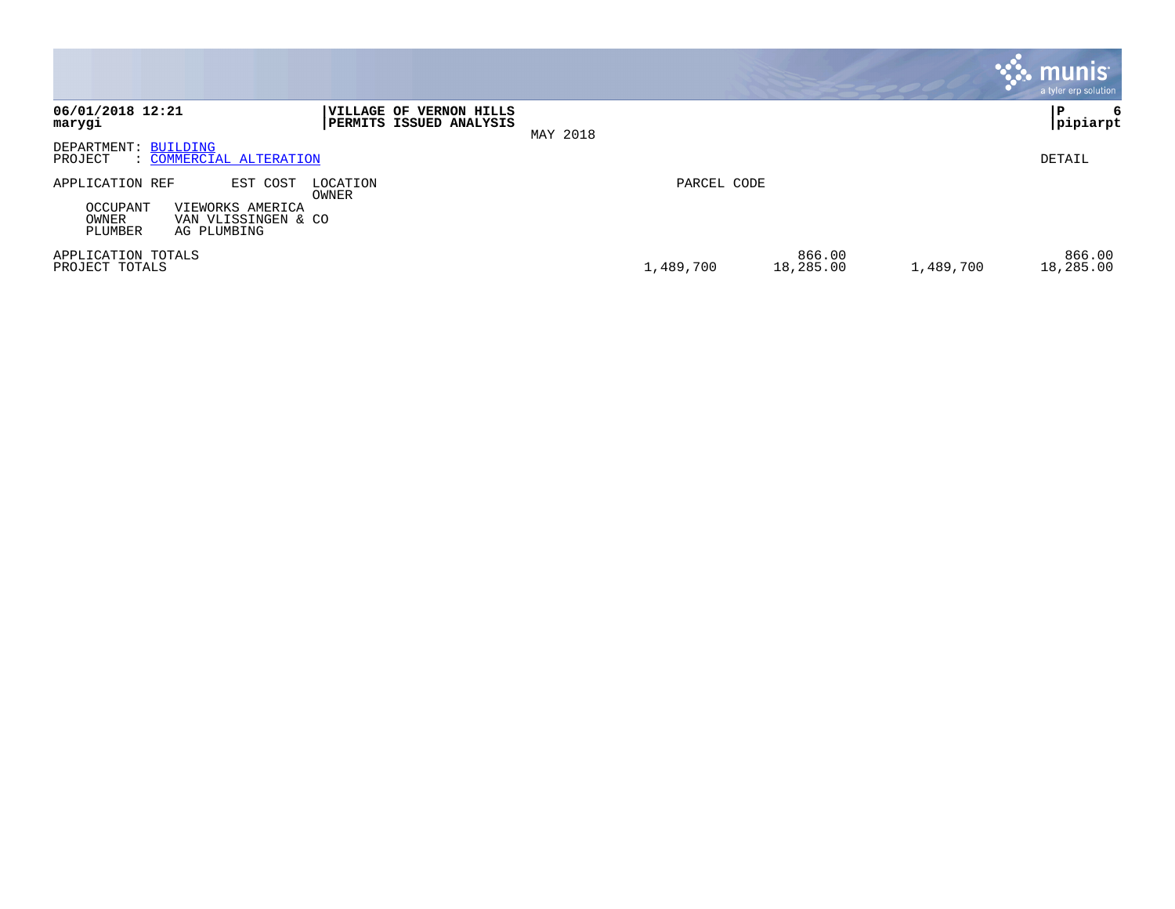|                                                                                                                                            |                                                                                         |                                  | <b>munis</b><br>a tyler erp solution |
|--------------------------------------------------------------------------------------------------------------------------------------------|-----------------------------------------------------------------------------------------|----------------------------------|--------------------------------------|
| 06/01/2018 12:21<br>marygi                                                                                                                 | <b>VERNON HILLS</b><br><b>IVILLAGE OF</b><br><b>PERMITS ISSUED ANALYSIS</b><br>MAY 2018 |                                  | 6<br> pipiarpt                       |
| DEPARTMENT: BUILDING<br>: COMMERCIAL ALTERATION<br>PROJECT                                                                                 |                                                                                         |                                  | DETAIL                               |
| APPLICATION REF<br>EST COST<br>LOCATION<br>OWNER<br>OCCUPANT<br>VIEWORKS AMERICA<br>OWNER<br>VAN VLISSINGEN & CO<br>PLUMBER<br>AG PLUMBING |                                                                                         | PARCEL CODE                      |                                      |
| APPLICATION TOTALS<br>PROJECT TOTALS                                                                                                       |                                                                                         | 866.00<br>1,489,700<br>18,285.00 | 866.00<br>1,489,700<br>18,285.00     |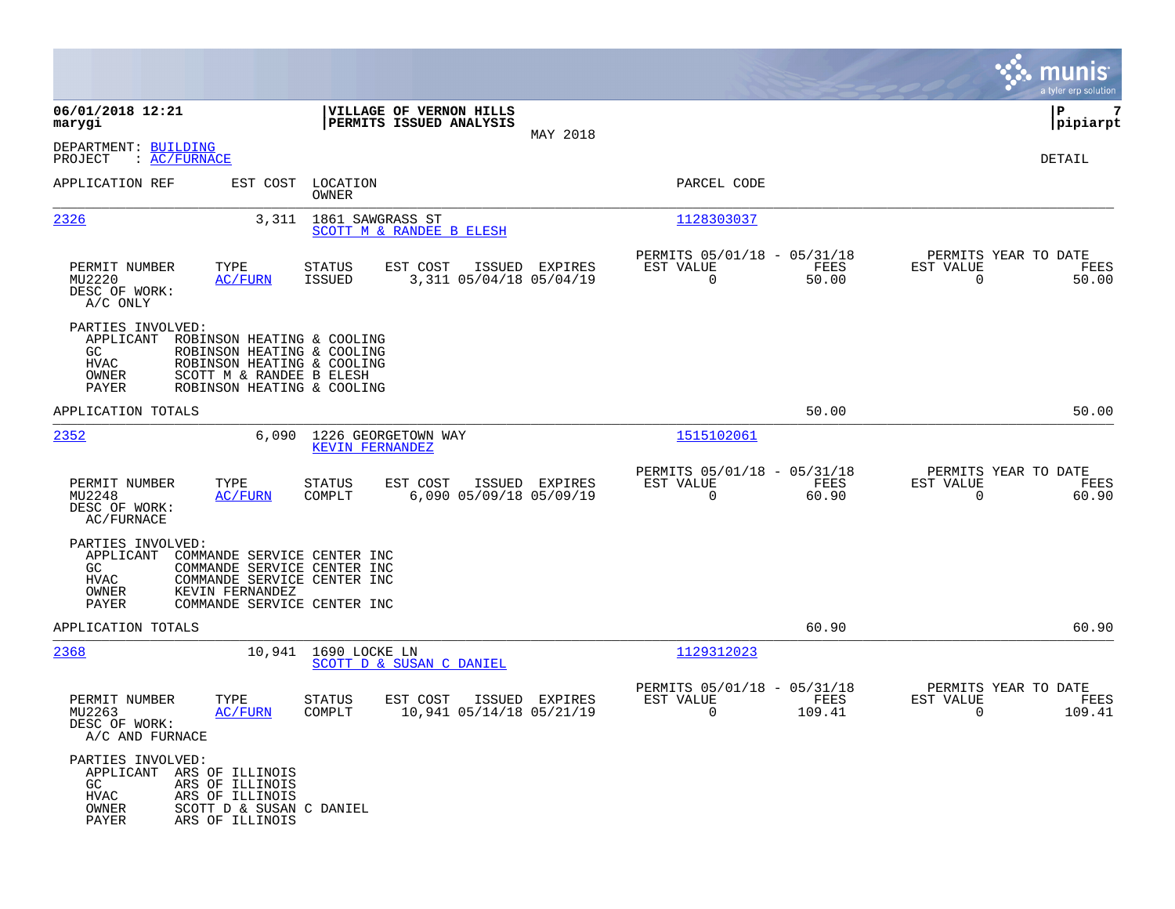|                                                                                                                                                                                                                    |                                                                                   |                                                                             | munis<br>a tyler erp solution                                        |
|--------------------------------------------------------------------------------------------------------------------------------------------------------------------------------------------------------------------|-----------------------------------------------------------------------------------|-----------------------------------------------------------------------------|----------------------------------------------------------------------|
| 06/01/2018 12:21<br>marygi                                                                                                                                                                                         | VILLAGE OF VERNON HILLS<br>PERMITS ISSUED ANALYSIS                                |                                                                             | 7<br>P<br> pipiarpt                                                  |
| DEPARTMENT: BUILDING<br>: <u>AC/FURNACE</u><br>PROJECT                                                                                                                                                             | MAY 2018                                                                          |                                                                             | DETAIL                                                               |
| APPLICATION REF                                                                                                                                                                                                    | EST COST LOCATION<br>OWNER                                                        | PARCEL CODE                                                                 |                                                                      |
| 2326<br>3,311                                                                                                                                                                                                      | 1861 SAWGRASS ST<br>SCOTT M & RANDEE B ELESH                                      | 1128303037                                                                  |                                                                      |
| PERMIT NUMBER<br>TYPE<br>MU2220<br><b>AC/FURN</b><br>DESC OF WORK:<br>A/C ONLY                                                                                                                                     | EST COST<br>STATUS<br>ISSUED EXPIRES<br>3,311 05/04/18 05/04/19<br>ISSUED         | PERMITS 05/01/18 - 05/31/18<br>EST VALUE<br>FEES<br>$\overline{0}$<br>50.00 | PERMITS YEAR TO DATE<br>EST VALUE<br>FEES<br>$\overline{0}$<br>50.00 |
| PARTIES INVOLVED:<br>APPLICANT<br>ROBINSON HEATING & COOLING<br>GC<br>ROBINSON HEATING & COOLING<br>ROBINSON HEATING & COOLING<br>HVAC<br>OWNER<br>SCOTT M & RANDEE B ELESH<br>PAYER<br>ROBINSON HEATING & COOLING |                                                                                   |                                                                             |                                                                      |
| APPLICATION TOTALS                                                                                                                                                                                                 |                                                                                   | 50.00                                                                       | 50.00                                                                |
| 2352<br>6,090                                                                                                                                                                                                      | 1226 GEORGETOWN WAY<br><b>KEVIN FERNANDEZ</b>                                     | 1515102061                                                                  |                                                                      |
| PERMIT NUMBER<br>TYPE<br>MU2248<br><b>AC/FURN</b><br>DESC OF WORK:<br>AC/FURNACE                                                                                                                                   | ISSUED EXPIRES<br>STATUS<br>EST COST<br>6,090 05/09/18 05/09/19<br>COMPLT         | PERMITS 05/01/18 - 05/31/18<br>EST VALUE<br>FEES<br>$\mathbf 0$<br>60.90    | PERMITS YEAR TO DATE<br>EST VALUE<br>FEES<br>$\Omega$<br>60.90       |
| PARTIES INVOLVED:<br>APPLICANT<br>COMMANDE SERVICE CENTER INC<br>COMMANDE SERVICE CENTER INC<br>GC<br>HVAC<br>COMMANDE SERVICE CENTER INC<br>KEVIN FERNANDEZ<br>OWNER<br>PAYER<br>COMMANDE SERVICE CENTER INC      |                                                                                   |                                                                             |                                                                      |
| APPLICATION TOTALS                                                                                                                                                                                                 |                                                                                   | 60.90                                                                       | 60.90                                                                |
| 2368                                                                                                                                                                                                               | 10,941 1690 LOCKE LN<br>SCOTT D & SUSAN C DANIEL                                  | 1129312023                                                                  |                                                                      |
| PERMIT NUMBER<br>TYPE<br>MU2263<br>AC/FURN<br>DESC OF WORK:<br>A/C AND FURNACE                                                                                                                                     | <b>STATUS</b><br>EST COST<br>ISSUED EXPIRES<br>10,941 05/14/18 05/21/19<br>COMPLT | PERMITS 05/01/18 - 05/31/18<br>EST VALUE<br>FEES<br>0<br>109.41             | PERMITS YEAR TO DATE<br>EST VALUE<br>FEES<br>0<br>109.41             |
| PARTIES INVOLVED:<br>APPLICANT ARS OF ILLINOIS<br>GC<br>ARS OF ILLINOIS<br>HVAC<br>ARS OF ILLINOIS<br>SCOTT D & SUSAN C DANIEL<br>OWNER<br>PAYER<br>ARS OF ILLINOIS                                                |                                                                                   |                                                                             |                                                                      |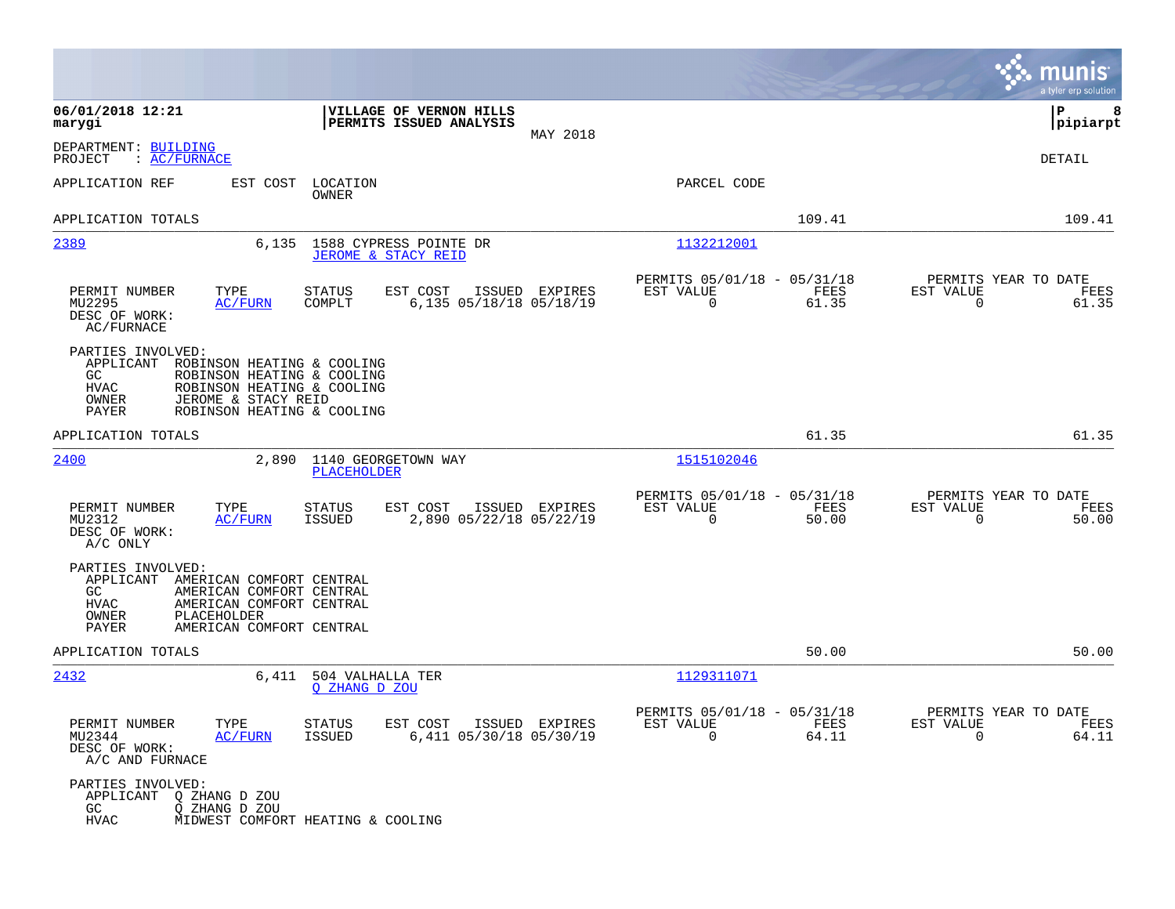|                                                                                                                                                                                                                      |                                                                                  |                                                                          | munis<br>a tyler erp solution                                     |
|----------------------------------------------------------------------------------------------------------------------------------------------------------------------------------------------------------------------|----------------------------------------------------------------------------------|--------------------------------------------------------------------------|-------------------------------------------------------------------|
| 06/01/2018 12:21<br>marygi                                                                                                                                                                                           | VILLAGE OF VERNON HILLS<br>PERMITS ISSUED ANALYSIS<br>MAY 2018                   |                                                                          | P<br>8<br> pipiarpt                                               |
| DEPARTMENT: BUILDING<br>PROJECT<br>$\colon$ AC/FURNACE                                                                                                                                                               |                                                                                  |                                                                          | DETAIL                                                            |
| APPLICATION REF<br>EST COST                                                                                                                                                                                          | LOCATION<br>OWNER                                                                | PARCEL CODE                                                              |                                                                   |
| APPLICATION TOTALS                                                                                                                                                                                                   |                                                                                  | 109.41                                                                   | 109.41                                                            |
| 2389<br>6,135                                                                                                                                                                                                        | 1588 CYPRESS POINTE DR<br>JEROME & STACY REID                                    | 1132212001                                                               |                                                                   |
| PERMIT NUMBER<br>TYPE<br>MU2295<br>AC/FURN<br>DESC OF WORK:<br>AC/FURNACE                                                                                                                                            | <b>STATUS</b><br>EST COST<br>ISSUED EXPIRES<br>COMPLT<br>6,135 05/18/18 05/18/19 | PERMITS 05/01/18 - 05/31/18<br>EST VALUE<br>FEES<br>$\mathbf 0$<br>61.35 | PERMITS YEAR TO DATE<br>EST VALUE<br>FEES<br>$\mathbf 0$<br>61.35 |
| PARTIES INVOLVED:<br>APPLICANT<br>ROBINSON HEATING & COOLING<br>GC<br>ROBINSON HEATING & COOLING<br><b>HVAC</b><br>ROBINSON HEATING & COOLING<br>OWNER<br>JEROME & STACY REID<br>ROBINSON HEATING & COOLING<br>PAYER |                                                                                  |                                                                          |                                                                   |
| APPLICATION TOTALS                                                                                                                                                                                                   |                                                                                  | 61.35                                                                    | 61.35                                                             |
| 2400<br>2,890                                                                                                                                                                                                        | 1140 GEORGETOWN WAY<br>PLACEHOLDER                                               | 1515102046                                                               |                                                                   |
| PERMIT NUMBER<br>TYPE<br>MU2312<br>AC/FURN<br>DESC OF WORK:<br>A/C ONLY                                                                                                                                              | <b>STATUS</b><br>EST COST<br>ISSUED EXPIRES<br>ISSUED<br>2,890 05/22/18 05/22/19 | PERMITS 05/01/18 - 05/31/18<br>FEES<br>EST VALUE<br>$\mathbf 0$<br>50.00 | PERMITS YEAR TO DATE<br>EST VALUE<br>FEES<br>$\mathbf 0$<br>50.00 |
| PARTIES INVOLVED:<br>APPLICANT<br>AMERICAN COMFORT CENTRAL<br>GC<br>AMERICAN COMFORT CENTRAL<br>HVAC<br>AMERICAN COMFORT CENTRAL<br>PLACEHOLDER<br>OWNER<br>PAYER<br>AMERICAN COMFORT CENTRAL                        |                                                                                  |                                                                          |                                                                   |
| APPLICATION TOTALS                                                                                                                                                                                                   |                                                                                  | 50.00                                                                    | 50.00                                                             |
| 2432                                                                                                                                                                                                                 | 6,411 504 VALHALLA TER<br>O ZHANG D ZOU                                          | 1129311071                                                               |                                                                   |
| PERMIT NUMBER<br>TYPE<br>MU2344<br><b>AC/FURN</b><br>DESC OF WORK:<br>A/C AND FURNACE                                                                                                                                | STATUS<br>EST COST ISSUED EXPIRES<br>ISSUED<br>6,411 05/30/18 05/30/19           | PERMITS 05/01/18 - 05/31/18<br>EST VALUE<br>FEES<br>$\Omega$<br>64.11    | PERMITS YEAR TO DATE<br>EST VALUE<br>FEES<br>64.11<br>$\Omega$    |
| PARTIES INVOLVED:<br>APPLICANT<br>Q ZHANG D ZOU<br>GC<br>Q ZHANG D ZOU<br><b>HVAC</b>                                                                                                                                | MIDWEST COMFORT HEATING & COOLING                                                |                                                                          |                                                                   |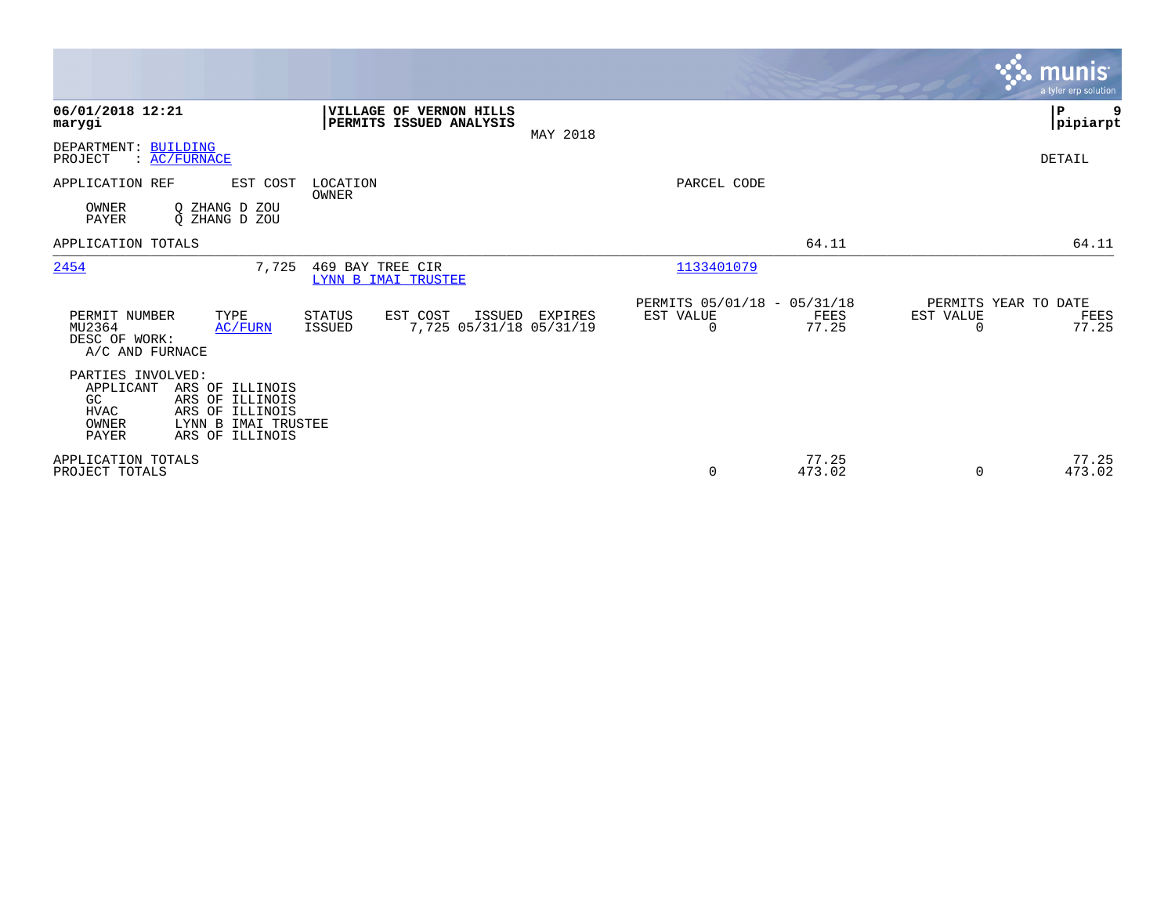|                                                                       |                                                                                                 |                                         |                                                           |          |                                               |                 |                       | munis<br>a tyler erp solution         |
|-----------------------------------------------------------------------|-------------------------------------------------------------------------------------------------|-----------------------------------------|-----------------------------------------------------------|----------|-----------------------------------------------|-----------------|-----------------------|---------------------------------------|
| 06/01/2018 12:21<br>marygi                                            |                                                                                                 |                                         | <b>VILLAGE OF VERNON HILLS</b><br>PERMITS ISSUED ANALYSIS | MAY 2018 |                                               |                 |                       | 9<br>${\bf P}$<br> pipiarpt           |
| DEPARTMENT: BUILDING<br>PROJECT                                       | : AC/FURNACE                                                                                    |                                         |                                                           |          |                                               |                 |                       | DETAIL                                |
| APPLICATION REF                                                       | EST COST                                                                                        | LOCATION<br>OWNER                       |                                                           |          | PARCEL CODE                                   |                 |                       |                                       |
| OWNER<br><b>PAYER</b>                                                 | O ZHANG D<br>ZOU<br>O ZHANG D ZOU                                                               |                                         |                                                           |          |                                               |                 |                       |                                       |
| APPLICATION TOTALS                                                    |                                                                                                 |                                         |                                                           |          |                                               | 64.11           |                       | 64.11                                 |
| 2454                                                                  | 7,725                                                                                           | 469 BAY TREE CIR<br>LYNN B IMAI TRUSTEE |                                                           |          | 1133401079                                    |                 |                       |                                       |
| PERMIT NUMBER<br>MU2364<br>DESC OF WORK:<br>A/C AND FURNACE           | TYPE<br>AC/FURN                                                                                 | STATUS<br><b>ISSUED</b>                 | EST COST<br>ISSUED<br>7,725 05/31/18 05/31/19             | EXPIRES  | PERMITS 05/01/18 - 05/31/18<br>EST VALUE<br>0 | FEES<br>77.25   | EST VALUE<br>$\Omega$ | PERMITS YEAR TO DATE<br>FEES<br>77.25 |
| PARTIES INVOLVED:<br>APPLICANT<br>GC<br><b>HVAC</b><br>OWNER<br>PAYER | ARS OF ILLINOIS<br>ARS OF ILLINOIS<br>ARS OF ILLINOIS<br>LYNN B IMAI TRUSTEE<br>ARS OF ILLINOIS |                                         |                                                           |          |                                               |                 |                       |                                       |
| APPLICATION TOTALS<br>PROJECT TOTALS                                  |                                                                                                 |                                         |                                                           |          | 0                                             | 77.25<br>473.02 | $\Omega$              | 77.25<br>473.02                       |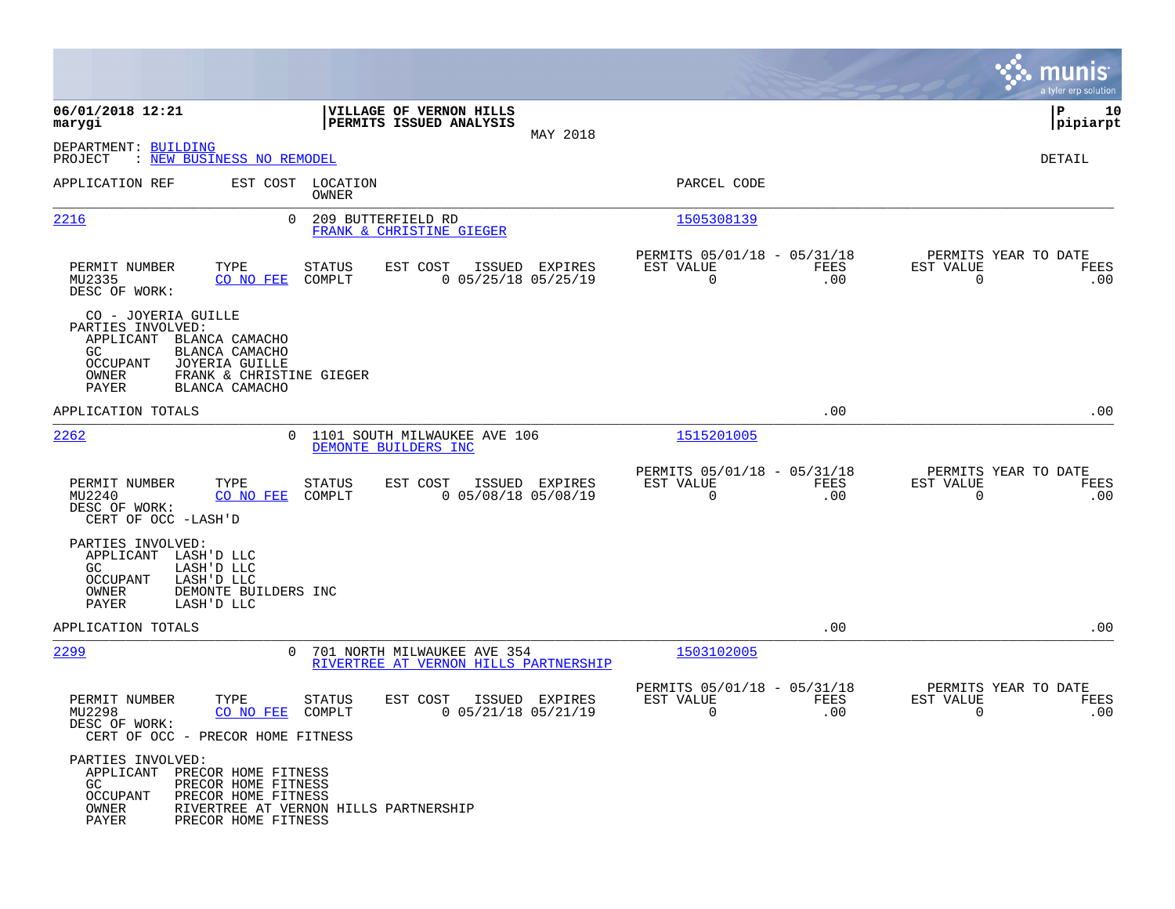|                                                                                                                                                                                                           |                                                                        |                                         |                                                         |             |                                               | munis<br>a tyler erp solution |
|-----------------------------------------------------------------------------------------------------------------------------------------------------------------------------------------------------------|------------------------------------------------------------------------|-----------------------------------------|---------------------------------------------------------|-------------|-----------------------------------------------|-------------------------------|
| 06/01/2018 12:21<br>marygi                                                                                                                                                                                | VILLAGE OF VERNON HILLS<br>PERMITS ISSUED ANALYSIS                     | MAY 2018                                |                                                         |             |                                               | ΙP<br>10<br> pipiarpt         |
| DEPARTMENT: BUILDING<br>PROJECT<br>: NEW BUSINESS NO REMODEL                                                                                                                                              |                                                                        |                                         |                                                         |             |                                               | DETAIL                        |
| APPLICATION REF                                                                                                                                                                                           | EST COST LOCATION<br>OWNER                                             |                                         | PARCEL CODE                                             |             |                                               |                               |
| 2216                                                                                                                                                                                                      | $\Omega$<br>209 BUTTERFIELD RD<br>FRANK & CHRISTINE GIEGER             |                                         | 1505308139                                              |             |                                               |                               |
| PERMIT NUMBER<br>TYPE<br>MU2335<br>CO NO FEE<br>DESC OF WORK:                                                                                                                                             | <b>STATUS</b><br>EST COST<br>COMPLT                                    | ISSUED EXPIRES<br>$0$ 05/25/18 05/25/19 | PERMITS 05/01/18 - 05/31/18<br>EST VALUE<br>$\mathbf 0$ | FEES<br>.00 | PERMITS YEAR TO DATE<br>EST VALUE<br>0        | FEES<br>.00                   |
| CO - JOYERIA GUILLE<br>PARTIES INVOLVED:<br>APPLICANT BLANCA CAMACHO<br>GC.<br>BLANCA CAMACHO<br><b>OCCUPANT</b><br>JOYERIA GUILLE<br>FRANK & CHRISTINE GIEGER<br>OWNER<br><b>PAYER</b><br>BLANCA CAMACHO |                                                                        |                                         |                                                         |             |                                               |                               |
| APPLICATION TOTALS                                                                                                                                                                                        |                                                                        |                                         |                                                         | .00         |                                               | .00                           |
| 2262                                                                                                                                                                                                      | 0 1101 SOUTH MILWAUKEE AVE 106<br>DEMONTE BUILDERS INC                 |                                         | 1515201005                                              |             |                                               |                               |
| PERMIT NUMBER<br>TYPE<br>MU2240<br>CO NO FEE<br>DESC OF WORK:<br>CERT OF OCC -LASH'D                                                                                                                      | STATUS<br>EST COST<br>COMPLT                                           | ISSUED EXPIRES<br>$0$ 05/08/18 05/08/19 | PERMITS 05/01/18 - 05/31/18<br>EST VALUE<br>$\mathbf 0$ | FEES<br>.00 | PERMITS YEAR TO DATE<br>EST VALUE<br>$\Omega$ | FEES<br>.00                   |
| PARTIES INVOLVED:<br>APPLICANT LASH'D LLC<br>LASH'D LLC<br>GC.<br>LASH'D LLC<br><b>OCCUPANT</b><br>OWNER<br>DEMONTE BUILDERS INC<br>PAYER<br>LASH'D LLC                                                   |                                                                        |                                         |                                                         |             |                                               |                               |
| APPLICATION TOTALS                                                                                                                                                                                        |                                                                        |                                         |                                                         | .00         |                                               | .00                           |
| 2299                                                                                                                                                                                                      | 0 701 NORTH MILWAUKEE AVE 354<br>RIVERTREE AT VERNON HILLS PARTNERSHIP |                                         | 1503102005                                              |             |                                               |                               |
| PERMIT NUMBER<br>TYPE<br>MU2298<br>CO NO FEE<br>DESC OF WORK:<br>CERT OF OCC - PRECOR HOME FITNESS                                                                                                        | STATUS<br>EST COST<br>COMPLT                                           | ISSUED EXPIRES<br>$0$ 05/21/18 05/21/19 | PERMITS 05/01/18 - 05/31/18<br>EST VALUE<br>$\mathbf 0$ | FEES<br>.00 | PERMITS YEAR TO DATE<br>EST VALUE<br>0        | FEES<br>.00                   |
| PARTIES INVOLVED:<br>APPLICANT PRECOR HOME FITNESS<br>PRECOR HOME FITNESS<br>GC<br>OCCUPANT<br>PRECOR HOME FITNESS<br>OWNER<br>PAYER<br>PRECOR HOME FITNESS                                               | RIVERTREE AT VERNON HILLS PARTNERSHIP                                  |                                         |                                                         |             |                                               |                               |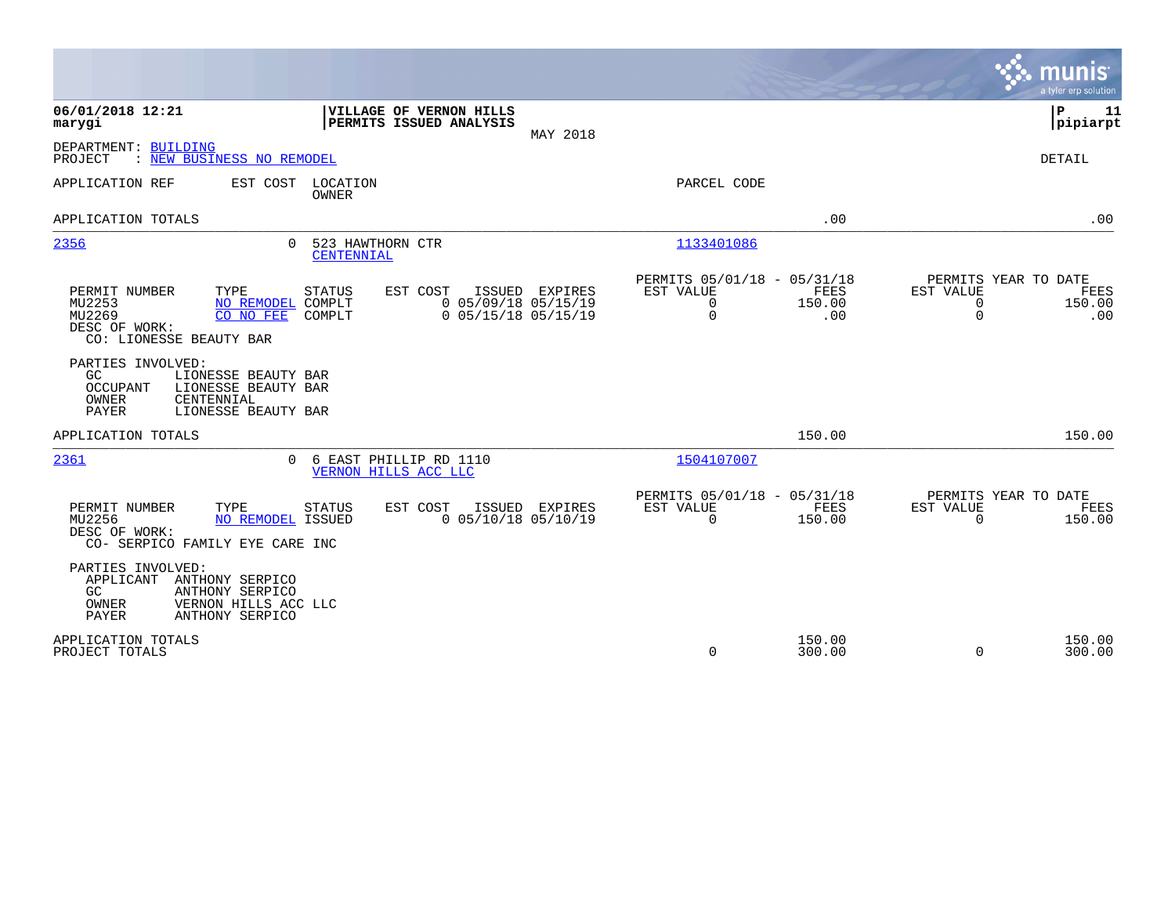|                                                                                                                                                        |                                                                                 |                                                                                       | munis<br>a tyler erp solution                                                  |
|--------------------------------------------------------------------------------------------------------------------------------------------------------|---------------------------------------------------------------------------------|---------------------------------------------------------------------------------------|--------------------------------------------------------------------------------|
| 06/01/2018 12:21<br>marygi                                                                                                                             | VILLAGE OF VERNON HILLS<br>PERMITS ISSUED ANALYSIS<br>MAY 2018                  |                                                                                       | l P<br>11<br> pipiarpt                                                         |
| DEPARTMENT: BUILDING<br>: NEW BUSINESS NO REMODEL<br>PROJECT                                                                                           |                                                                                 |                                                                                       | DETAIL                                                                         |
| APPLICATION REF<br>EST COST<br>LOCATION<br>OWNER                                                                                                       |                                                                                 | PARCEL CODE                                                                           |                                                                                |
| APPLICATION TOTALS                                                                                                                                     |                                                                                 | .00                                                                                   | .00                                                                            |
| 2356<br>$\Omega$<br>CENTENNIAL                                                                                                                         | 523 HAWTHORN CTR                                                                | 1133401086                                                                            |                                                                                |
| PERMIT NUMBER<br>TYPE<br>STATUS<br>MU2253<br>NO REMODEL COMPLT<br>MU2269<br>CO NO FEE<br>COMPLT<br>DESC OF WORK:<br>CO: LIONESSE BEAUTY BAR            | EST COST<br>ISSUED<br>EXPIRES<br>$0$ 05/09/18 05/15/19<br>$0$ 05/15/18 05/15/19 | PERMITS 05/01/18 - 05/31/18<br>EST VALUE<br>FEES<br>0<br>150.00<br>$\mathbf 0$<br>.00 | PERMITS YEAR TO DATE<br>EST VALUE<br>FEES<br>0<br>150.00<br>$\mathbf 0$<br>.00 |
| PARTIES INVOLVED:<br>GC<br>LIONESSE BEAUTY BAR<br>LIONESSE BEAUTY BAR<br><b>OCCUPANT</b><br>CENTENNIAL<br>OWNER<br><b>PAYER</b><br>LIONESSE BEAUTY BAR |                                                                                 |                                                                                       |                                                                                |
| APPLICATION TOTALS                                                                                                                                     |                                                                                 | 150.00                                                                                | 150.00                                                                         |
| 2361<br>$\Omega$                                                                                                                                       | 6 EAST PHILLIP RD 1110<br>VERNON HILLS ACC LLC                                  | 1504107007                                                                            |                                                                                |
| TYPE<br>PERMIT NUMBER<br><b>STATUS</b><br>MU2256<br>NO REMODEL ISSUED<br>DESC OF WORK:<br>CO- SERPICO FAMILY EYE CARE INC                              | EST COST<br>ISSUED EXPIRES<br>$0$ 05/10/18 05/10/19                             | PERMITS 05/01/18 - 05/31/18<br><b>FEES</b><br>EST VALUE<br>$\Omega$<br>150.00         | PERMITS YEAR TO DATE<br>EST VALUE<br>FEES<br>$\Omega$<br>150.00                |
| PARTIES INVOLVED:<br>APPLICANT<br>ANTHONY SERPICO<br>GC.<br>ANTHONY SERPICO<br>OWNER<br>VERNON HILLS ACC LLC<br><b>PAYER</b><br>ANTHONY SERPICO        |                                                                                 |                                                                                       |                                                                                |
| APPLICATION TOTALS<br>PROJECT TOTALS                                                                                                                   |                                                                                 | 150.00<br>$\mathbf 0$<br>300.00                                                       | 150.00<br>$\Omega$<br>300.00                                                   |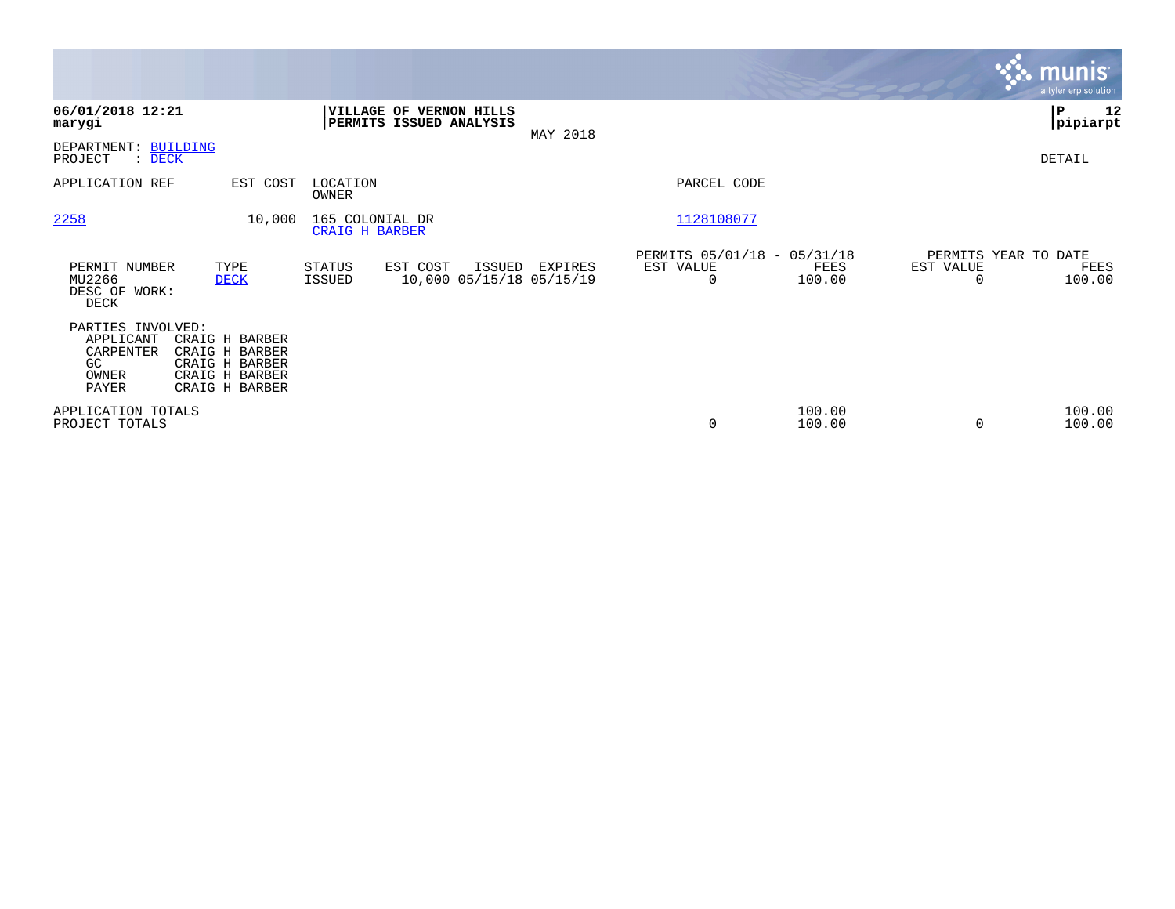|                                                                     |                                                                                        |                                          |                                                           |          |                                               |                  |                                   | <b>munis</b><br>a tyler erp solution |
|---------------------------------------------------------------------|----------------------------------------------------------------------------------------|------------------------------------------|-----------------------------------------------------------|----------|-----------------------------------------------|------------------|-----------------------------------|--------------------------------------|
| 06/01/2018 12:21<br>marygi                                          |                                                                                        |                                          | <b>VILLAGE OF VERNON HILLS</b><br>PERMITS ISSUED ANALYSIS |          |                                               |                  |                                   | ∣P<br>12<br> pipiarpt                |
| DEPARTMENT: BUILDING<br>PROJECT<br>: DECK                           |                                                                                        |                                          |                                                           | MAY 2018 |                                               |                  |                                   | DETAIL                               |
| APPLICATION REF                                                     | EST COST                                                                               | LOCATION<br>OWNER                        |                                                           |          | PARCEL CODE                                   |                  |                                   |                                      |
| 2258                                                                | 10,000                                                                                 | 165 COLONIAL DR<br><b>CRAIG H BARBER</b> |                                                           |          | 1128108077                                    |                  |                                   |                                      |
| PERMIT NUMBER<br>MU2266<br>DESC OF WORK:<br>DECK                    | TYPE<br><b>DECK</b>                                                                    | <b>STATUS</b><br>ISSUED                  | EST COST<br>ISSUED<br>10,000 05/15/18 05/15/19            | EXPIRES  | PERMITS 05/01/18 - 05/31/18<br>EST VALUE<br>0 | FEES<br>100.00   | PERMITS YEAR TO DATE<br>EST VALUE | FEES<br>100.00                       |
| PARTIES INVOLVED:<br>APPLICANT<br>CARPENTER<br>GC<br>OWNER<br>PAYER | CRAIG H BARBER<br>CRAIG H BARBER<br>CRAIG H BARBER<br>CRAIG H BARBER<br>CRAIG H BARBER |                                          |                                                           |          |                                               |                  |                                   |                                      |
| APPLICATION TOTALS<br>PROJECT TOTALS                                |                                                                                        |                                          |                                                           |          | 0                                             | 100.00<br>100.00 |                                   | 100.00<br>100.00                     |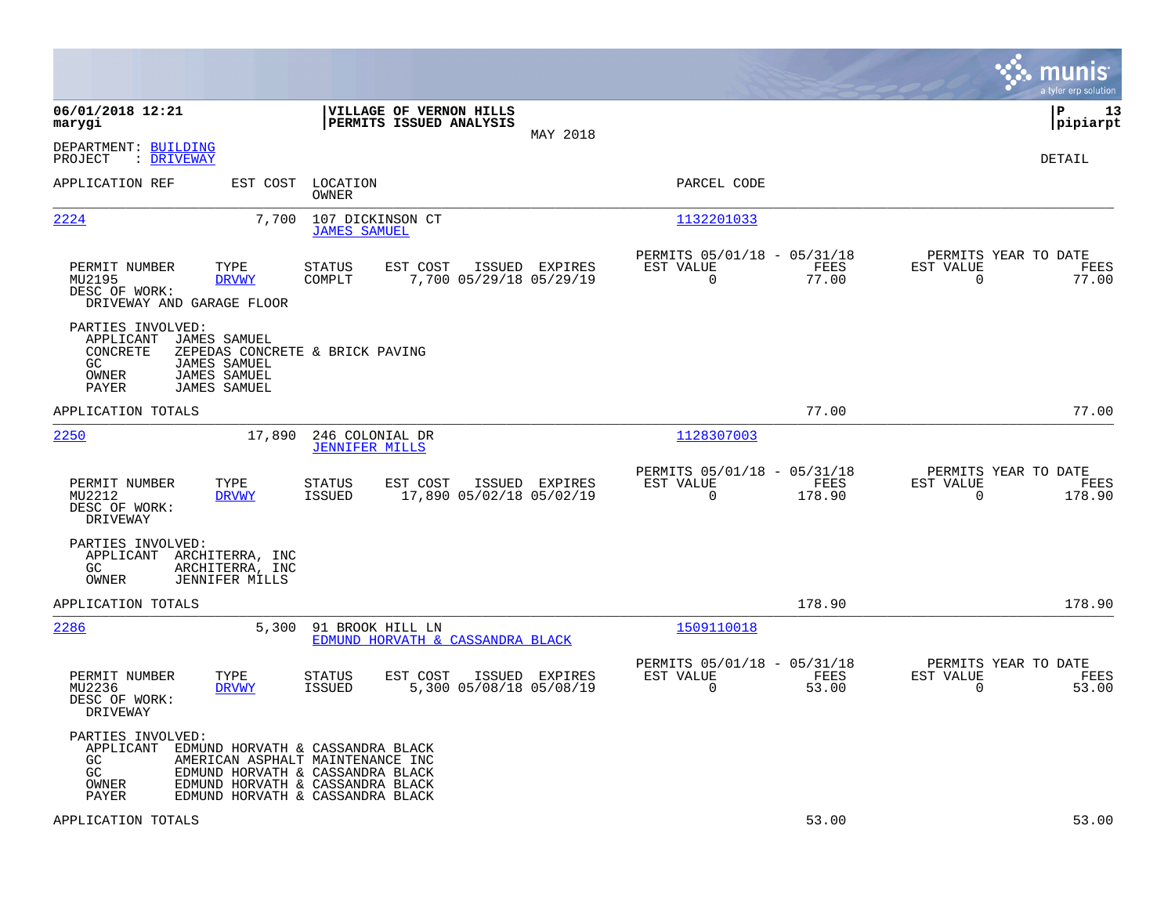|                                                                                                                                                          |                                                                                                                                                                                  |                                                                           | munis<br>a tyler erp solution                                      |
|----------------------------------------------------------------------------------------------------------------------------------------------------------|----------------------------------------------------------------------------------------------------------------------------------------------------------------------------------|---------------------------------------------------------------------------|--------------------------------------------------------------------|
| 06/01/2018 12:21<br>marygi                                                                                                                               | VILLAGE OF VERNON HILLS<br>PERMITS ISSUED ANALYSIS<br>MAY 2018                                                                                                                   |                                                                           | lР<br>13<br> pipiarpt                                              |
| DEPARTMENT: BUILDING<br>PROJECT<br>: DRIVEWAY                                                                                                            |                                                                                                                                                                                  |                                                                           | DETAIL                                                             |
| APPLICATION REF<br>EST COST                                                                                                                              | LOCATION<br>OWNER                                                                                                                                                                | PARCEL CODE                                                               |                                                                    |
| 2224<br>7,700                                                                                                                                            | 107 DICKINSON CT<br><b>JAMES SAMUEL</b>                                                                                                                                          | 1132201033                                                                |                                                                    |
| PERMIT NUMBER<br>TYPE<br>MU2195<br><b>DRVWY</b><br>DESC OF WORK:<br>DRIVEWAY AND GARAGE FLOOR                                                            | EST COST<br>ISSUED EXPIRES<br>STATUS<br>COMPLT<br>7,700 05/29/18 05/29/19                                                                                                        | PERMITS 05/01/18 - 05/31/18<br>EST VALUE<br>FEES<br>$\mathbf 0$<br>77.00  | PERMITS YEAR TO DATE<br>EST VALUE<br>FEES<br>$\mathsf{O}$<br>77.00 |
| PARTIES INVOLVED:<br>JAMES SAMUEL<br>APPLICANT<br>CONCRETE<br><b>JAMES SAMUEL</b><br>GC.<br>OWNER<br><b>JAMES SAMUEL</b><br>PAYER<br><b>JAMES SAMUEL</b> | ZEPEDAS CONCRETE & BRICK PAVING                                                                                                                                                  |                                                                           |                                                                    |
| APPLICATION TOTALS                                                                                                                                       |                                                                                                                                                                                  | 77.00                                                                     | 77.00                                                              |
| 2250<br>17,890                                                                                                                                           | 246 COLONIAL DR<br><b>JENNIFER MILLS</b>                                                                                                                                         | 1128307003                                                                |                                                                    |
| PERMIT NUMBER<br>TYPE<br>MU2212<br><b>DRVWY</b><br>DESC OF WORK:<br>DRIVEWAY                                                                             | STATUS<br>EST COST<br>ISSUED EXPIRES<br><b>ISSUED</b><br>17,890 05/02/18 05/02/19                                                                                                | PERMITS 05/01/18 - 05/31/18<br>FEES<br>EST VALUE<br>$\mathbf 0$<br>178.90 | PERMITS YEAR TO DATE<br>EST VALUE<br>FEES<br>$\mathbf 0$<br>178.90 |
| PARTIES INVOLVED:<br>APPLICANT ARCHITERRA, INC<br>GC<br>ARCHITERRA, INC<br>OWNER<br><b>JENNIFER MILLS</b>                                                |                                                                                                                                                                                  |                                                                           |                                                                    |
| APPLICATION TOTALS                                                                                                                                       |                                                                                                                                                                                  | 178.90                                                                    | 178.90                                                             |
| 2286<br>5,300                                                                                                                                            | 91 BROOK HILL LN<br>EDMUND HORVATH & CASSANDRA BLACK                                                                                                                             | 1509110018                                                                |                                                                    |
| PERMIT NUMBER<br>TYPE<br>MU2236<br><b>DRVWY</b><br>DESC OF WORK:<br>DRIVEWAY                                                                             | STATUS<br>EST COST<br>ISSUED EXPIRES<br>ISSUED<br>5,300 05/08/18 05/08/19                                                                                                        | PERMITS 05/01/18 - 05/31/18<br>EST VALUE<br>FEES<br>$\mathbf 0$<br>53.00  | PERMITS YEAR TO DATE<br>EST VALUE<br>FEES<br>$\mathbf 0$<br>53.00  |
| PARTIES INVOLVED:<br>APPLICANT<br>GC<br>GC<br>OWNER<br>PAYER                                                                                             | EDMUND HORVATH & CASSANDRA BLACK<br>AMERICAN ASPHALT MAINTENANCE INC<br>EDMUND HORVATH & CASSANDRA BLACK<br>EDMUND HORVATH & CASSANDRA BLACK<br>EDMUND HORVATH & CASSANDRA BLACK |                                                                           |                                                                    |
| APPLICATION TOTALS                                                                                                                                       |                                                                                                                                                                                  | 53.00                                                                     | 53.00                                                              |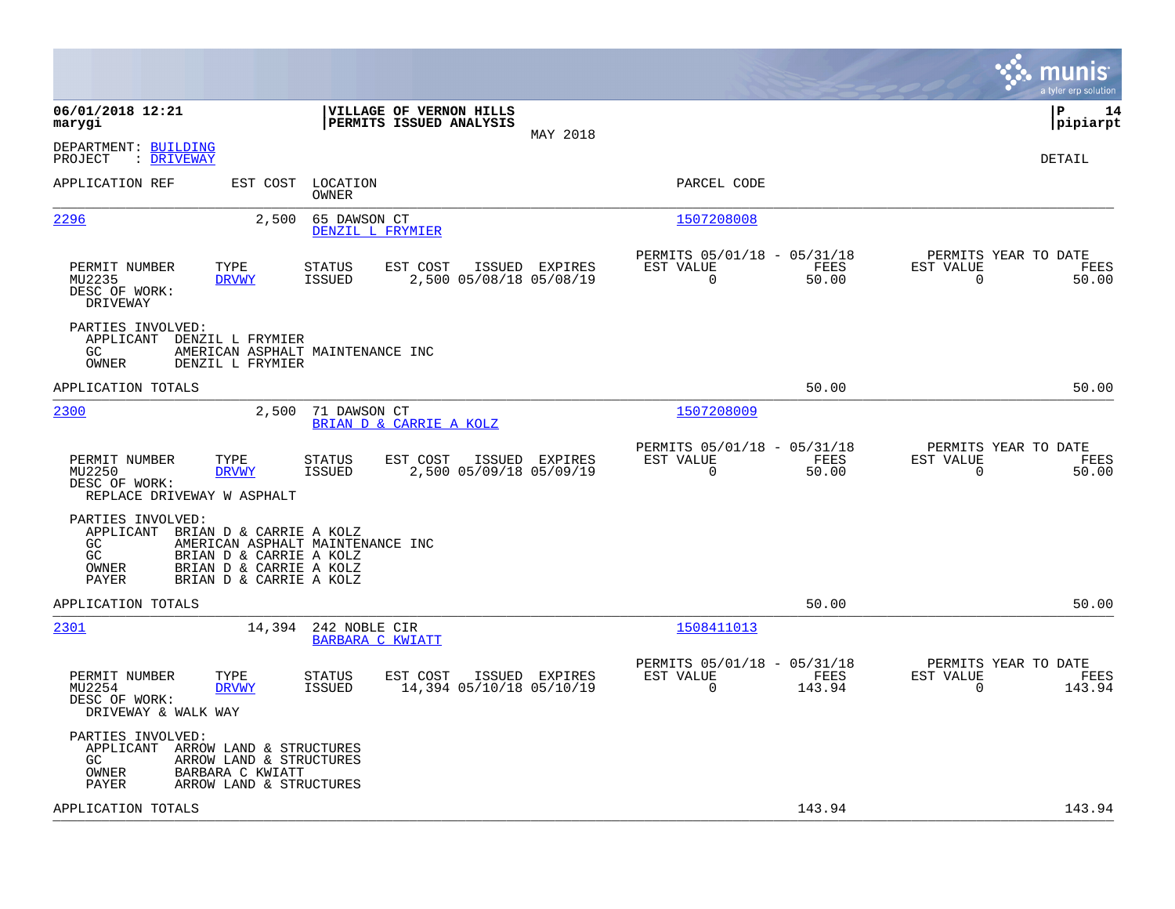|                                                                                                                                                                                                                     |                                                                       |                |                                                         |                       |                                                  | munis<br>a tyler erp solution |
|---------------------------------------------------------------------------------------------------------------------------------------------------------------------------------------------------------------------|-----------------------------------------------------------------------|----------------|---------------------------------------------------------|-----------------------|--------------------------------------------------|-------------------------------|
| 06/01/2018 12:21<br>marygi                                                                                                                                                                                          | VILLAGE OF VERNON HILLS<br>PERMITS ISSUED ANALYSIS                    | MAY 2018       |                                                         |                       | l P                                              | 14<br> pipiarpt               |
| DEPARTMENT: BUILDING<br>: DRIVEWAY<br>PROJECT                                                                                                                                                                       |                                                                       |                |                                                         |                       |                                                  | DETAIL                        |
| EST COST<br>APPLICATION REF                                                                                                                                                                                         | LOCATION<br>OWNER                                                     |                | PARCEL CODE                                             |                       |                                                  |                               |
| 2296<br>2,500                                                                                                                                                                                                       | 65 DAWSON CT<br>DENZIL L FRYMIER                                      |                | 1507208008                                              |                       |                                                  |                               |
| TYPE<br>PERMIT NUMBER<br>MU2235<br><b>DRVWY</b><br>DESC OF WORK:<br>DRIVEWAY                                                                                                                                        | <b>STATUS</b><br>EST COST<br>2,500 05/08/18 05/08/19<br><b>ISSUED</b> | ISSUED EXPIRES | PERMITS 05/01/18 - 05/31/18<br>EST VALUE<br>$\mathbf 0$ | FEES<br>50.00         | PERMITS YEAR TO DATE<br>EST VALUE<br>$\mathbf 0$ | FEES<br>50.00                 |
| PARTIES INVOLVED:<br>APPLICANT<br>DENZIL L FRYMIER<br>GC<br>AMERICAN ASPHALT MAINTENANCE INC<br>OWNER<br>DENZIL L FRYMIER                                                                                           |                                                                       |                |                                                         |                       |                                                  |                               |
| APPLICATION TOTALS                                                                                                                                                                                                  |                                                                       |                |                                                         | 50.00                 |                                                  | 50.00                         |
| 2300<br>2,500                                                                                                                                                                                                       | 71 DAWSON CT<br>BRIAN D & CARRIE A KOLZ                               |                | 1507208009                                              |                       |                                                  |                               |
| PERMIT NUMBER<br>TYPE<br>MU2250<br><b>DRVWY</b><br>DESC OF WORK:<br>REPLACE DRIVEWAY W ASPHALT                                                                                                                      | EST COST<br>STATUS<br><b>ISSUED</b><br>2,500 05/09/18 05/09/19        | ISSUED EXPIRES | PERMITS 05/01/18 - 05/31/18<br>EST VALUE<br>0           | FEES<br>50.00         | PERMITS YEAR TO DATE<br>EST VALUE<br>0           | FEES<br>50.00                 |
| PARTIES INVOLVED:<br>APPLICANT<br>BRIAN D & CARRIE A KOLZ<br>AMERICAN ASPHALT MAINTENANCE INC<br>GC<br>GC<br>BRIAN D & CARRIE A KOLZ<br>OWNER<br>BRIAN D & CARRIE A KOLZ<br><b>PAYER</b><br>BRIAN D & CARRIE A KOLZ |                                                                       |                |                                                         |                       |                                                  |                               |
| APPLICATION TOTALS                                                                                                                                                                                                  |                                                                       |                |                                                         | 50.00                 |                                                  | 50.00                         |
| 2301<br>14,394                                                                                                                                                                                                      | 242 NOBLE CIR<br>BARBARA C KWIATT                                     |                | 1508411013                                              |                       |                                                  |                               |
| PERMIT NUMBER<br>TYPE<br>MU2254<br><b>DRVWY</b><br>DESC OF WORK:<br>DRIVEWAY & WALK WAY                                                                                                                             | EST COST<br>STATUS<br>ISSUED<br>14,394 05/10/18 05/10/19              | ISSUED EXPIRES | PERMITS 05/01/18 - 05/31/18<br>EST VALUE<br>$\mathbf 0$ | <b>FEES</b><br>143.94 | PERMITS YEAR TO DATE<br>EST VALUE<br>$\mathbf 0$ | FEES<br>143.94                |
| PARTIES INVOLVED:<br>APPLICANT<br>ARROW LAND & STRUCTURES<br>GC.<br>ARROW LAND & STRUCTURES<br>BARBARA C KWIATT<br>OWNER<br>PAYER<br>ARROW LAND & STRUCTURES                                                        |                                                                       |                |                                                         |                       |                                                  |                               |
| APPLICATION TOTALS                                                                                                                                                                                                  |                                                                       |                |                                                         | 143.94                |                                                  | 143.94                        |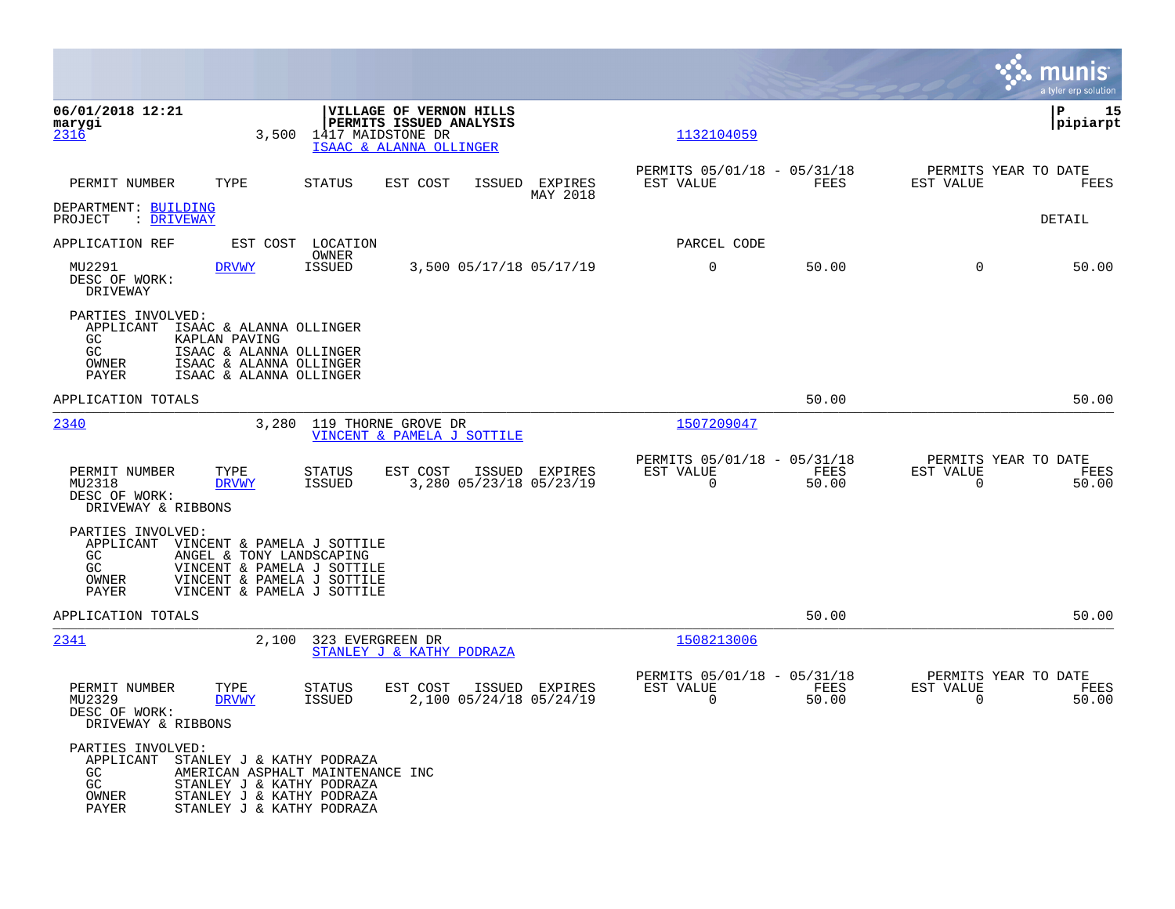|                                                                                             |                                                                                                                                                      |                                |                                                                                                    |                                   |                     |                                                         |               |                                                  | munis<br>a tyler erp solution |
|---------------------------------------------------------------------------------------------|------------------------------------------------------------------------------------------------------------------------------------------------------|--------------------------------|----------------------------------------------------------------------------------------------------|-----------------------------------|---------------------|---------------------------------------------------------|---------------|--------------------------------------------------|-------------------------------|
| 06/01/2018 12:21<br>marygi<br>2316                                                          | 3,500                                                                                                                                                |                                | VILLAGE OF VERNON HILLS<br>PERMITS ISSUED ANALYSIS<br>1417 MAIDSTONE DR<br>ISAAC & ALANNA OLLINGER |                                   |                     | 1132104059                                              |               |                                                  | ΙP<br>15<br> pipiarpt         |
| PERMIT NUMBER                                                                               | TYPE                                                                                                                                                 | <b>STATUS</b>                  | EST COST                                                                                           | ISSUED                            | EXPIRES<br>MAY 2018 | PERMITS 05/01/18 - 05/31/18<br>EST VALUE                | FEES          | PERMITS YEAR TO DATE<br>EST VALUE                | FEES                          |
| DEPARTMENT: BUILDING<br>: DRIVEWAY<br>PROJECT                                               |                                                                                                                                                      |                                |                                                                                                    |                                   |                     |                                                         |               |                                                  | <b>DETAIL</b>                 |
| APPLICATION REF                                                                             | EST COST                                                                                                                                             | LOCATION<br>OWNER              |                                                                                                    |                                   |                     | PARCEL CODE                                             |               |                                                  |                               |
| MU2291<br>DESC OF WORK:<br>DRIVEWAY                                                         | <b>DRVWY</b>                                                                                                                                         | <b>ISSUED</b>                  |                                                                                                    | 3,500 05/17/18 05/17/19           |                     | $\mathbf 0$                                             | 50.00         | $\Omega$                                         | 50.00                         |
| PARTIES INVOLVED:<br>APPLICANT ISAAC & ALANNA OLLINGER<br><b>GC</b><br>GC<br>OWNER<br>PAYER | KAPLAN PAVING<br>ISAAC & ALANNA OLLINGER<br>ISAAC & ALANNA OLLINGER<br>ISAAC & ALANNA OLLINGER                                                       |                                |                                                                                                    |                                   |                     |                                                         |               |                                                  |                               |
| APPLICATION TOTALS                                                                          |                                                                                                                                                      |                                |                                                                                                    |                                   |                     |                                                         | 50.00         |                                                  | 50.00                         |
| 2340                                                                                        |                                                                                                                                                      | 3,280 119 THORNE GROVE DR      | VINCENT & PAMELA J SOTTILE                                                                         |                                   |                     | 1507209047                                              |               |                                                  |                               |
| PERMIT NUMBER<br>MU2318<br>DESC OF WORK:<br>DRIVEWAY & RIBBONS                              | TYPE<br><b>DRVWY</b>                                                                                                                                 | <b>STATUS</b><br>ISSUED        | EST COST                                                                                           | ISSUED<br>3,280 05/23/18 05/23/19 | EXPIRES             | PERMITS 05/01/18 - 05/31/18<br>EST VALUE<br>0           | FEES<br>50.00 | PERMITS YEAR TO DATE<br>EST VALUE<br>$\mathbf 0$ | FEES<br>50.00                 |
| PARTIES INVOLVED:<br>APPLICANT<br>GC.<br>GC<br>OWNER<br>PAYER                               | VINCENT & PAMELA J SOTTILE<br>ANGEL & TONY LANDSCAPING<br>VINCENT & PAMELA J SOTTILE<br>VINCENT & PAMELA J SOTTILE<br>VINCENT & PAMELA J SOTTILE     |                                |                                                                                                    |                                   |                     |                                                         |               |                                                  |                               |
| APPLICATION TOTALS                                                                          |                                                                                                                                                      |                                |                                                                                                    |                                   |                     |                                                         | 50.00         |                                                  | 50.00                         |
| 2341                                                                                        | 2,100                                                                                                                                                | 323 EVERGREEN DR               | STANLEY J & KATHY PODRAZA                                                                          |                                   |                     | 1508213006                                              |               |                                                  |                               |
| PERMIT NUMBER<br>MU2329<br>DESC OF WORK:<br>DRIVEWAY & RIBBONS                              | TYPE<br><b>DRVWY</b>                                                                                                                                 | <b>STATUS</b><br><b>ISSUED</b> | EST COST                                                                                           | ISSUED<br>2,100 05/24/18 05/24/19 | EXPIRES             | PERMITS 05/01/18 - 05/31/18<br>EST VALUE<br>$\mathbf 0$ | FEES<br>50.00 | PERMITS YEAR TO DATE<br>EST VALUE<br>$\mathbf 0$ | FEES<br>50.00                 |
| PARTIES INVOLVED:<br>APPLICANT<br>GC<br>GC<br>OWNER<br><b>PAYER</b>                         | STANLEY J & KATHY PODRAZA<br>AMERICAN ASPHALT MAINTENANCE INC<br>STANLEY J & KATHY PODRAZA<br>STANLEY J & KATHY PODRAZA<br>STANLEY J & KATHY PODRAZA |                                |                                                                                                    |                                   |                     |                                                         |               |                                                  |                               |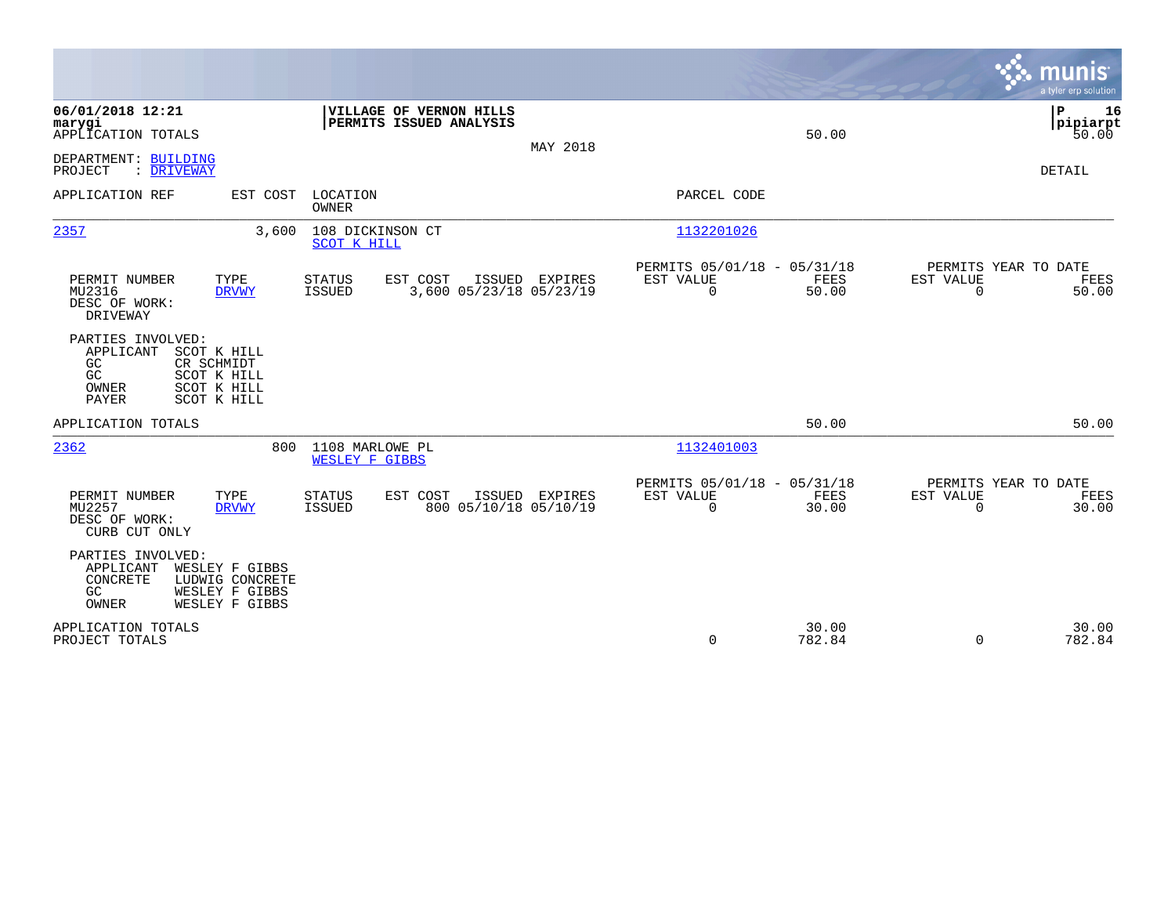|                                                                                                                                               |                                                                       |                |                                                                          | munis<br>a tyler erp solution                                     |
|-----------------------------------------------------------------------------------------------------------------------------------------------|-----------------------------------------------------------------------|----------------|--------------------------------------------------------------------------|-------------------------------------------------------------------|
| 06/01/2018 12:21<br>marygi<br>APPLICATION TOTALS                                                                                              | VILLAGE OF VERNON HILLS<br>PERMITS ISSUED ANALYSIS                    | MAY 2018       | 50.00                                                                    | P<br>16<br> pipiarpt<br>50.00                                     |
| DEPARTMENT: BUILDING<br>PROJECT<br>: DRIVEWAY                                                                                                 |                                                                       |                |                                                                          | DETAIL                                                            |
| APPLICATION REF<br>EST COST                                                                                                                   | LOCATION<br>OWNER                                                     |                | PARCEL CODE                                                              |                                                                   |
| 2357<br>3,600                                                                                                                                 | 108 DICKINSON CT<br>SCOT K HILL                                       |                | 1132201026                                                               |                                                                   |
| TYPE<br>PERMIT NUMBER<br>MU2316<br><b>DRVWY</b><br>DESC OF WORK:<br>DRIVEWAY                                                                  | EST COST<br><b>STATUS</b><br>3,600 05/23/18 05/23/19<br><b>ISSUED</b> | ISSUED EXPIRES | PERMITS 05/01/18 - 05/31/18<br>EST VALUE<br>FEES<br>0<br>50.00           | PERMITS YEAR TO DATE<br>EST VALUE<br>FEES<br>50.00<br>$\mathbf 0$ |
| PARTIES INVOLVED:<br>APPLICANT<br>SCOT K HILL<br>GC<br>CR SCHMIDT<br>GC<br>SCOT K HILL<br>OWNER<br>SCOT K HILL<br><b>PAYER</b><br>SCOT K HILL |                                                                       |                |                                                                          |                                                                   |
| APPLICATION TOTALS                                                                                                                            |                                                                       |                | 50.00                                                                    | 50.00                                                             |
| 2362<br>800                                                                                                                                   | 1108 MARLOWE PL<br><b>WESLEY F GIBBS</b>                              |                | 1132401003                                                               |                                                                   |
| PERMIT NUMBER<br>TYPE<br>MU2257<br><b>DRVWY</b><br>DESC OF WORK:<br>CURB CUT ONLY                                                             | <b>STATUS</b><br>EST COST<br>800 05/10/18 05/10/19<br><b>ISSUED</b>   | ISSUED EXPIRES | PERMITS 05/01/18 - 05/31/18<br>EST VALUE<br>FEES<br>$\mathbf 0$<br>30.00 | PERMITS YEAR TO DATE<br>EST VALUE<br>FEES<br>$\Omega$<br>30.00    |
| PARTIES INVOLVED:<br>APPLICANT<br>WESLEY F GIBBS<br>CONCRETE<br>LUDWIG CONCRETE<br>GC<br>WESLEY F GIBBS<br>OWNER<br>WESLEY F GIBBS            |                                                                       |                |                                                                          |                                                                   |
| APPLICATION TOTALS<br>PROJECT TOTALS                                                                                                          |                                                                       |                | 30.00<br>$\mathbf 0$<br>782.84                                           | 30.00<br>$\Omega$<br>782.84                                       |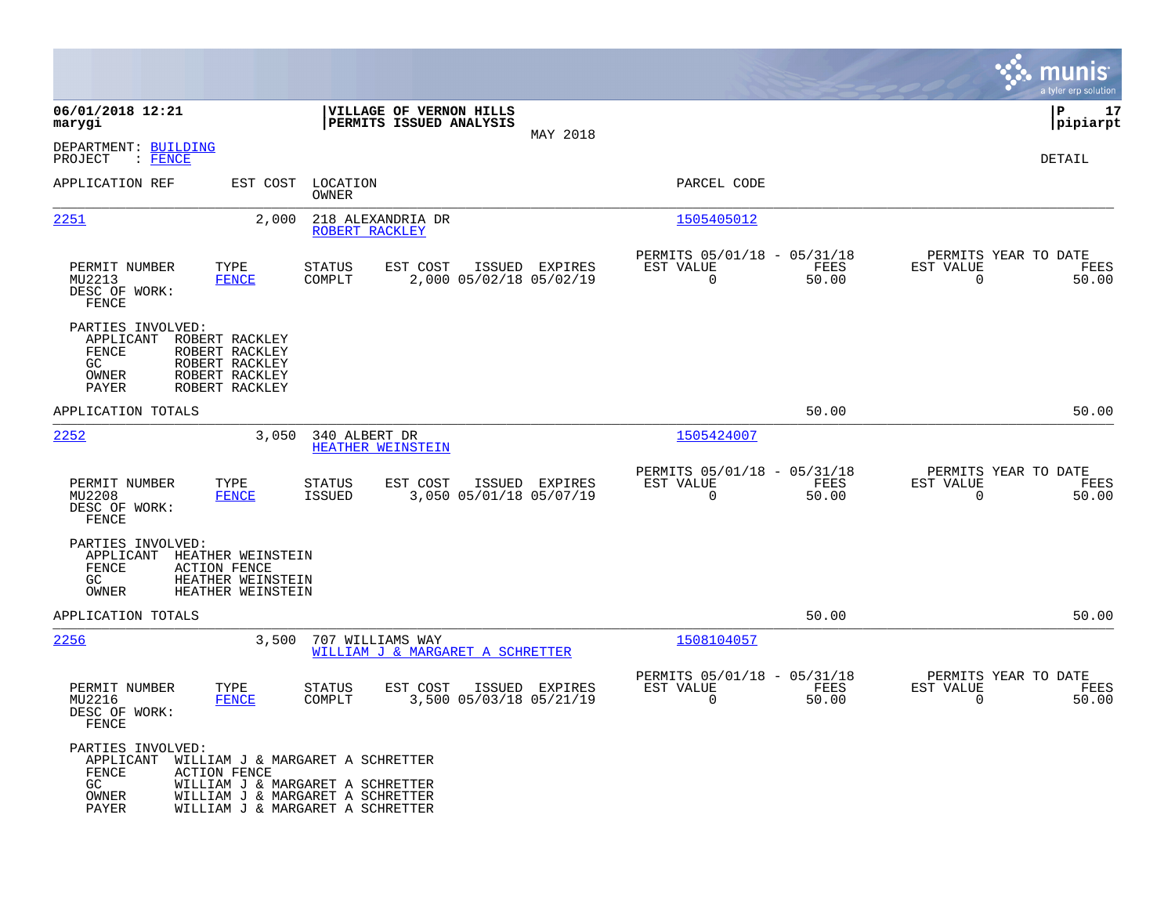|                                                                  |                                                                                                                                                                     |                                                      |                                                    |                                           |                                                         |               |                                                  | munis<br>a tyler erp solution |
|------------------------------------------------------------------|---------------------------------------------------------------------------------------------------------------------------------------------------------------------|------------------------------------------------------|----------------------------------------------------|-------------------------------------------|---------------------------------------------------------|---------------|--------------------------------------------------|-------------------------------|
| 06/01/2018 12:21<br>marygi                                       |                                                                                                                                                                     |                                                      | VILLAGE OF VERNON HILLS<br>PERMITS ISSUED ANALYSIS | MAY 2018                                  |                                                         |               |                                                  | lР<br>17<br> pipiarpt         |
| DEPARTMENT: BUILDING<br>$:$ FENCE<br>PROJECT                     |                                                                                                                                                                     |                                                      |                                                    |                                           |                                                         |               |                                                  | DETAIL                        |
| APPLICATION REF                                                  | EST COST                                                                                                                                                            | LOCATION<br>OWNER                                    |                                                    |                                           | PARCEL CODE                                             |               |                                                  |                               |
| <u> 2251</u>                                                     | 2,000                                                                                                                                                               | 218 ALEXANDRIA DR<br>ROBERT RACKLEY                  |                                                    |                                           | 1505405012                                              |               |                                                  |                               |
| PERMIT NUMBER<br>MU2213<br>DESC OF WORK:<br>FENCE                | TYPE<br><b>FENCE</b>                                                                                                                                                | <b>STATUS</b><br>COMPLT                              | EST COST                                           | ISSUED EXPIRES<br>2,000 05/02/18 05/02/19 | PERMITS 05/01/18 - 05/31/18<br>EST VALUE<br>0           | FEES<br>50.00 | PERMITS YEAR TO DATE<br>EST VALUE<br>$\mathbf 0$ | FEES<br>50.00                 |
| PARTIES INVOLVED:<br>APPLICANT<br>FENCE<br>GC<br>OWNER<br>PAYER  | ROBERT RACKLEY<br>ROBERT RACKLEY<br>ROBERT RACKLEY<br>ROBERT RACKLEY<br>ROBERT RACKLEY                                                                              |                                                      |                                                    |                                           |                                                         |               |                                                  |                               |
| APPLICATION TOTALS                                               |                                                                                                                                                                     |                                                      |                                                    |                                           |                                                         | 50.00         |                                                  | 50.00                         |
| 2252                                                             | 3,050                                                                                                                                                               | 340 ALBERT DR<br>HEATHER WEINSTEIN                   |                                                    |                                           | 1505424007                                              |               |                                                  |                               |
| PERMIT NUMBER<br>MU2208<br>DESC OF WORK:<br>FENCE                | TYPE<br><b>FENCE</b>                                                                                                                                                | <b>STATUS</b><br>ISSUED                              | EST COST                                           | ISSUED EXPIRES<br>3,050 05/01/18 05/07/19 | PERMITS 05/01/18 - 05/31/18<br>EST VALUE<br>$\mathbf 0$ | FEES<br>50.00 | PERMITS YEAR TO DATE<br>EST VALUE<br>0           | FEES<br>50.00                 |
| PARTIES INVOLVED:<br>APPLICANT<br>FENCE<br>GC.<br>OWNER          | HEATHER WEINSTEIN<br><b>ACTION FENCE</b><br>HEATHER WEINSTEIN<br>HEATHER WEINSTEIN                                                                                  |                                                      |                                                    |                                           |                                                         |               |                                                  |                               |
| APPLICATION TOTALS                                               |                                                                                                                                                                     |                                                      |                                                    |                                           |                                                         | 50.00         |                                                  | 50.00                         |
| 2256                                                             | 3,500                                                                                                                                                               | 707 WILLIAMS WAY<br>WILLIAM J & MARGARET A SCHRETTER |                                                    |                                           | 1508104057                                              |               |                                                  |                               |
| PERMIT NUMBER<br>MU2216<br>DESC OF WORK:<br>FENCE                | TYPE<br><b>FENCE</b>                                                                                                                                                | <b>STATUS</b><br>COMPLT                              | EST COST                                           | ISSUED EXPIRES<br>3,500 05/03/18 05/21/19 | PERMITS 05/01/18 - 05/31/18<br>EST VALUE<br>0           | FEES<br>50.00 | PERMITS YEAR TO DATE<br>EST VALUE<br>$\mathbf 0$ | FEES<br>50.00                 |
| PARTIES INVOLVED:<br>APPLICANT<br>FENCE<br>GC.<br>OWNER<br>PAYER | WILLIAM J & MARGARET A SCHRETTER<br><b>ACTION FENCE</b><br>WILLIAM J & MARGARET A SCHRETTER<br>WILLIAM J & MARGARET A SCHRETTER<br>WILLIAM J & MARGARET A SCHRETTER |                                                      |                                                    |                                           |                                                         |               |                                                  |                               |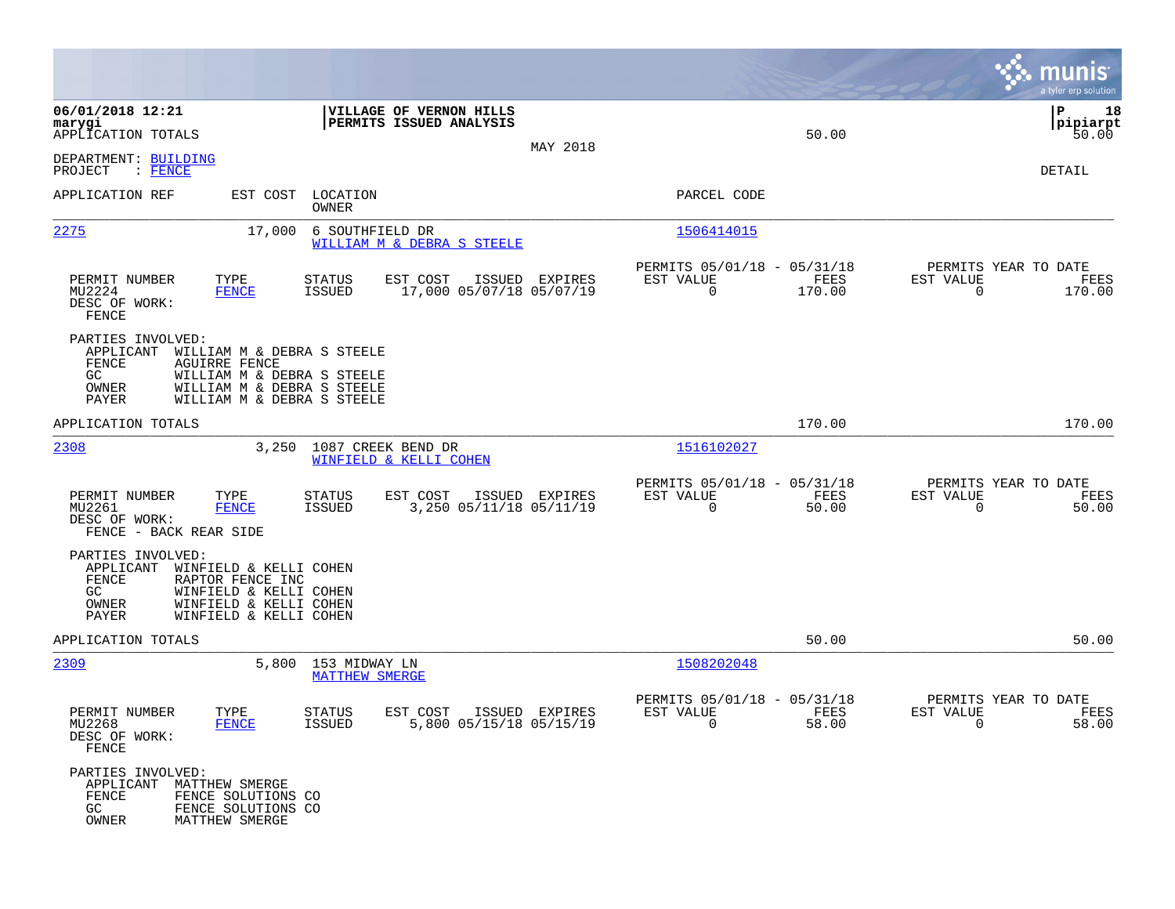|                                                                    |                                                                                                                                              |                                              |                                                    |                |                                                            |                |                                                               | munis<br>a tyler erp solution  |
|--------------------------------------------------------------------|----------------------------------------------------------------------------------------------------------------------------------------------|----------------------------------------------|----------------------------------------------------|----------------|------------------------------------------------------------|----------------|---------------------------------------------------------------|--------------------------------|
| 06/01/2018 12:21<br>marygi<br>APPLICATION TOTALS                   |                                                                                                                                              |                                              | VILLAGE OF VERNON HILLS<br>PERMITS ISSUED ANALYSIS | MAY 2018       |                                                            | 50.00          |                                                               | ΙP<br>18<br> pipiarpt<br>50.00 |
| DEPARTMENT: BUILDING<br>PROJECT<br>$:$ FENCE                       |                                                                                                                                              |                                              |                                                    |                |                                                            |                |                                                               | DETAIL                         |
| APPLICATION REF                                                    |                                                                                                                                              | EST COST LOCATION<br>OWNER                   |                                                    |                | PARCEL CODE                                                |                |                                                               |                                |
| 2275                                                               | 17,000                                                                                                                                       | 6 SOUTHFIELD DR                              | WILLIAM M & DEBRA S STEELE                         |                | 1506414015                                                 |                |                                                               |                                |
| PERMIT NUMBER<br>MU2224<br>DESC OF WORK:<br>FENCE                  | TYPE<br><b>FENCE</b>                                                                                                                         | STATUS<br>ISSUED                             | EST COST<br>17,000 05/07/18 05/07/19               | ISSUED EXPIRES | PERMITS 05/01/18 - 05/31/18<br>EST VALUE<br>$\mathbf 0$    | FEES<br>170.00 | PERMITS YEAR TO DATE<br>EST VALUE<br>$\mathbf 0$              | FEES<br>170.00                 |
| PARTIES INVOLVED:<br>APPLICANT<br>FENCE<br>GC.<br>OWNER<br>PAYER   | WILLIAM M & DEBRA S STEELE<br><b>AGUIRRE FENCE</b><br>WILLIAM M & DEBRA S STEELE<br>WILLIAM M & DEBRA S STEELE<br>WILLIAM M & DEBRA S STEELE |                                              |                                                    |                |                                                            |                |                                                               |                                |
| APPLICATION TOTALS                                                 |                                                                                                                                              |                                              |                                                    |                |                                                            | 170.00         |                                                               | 170.00                         |
| 2308                                                               | 3,250                                                                                                                                        | 1087 CREEK BEND DR                           | WINFIELD & KELLI COHEN                             |                | 1516102027                                                 |                |                                                               |                                |
| PERMIT NUMBER<br>MU2261<br>DESC OF WORK:<br>FENCE - BACK REAR SIDE | TYPE<br><b>FENCE</b>                                                                                                                         | STATUS<br>ISSUED                             | EST COST<br>3,250 05/11/18 05/11/19                | ISSUED EXPIRES | PERMITS 05/01/18 - 05/31/18<br>EST VALUE<br>$\mathbf 0$    | FEES<br>50.00  | PERMITS YEAR TO DATE<br>EST VALUE<br>$\mathbf 0$              | FEES<br>50.00                  |
| PARTIES INVOLVED:<br>APPLICANT<br>FENCE<br>GC<br>OWNER<br>PAYER    | WINFIELD & KELLI COHEN<br>RAPTOR FENCE INC<br>WINFIELD & KELLI COHEN<br>WINFIELD & KELLI COHEN<br>WINFIELD & KELLI COHEN                     |                                              |                                                    |                |                                                            |                |                                                               |                                |
| APPLICATION TOTALS                                                 |                                                                                                                                              |                                              |                                                    |                |                                                            | 50.00          |                                                               | 50.00                          |
| 2309                                                               |                                                                                                                                              | 5,800 153 MIDWAY LN<br><b>MATTHEW SMERGE</b> |                                                    |                | 1508202048                                                 |                |                                                               |                                |
| PERMIT NUMBER<br>MU2268<br>DESC OF WORK:<br>FENCE                  | TYPE<br><b>FENCE</b>                                                                                                                         | <b>STATUS</b><br>ISSUED                      | EST COST<br>5,800 05/15/18 05/15/19                | ISSUED EXPIRES | PERMITS 05/01/18 - 05/31/18<br>EST VALUE<br>$\overline{0}$ | FEES<br>58.00  | PERMITS YEAR TO DATE<br>EST VALUE<br>$\overline{\phantom{0}}$ | FEES<br>58.00                  |
| PARTIES INVOLVED:<br>APPLICANT<br>FENCE<br>GC<br>OWNER             | MATTHEW SMERGE<br>FENCE SOLUTIONS CO<br>FENCE SOLUTIONS CO<br>MATTHEW SMERGE                                                                 |                                              |                                                    |                |                                                            |                |                                                               |                                |

 $\mathcal{L}^{\text{max}}$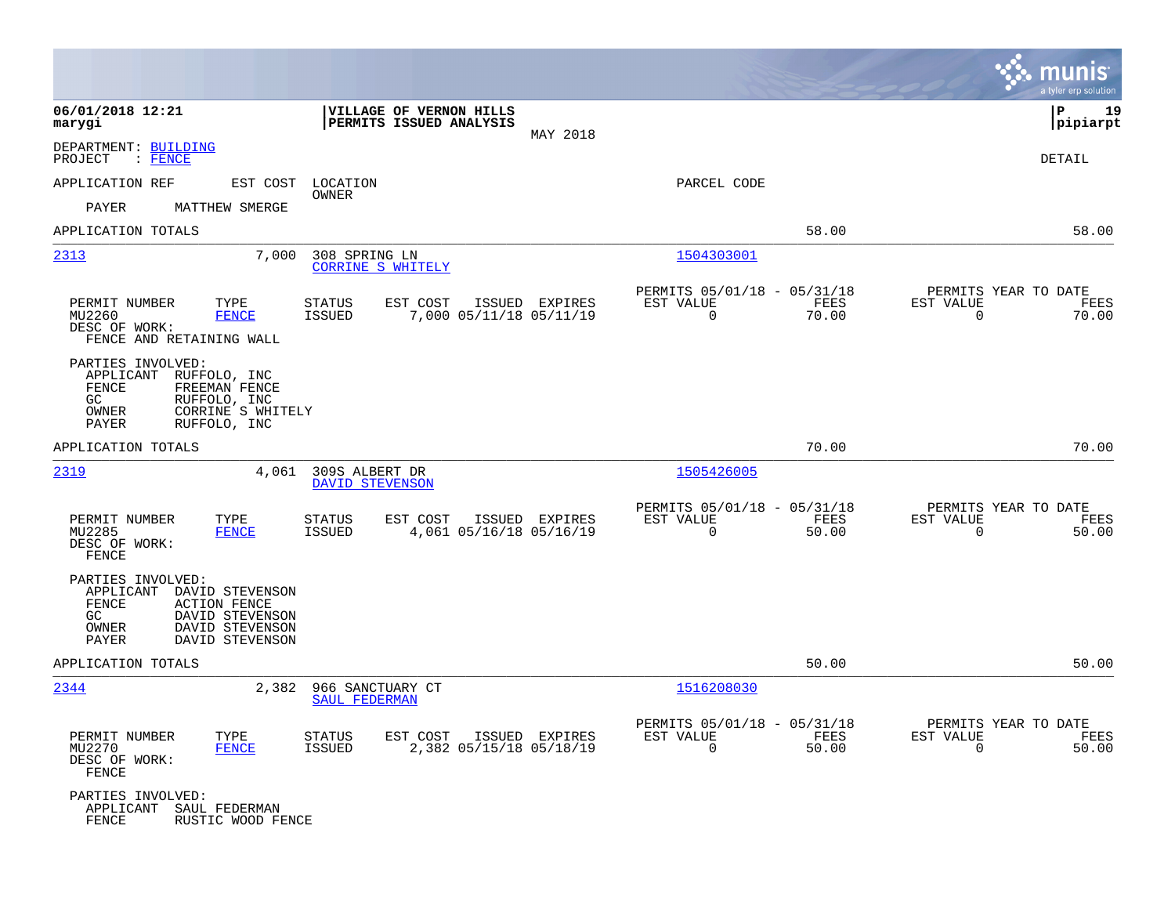|                                                                                                                                                                           |                                                                                         |                                                                          | munis<br>a tyler erp solution                                        |
|---------------------------------------------------------------------------------------------------------------------------------------------------------------------------|-----------------------------------------------------------------------------------------|--------------------------------------------------------------------------|----------------------------------------------------------------------|
| 06/01/2018 12:21<br>marygi                                                                                                                                                | VILLAGE OF VERNON HILLS<br>PERMITS ISSUED ANALYSIS<br>MAY 2018                          |                                                                          | l P<br>19<br> pipiarpt                                               |
| DEPARTMENT: BUILDING<br>$:$ FENCE<br>PROJECT                                                                                                                              |                                                                                         |                                                                          | DETAIL                                                               |
| APPLICATION REF<br>EST COST                                                                                                                                               | LOCATION                                                                                | PARCEL CODE                                                              |                                                                      |
| PAYER<br>MATTHEW SMERGE                                                                                                                                                   | OWNER                                                                                   |                                                                          |                                                                      |
| APPLICATION TOTALS                                                                                                                                                        |                                                                                         | 58.00                                                                    | 58.00                                                                |
| 2313<br>7,000                                                                                                                                                             | 308 SPRING LN<br><b>CORRINE S WHITELY</b>                                               | 1504303001                                                               |                                                                      |
| PERMIT NUMBER<br>TYPE<br><b>FENCE</b><br>MU2260<br>DESC OF WORK:<br>FENCE AND RETAINING WALL                                                                              | <b>STATUS</b><br>EST COST<br>ISSUED EXPIRES<br>7,000 05/11/18 05/11/19<br>ISSUED        | PERMITS 05/01/18 - 05/31/18<br>FEES<br>EST VALUE<br>$\mathbf 0$<br>70.00 | PERMITS YEAR TO DATE<br>EST VALUE<br>FEES<br>$\mathbf 0$<br>70.00    |
| PARTIES INVOLVED:<br>APPLICANT<br>RUFFOLO, INC<br>FENCE<br>FREEMAN FENCE<br>GC<br>RUFFOLO, INC<br>CORRINE S WHITELY<br>$\sqrt{\text{OWNER}}$<br>PAYER<br>RUFFOLO, INC     |                                                                                         |                                                                          |                                                                      |
| APPLICATION TOTALS                                                                                                                                                        |                                                                                         | 70.00                                                                    | 70.00                                                                |
| 2319<br>4,061                                                                                                                                                             | 309S ALBERT DR<br><b>DAVID STEVENSON</b>                                                | 1505426005                                                               |                                                                      |
| PERMIT NUMBER<br>TYPE<br>MU2285<br><b>FENCE</b><br>DESC OF WORK:<br>FENCE                                                                                                 | <b>STATUS</b><br>EST COST<br>ISSUED EXPIRES<br>4,061 05/16/18 05/16/19<br><b>ISSUED</b> | PERMITS 05/01/18 - 05/31/18<br>FEES<br>EST VALUE<br>$\Omega$<br>50.00    | PERMITS YEAR TO DATE<br>EST VALUE<br>FEES<br>$\Omega$<br>50.00       |
| PARTIES INVOLVED:<br>APPLICANT<br>DAVID STEVENSON<br><b>FENCE</b><br><b>ACTION FENCE</b><br>GC<br>DAVID STEVENSON<br>OWNER<br>DAVID STEVENSON<br>PAYER<br>DAVID STEVENSON |                                                                                         |                                                                          |                                                                      |
| APPLICATION TOTALS                                                                                                                                                        |                                                                                         | 50.00                                                                    | 50.00                                                                |
| 2344<br>2,382                                                                                                                                                             | 966 SANCTUARY CT<br><b>SAUL FEDERMAN</b>                                                | 1516208030                                                               |                                                                      |
| PERMIT NUMBER<br>TYPE<br>MU2270<br><b>FENCE</b><br>DESC OF WORK:<br>FENCE                                                                                                 | STATUS<br>EST COST<br>ISSUED EXPIRES<br>ISSUED<br>2,382 05/15/18 05/18/19               | PERMITS 05/01/18 - 05/31/18<br>FEES<br>EST VALUE<br>$\mathbf 0$<br>50.00 | PERMITS YEAR TO DATE<br>EST VALUE<br>FEES<br>$\overline{0}$<br>50.00 |
| PARTIES INVOLVED:<br>APPLICANT<br>SAUL FEDERMAN<br>FENCE<br>RUSTIC WOOD FENCE                                                                                             |                                                                                         |                                                                          |                                                                      |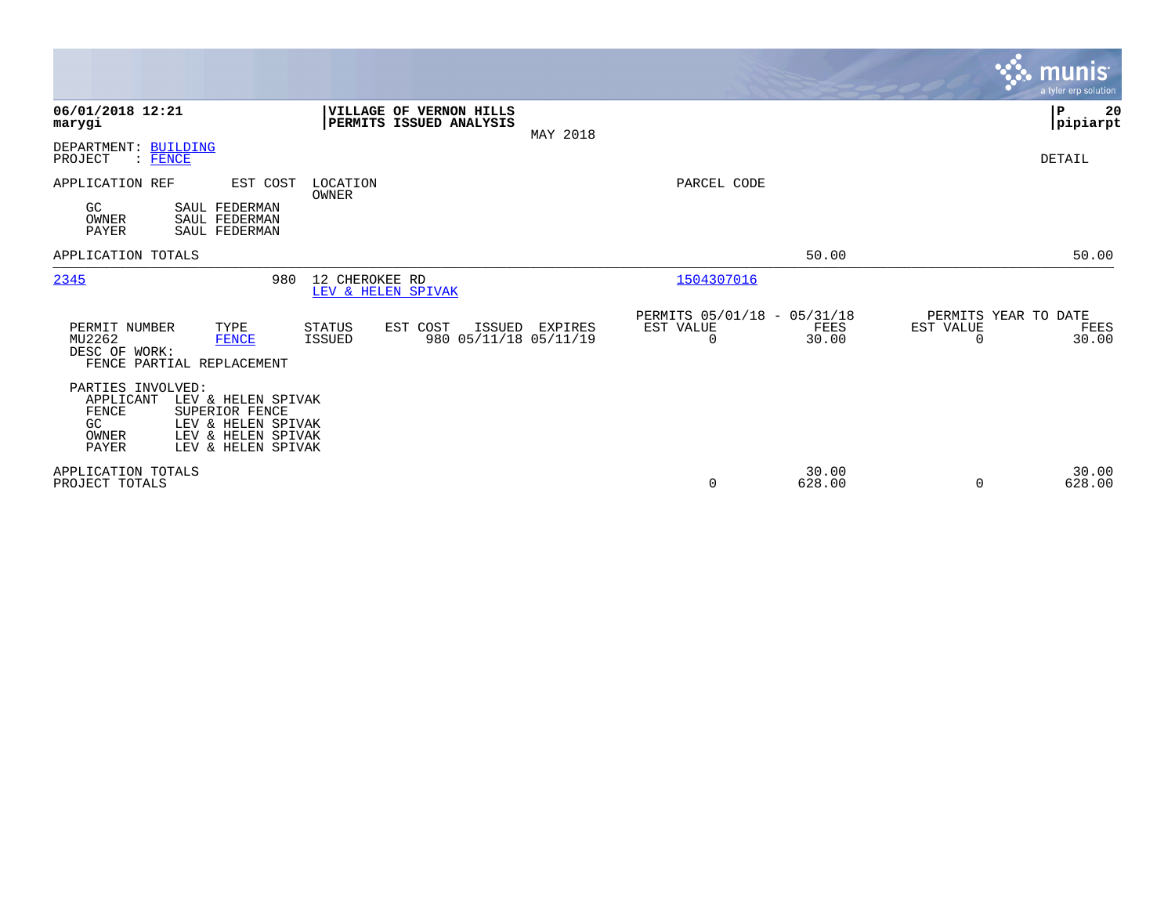|                                                                                                                                                                                  |                                                                                      |          |                                                         |                 |                                        | <b>munis</b><br>a tyler erp solution |
|----------------------------------------------------------------------------------------------------------------------------------------------------------------------------------|--------------------------------------------------------------------------------------|----------|---------------------------------------------------------|-----------------|----------------------------------------|--------------------------------------|
| 06/01/2018 12:21<br>marygi                                                                                                                                                       | VILLAGE OF VERNON HILLS<br>PERMITS ISSUED ANALYSIS                                   | MAY 2018 |                                                         |                 |                                        | ΙP<br>20<br> pipiarpt                |
| DEPARTMENT: BUILDING<br>: FENCE<br>PROJECT                                                                                                                                       |                                                                                      |          |                                                         |                 |                                        | DETAIL                               |
| EST COST<br>APPLICATION REF<br>GC<br>SAUL FEDERMAN<br>OWNER<br>SAUL FEDERMAN<br><b>PAYER</b><br>SAUL FEDERMAN                                                                    | LOCATION<br>OWNER                                                                    |          | PARCEL CODE                                             |                 |                                        |                                      |
| APPLICATION TOTALS                                                                                                                                                               |                                                                                      |          |                                                         | 50.00           |                                        | 50.00                                |
| 2345<br>980                                                                                                                                                                      | 12 CHEROKEE RD<br>LEV & HELEN SPIVAK                                                 |          | 1504307016                                              |                 |                                        |                                      |
| PERMIT NUMBER<br>TYPE<br>MU2262<br><b>FENCE</b><br>DESC OF WORK:<br>FENCE PARTIAL REPLACEMENT                                                                                    | <b>STATUS</b><br>EST COST<br><b>ISSUED</b><br>980 05/11/18 05/11/19<br><b>ISSUED</b> | EXPIRES  | PERMITS 05/01/18 - 05/31/18<br>EST VALUE<br>$\mathbf 0$ | FEES<br>30.00   | PERMITS YEAR TO DATE<br>EST VALUE<br>0 | FEES<br>30.00                        |
| PARTIES INVOLVED:<br>APPLICANT<br>LEV & HELEN SPIVAK<br>FENCE<br>SUPERIOR FENCE<br>GC<br>LEV & HELEN SPIVAK<br>LEV & HELEN SPIVAK<br>OWNER<br><b>PAYER</b><br>LEV & HELEN SPIVAK |                                                                                      |          |                                                         |                 |                                        |                                      |
| APPLICATION TOTALS<br>PROJECT TOTALS                                                                                                                                             |                                                                                      |          | $\mathbf 0$                                             | 30.00<br>628.00 | 0                                      | 30.00<br>628.00                      |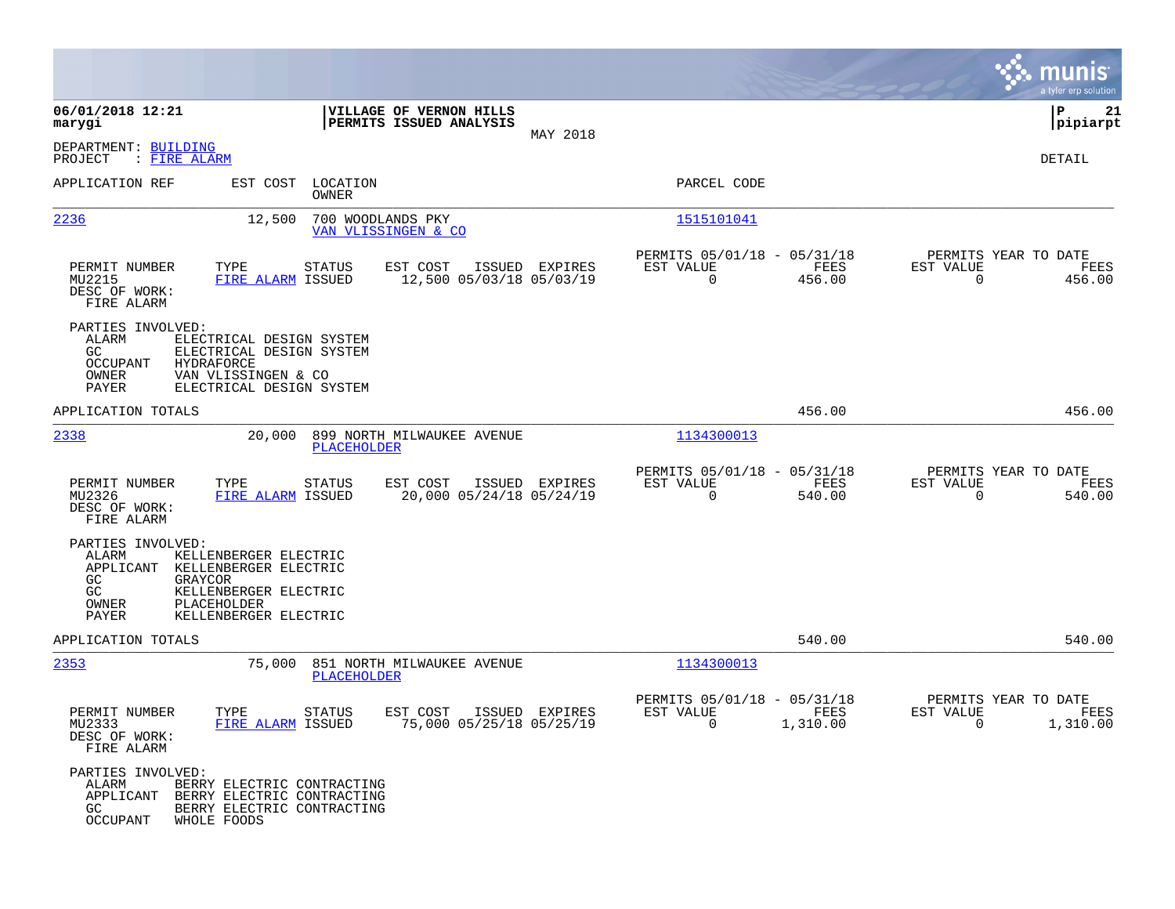|                                                                 |                                                                                                                                      |                                                    |                |                                                            |                                                     |                                               | munis<br>a tyler erp solution |
|-----------------------------------------------------------------|--------------------------------------------------------------------------------------------------------------------------------------|----------------------------------------------------|----------------|------------------------------------------------------------|-----------------------------------------------------|-----------------------------------------------|-------------------------------|
| 06/01/2018 12:21<br>marygi                                      |                                                                                                                                      | VILLAGE OF VERNON HILLS<br>PERMITS ISSUED ANALYSIS |                |                                                            |                                                     |                                               | P<br>21<br> pipiarpt          |
| DEPARTMENT: BUILDING<br>PROJECT<br>: FIRE ALARM                 |                                                                                                                                      |                                                    | MAY 2018       |                                                            |                                                     |                                               | DETAIL                        |
| APPLICATION REF                                                 | EST COST LOCATION<br>OWNER                                                                                                           |                                                    |                | PARCEL CODE                                                |                                                     |                                               |                               |
| 2236                                                            | 12,500                                                                                                                               | 700 WOODLANDS PKY<br>VAN VLISSINGEN & CO           |                | 1515101041                                                 |                                                     |                                               |                               |
| PERMIT NUMBER<br>MU2215<br>DESC OF WORK:<br>FIRE ALARM          | TYPE<br>STATUS<br>FIRE ALARM ISSUED                                                                                                  | EST COST<br>12,500 05/03/18 05/03/19               | ISSUED EXPIRES | PERMITS 05/01/18 - 05/31/18<br>EST VALUE<br>$\Omega$       | FEES<br>456.00                                      | PERMITS YEAR TO DATE<br>EST VALUE<br>$\Omega$ | FEES<br>456.00                |
| PARTIES INVOLVED:<br>ALARM<br>GC<br>OCCUPANT<br>OWNER<br>PAYER  | ELECTRICAL DESIGN SYSTEM<br>ELECTRICAL DESIGN SYSTEM<br>HYDRAFORCE<br>VAN VLISSINGEN & CO<br>ELECTRICAL DESIGN SYSTEM                |                                                    |                |                                                            |                                                     |                                               |                               |
| APPLICATION TOTALS                                              |                                                                                                                                      |                                                    |                |                                                            | 456.00                                              |                                               | 456.00                        |
| 2338                                                            | PLACEHOLDER                                                                                                                          | 20,000 899 NORTH MILWAUKEE AVENUE                  |                | 1134300013                                                 |                                                     |                                               |                               |
| PERMIT NUMBER<br>MU2326<br>DESC OF WORK:<br>FIRE ALARM          | TYPE<br>STATUS<br>FIRE ALARM ISSUED                                                                                                  | EST COST<br>20,000 05/24/18 05/24/19               | ISSUED EXPIRES | PERMITS 05/01/18 - 05/31/18<br>EST VALUE<br>$\Omega$       | FEES<br>540.00                                      | PERMITS YEAR TO DATE<br>EST VALUE<br>$\Omega$ | FEES<br>540.00                |
| PARTIES INVOLVED:<br>ALARM<br><b>GC</b><br>GC<br>OWNER<br>PAYER | KELLENBERGER ELECTRIC<br>APPLICANT KELLENBERGER ELECTRIC<br>GRAYCOR<br>KELLENBERGER ELECTRIC<br>PLACEHOLDER<br>KELLENBERGER ELECTRIC |                                                    |                |                                                            |                                                     |                                               |                               |
| APPLICATION TOTALS                                              |                                                                                                                                      |                                                    |                |                                                            | 540.00                                              |                                               | 540.00                        |
| 2353                                                            | PLACEHOLDER                                                                                                                          | 75,000 851 NORTH MILWAUKEE AVENUE                  |                | 1134300013                                                 |                                                     |                                               |                               |
| PERMIT NUMBER<br>MU2333<br>DESC OF WORK:<br>FIRE ALARM          | TYPE<br>STATUS<br>FIRE ALARM ISSUED                                                                                                  | EST COST<br>75,000 05/25/18 05/25/19               | ISSUED EXPIRES | PERMITS 05/01/18 - 05/31/18<br>EST VALUE<br>$\overline{0}$ | <b>EXERCISE IN THE STATE OF STREETS</b><br>1,310.00 | PERMITS YEAR TO DATE<br>EST VALUE<br>$\sim$ 0 | FEES<br>1,310.00              |
| PARTIES INVOLVED:<br>ALARM<br>GC<br>OCCUPANT                    | BERRY ELECTRIC CONTRACTING<br>APPLICANT BERRY ELECTRIC CONTRACTING<br>BERRY ELECTRIC CONTRACTING<br>WHOLE FOODS                      |                                                    |                |                                                            |                                                     |                                               |                               |

 $\mathcal{L}^{\text{max}}$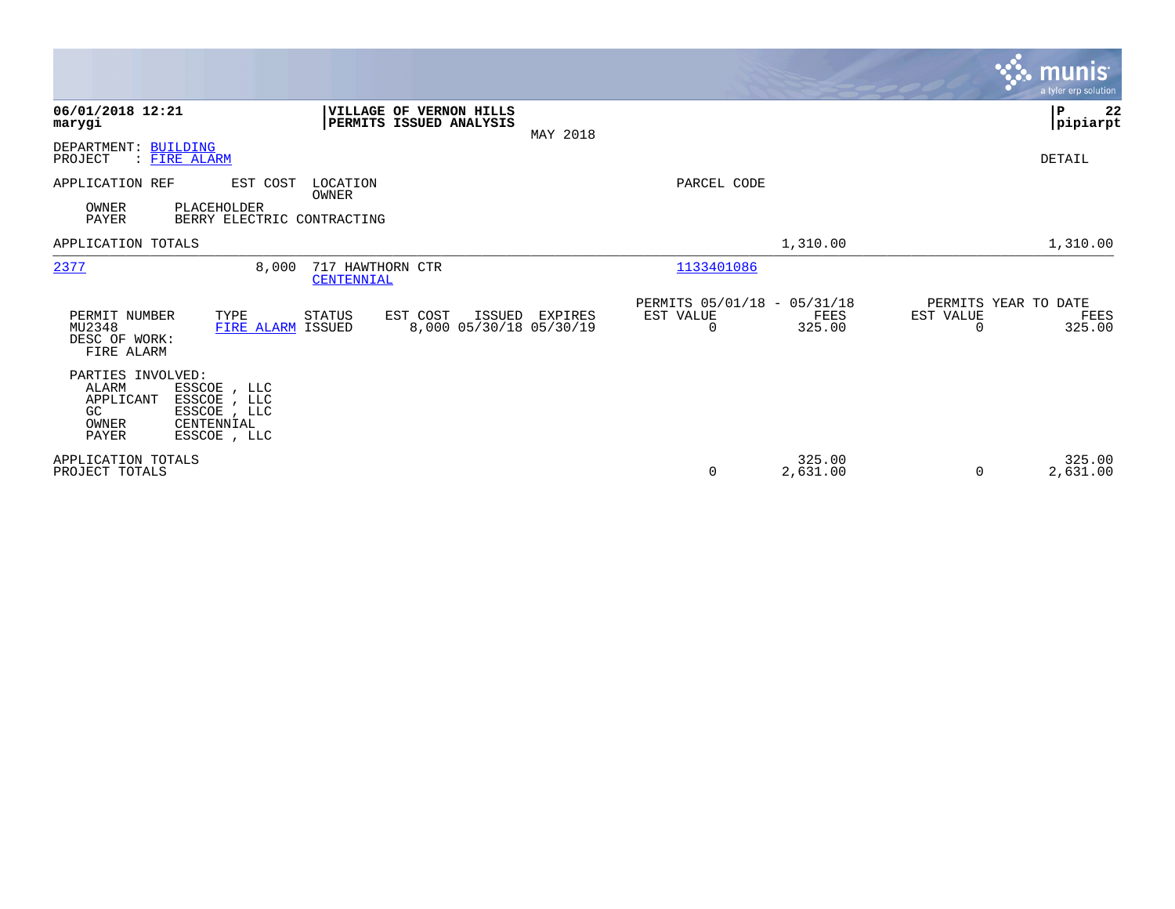|                                                                                                                                                     |                                                    |                |                                               |                    |                                        | <b>munis</b><br>a tyler erp solution |
|-----------------------------------------------------------------------------------------------------------------------------------------------------|----------------------------------------------------|----------------|-----------------------------------------------|--------------------|----------------------------------------|--------------------------------------|
| 06/01/2018 12:21<br>marygi                                                                                                                          | VILLAGE OF VERNON HILLS<br>PERMITS ISSUED ANALYSIS | MAY 2018       |                                               |                    |                                        | P<br>22<br> pipiarpt                 |
| DEPARTMENT: BUILDING<br>PROJECT<br>: FIRE ALARM                                                                                                     |                                                    |                |                                               |                    |                                        | DETAIL                               |
| APPLICATION REF<br>EST COST<br>OWNER<br>PLACEHOLDER<br>PAYER<br>BERRY ELECTRIC CONTRACTING                                                          | LOCATION<br>OWNER                                  |                | PARCEL CODE                                   |                    |                                        |                                      |
| APPLICATION TOTALS                                                                                                                                  |                                                    |                |                                               | 1,310.00           |                                        | 1,310.00                             |
| 2377<br>8,000                                                                                                                                       | 717 HAWTHORN CTR<br>CENTENNIAL                     |                | 1133401086                                    |                    |                                        |                                      |
| PERMIT NUMBER<br>TYPE<br>MU2348<br>FIRE ALARM ISSUED<br>DESC OF WORK:<br>FIRE ALARM                                                                 | STATUS<br>EST COST<br>8,000 05/30/18 05/30/19      | ISSUED EXPIRES | PERMITS 05/01/18 - 05/31/18<br>EST VALUE<br>0 | FEES<br>325.00     | PERMITS YEAR TO DATE<br>EST VALUE<br>0 | FEES<br>325.00                       |
| PARTIES INVOLVED:<br>ALARM<br>ESSCOE , LLC<br>ESSCOE , LLC<br>APPLICANT<br>GC.<br>ESSCOE, LLC<br>OWNER<br>CENTENNIAL<br><b>PAYER</b><br>ESSCOE, LLC |                                                    |                |                                               |                    |                                        |                                      |
| APPLICATION TOTALS<br>PROJECT TOTALS                                                                                                                |                                                    |                | 0                                             | 325.00<br>2,631.00 | 0                                      | 325.00<br>2,631.00                   |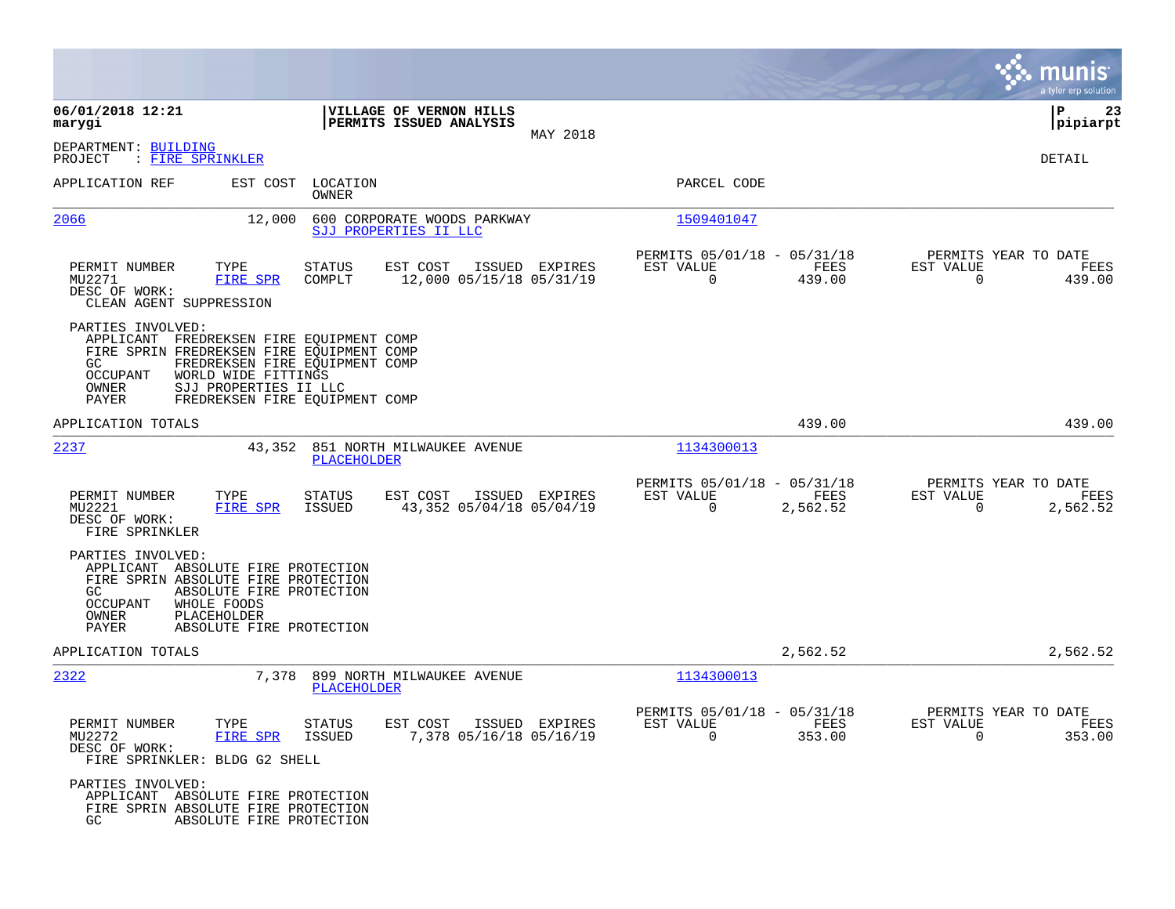|                                                                                                                                                                                                                                                                                   |                                                                        |                |                                                         |                  | munis<br>a tyler erp solution                                        |
|-----------------------------------------------------------------------------------------------------------------------------------------------------------------------------------------------------------------------------------------------------------------------------------|------------------------------------------------------------------------|----------------|---------------------------------------------------------|------------------|----------------------------------------------------------------------|
| 06/01/2018 12:21<br>marygi                                                                                                                                                                                                                                                        | VILLAGE OF VERNON HILLS<br>PERMITS ISSUED ANALYSIS                     |                |                                                         |                  | 23<br>ΙP<br> pipiarpt                                                |
| DEPARTMENT: BUILDING<br>PROJECT<br>: FIRE SPRINKLER                                                                                                                                                                                                                               |                                                                        | MAY 2018       |                                                         |                  | DETAIL                                                               |
| APPLICATION REF<br>EST COST                                                                                                                                                                                                                                                       | LOCATION<br>OWNER                                                      |                | PARCEL CODE                                             |                  |                                                                      |
| 2066<br>12,000                                                                                                                                                                                                                                                                    | 600 CORPORATE WOODS PARKWAY<br>SJJ PROPERTIES II LLC                   |                | 1509401047                                              |                  |                                                                      |
| PERMIT NUMBER<br>TYPE<br>MU2271<br>FIRE SPR<br>DESC OF WORK:<br>CLEAN AGENT SUPPRESSION                                                                                                                                                                                           | STATUS<br>EST COST<br>12,000 05/15/18 05/31/19<br>COMPLT               | ISSUED EXPIRES | PERMITS 05/01/18 - 05/31/18<br>EST VALUE<br>$\Omega$    | FEES<br>439.00   | PERMITS YEAR TO DATE<br>EST VALUE<br>FEES<br>$\Omega$<br>439.00      |
| PARTIES INVOLVED:<br>APPLICANT FREDREKSEN FIRE EQUIPMENT COMP<br>FIRE SPRIN FREDREKSEN FIRE EQUIPMENT COMP<br>GC.<br>FREDREKSEN FIRE EQUIPMENT COMP<br><b>OCCUPANT</b><br>WORLD WIDE FITTINGS<br>OWNER<br>SJJ PROPERTIES II LLC<br><b>PAYER</b><br>FREDREKSEN FIRE EQUIPMENT COMP |                                                                        |                |                                                         |                  |                                                                      |
| APPLICATION TOTALS                                                                                                                                                                                                                                                                |                                                                        |                |                                                         | 439.00           | 439.00                                                               |
| 2237                                                                                                                                                                                                                                                                              | 43,352 851 NORTH MILWAUKEE AVENUE<br>PLACEHOLDER                       |                | 1134300013                                              |                  |                                                                      |
| PERMIT NUMBER<br>TYPE<br>MU2221<br>FIRE SPR<br>DESC OF WORK:<br>FIRE SPRINKLER                                                                                                                                                                                                    | <b>STATUS</b><br>EST COST<br>43,352 05/04/18 05/04/19<br>ISSUED        | ISSUED EXPIRES | PERMITS 05/01/18 - 05/31/18<br>EST VALUE<br>$\mathbf 0$ | FEES<br>2,562.52 | PERMITS YEAR TO DATE<br>EST VALUE<br>FEES<br>2,562.52<br>$\mathbf 0$ |
| PARTIES INVOLVED:<br>APPLICANT ABSOLUTE FIRE PROTECTION<br>FIRE SPRIN ABSOLUTE FIRE PROTECTION<br>GC<br>ABSOLUTE FIRE PROTECTION<br>OCCUPANT<br>WHOLE FOODS<br>OWNER<br>PLACEHOLDER<br>PAYER<br>ABSOLUTE FIRE PROTECTION                                                          |                                                                        |                |                                                         |                  |                                                                      |
| APPLICATION TOTALS                                                                                                                                                                                                                                                                |                                                                        |                |                                                         | 2,562.52         | 2,562.52                                                             |
| 2322<br>7,378                                                                                                                                                                                                                                                                     | 899 NORTH MILWAUKEE AVENUE<br>PLACEHOLDER                              |                | 1134300013                                              |                  |                                                                      |
| PERMIT NUMBER<br>TYPE<br>MU2272<br>FIRE SPR<br>DESC OF WORK:<br>FIRE SPRINKLER: BLDG G2 SHELL                                                                                                                                                                                     | STATUS<br>EST COST ISSUED EXPIRES<br>7,378 05/16/18 05/16/19<br>ISSUED |                | PERMITS 05/01/18 - 05/31/18<br>EST VALUE<br>$\Omega$    | FEES<br>353.00   | PERMITS YEAR TO DATE<br>EST VALUE<br>FEES<br>$\Omega$<br>353.00      |
| PARTIES INVOLVED:<br>APPLICANT ABSOLUTE FIRE PROTECTION<br>FIRE SPRIN ABSOLUTE FIRE PROTECTION<br>GC<br>ABSOLUTE FIRE PROTECTION                                                                                                                                                  |                                                                        |                |                                                         |                  |                                                                      |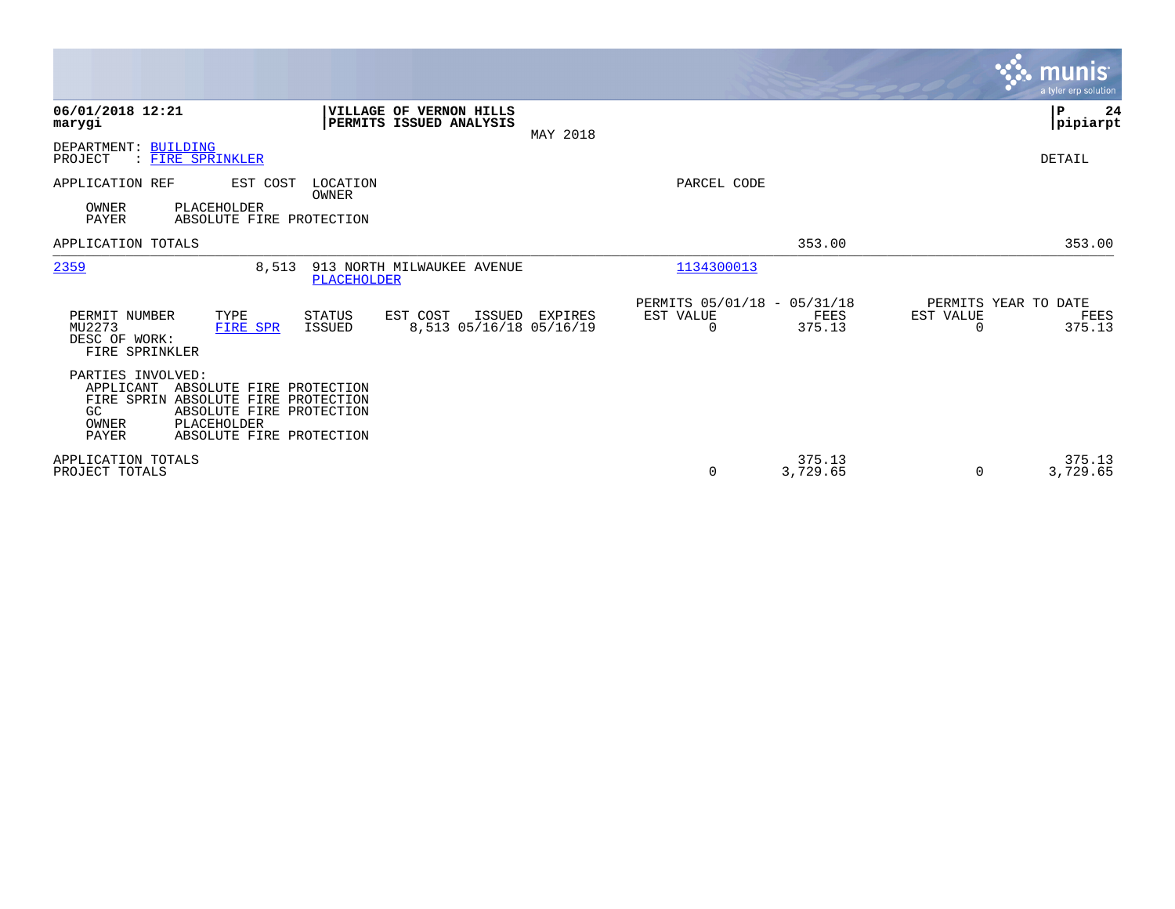|                                                                                                                                                                                                          |                                                                |                |                                                      |                    |                                               | <b>munis</b><br>a tyler erp solution |
|----------------------------------------------------------------------------------------------------------------------------------------------------------------------------------------------------------|----------------------------------------------------------------|----------------|------------------------------------------------------|--------------------|-----------------------------------------------|--------------------------------------|
| 06/01/2018 12:21<br>marygi                                                                                                                                                                               | <b>VILLAGE OF VERNON HILLS</b><br>PERMITS ISSUED ANALYSIS      | MAY 2018       |                                                      |                    |                                               | P<br>24<br> pipiarpt                 |
| DEPARTMENT: BUILDING<br>PROJECT<br>: FIRE SPRINKLER                                                                                                                                                      |                                                                |                |                                                      |                    |                                               | DETAIL                               |
| APPLICATION REF<br>EST COST<br>OWNER<br>PLACEHOLDER<br>PAYER<br>ABSOLUTE FIRE PROTECTION                                                                                                                 | LOCATION<br>OWNER                                              |                | PARCEL CODE                                          |                    |                                               |                                      |
| APPLICATION TOTALS                                                                                                                                                                                       |                                                                |                |                                                      | 353.00             |                                               | 353.00                               |
| 2359<br>8,513                                                                                                                                                                                            | 913 NORTH MILWAUKEE AVENUE<br><b>PLACEHOLDER</b>               |                | 1134300013                                           |                    |                                               |                                      |
| PERMIT NUMBER<br>TYPE<br>MU2273<br>FIRE SPR<br>DESC OF WORK:<br>FIRE SPRINKLER                                                                                                                           | <b>STATUS</b><br>EST COST<br>8,513 05/16/18 05/16/19<br>ISSUED | ISSUED EXPIRES | PERMITS 05/01/18 - 05/31/18<br>EST VALUE<br>$\Omega$ | FEES<br>375.13     | PERMITS YEAR TO DATE<br>EST VALUE<br>$\Omega$ | FEES<br>375.13                       |
| PARTIES INVOLVED:<br>APPLICANT<br>ABSOLUTE FIRE PROTECTION<br>FIRE SPRIN ABSOLUTE FIRE PROTECTION<br>ABSOLUTE FIRE PROTECTION<br>GC.<br>OWNER<br>PLACEHOLDER<br><b>PAYER</b><br>ABSOLUTE FIRE PROTECTION |                                                                |                |                                                      |                    |                                               |                                      |
| APPLICATION TOTALS<br>PROJECT TOTALS                                                                                                                                                                     |                                                                |                | $\mathbf 0$                                          | 375.13<br>3,729.65 | $\Omega$                                      | 375.13<br>3,729.65                   |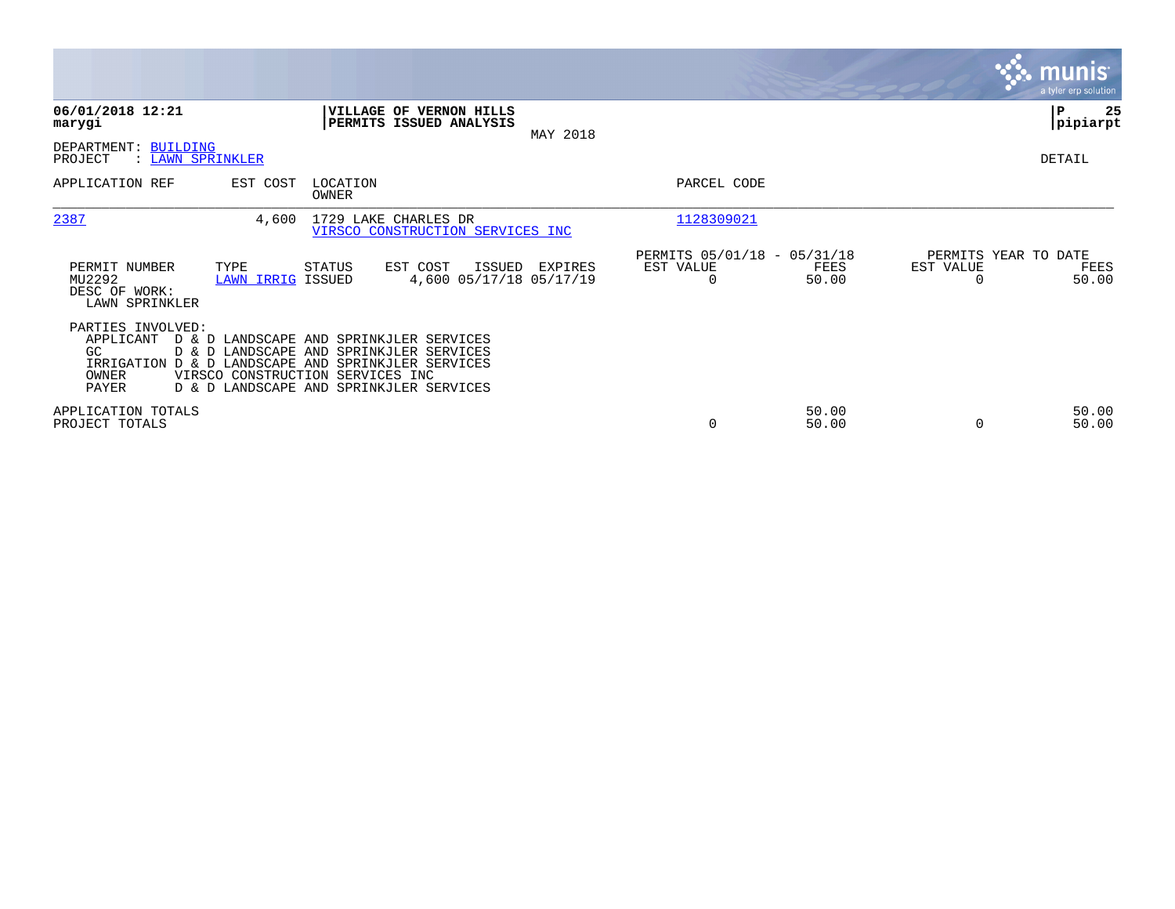|                                                                             |                                                                                                                                                                                                              |                       |                                              |                                   | <b>munis</b><br>a tyler erp solution |
|-----------------------------------------------------------------------------|--------------------------------------------------------------------------------------------------------------------------------------------------------------------------------------------------------------|-----------------------|----------------------------------------------|-----------------------------------|--------------------------------------|
| 06/01/2018 12:21<br>marygi                                                  | VILLAGE OF VERNON HILLS<br>PERMITS ISSUED ANALYSIS<br>MAY 2018                                                                                                                                               |                       |                                              |                                   | 25<br>ΙP<br> pipiarpt                |
| DEPARTMENT: BUILDING<br>PROJECT<br>: LAWN SPRINKLER                         |                                                                                                                                                                                                              |                       |                                              |                                   | DETAIL                               |
| APPLICATION REF<br>EST COST                                                 | LOCATION<br>OWNER                                                                                                                                                                                            | PARCEL CODE           |                                              |                                   |                                      |
| 2387                                                                        | 1729 LAKE CHARLES DR<br>4,600<br>VIRSCO CONSTRUCTION SERVICES INC                                                                                                                                            | 1128309021            |                                              |                                   |                                      |
| TYPE<br>PERMIT NUMBER<br>MU2292<br>DESC OF WORK:<br>LAWN SPRINKLER          | EST COST<br>STATUS<br>ISSUED<br>EXPIRES<br>4,600 05/17/18 05/17/19<br>LAWN IRRIG ISSUED                                                                                                                      | EST VALUE<br>$\Omega$ | PERMITS 05/01/18 - 05/31/18<br>FEES<br>50.00 | PERMITS YEAR TO DATE<br>EST VALUE | FEES<br>50.00                        |
| PARTIES INVOLVED:<br>APPLICANT<br>GC<br>IRRIGATION<br>OWNER<br><b>PAYER</b> | D & D LANDSCAPE AND SPRINKJLER SERVICES<br>D & D LANDSCAPE AND SPRINKJLER SERVICES<br>D & D LANDSCAPE AND SPRINKJLER SERVICES<br>VIRSCO CONSTRUCTION SERVICES INC<br>D & D LANDSCAPE AND SPRINKJLER SERVICES |                       |                                              |                                   |                                      |
| APPLICATION TOTALS<br>PROJECT TOTALS                                        |                                                                                                                                                                                                              | 0                     | 50.00<br>50.00                               | $\Omega$                          | 50.00<br>50.00                       |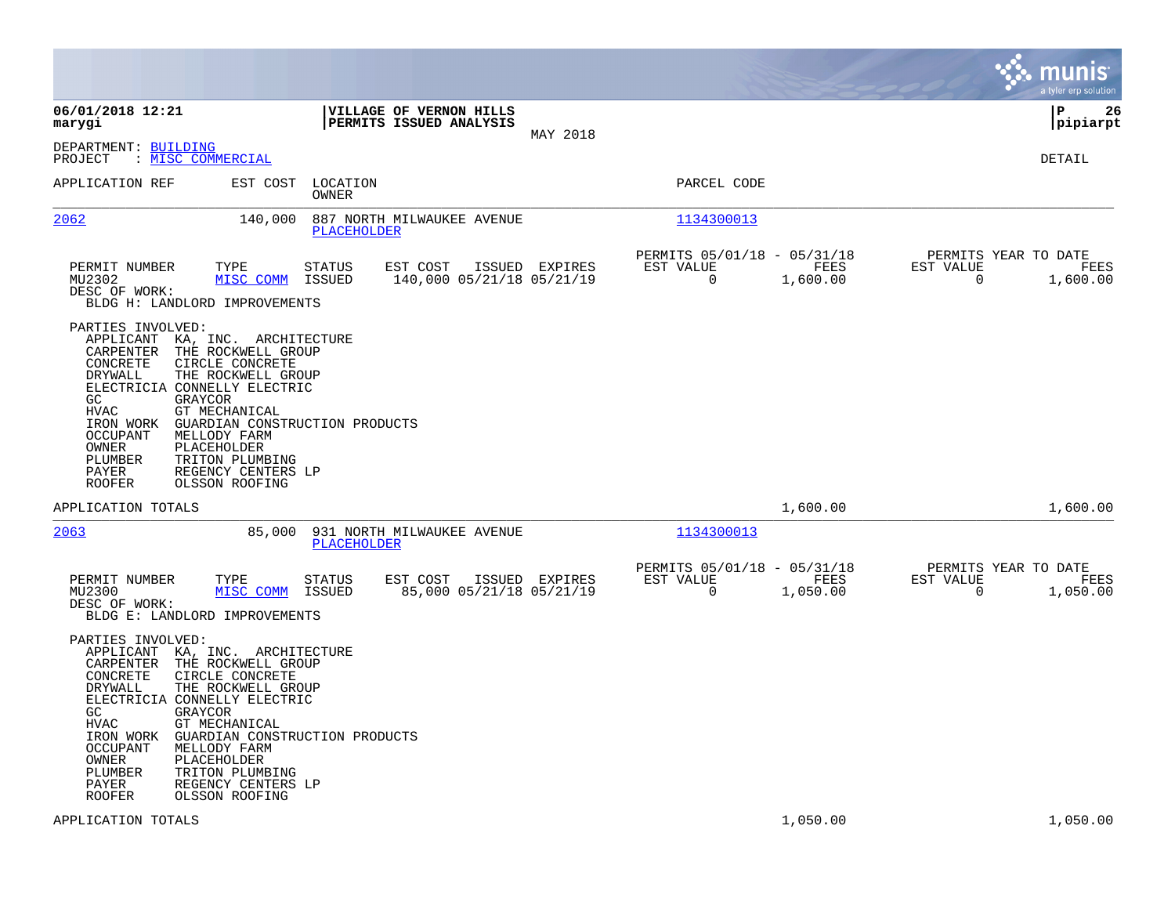|                                                                                                                                                                                                                                                                                                                                                                                                                                  |                                                                 |                |                                                         |                  |                                                  | munis<br>a tyler erp solution |
|----------------------------------------------------------------------------------------------------------------------------------------------------------------------------------------------------------------------------------------------------------------------------------------------------------------------------------------------------------------------------------------------------------------------------------|-----------------------------------------------------------------|----------------|---------------------------------------------------------|------------------|--------------------------------------------------|-------------------------------|
| 06/01/2018 12:21<br>marygi                                                                                                                                                                                                                                                                                                                                                                                                       | VILLAGE OF VERNON HILLS<br>PERMITS ISSUED ANALYSIS              | MAY 2018       |                                                         |                  |                                                  | lР<br>26<br> pipiarpt         |
| DEPARTMENT: BUILDING<br>: MISC COMMERCIAL<br>PROJECT                                                                                                                                                                                                                                                                                                                                                                             |                                                                 |                |                                                         |                  |                                                  | DETAIL                        |
| APPLICATION REF<br>EST COST                                                                                                                                                                                                                                                                                                                                                                                                      | LOCATION<br>OWNER                                               |                | PARCEL CODE                                             |                  |                                                  |                               |
| <u> 2062</u><br>140,000                                                                                                                                                                                                                                                                                                                                                                                                          | 887 NORTH MILWAUKEE AVENUE<br>PLACEHOLDER                       |                | 1134300013                                              |                  |                                                  |                               |
| PERMIT NUMBER<br>TYPE<br>MU2302<br>MISC COMM<br>DESC OF WORK:<br>BLDG H: LANDLORD IMPROVEMENTS                                                                                                                                                                                                                                                                                                                                   | EST COST<br>STATUS<br>140,000 05/21/18 05/21/19<br>ISSUED       | ISSUED EXPIRES | PERMITS 05/01/18 - 05/31/18<br>EST VALUE<br>0           | FEES<br>1,600.00 | PERMITS YEAR TO DATE<br>EST VALUE<br>0           | FEES<br>1,600.00              |
| PARTIES INVOLVED:<br>APPLICANT KA, INC. ARCHITECTURE<br>CARPENTER<br>THE ROCKWELL GROUP<br>CONCRETE<br>CIRCLE CONCRETE<br>DRYWALL<br>THE ROCKWELL GROUP<br>ELECTRICIA CONNELLY ELECTRIC<br>GC<br>GRAYCOR<br>GT MECHANICAL<br>HVAC<br>IRON WORK<br><b>OCCUPANT</b><br>MELLODY FARM<br>OWNER<br>PLACEHOLDER<br>PLUMBER<br>TRITON PLUMBING<br>REGENCY CENTERS LP<br>PAYER<br><b>ROOFER</b><br>OLSSON ROOFING                        | GUARDIAN CONSTRUCTION PRODUCTS                                  |                |                                                         |                  |                                                  |                               |
| APPLICATION TOTALS                                                                                                                                                                                                                                                                                                                                                                                                               |                                                                 |                |                                                         | 1,600.00         |                                                  | 1,600.00                      |
| 2063<br>85,000                                                                                                                                                                                                                                                                                                                                                                                                                   | 931 NORTH MILWAUKEE AVENUE<br>PLACEHOLDER                       |                | 1134300013                                              |                  |                                                  |                               |
| PERMIT NUMBER<br>TYPE<br>MU2300<br>MISC COMM<br>DESC OF WORK:<br>BLDG E: LANDLORD IMPROVEMENTS                                                                                                                                                                                                                                                                                                                                   | <b>STATUS</b><br>EST COST<br>85,000 05/21/18 05/21/19<br>ISSUED | ISSUED EXPIRES | PERMITS 05/01/18 - 05/31/18<br>EST VALUE<br>$\mathbf 0$ | FEES<br>1,050.00 | PERMITS YEAR TO DATE<br>EST VALUE<br>$\mathbf 0$ | FEES<br>1,050.00              |
| PARTIES INVOLVED:<br>APPLICANT KA, INC. ARCHITECTURE<br>THE ROCKWELL GROUP<br>CARPENTER<br>CONCRETE<br>CIRCLE CONCRETE<br>THE ROCKWELL GROUP<br>DRYWALL<br>ELECTRICIA CONNELLY ELECTRIC<br>GC.<br>GRAYCOR<br><b>HVAC</b><br>GT MECHANICAL<br>IRON WORK<br>OCCUPANT<br>MELLODY FARM<br>OWNER<br>PLACEHOLDER<br>PLUMBER<br>TRITON PLUMBING<br>PAYER<br>REGENCY CENTERS LP<br><b>ROOFER</b><br>OLSSON ROOFING<br>APPLICATION TOTALS | GUARDIAN CONSTRUCTION PRODUCTS                                  |                |                                                         | 1,050.00         |                                                  | 1,050.00                      |
|                                                                                                                                                                                                                                                                                                                                                                                                                                  |                                                                 |                |                                                         |                  |                                                  |                               |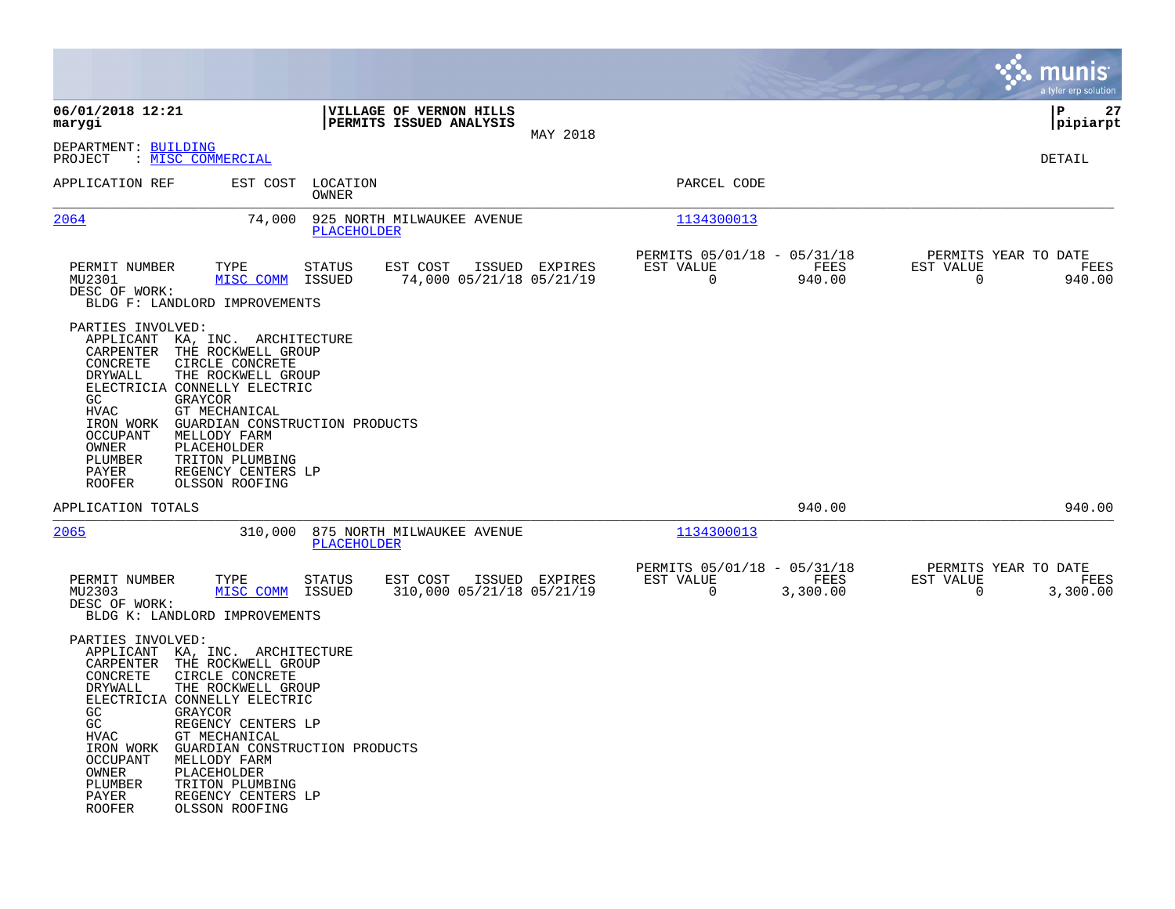|                                                                                                                                                                                                                                                                                                                                                                                                                                                                          |                                                                                    |           |                                                                | munis<br>a tyler erp solution                                   |
|--------------------------------------------------------------------------------------------------------------------------------------------------------------------------------------------------------------------------------------------------------------------------------------------------------------------------------------------------------------------------------------------------------------------------------------------------------------------------|------------------------------------------------------------------------------------|-----------|----------------------------------------------------------------|-----------------------------------------------------------------|
| 06/01/2018 12:21<br>marygi                                                                                                                                                                                                                                                                                                                                                                                                                                               | VILLAGE OF VERNON HILLS<br>PERMITS ISSUED ANALYSIS                                 | MAY 2018  |                                                                | l P<br>27<br> pipiarpt                                          |
| DEPARTMENT: BUILDING<br>: MISC COMMERCIAL<br>PROJECT                                                                                                                                                                                                                                                                                                                                                                                                                     |                                                                                    |           |                                                                | DETAIL                                                          |
| APPLICATION REF<br>EST COST                                                                                                                                                                                                                                                                                                                                                                                                                                              | LOCATION<br><b>OWNER</b>                                                           |           | PARCEL CODE                                                    |                                                                 |
| 2064<br>74,000                                                                                                                                                                                                                                                                                                                                                                                                                                                           | 925 NORTH MILWAUKEE AVENUE<br>PLACEHOLDER                                          |           | 1134300013                                                     |                                                                 |
| PERMIT NUMBER<br>TYPE<br>MU2301<br>MISC COMM<br>DESC OF WORK:<br>BLDG F: LANDLORD IMPROVEMENTS                                                                                                                                                                                                                                                                                                                                                                           | EST COST<br><b>STATUS</b><br>ISSUED EXPIRES<br>74,000 05/21/18 05/21/19<br>ISSUED  | EST VALUE | PERMITS 05/01/18 - 05/31/18<br>FEES<br>$\Omega$<br>940.00      | PERMITS YEAR TO DATE<br>EST VALUE<br>FEES<br>$\Omega$<br>940.00 |
| PARTIES INVOLVED:<br>APPLICANT KA, INC. ARCHITECTURE<br>CARPENTER<br>THE ROCKWELL GROUP<br>CONCRETE<br>CIRCLE CONCRETE<br>THE ROCKWELL GROUP<br><b>DRYWALL</b><br>ELECTRICIA CONNELLY ELECTRIC<br>GC<br><b>GRAYCOR</b><br><b>HVAC</b><br>GT MECHANICAL<br>IRON WORK<br>GUARDIAN CONSTRUCTION PRODUCTS<br><b>OCCUPANT</b><br>MELLODY FARM<br>PLACEHOLDER<br>OWNER<br>PLUMBER<br>TRITON PLUMBING<br>REGENCY CENTERS LP<br>PAYER<br><b>ROOFER</b><br>OLSSON ROOFING         |                                                                                    |           |                                                                |                                                                 |
| APPLICATION TOTALS                                                                                                                                                                                                                                                                                                                                                                                                                                                       |                                                                                    |           | 940.00                                                         | 940.00                                                          |
| 2065<br>310,000                                                                                                                                                                                                                                                                                                                                                                                                                                                          | 875 NORTH MILWAUKEE AVENUE<br>PLACEHOLDER                                          |           | 1134300013                                                     |                                                                 |
| PERMIT NUMBER<br>TYPE<br>MU2303<br>MISC COMM<br>DESC OF WORK:<br>BLDG K: LANDLORD IMPROVEMENTS                                                                                                                                                                                                                                                                                                                                                                           | <b>STATUS</b><br>EST COST<br>ISSUED EXPIRES<br>310,000 05/21/18 05/21/19<br>ISSUED | EST VALUE | PERMITS 05/01/18 - 05/31/18<br>FEES<br>$\mathbf 0$<br>3,300.00 | PERMITS YEAR TO DATE<br>EST VALUE<br>FEES<br>0<br>3,300.00      |
| PARTIES INVOLVED:<br>APPLICANT KA, INC. ARCHITECTURE<br>THE ROCKWELL GROUP<br>CARPENTER<br>CIRCLE CONCRETE<br>CONCRETE<br>DRYWALL<br>THE ROCKWELL GROUP<br>ELECTRICIA CONNELLY ELECTRIC<br>GC.<br>GRAYCOR<br>GC<br>REGENCY CENTERS LP<br>HVAC<br>GT MECHANICAL<br>IRON WORK<br>GUARDIAN CONSTRUCTION PRODUCTS<br><b>OCCUPANT</b><br>MELLODY FARM<br>OWNER<br>PLACEHOLDER<br>PLUMBER<br>TRITON PLUMBING<br>PAYER<br>REGENCY CENTERS LP<br><b>ROOFER</b><br>OLSSON ROOFING |                                                                                    |           |                                                                |                                                                 |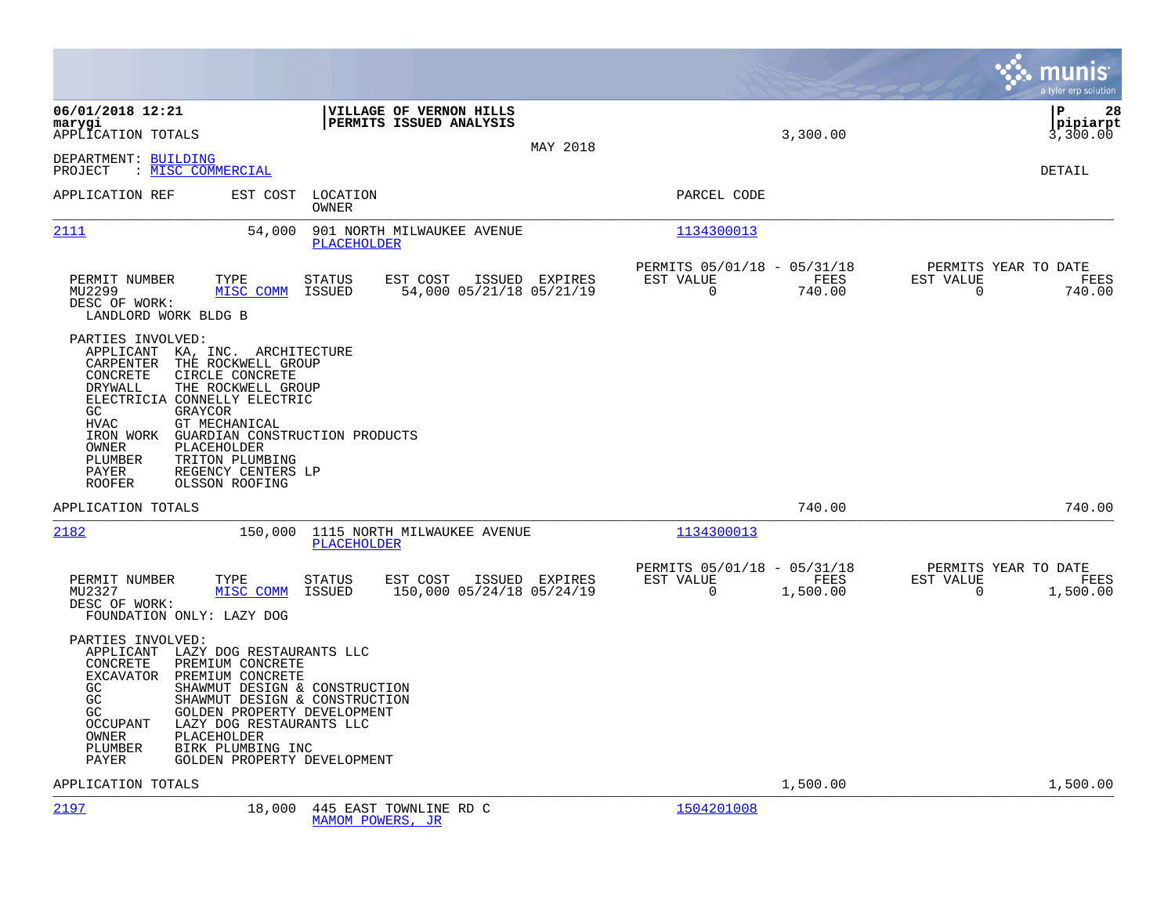|                                                                                                                                                                                                                                                                                                                                                                                                                  |                                                                  |                |                                                         |                  | munis<br>a tyler erp solution                                        |
|------------------------------------------------------------------------------------------------------------------------------------------------------------------------------------------------------------------------------------------------------------------------------------------------------------------------------------------------------------------------------------------------------------------|------------------------------------------------------------------|----------------|---------------------------------------------------------|------------------|----------------------------------------------------------------------|
| 06/01/2018 12:21<br>marygi<br>APPLICATION TOTALS                                                                                                                                                                                                                                                                                                                                                                 | VILLAGE OF VERNON HILLS<br><b>PERMITS ISSUED ANALYSIS</b>        | MAY 2018       |                                                         | 3,300.00         | l P<br>28<br>$ $ pipiarpt<br>3,300.00                                |
| DEPARTMENT: BUILDING<br>: MISC COMMERCIAL<br>PROJECT                                                                                                                                                                                                                                                                                                                                                             |                                                                  |                |                                                         |                  | DETAIL                                                               |
| EST COST<br>APPLICATION REF                                                                                                                                                                                                                                                                                                                                                                                      | LOCATION<br>OWNER                                                |                | PARCEL CODE                                             |                  |                                                                      |
| 2111<br>54,000                                                                                                                                                                                                                                                                                                                                                                                                   | 901 NORTH MILWAUKEE AVENUE<br><b>PLACEHOLDER</b>                 |                | 1134300013                                              |                  |                                                                      |
| PERMIT NUMBER<br>TYPE<br>MISC COMM<br>MU2299<br>DESC OF WORK:<br>LANDLORD WORK BLDG B                                                                                                                                                                                                                                                                                                                            | <b>STATUS</b><br>EST COST<br>ISSUED<br>54,000 05/21/18 05/21/19  | ISSUED EXPIRES | PERMITS 05/01/18 - 05/31/18<br>EST VALUE<br>$\mathbf 0$ | FEES<br>740.00   | PERMITS YEAR TO DATE<br>EST VALUE<br>FEES<br>$\mathbf 0$<br>740.00   |
| PARTIES INVOLVED:<br>APPLICANT KA, INC. ARCHITECTURE<br>THE ROCKWELL GROUP<br>CARPENTER<br>CONCRETE<br>CIRCLE CONCRETE<br>THE ROCKWELL GROUP<br>DRYWALL<br>ELECTRICIA CONNELLY ELECTRIC<br>GC.<br>GRAYCOR<br><b>HVAC</b><br>GT MECHANICAL<br>IRON WORK<br>GUARDIAN CONSTRUCTION PRODUCTS<br>OWNER<br>PLACEHOLDER<br>TRITON PLUMBING<br>PLUMBER<br>PAYER<br>REGENCY CENTERS LP<br><b>ROOFER</b><br>OLSSON ROOFING |                                                                  |                |                                                         |                  |                                                                      |
| APPLICATION TOTALS                                                                                                                                                                                                                                                                                                                                                                                               |                                                                  |                |                                                         | 740.00           | 740.00                                                               |
| 2182<br>150,000                                                                                                                                                                                                                                                                                                                                                                                                  | 1115 NORTH MILWAUKEE AVENUE<br>PLACEHOLDER                       |                | 1134300013                                              |                  |                                                                      |
| PERMIT NUMBER<br>TYPE<br>MU2327<br>MISC COMM<br>DESC OF WORK:<br>FOUNDATION ONLY: LAZY DOG                                                                                                                                                                                                                                                                                                                       | EST COST<br><b>STATUS</b><br>150,000 05/24/18 05/24/19<br>ISSUED | ISSUED EXPIRES | PERMITS 05/01/18 - 05/31/18<br>EST VALUE<br>$\Omega$    | FEES<br>1,500.00 | PERMITS YEAR TO DATE<br>EST VALUE<br>FEES<br>$\mathbf 0$<br>1,500.00 |
| PARTIES INVOLVED:<br>APPLICANT LAZY DOG RESTAURANTS LLC<br>PREMIUM CONCRETE<br>CONCRETE<br>PREMIUM CONCRETE<br><b>EXCAVATOR</b><br>SHAWMUT DESIGN & CONSTRUCTION<br>GC.<br>GC.<br>SHAWMUT DESIGN & CONSTRUCTION<br>GC<br>GOLDEN PROPERTY DEVELOPMENT<br><b>OCCUPANT</b><br>LAZY DOG RESTAURANTS LLC<br>PLACEHOLDER<br>OWNER<br>BIRK PLUMBING INC<br>PLUMBER<br>GOLDEN PROPERTY DEVELOPMENT<br>PAYER              |                                                                  |                |                                                         |                  |                                                                      |
| APPLICATION TOTALS                                                                                                                                                                                                                                                                                                                                                                                               |                                                                  |                |                                                         | 1,500.00         | 1,500.00                                                             |
| 2197<br>18,000                                                                                                                                                                                                                                                                                                                                                                                                   | 445 EAST TOWNLINE RD C<br>MAMOM POWERS, JR                       |                | 1504201008                                              |                  |                                                                      |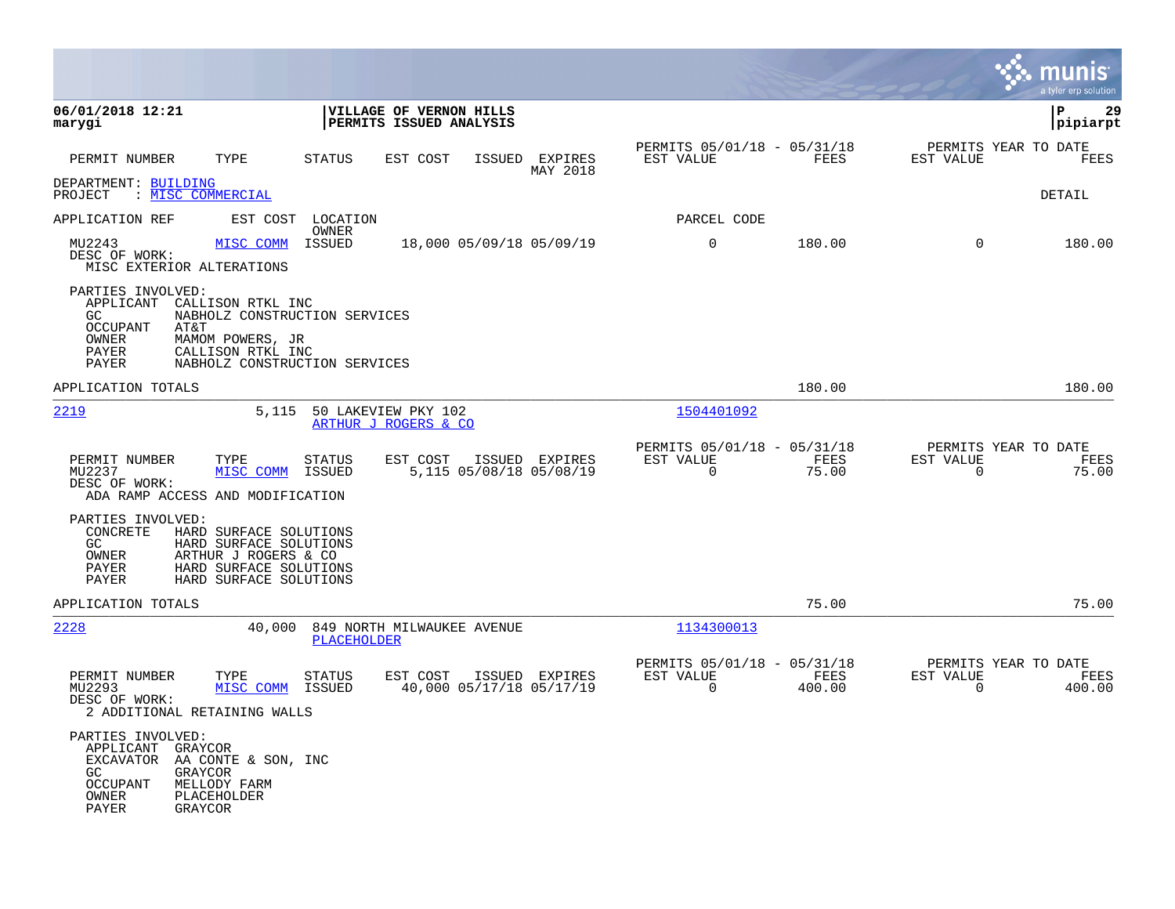|                                                                                                                                 |                                                                                                                              |                         |                                                    |        |                                            |                       |                                               |                       | a tyler erp solution                   |
|---------------------------------------------------------------------------------------------------------------------------------|------------------------------------------------------------------------------------------------------------------------------|-------------------------|----------------------------------------------------|--------|--------------------------------------------|-----------------------|-----------------------------------------------|-----------------------|----------------------------------------|
| 06/01/2018 12:21<br>marygi                                                                                                      |                                                                                                                              |                         | VILLAGE OF VERNON HILLS<br>PERMITS ISSUED ANALYSIS |        |                                            |                       |                                               |                       | $\mathbf{P}$<br>29<br> pipiarpt        |
| PERMIT NUMBER                                                                                                                   | TYPE                                                                                                                         | <b>STATUS</b>           | EST COST                                           | ISSUED | EXPIRES<br>MAY 2018                        | EST VALUE             | PERMITS 05/01/18 - 05/31/18<br>FEES           | EST VALUE             | PERMITS YEAR TO DATE<br>FEES           |
| DEPARTMENT: BUILDING<br>: MISC COMMERCIAL<br>PROJECT                                                                            |                                                                                                                              |                         |                                                    |        |                                            |                       |                                               |                       | DETAIL                                 |
| APPLICATION REF                                                                                                                 | EST COST                                                                                                                     | LOCATION<br>OWNER       |                                                    |        |                                            | PARCEL CODE           |                                               |                       |                                        |
| MU2243<br>DESC OF WORK:<br>MISC EXTERIOR ALTERATIONS                                                                            | MISC COMM                                                                                                                    | ISSUED                  |                                                    |        | 18,000 05/09/18 05/09/19                   | $\mathbf 0$           | 180.00                                        | $\Omega$              | 180.00                                 |
| PARTIES INVOLVED:<br>APPLICANT<br>GC.<br><b>OCCUPANT</b><br>AT&T<br>OWNER<br>PAYER<br><b>PAYER</b>                              | CALLISON RTKL INC<br>NABHOLZ CONSTRUCTION SERVICES<br>MAMOM POWERS, JR<br>CALLISON RTKL INC<br>NABHOLZ CONSTRUCTION SERVICES |                         |                                                    |        |                                            |                       |                                               |                       |                                        |
| APPLICATION TOTALS                                                                                                              |                                                                                                                              |                         |                                                    |        |                                            |                       | 180.00                                        |                       | 180.00                                 |
| 2219                                                                                                                            | 5,115                                                                                                                        |                         | 50 LAKEVIEW PKY 102<br>ARTHUR J ROGERS & CO        |        |                                            | 1504401092            |                                               |                       |                                        |
| PERMIT NUMBER<br>MU2237<br>DESC OF WORK:<br>ADA RAMP ACCESS AND MODIFICATION                                                    | TYPE<br>MISC COMM                                                                                                            | STATUS<br>ISSUED        | EST COST                                           |        | ISSUED EXPIRES<br>5,115 05/08/18 05/08/19  | EST VALUE<br>$\Omega$ | PERMITS 05/01/18 - 05/31/18<br>FEES<br>75.00  | EST VALUE<br>$\Omega$ | PERMITS YEAR TO DATE<br>FEES<br>75.00  |
| PARTIES INVOLVED:<br>CONCRETE<br>GC<br>OWNER<br>PAYER<br><b>PAYER</b>                                                           | HARD SURFACE SOLUTIONS<br>HARD SURFACE SOLUTIONS<br>ARTHUR J ROGERS & CO<br>HARD SURFACE SOLUTIONS<br>HARD SURFACE SOLUTIONS |                         |                                                    |        |                                            |                       |                                               |                       |                                        |
| APPLICATION TOTALS                                                                                                              |                                                                                                                              |                         |                                                    |        |                                            |                       | 75.00                                         |                       | 75.00                                  |
| 2228                                                                                                                            | 40,000                                                                                                                       | PLACEHOLDER             | 849 NORTH MILWAUKEE AVENUE                         |        |                                            | 1134300013            |                                               |                       |                                        |
| PERMIT NUMBER<br>MU2293<br>DESC OF WORK:<br>2 ADDITIONAL RETAINING WALLS                                                        | TYPE<br>MISC COMM                                                                                                            | <b>STATUS</b><br>ISSUED | EST COST                                           |        | ISSUED EXPIRES<br>40,000 05/17/18 05/17/19 | EST VALUE<br>$\Omega$ | PERMITS 05/01/18 - 05/31/18<br>FEES<br>400.00 | EST VALUE<br>$\Omega$ | PERMITS YEAR TO DATE<br>FEES<br>400.00 |
| PARTIES INVOLVED:<br>APPLICANT<br>GRAYCOR<br>EXCAVATOR<br>GC.<br>GRAYCOR<br><b>OCCUPANT</b><br>OWNER<br><b>PAYER</b><br>GRAYCOR | AA CONTE & SON, INC<br>MELLODY FARM<br>PLACEHOLDER                                                                           |                         |                                                    |        |                                            |                       |                                               |                       |                                        |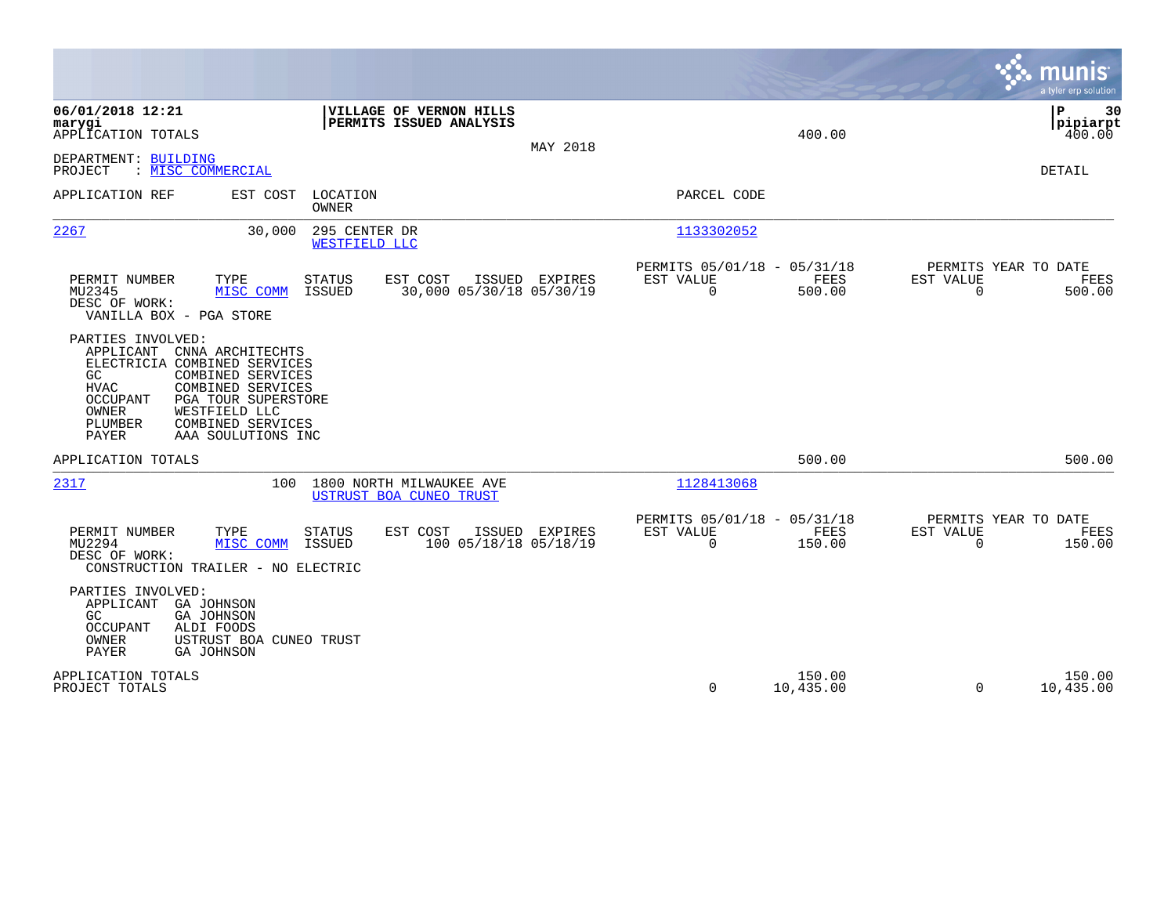|                                                                                                                                                                                                                                                                                             |                                                                                  | munis<br>a tyler erp solution                                   |
|---------------------------------------------------------------------------------------------------------------------------------------------------------------------------------------------------------------------------------------------------------------------------------------------|----------------------------------------------------------------------------------|-----------------------------------------------------------------|
| 06/01/2018 12:21<br>VILLAGE OF VERNON HILLS<br>PERMITS ISSUED ANALYSIS<br>marygi<br>APPLICATION TOTALS<br>MAY 2018                                                                                                                                                                          | 400.00                                                                           | 30<br>ΙP<br> pipiarpt<br>400.00                                 |
| DEPARTMENT: BUILDING<br>PROJECT<br>: MISC COMMERCIAL                                                                                                                                                                                                                                        |                                                                                  | DETAIL                                                          |
| APPLICATION REF<br>EST COST<br>LOCATION<br><b>OWNER</b>                                                                                                                                                                                                                                     | PARCEL CODE                                                                      |                                                                 |
| 2267<br>295 CENTER DR<br>30,000<br>WESTFIELD LLC                                                                                                                                                                                                                                            | 1133302052                                                                       |                                                                 |
| PERMIT NUMBER<br>TYPE<br>EST COST<br>ISSUED EXPIRES<br>STATUS<br>MU2345<br>MISC COMM<br><b>ISSUED</b><br>30,000 05/30/18 05/30/19<br>DESC OF WORK:<br>VANILLA BOX - PGA STORE                                                                                                               | PERMITS 05/01/18 - 05/31/18<br><b>FEES</b><br>EST VALUE<br>$\mathbf 0$<br>500.00 | PERMITS YEAR TO DATE<br>EST VALUE<br>FEES<br>$\Omega$<br>500.00 |
| PARTIES INVOLVED:<br>APPLICANT<br>CNNA ARCHITECHTS<br>ELECTRICIA COMBINED SERVICES<br>COMBINED SERVICES<br>GC<br><b>HVAC</b><br>COMBINED SERVICES<br><b>OCCUPANT</b><br>PGA TOUR SUPERSTORE<br>OWNER<br>WESTFIELD LLC<br>PLUMBER<br>COMBINED SERVICES<br><b>PAYER</b><br>AAA SOULUTIONS INC |                                                                                  |                                                                 |
| APPLICATION TOTALS                                                                                                                                                                                                                                                                          | 500.00                                                                           | 500.00                                                          |
| 2317<br>100<br>1800 NORTH MILWAUKEE AVE<br>USTRUST BOA CUNEO TRUST                                                                                                                                                                                                                          | 1128413068                                                                       |                                                                 |
| PERMIT NUMBER<br>TYPE<br>EST COST<br><b>ISSUED</b><br>EXPIRES<br><b>STATUS</b><br>100 05/18/18 05/18/19<br>MU2294<br>ISSUED<br>MISC COMM<br>DESC OF WORK:<br>CONSTRUCTION TRAILER - NO ELECTRIC                                                                                             | PERMITS 05/01/18 - 05/31/18<br>EST VALUE<br>FEES<br>$\Omega$<br>150.00           | PERMITS YEAR TO DATE<br>EST VALUE<br>FEES<br>$\Omega$<br>150.00 |
| PARTIES INVOLVED:<br>APPLICANT GA JOHNSON<br><b>GA JOHNSON</b><br>GC.<br>OCCUPANT<br>ALDI FOODS<br>OWNER<br>USTRUST BOA CUNEO TRUST<br><b>PAYER</b><br><b>GA JOHNSON</b>                                                                                                                    |                                                                                  |                                                                 |
| APPLICATION TOTALS<br>PROJECT TOTALS                                                                                                                                                                                                                                                        | 150.00<br>0<br>10,435.00                                                         | 150.00<br>$\Omega$<br>10,435.00                                 |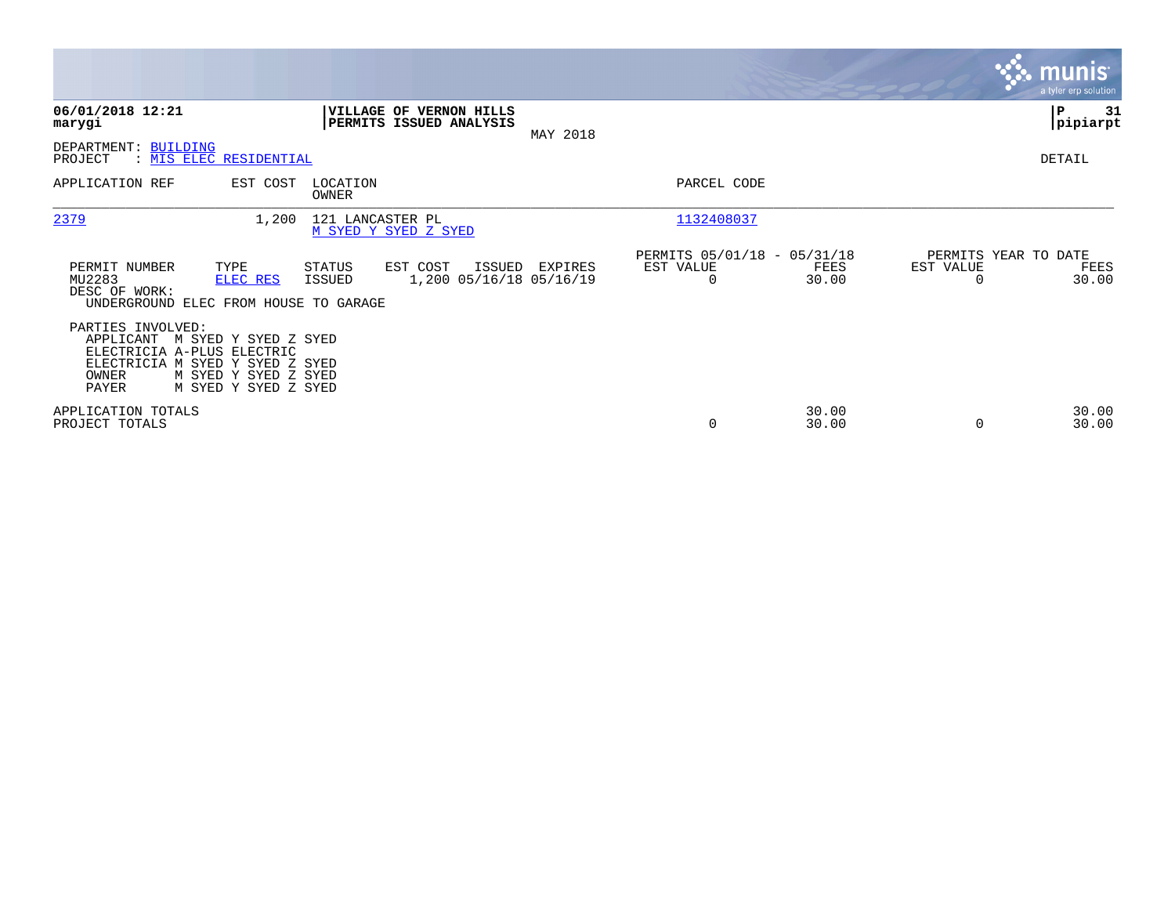|                                                                                                                          |                                                                      |                   |                                                    |        |          |                                                      |                |                                   | <b>munis</b><br>a tyler erp solution |
|--------------------------------------------------------------------------------------------------------------------------|----------------------------------------------------------------------|-------------------|----------------------------------------------------|--------|----------|------------------------------------------------------|----------------|-----------------------------------|--------------------------------------|
| 06/01/2018 12:21<br>marygi                                                                                               |                                                                      |                   | VILLAGE OF VERNON HILLS<br>PERMITS ISSUED ANALYSIS |        | MAY 2018 |                                                      |                |                                   | ∣P<br>31<br> pipiarpt                |
| DEPARTMENT: BUILDING<br>PROJECT<br>: MIS ELEC RESIDENTIAL                                                                |                                                                      |                   |                                                    |        |          |                                                      |                |                                   | DETAIL                               |
| APPLICATION REF                                                                                                          | EST COST                                                             | LOCATION<br>OWNER |                                                    |        |          | PARCEL CODE                                          |                |                                   |                                      |
| 2379                                                                                                                     | 1,200                                                                | 121 LANCASTER PL  | M SYED Y SYED Z SYED                               |        |          | 1132408037                                           |                |                                   |                                      |
| PERMIT NUMBER<br>MU2283<br>DESC OF WORK:<br>UNDERGROUND ELEC FROM HOUSE TO GARAGE                                        | TYPE<br>ELEC RES                                                     | STATUS<br>ISSUED  | EST COST<br>1,200 05/16/18 05/16/19                | ISSUED | EXPIRES  | PERMITS 05/01/18 - 05/31/18<br>EST VALUE<br>$\Omega$ | FEES<br>30.00  | PERMITS YEAR TO DATE<br>EST VALUE | FEES<br>30.00                        |
| PARTIES INVOLVED:<br>APPLICANT<br>ELECTRICIA A-PLUS ELECTRIC<br>ELECTRICIA M SYED Y SYED Z SYED<br>OWNER<br><b>PAYER</b> | M SYED Y SYED Z SYED<br>M SYED Y SYED Z SYED<br>M SYED Y SYED Z SYED |                   |                                                    |        |          |                                                      |                |                                   |                                      |
| APPLICATION TOTALS<br>PROJECT TOTALS                                                                                     |                                                                      |                   |                                                    |        |          | $\mathbf 0$                                          | 30.00<br>30.00 |                                   | 30.00<br>30.00                       |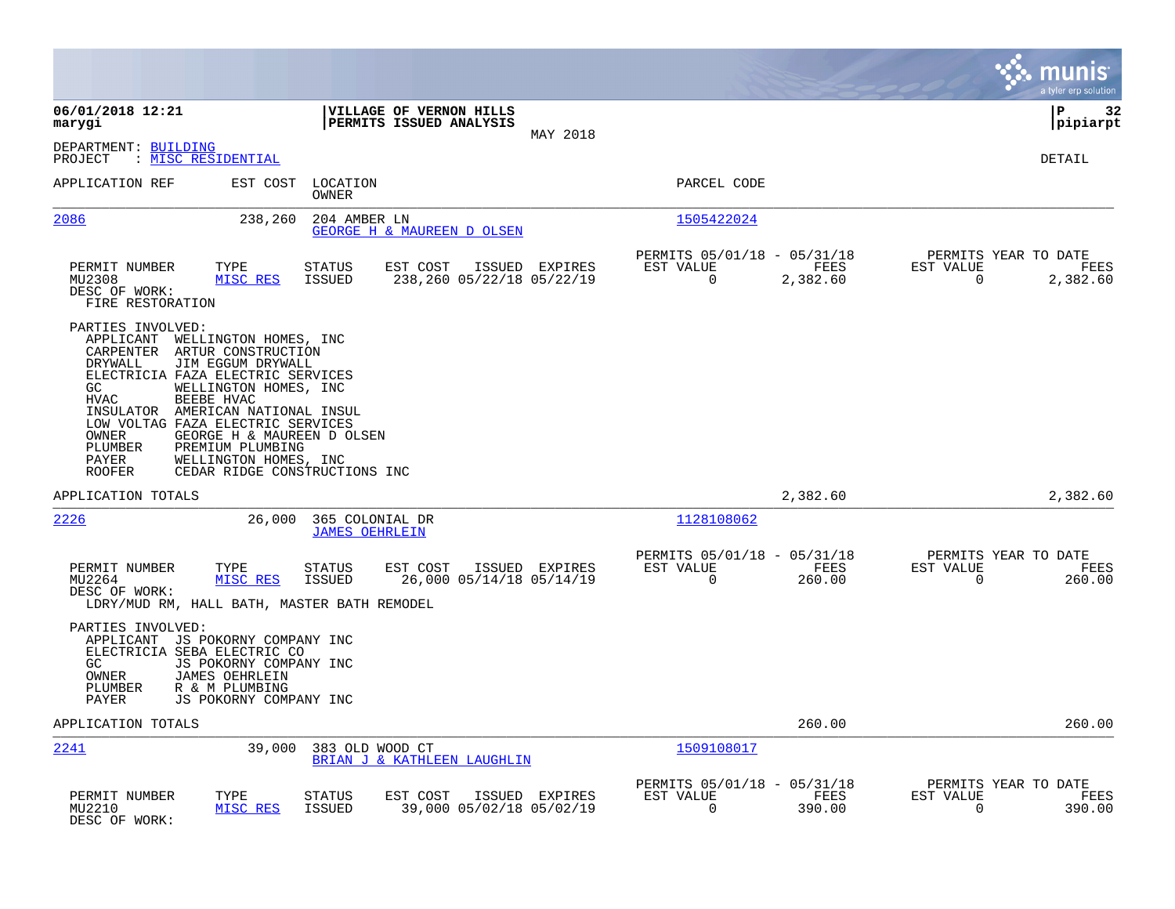|                                                                                                                                                                                                                                                                                                                       |                                                                                                                                                     |                                                                           | munis<br>a tyler erp solution                                      |
|-----------------------------------------------------------------------------------------------------------------------------------------------------------------------------------------------------------------------------------------------------------------------------------------------------------------------|-----------------------------------------------------------------------------------------------------------------------------------------------------|---------------------------------------------------------------------------|--------------------------------------------------------------------|
| 06/01/2018 12:21<br>marygi                                                                                                                                                                                                                                                                                            | VILLAGE OF VERNON HILLS<br>PERMITS ISSUED ANALYSIS<br>MAY 2018                                                                                      |                                                                           | ΙP<br>32<br> pipiarpt                                              |
| DEPARTMENT: BUILDING<br>: <u>MISC RESIDENTIAL</u><br>PROJECT                                                                                                                                                                                                                                                          |                                                                                                                                                     |                                                                           | DETAIL                                                             |
| APPLICATION REF                                                                                                                                                                                                                                                                                                       | EST COST<br>LOCATION<br>OWNER                                                                                                                       | PARCEL CODE                                                               |                                                                    |
| 2086                                                                                                                                                                                                                                                                                                                  | 238,260<br>204 AMBER LN<br>GEORGE H & MAUREEN D OLSEN                                                                                               | 1505422024                                                                |                                                                    |
| PERMIT NUMBER<br>TYPE<br>MU2308<br>DESC OF WORK:<br>FIRE RESTORATION                                                                                                                                                                                                                                                  | <b>STATUS</b><br>EST COST<br>ISSUED EXPIRES<br>238,260 05/22/18 05/22/19<br>MISC RES<br><b>ISSUED</b>                                               | PERMITS 05/01/18 - 05/31/18<br>EST VALUE<br>FEES<br>0<br>2,382.60         | PERMITS YEAR TO DATE<br>EST VALUE<br>FEES<br>2,382.60<br>0         |
| PARTIES INVOLVED:<br>APPLICANT<br>CARPENTER<br>ARTUR CONSTRUCTION<br>DRYWALL<br>JIM EGGUM DRYWALL<br>ELECTRICIA FAZA ELECTRIC SERVICES<br>GC<br><b>HVAC</b><br>BEEBE HVAC<br>INSULATOR AMERICAN NATIONAL INSUL<br>LOW VOLTAG FAZA ELECTRIC SERVICES<br>OWNER<br>PREMIUM PLUMBING<br>PLUMBER<br>PAYER<br><b>ROOFER</b> | WELLINGTON HOMES, INC<br>WELLINGTON HOMES, INC<br>GEORGE H & MAUREEN D OLSEN<br>WELLINGTON HOMES, INC<br>CEDAR RIDGE CONSTRUCTIONS INC              |                                                                           |                                                                    |
| APPLICATION TOTALS                                                                                                                                                                                                                                                                                                    |                                                                                                                                                     | 2,382.60                                                                  | 2,382.60                                                           |
| 2226                                                                                                                                                                                                                                                                                                                  | 26,000<br>365 COLONIAL DR<br><b>JAMES OEHRLEIN</b>                                                                                                  | 1128108062                                                                |                                                                    |
| PERMIT NUMBER<br>TYPE<br>MU2264<br>DESC OF WORK:                                                                                                                                                                                                                                                                      | <b>STATUS</b><br>EST COST<br>ISSUED EXPIRES<br>MISC RES<br><b>ISSUED</b><br>26,000 05/14/18 05/14/19<br>LDRY/MUD RM, HALL BATH, MASTER BATH REMODEL | PERMITS 05/01/18 - 05/31/18<br>EST VALUE<br>FEES<br>$\mathbf 0$<br>260.00 | PERMITS YEAR TO DATE<br>EST VALUE<br>FEES<br>$\mathbf 0$<br>260.00 |
| PARTIES INVOLVED:<br>APPLICANT JS POKORNY COMPANY INC<br>ELECTRICIA SEBA ELECTRIC CO<br>GC<br>OWNER<br><b>JAMES OEHRLEIN</b><br>PLUMBER<br>R & M PLUMBING<br>PAYER                                                                                                                                                    | JS POKORNY COMPANY INC<br>JS POKORNY COMPANY INC                                                                                                    |                                                                           |                                                                    |
| APPLICATION TOTALS                                                                                                                                                                                                                                                                                                    |                                                                                                                                                     | 260.00                                                                    | 260.00                                                             |
| 2241                                                                                                                                                                                                                                                                                                                  | 39,000<br>383 OLD WOOD CT<br>BRIAN J & KATHLEEN LAUGHLIN                                                                                            | 1509108017                                                                |                                                                    |
| PERMIT NUMBER<br>TYPE<br>MU2210<br>DESC OF WORK:                                                                                                                                                                                                                                                                      | <b>STATUS</b><br>EST COST<br>ISSUED EXPIRES<br>39,000 05/02/18 05/02/19<br>MISC RES<br><b>ISSUED</b>                                                | PERMITS 05/01/18 - 05/31/18<br>EST VALUE<br>FEES<br>0<br>390.00           | PERMITS YEAR TO DATE<br>EST VALUE<br>FEES<br>390.00<br>0           |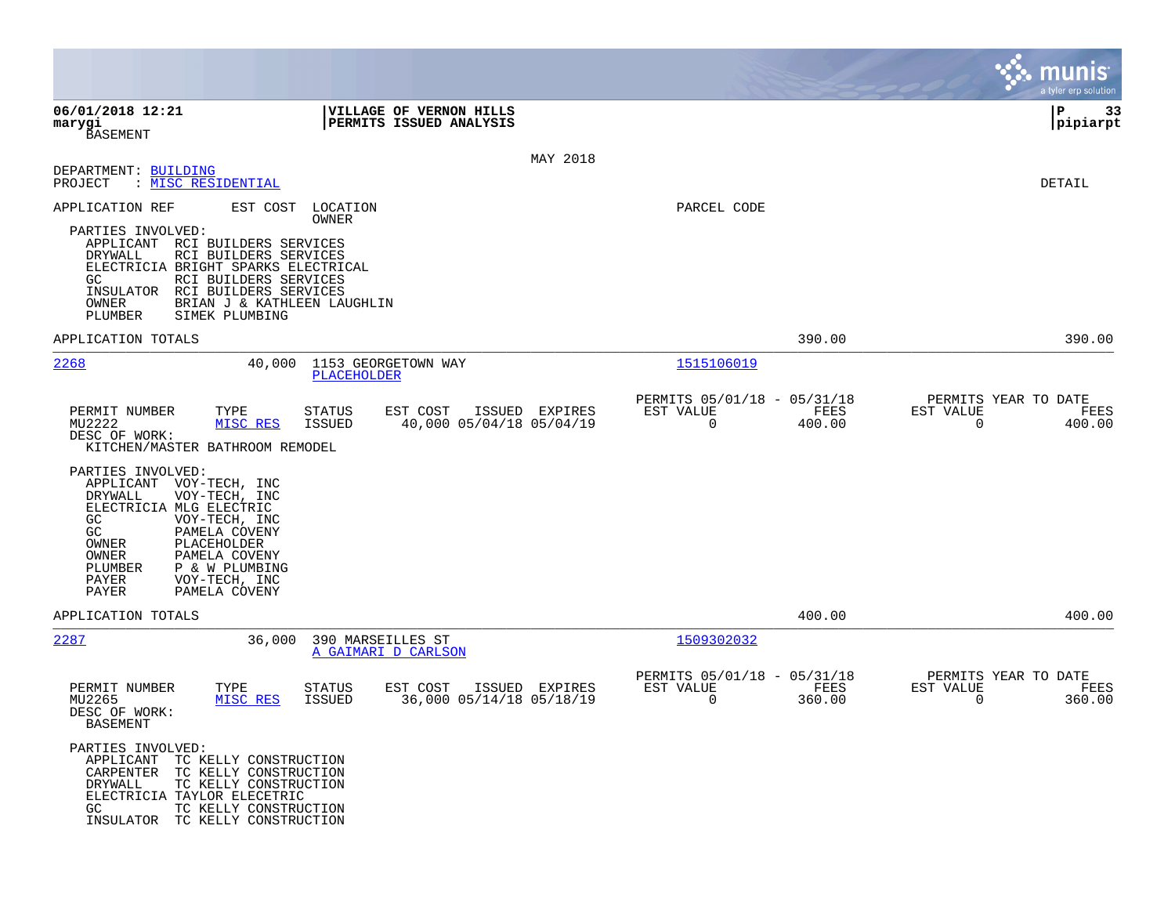|                                                                                                                                                                                              |                                                                                                                                        |                                          |                                                    |                |                                                         |                | munis<br>a tyler erp solution                                      |
|----------------------------------------------------------------------------------------------------------------------------------------------------------------------------------------------|----------------------------------------------------------------------------------------------------------------------------------------|------------------------------------------|----------------------------------------------------|----------------|---------------------------------------------------------|----------------|--------------------------------------------------------------------|
| 06/01/2018 12:21<br>marygi<br><b>BASEMENT</b>                                                                                                                                                |                                                                                                                                        |                                          | VILLAGE OF VERNON HILLS<br>PERMITS ISSUED ANALYSIS |                |                                                         |                | ∣P<br>33<br> pipiarpt                                              |
| DEPARTMENT: BUILDING<br>PROJECT                                                                                                                                                              | : MISC RESIDENTIAL                                                                                                                     |                                          |                                                    | MAY 2018       |                                                         |                | <b>DETAIL</b>                                                      |
| APPLICATION REF<br>PARTIES INVOLVED:<br>APPLICANT RCI BUILDERS SERVICES<br>DRYWALL<br>ELECTRICIA BRIGHT SPARKS ELECTRICAL<br>GC.<br>INSULATOR<br>OWNER<br>PLUMBER                            | EST COST<br>RCI BUILDERS SERVICES<br>RCI BUILDERS SERVICES<br>RCI BUILDERS SERVICES<br>BRIAN J & KATHLEEN LAUGHLIN<br>SIMEK PLUMBING   | LOCATION<br>OWNER                        |                                                    |                | PARCEL CODE                                             |                |                                                                    |
| APPLICATION TOTALS                                                                                                                                                                           |                                                                                                                                        |                                          |                                                    |                |                                                         | 390.00         | 390.00                                                             |
| 2268                                                                                                                                                                                         | 40,000                                                                                                                                 | 1153 GEORGETOWN WAY<br>PLACEHOLDER       |                                                    |                | 1515106019                                              |                |                                                                    |
| PERMIT NUMBER<br>MU2222<br>DESC OF WORK:<br>KITCHEN/MASTER BATHROOM REMODEL<br>PARTIES INVOLVED:<br>APPLICANT<br>DRYWALL<br>ELECTRICIA MLG ELECTRIC<br>GC<br>GC<br>OWNER<br>OWNER<br>PLUMBER | TYPE<br>MISC RES<br>VOY-TECH, INC<br>VOY-TECH, INC<br>VOY-TECH, INC<br>PAMELA COVENY<br>PLACEHOLDER<br>PAMELA COVENY<br>P & W PLUMBING | STATUS<br><b>ISSUED</b>                  | EST COST<br>40,000 05/04/18 05/04/19               | ISSUED EXPIRES | PERMITS 05/01/18 - 05/31/18<br>EST VALUE<br>$\mathbf 0$ | FEES<br>400.00 | PERMITS YEAR TO DATE<br>EST VALUE<br>FEES<br>$\mathbf 0$<br>400.00 |
| PAYER<br>PAYER                                                                                                                                                                               | VOY-TECH, INC<br>PAMELA COVENY                                                                                                         |                                          |                                                    |                |                                                         |                |                                                                    |
| APPLICATION TOTALS                                                                                                                                                                           |                                                                                                                                        |                                          |                                                    |                |                                                         | 400.00         | 400.00                                                             |
| 2287                                                                                                                                                                                         | 36,000                                                                                                                                 | 390 MARSEILLES ST<br>A GAIMARI D CARLSON |                                                    |                | 1509302032                                              |                |                                                                    |
| PERMIT NUMBER<br>MU2265<br>DESC OF WORK:<br><b>BASEMENT</b>                                                                                                                                  | TYPE<br>MISC RES                                                                                                                       | <b>STATUS</b><br><b>ISSUED</b>           | EST COST<br>36,000 05/14/18 05/18/19               | ISSUED EXPIRES | PERMITS 05/01/18 - 05/31/18<br>EST VALUE<br>$\mathbf 0$ | FEES<br>360.00 | PERMITS YEAR TO DATE<br>EST VALUE<br>FEES<br>$\mathbf 0$<br>360.00 |
| PARTIES INVOLVED:<br>APPLICANT<br>CARPENTER TC KELLY CONSTRUCTION<br>DRYWALL<br>ELECTRICIA TAYLOR ELECETRIC<br>GC.<br>INSULATOR TC KELLY CONSTRUCTION                                        | TC KELLY CONSTRUCTION<br>TC KELLY CONSTRUCTION<br>TC KELLY CONSTRUCTION                                                                |                                          |                                                    |                |                                                         |                |                                                                    |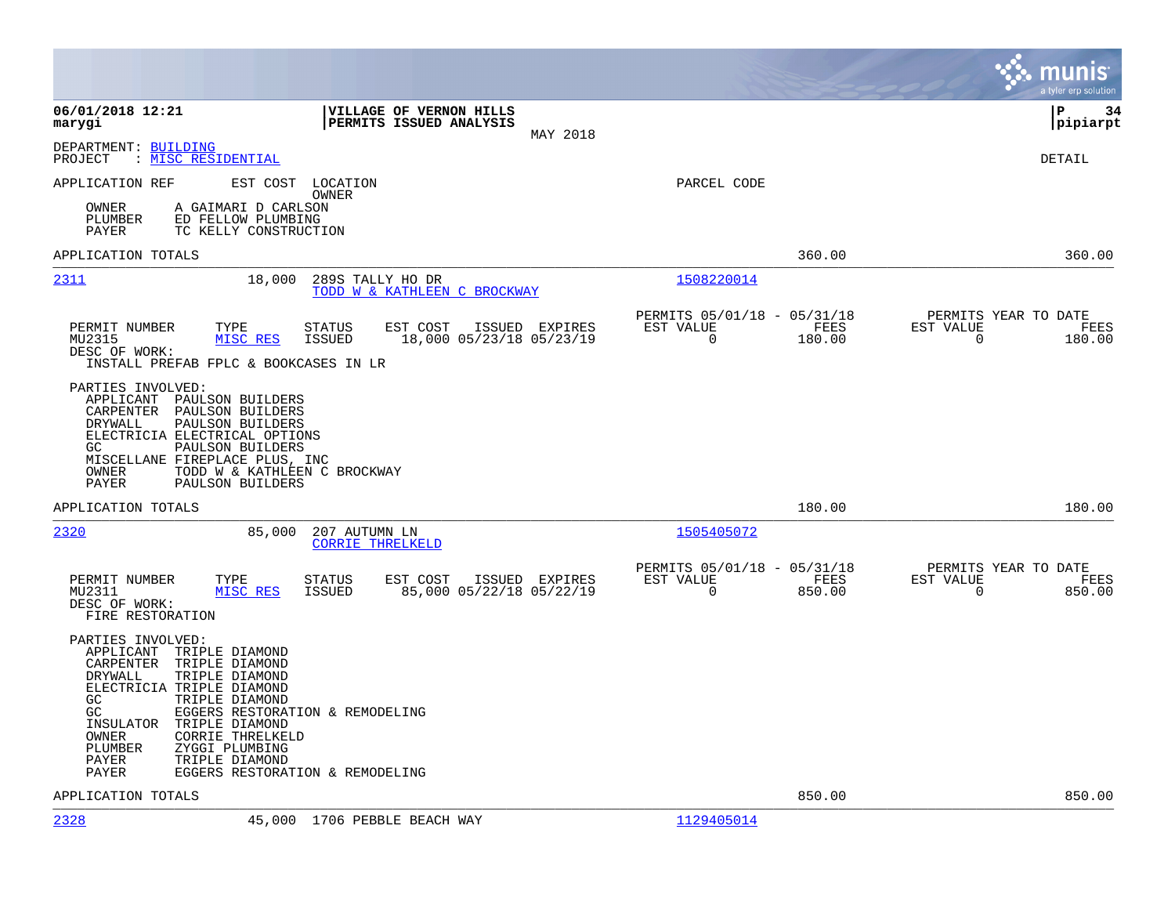|                                                                                                                                                                                                                                                                                                                                                                                   |                                            |                                                         |                | munis<br>a tyler erp solution                                      |
|-----------------------------------------------------------------------------------------------------------------------------------------------------------------------------------------------------------------------------------------------------------------------------------------------------------------------------------------------------------------------------------|--------------------------------------------|---------------------------------------------------------|----------------|--------------------------------------------------------------------|
| 06/01/2018 12:21<br>VILLAGE OF VERNON HILLS<br>PERMITS ISSUED ANALYSIS<br>marygi                                                                                                                                                                                                                                                                                                  | MAY 2018                                   |                                                         |                | l P<br>34<br> pipiarpt                                             |
| DEPARTMENT: BUILDING<br>: MISC RESIDENTIAL<br>PROJECT                                                                                                                                                                                                                                                                                                                             |                                            |                                                         |                | DETAIL                                                             |
| EST COST<br>APPLICATION REF<br>LOCATION<br>OWNER                                                                                                                                                                                                                                                                                                                                  |                                            | PARCEL CODE                                             |                |                                                                    |
| OWNER<br>A GAIMARI D CARLSON<br>PLUMBER<br>ED FELLOW PLUMBING<br>PAYER<br>TC KELLY CONSTRUCTION                                                                                                                                                                                                                                                                                   |                                            |                                                         |                |                                                                    |
| APPLICATION TOTALS                                                                                                                                                                                                                                                                                                                                                                |                                            |                                                         | 360.00         | 360.00                                                             |
| 2311<br>18,000<br>289S TALLY HO DR<br>TODD W & KATHLEEN C BROCKWAY                                                                                                                                                                                                                                                                                                                |                                            | 1508220014                                              |                |                                                                    |
| PERMIT NUMBER<br>TYPE<br>STATUS<br>EST COST<br>MU2315<br>MISC RES<br><b>ISSUED</b><br>DESC OF WORK:<br>INSTALL PREFAB FPLC & BOOKCASES IN LR                                                                                                                                                                                                                                      | ISSUED EXPIRES<br>18,000 05/23/18 05/23/19 | PERMITS 05/01/18 - 05/31/18<br>EST VALUE<br>$\mathbf 0$ | FEES<br>180.00 | PERMITS YEAR TO DATE<br>EST VALUE<br>FEES<br>$\mathbf 0$<br>180.00 |
| PARTIES INVOLVED:<br>APPLICANT<br>PAULSON BUILDERS<br>CARPENTER<br>PAULSON BUILDERS<br>DRYWALL<br>PAULSON BUILDERS<br>ELECTRICIA ELECTRICAL OPTIONS<br>PAULSON BUILDERS<br>GC<br>MISCELLANE FIREPLACE PLUS, INC<br>TODD W & KATHLEEN C BROCKWAY<br>OWNER<br>PAYER<br>PAULSON BUILDERS                                                                                             |                                            |                                                         |                |                                                                    |
| APPLICATION TOTALS                                                                                                                                                                                                                                                                                                                                                                |                                            |                                                         | 180.00         | 180.00                                                             |
| 2320<br>85,000<br>207 AUTUMN LN<br><b>CORRIE THRELKELD</b>                                                                                                                                                                                                                                                                                                                        |                                            | 1505405072                                              |                |                                                                    |
| PERMIT NUMBER<br><b>STATUS</b><br>EST COST<br>TYPE<br>MU2311<br>MISC RES<br><b>ISSUED</b><br>DESC OF WORK:<br>FIRE RESTORATION                                                                                                                                                                                                                                                    | ISSUED EXPIRES<br>85,000 05/22/18 05/22/19 | PERMITS 05/01/18 - 05/31/18<br>EST VALUE<br>0           | FEES<br>850.00 | PERMITS YEAR TO DATE<br>EST VALUE<br>FEES<br>0<br>850.00           |
| PARTIES INVOLVED:<br>APPLICANT<br>TRIPLE DIAMOND<br>CARPENTER<br>TRIPLE DIAMOND<br>DRYWALL<br>TRIPLE DIAMOND<br>ELECTRICIA TRIPLE DIAMOND<br>GC<br>TRIPLE DIAMOND<br>GC<br>EGGERS RESTORATION & REMODELING<br>INSULATOR<br>TRIPLE DIAMOND<br>OWNER<br><b>CORRIE THRELKELD</b><br>PLUMBER<br>ZYGGI PLUMBING<br>PAYER<br>TRIPLE DIAMOND<br>PAYER<br>EGGERS RESTORATION & REMODELING |                                            |                                                         |                |                                                                    |
| APPLICATION TOTALS                                                                                                                                                                                                                                                                                                                                                                |                                            |                                                         | 850.00         | 850.00                                                             |
| 2328<br>45,000 1706 PEBBLE BEACH WAY                                                                                                                                                                                                                                                                                                                                              |                                            | 1129405014                                              |                |                                                                    |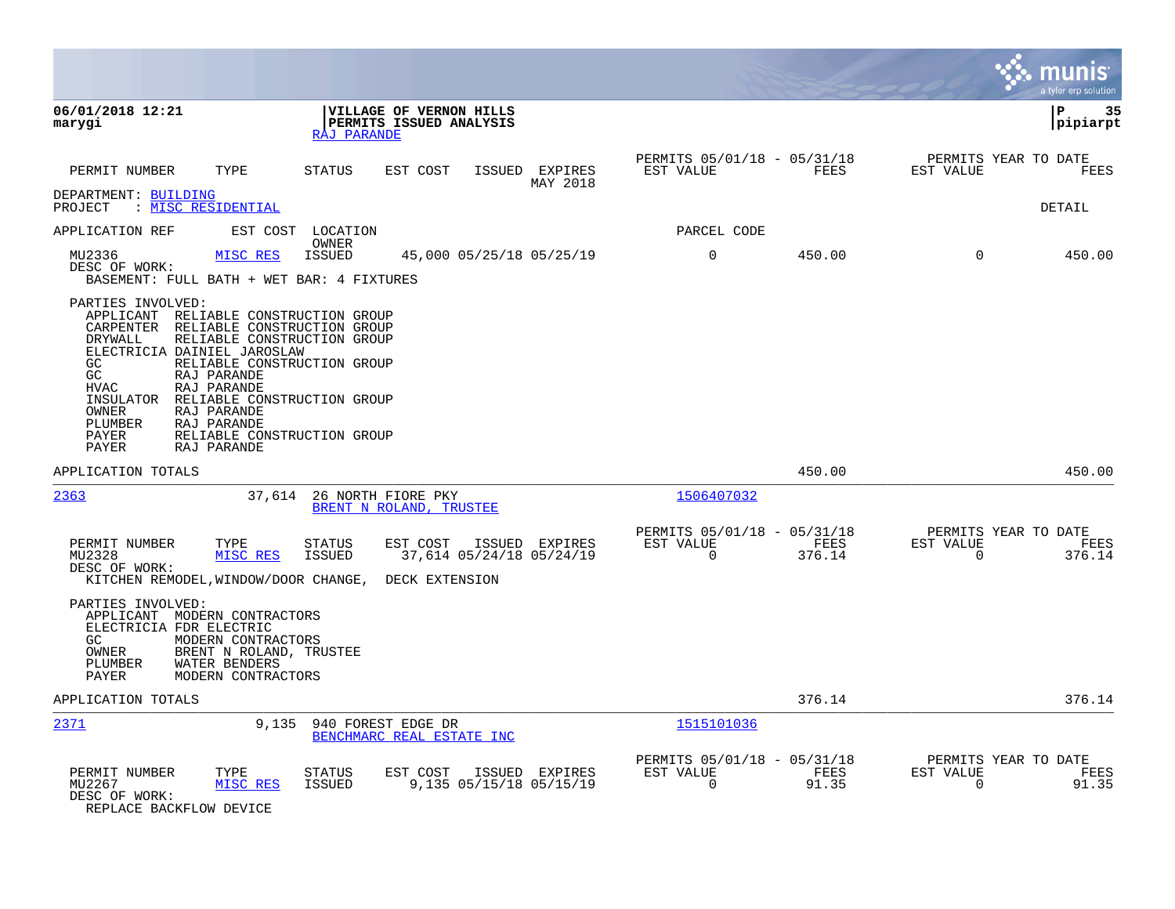|                                                                                                                                                                                                                                                                                                                |                                                                                                                          |                                                    |                            |                                                         |                       |                                                  | munis<br>a tyler erp solution |
|----------------------------------------------------------------------------------------------------------------------------------------------------------------------------------------------------------------------------------------------------------------------------------------------------------------|--------------------------------------------------------------------------------------------------------------------------|----------------------------------------------------|----------------------------|---------------------------------------------------------|-----------------------|--------------------------------------------------|-------------------------------|
| 06/01/2018 12:21<br>marygi                                                                                                                                                                                                                                                                                     | RAJ PARANDE                                                                                                              | VILLAGE OF VERNON HILLS<br>PERMITS ISSUED ANALYSIS |                            |                                                         |                       |                                                  | 35<br>ΙP<br> pipiarpt         |
| TYPE<br>PERMIT NUMBER                                                                                                                                                                                                                                                                                          | STATUS                                                                                                                   | EST COST                                           | ISSUED EXPIRES<br>MAY 2018 | PERMITS 05/01/18 - 05/31/18<br>EST VALUE                | FEES                  | PERMITS YEAR TO DATE<br>EST VALUE                | FEES                          |
| DEPARTMENT: BUILDING<br>: MISC RESIDENTIAL<br>PROJECT                                                                                                                                                                                                                                                          |                                                                                                                          |                                                    |                            |                                                         |                       |                                                  | <b>DETAIL</b>                 |
| APPLICATION REF                                                                                                                                                                                                                                                                                                | EST COST LOCATION<br>OWNER                                                                                               |                                                    |                            | PARCEL CODE                                             |                       |                                                  |                               |
| MU2336<br>MISC RES<br>DESC OF WORK:<br>BASEMENT: FULL BATH + WET BAR: 4 FIXTURES                                                                                                                                                                                                                               | <b>ISSUED</b>                                                                                                            | 45,000 05/25/18 05/25/19                           |                            | $\mathbf 0$                                             | 450.00                | $\Omega$                                         | 450.00                        |
| PARTIES INVOLVED:<br>APPLICANT RELIABLE CONSTRUCTION GROUP<br>CARPENTER RELIABLE CONSTRUCTION GROUP<br>DRYWALL<br>ELECTRICIA DAINIEL JAROSLAW<br>GC.<br>GC<br>RAJ PARANDE<br><b>HVAC</b><br>RAJ PARANDE<br>INSULATOR<br>OWNER<br>RAJ PARANDE<br>PLUMBER<br>RAJ PARANDE<br><b>PAYER</b><br>PAYER<br>RAJ PARANDE | RELIABLE CONSTRUCTION GROUP<br>RELIABLE CONSTRUCTION GROUP<br>RELIABLE CONSTRUCTION GROUP<br>RELIABLE CONSTRUCTION GROUP |                                                    |                            |                                                         |                       |                                                  |                               |
| APPLICATION TOTALS                                                                                                                                                                                                                                                                                             |                                                                                                                          |                                                    |                            |                                                         | 450.00                |                                                  | 450.00                        |
| 2363                                                                                                                                                                                                                                                                                                           | 37,614                                                                                                                   | 26 NORTH FIORE PKY<br>BRENT N ROLAND, TRUSTEE      |                            | 1506407032                                              |                       |                                                  |                               |
| PERMIT NUMBER<br>TYPE<br>MISC RES<br>MU2328<br>DESC OF WORK:<br>KITCHEN REMODEL, WINDOW/DOOR CHANGE, DECK EXTENSION                                                                                                                                                                                            | STATUS<br><b>ISSUED</b>                                                                                                  | EST COST<br>37,614 05/24/18 05/24/19               | ISSUED EXPIRES             | PERMITS 05/01/18 - 05/31/18<br>EST VALUE<br>$\Omega$    | <b>FEES</b><br>376.14 | PERMITS YEAR TO DATE<br>EST VALUE<br>$\Omega$    | FEES<br>376.14                |
| PARTIES INVOLVED:<br>APPLICANT MODERN CONTRACTORS<br>ELECTRICIA FDR ELECTRIC<br>GC.<br>MODERN CONTRACTORS<br>OWNER<br>WATER BENDERS<br>PLUMBER<br>PAYER<br>MODERN CONTRACTORS                                                                                                                                  | BRENT N ROLAND, TRUSTEE                                                                                                  |                                                    |                            |                                                         |                       |                                                  |                               |
| APPLICATION TOTALS                                                                                                                                                                                                                                                                                             |                                                                                                                          |                                                    |                            |                                                         | 376.14                |                                                  | 376.14                        |
| 2371                                                                                                                                                                                                                                                                                                           | 9,135                                                                                                                    | 940 FOREST EDGE DR<br>BENCHMARC REAL ESTATE INC    |                            | 1515101036                                              |                       |                                                  |                               |
| PERMIT NUMBER<br>TYPE<br>MU2267<br>MISC RES<br>DESC OF WORK:<br>REPLACE BACKFLOW DEVICE                                                                                                                                                                                                                        | STATUS<br><b>ISSUED</b>                                                                                                  | EST COST<br>9,135 05/15/18 05/15/19                | ISSUED EXPIRES             | PERMITS 05/01/18 - 05/31/18<br>EST VALUE<br>$\mathbf 0$ | FEES<br>91.35         | PERMITS YEAR TO DATE<br>EST VALUE<br>$\mathbf 0$ | FEES<br>91.35                 |

 $\bullet$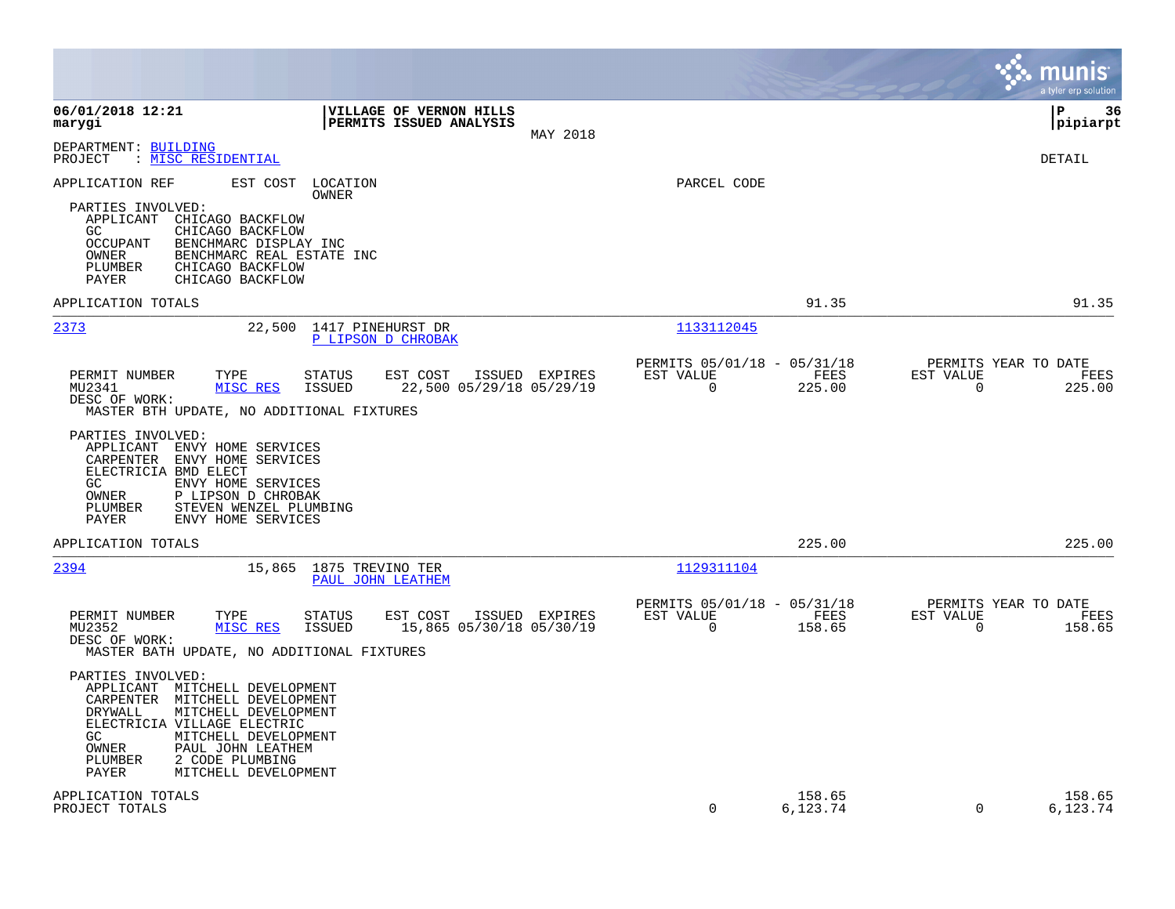|                                                                                                                                                                                                                                                                                                                                                                                                                                                    |                                                                                      | munis<br>a tyler erp solution                                      |
|----------------------------------------------------------------------------------------------------------------------------------------------------------------------------------------------------------------------------------------------------------------------------------------------------------------------------------------------------------------------------------------------------------------------------------------------------|--------------------------------------------------------------------------------------|--------------------------------------------------------------------|
| 06/01/2018 12:21<br>VILLAGE OF VERNON HILLS<br>PERMITS ISSUED ANALYSIS<br>marygi<br>MAY 2018                                                                                                                                                                                                                                                                                                                                                       |                                                                                      | l P<br>-36<br> pipiarpt                                            |
| DEPARTMENT: BUILDING<br>: MISC RESIDENTIAL<br>PROJECT                                                                                                                                                                                                                                                                                                                                                                                              |                                                                                      | <b>DETAIL</b>                                                      |
| APPLICATION REF<br>EST COST<br>LOCATION<br>OWNER<br>PARTIES INVOLVED:<br>APPLICANT CHICAGO BACKFLOW<br>CHICAGO BACKFLOW<br>GC<br><b>OCCUPANT</b><br>BENCHMARC DISPLAY INC<br>OWNER<br>BENCHMARC REAL ESTATE INC<br>CHICAGO BACKFLOW<br>PLUMBER<br>PAYER<br>CHICAGO BACKFLOW                                                                                                                                                                        | PARCEL CODE                                                                          |                                                                    |
| APPLICATION TOTALS                                                                                                                                                                                                                                                                                                                                                                                                                                 | 91.35                                                                                | 91.35                                                              |
| 2373<br>22,500<br>1417 PINEHURST DR<br>P LIPSON D CHROBAK                                                                                                                                                                                                                                                                                                                                                                                          | 1133112045                                                                           |                                                                    |
| ISSUED EXPIRES<br>PERMIT NUMBER<br>TYPE<br><b>STATUS</b><br>EST COST<br>MISC RES<br><b>ISSUED</b><br>22,500 05/29/18 05/29/19<br>MU2341<br>DESC OF WORK:<br>MASTER BTH UPDATE, NO ADDITIONAL FIXTURES<br>PARTIES INVOLVED:<br>APPLICANT ENVY HOME SERVICES<br>CARPENTER ENVY HOME SERVICES<br>ELECTRICIA BMD ELECT<br>GC.<br>ENVY HOME SERVICES<br>OWNER<br>P LIPSON D CHROBAK<br>PLUMBER<br>STEVEN WENZEL PLUMBING<br>PAYER<br>ENVY HOME SERVICES | PERMITS 05/01/18 - 05/31/18<br>EST VALUE<br>FEES<br>0<br>225.00                      | PERMITS YEAR TO DATE<br>EST VALUE<br>FEES<br>$\mathbf 0$<br>225.00 |
| APPLICATION TOTALS                                                                                                                                                                                                                                                                                                                                                                                                                                 | 225.00                                                                               | 225.00                                                             |
| 2394<br>15,865<br>1875 TREVINO TER<br>PAUL JOHN LEATHEM<br>PERMIT NUMBER<br>TYPE<br><b>STATUS</b><br>EST COST<br>ISSUED EXPIRES<br>MU2352<br>MISC RES<br><b>ISSUED</b><br>15,865 05/30/18 05/30/19<br>DESC OF WORK:<br>MASTER BATH UPDATE, NO ADDITIONAL FIXTURES                                                                                                                                                                                  | 1129311104<br>PERMITS 05/01/18 - 05/31/18<br>EST VALUE<br>FEES<br>$\Omega$<br>158.65 | PERMITS YEAR TO DATE<br>EST VALUE<br>FEES<br>$\mathbf 0$<br>158.65 |
| PARTIES INVOLVED:<br>APPLICANT MITCHELL DEVELOPMENT<br>MITCHELL DEVELOPMENT<br>CARPENTER<br>DRYWALL<br>MITCHELL DEVELOPMENT<br>ELECTRICIA VILLAGE ELECTRIC<br>MITCHELL DEVELOPMENT<br>GC.<br>OWNER<br>PAUL JOHN LEATHEM<br>2 CODE PLUMBING<br>PLUMBER<br>PAYER<br>MITCHELL DEVELOPMENT                                                                                                                                                             |                                                                                      |                                                                    |
| APPLICATION TOTALS<br>PROJECT TOTALS                                                                                                                                                                                                                                                                                                                                                                                                               | 158.65<br>$\Omega$<br>6,123.74                                                       | 158.65<br>$\Omega$<br>6,123.74                                     |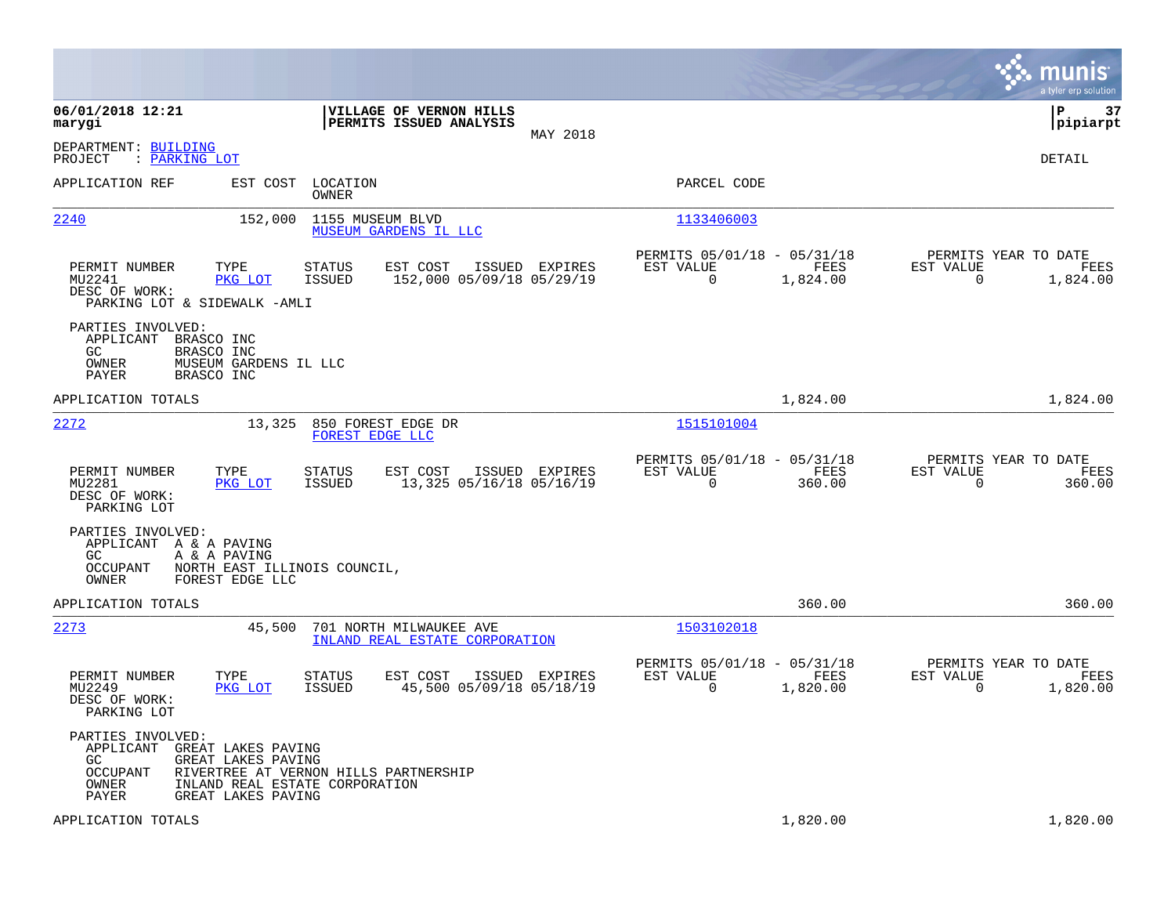|                                                                                                                                             |                                                                                          |                                                                          | munis<br>a tyler erp solution                                        |
|---------------------------------------------------------------------------------------------------------------------------------------------|------------------------------------------------------------------------------------------|--------------------------------------------------------------------------|----------------------------------------------------------------------|
| 06/01/2018 12:21<br>marygi                                                                                                                  | VILLAGE OF VERNON HILLS<br>PERMITS ISSUED ANALYSIS<br>MAY 2018                           |                                                                          | 37<br>∣P<br> pipiarpt                                                |
| DEPARTMENT: BUILDING<br>: PARKING LOT<br>PROJECT                                                                                            |                                                                                          |                                                                          | DETAIL                                                               |
| APPLICATION REF<br>EST COST                                                                                                                 | LOCATION<br>OWNER                                                                        | PARCEL CODE                                                              |                                                                      |
| 2240<br>152,000                                                                                                                             | 1155 MUSEUM BLVD<br>MUSEUM GARDENS IL LLC                                                | 1133406003                                                               |                                                                      |
| TYPE<br>PERMIT NUMBER<br>MU2241<br>PKG LOT<br>DESC OF WORK:<br>PARKING LOT & SIDEWALK -AMLI                                                 | EST COST<br>ISSUED EXPIRES<br>STATUS<br><b>ISSUED</b><br>152,000 05/09/18 05/29/19       | PERMITS 05/01/18 - 05/31/18<br>EST VALUE<br>FEES<br>$\Omega$<br>1,824.00 | PERMITS YEAR TO DATE<br>EST VALUE<br>FEES<br>0<br>1,824.00           |
| PARTIES INVOLVED:<br>APPLICANT<br>BRASCO INC<br>GC.<br>BRASCO INC<br>MUSEUM GARDENS IL LLC<br>OWNER<br>BRASCO INC<br>PAYER                  |                                                                                          |                                                                          |                                                                      |
| APPLICATION TOTALS                                                                                                                          |                                                                                          | 1,824.00                                                                 | 1,824.00                                                             |
| 2272<br>13,325                                                                                                                              | 850 FOREST EDGE DR<br>FOREST EDGE LLC                                                    | 1515101004                                                               |                                                                      |
| PERMIT NUMBER<br>TYPE<br>MU2281<br>PKG LOT<br>DESC OF WORK:<br>PARKING LOT                                                                  | <b>STATUS</b><br>EST COST<br>ISSUED EXPIRES<br><b>ISSUED</b><br>13,325 05/16/18 05/16/19 | PERMITS 05/01/18 - 05/31/18<br>EST VALUE<br>FEES<br>$\Omega$<br>360.00   | PERMITS YEAR TO DATE<br>EST VALUE<br>FEES<br>$\Omega$<br>360.00      |
| PARTIES INVOLVED:<br>APPLICANT A & A PAVING<br>GC.<br>A & A PAVING<br><b>OCCUPANT</b><br>OWNER<br>FOREST EDGE LLC                           | NORTH EAST ILLINOIS COUNCIL,                                                             |                                                                          |                                                                      |
| APPLICATION TOTALS                                                                                                                          |                                                                                          | 360.00                                                                   | 360.00                                                               |
| 2273<br>45,500                                                                                                                              | 701 NORTH MILWAUKEE AVE<br>INLAND REAL ESTATE CORPORATION                                | 1503102018                                                               |                                                                      |
| PERMIT NUMBER<br>TYPE<br>MU2249<br>PKG LOT<br>DESC OF WORK:<br>PARKING LOT                                                                  | <b>STATUS</b><br>EST COST<br>ISSUED EXPIRES<br>45,500 05/09/18 05/18/19<br><b>ISSUED</b> | PERMITS 05/01/18 - 05/31/18<br>EST VALUE<br>FEES<br>$\Omega$<br>1,820.00 | PERMITS YEAR TO DATE<br>EST VALUE<br>FEES<br>$\mathbf 0$<br>1,820.00 |
| PARTIES INVOLVED:<br>APPLICANT<br>GREAT LAKES PAVING<br>GC<br>GREAT LAKES PAVING<br><b>OCCUPANT</b><br>OWNER<br>PAYER<br>GREAT LAKES PAVING | RIVERTREE AT VERNON HILLS PARTNERSHIP<br>INLAND REAL ESTATE CORPORATION                  |                                                                          |                                                                      |
| APPLICATION TOTALS                                                                                                                          |                                                                                          | 1,820.00                                                                 | 1,820.00                                                             |

**COL**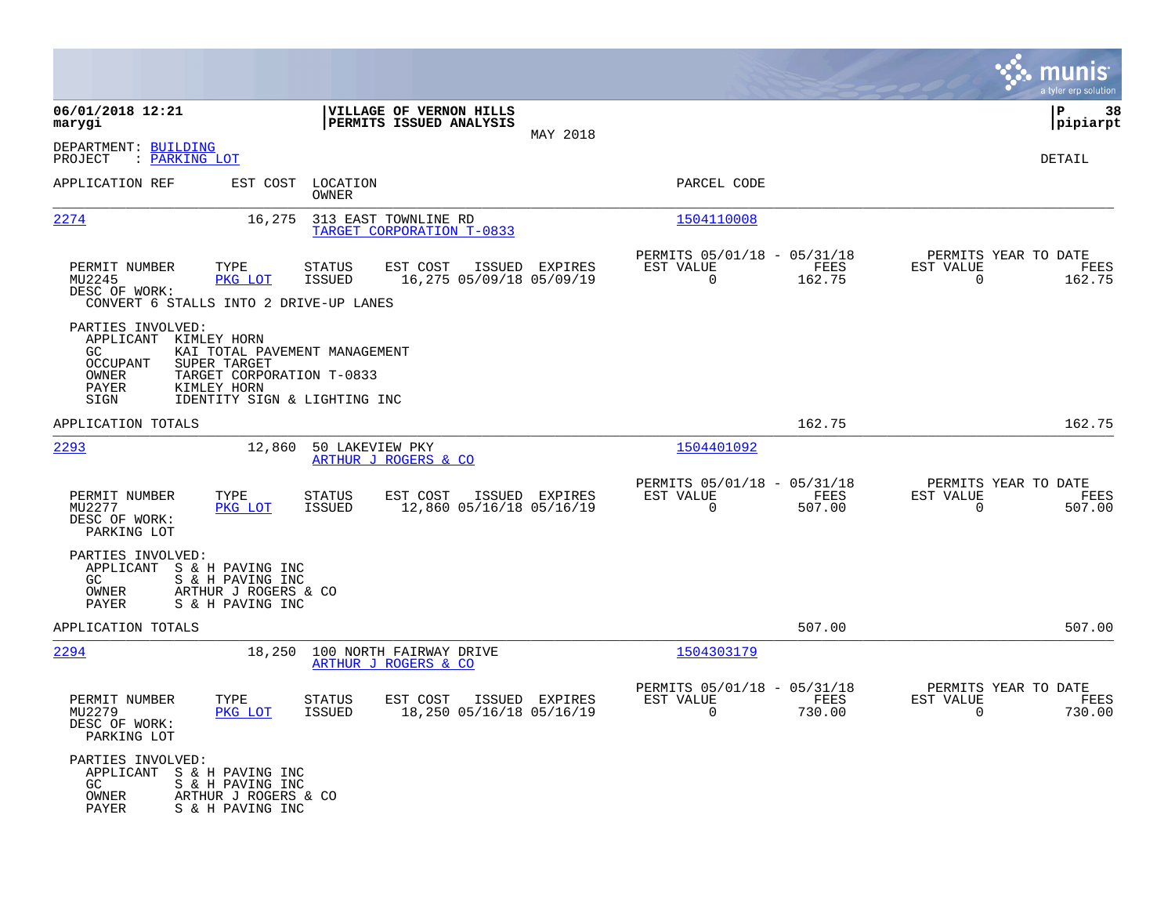|                                                                                                                                                                                                                             |                                                                                          |                                                                               | munis<br>a tyler erp solution                                      |
|-----------------------------------------------------------------------------------------------------------------------------------------------------------------------------------------------------------------------------|------------------------------------------------------------------------------------------|-------------------------------------------------------------------------------|--------------------------------------------------------------------|
| 06/01/2018 12:21<br>marygi                                                                                                                                                                                                  | VILLAGE OF VERNON HILLS<br>PERMITS ISSUED ANALYSIS<br>MAY 2018                           |                                                                               | ΙP<br>38<br> pipiarpt                                              |
| DEPARTMENT: BUILDING<br>PROJECT<br>: PARKING LOT                                                                                                                                                                            |                                                                                          |                                                                               | <b>DETAIL</b>                                                      |
| APPLICATION REF<br>EST COST                                                                                                                                                                                                 | LOCATION<br>OWNER                                                                        | PARCEL CODE                                                                   |                                                                    |
| 2274<br>16,275                                                                                                                                                                                                              | 313 EAST TOWNLINE RD<br>TARGET CORPORATION T-0833                                        | 1504110008                                                                    |                                                                    |
| PERMIT NUMBER<br>TYPE<br>MU2245<br>PKG LOT<br>DESC OF WORK:<br>CONVERT 6 STALLS INTO 2 DRIVE-UP LANES                                                                                                                       | STATUS<br>EST COST<br>ISSUED EXPIRES<br><b>ISSUED</b><br>16,275 05/09/18 05/09/19        | PERMITS 05/01/18 - 05/31/18<br>EST VALUE<br>FEES<br>$\Omega$<br>162.75        | PERMITS YEAR TO DATE<br>EST VALUE<br>FEES<br>$\mathbf 0$<br>162.75 |
| PARTIES INVOLVED:<br>APPLICANT KIMLEY HORN<br>GC.<br>KAI TOTAL PAVEMENT MANAGEMENT<br><b>OCCUPANT</b><br>SUPER TARGET<br>TARGET CORPORATION T-0833<br>OWNER<br>PAYER<br>KIMLEY HORN<br>SIGN<br>IDENTITY SIGN & LIGHTING INC |                                                                                          |                                                                               |                                                                    |
| APPLICATION TOTALS                                                                                                                                                                                                          |                                                                                          | 162.75                                                                        | 162.75                                                             |
| 2293<br>12,860                                                                                                                                                                                                              | 50 LAKEVIEW PKY<br>ARTHUR J ROGERS & CO                                                  | 1504401092                                                                    |                                                                    |
| PERMIT NUMBER<br>TYPE<br>MU2277<br>PKG LOT<br>DESC OF WORK:<br>PARKING LOT                                                                                                                                                  | STATUS<br>EST COST<br>ISSUED EXPIRES<br>12,860 05/16/18 05/16/19<br>ISSUED               | PERMITS 05/01/18 - 05/31/18<br>EST VALUE<br>FEES<br>$\Omega$<br>507.00        | PERMITS YEAR TO DATE<br>EST VALUE<br>FEES<br>$\Omega$<br>507.00    |
| PARTIES INVOLVED:<br>APPLICANT S & H PAVING INC<br>GC.<br>S & H PAVING INC<br>ARTHUR J ROGERS & CO<br>OWNER<br>PAYER<br>S & H PAVING INC                                                                                    |                                                                                          |                                                                               |                                                                    |
| APPLICATION TOTALS                                                                                                                                                                                                          |                                                                                          | 507.00                                                                        | 507.00                                                             |
| 2294<br>18,250                                                                                                                                                                                                              | 100 NORTH FAIRWAY DRIVE<br>ARTHUR J ROGERS & CO                                          | 1504303179                                                                    |                                                                    |
| PERMIT NUMBER<br>TYPE<br>MU2279<br>PKG LOT<br>DESC OF WORK:<br>PARKING LOT                                                                                                                                                  | <b>STATUS</b><br>ISSUED EXPIRES<br>EST COST<br><b>ISSUED</b><br>18,250 05/16/18 05/16/19 | PERMITS 05/01/18 - 05/31/18<br>EST VALUE<br><b>FEES</b><br>730.00<br>$\Omega$ | PERMITS YEAR TO DATE<br>EST VALUE<br>FEES<br>$\Omega$<br>730.00    |
| PARTIES INVOLVED:<br>APPLICANT<br>S & H PAVING INC<br>GC.<br>S & H PAVING INC<br>OWNER<br>ARTHUR J ROGERS & CO<br>PAYER<br>S & H PAVING INC                                                                                 |                                                                                          |                                                                               |                                                                    |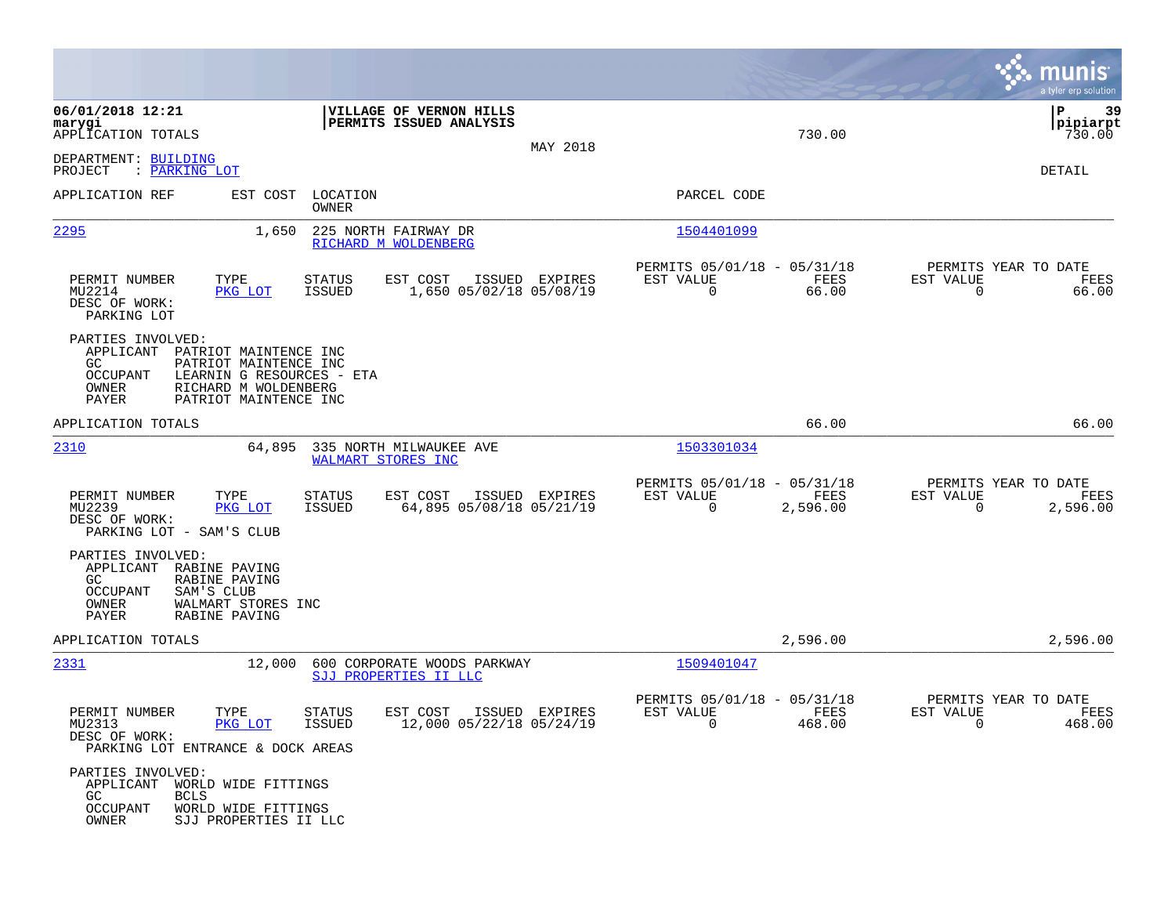|                                                                                                                                                                                                         |                                                                        |                |                                                                             | munis<br>a tyler erp solution                                      |
|---------------------------------------------------------------------------------------------------------------------------------------------------------------------------------------------------------|------------------------------------------------------------------------|----------------|-----------------------------------------------------------------------------|--------------------------------------------------------------------|
| 06/01/2018 12:21<br>marygi<br>APPLICATION TOTALS<br>DEPARTMENT: BUILDING                                                                                                                                | VILLAGE OF VERNON HILLS<br>PERMITS ISSUED ANALYSIS                     | MAY 2018       | 730.00                                                                      | P<br>39<br> pipiarpt<br>730.00                                     |
| : PARKING LOT<br>PROJECT                                                                                                                                                                                |                                                                        |                |                                                                             | DETAIL                                                             |
| APPLICATION REF<br>EST COST                                                                                                                                                                             | LOCATION<br>OWNER                                                      |                | PARCEL CODE                                                                 |                                                                    |
| 2295<br>1,650                                                                                                                                                                                           | 225 NORTH FAIRWAY DR<br>RICHARD M WOLDENBERG                           |                | 1504401099                                                                  |                                                                    |
| PERMIT NUMBER<br>TYPE<br>PKG LOT<br>MU2214<br>DESC OF WORK:<br>PARKING LOT                                                                                                                              | STATUS<br>EST COST<br><b>ISSUED</b><br>1,650 05/02/18 05/08/19         | ISSUED EXPIRES | PERMITS 05/01/18 - 05/31/18<br>EST VALUE<br>FEES<br>$\overline{0}$<br>66.00 | PERMITS YEAR TO DATE<br>EST VALUE<br>FEES<br>$\mathbf 0$<br>66.00  |
| PARTIES INVOLVED:<br>APPLICANT PATRIOT MAINTENCE INC<br>GC.<br>PATRIOT MAINTENCE INC<br>OCCUPANT<br>LEARNIN G RESOURCES - ETA<br>OWNER<br>RICHARD M WOLDENBERG<br><b>PAYER</b><br>PATRIOT MAINTENCE INC |                                                                        |                |                                                                             |                                                                    |
| APPLICATION TOTALS                                                                                                                                                                                      |                                                                        |                | 66.00                                                                       | 66.00                                                              |
| 2310<br>64,895                                                                                                                                                                                          | 335 NORTH MILWAUKEE AVE<br>WALMART STORES INC                          |                | 1503301034                                                                  |                                                                    |
| TYPE<br>PERMIT NUMBER<br>MU2239<br>PKG LOT<br>DESC OF WORK:<br>PARKING LOT - SAM'S CLUB                                                                                                                 | STATUS<br>EST COST<br><b>ISSUED</b><br>64,895 05/08/18 05/21/19        | ISSUED EXPIRES | PERMITS 05/01/18 - 05/31/18<br>EST VALUE<br>FEES<br>$\Omega$<br>2,596.00    | PERMITS YEAR TO DATE<br>EST VALUE<br>FEES<br>2,596.00<br>$\Omega$  |
| PARTIES INVOLVED:<br>APPLICANT<br>RABINE PAVING<br>GC.<br>RABINE PAVING<br><b>OCCUPANT</b><br>SAM'S CLUB<br>OWNER<br>WALMART STORES INC<br>PAYER<br>RABINE PAVING                                       |                                                                        |                |                                                                             |                                                                    |
| APPLICATION TOTALS                                                                                                                                                                                      |                                                                        |                | 2,596.00                                                                    | 2,596.00                                                           |
| 2331<br>12,000                                                                                                                                                                                          | 600 CORPORATE WOODS PARKWAY<br>SJJ PROPERTIES II LLC                   |                | 1509401047                                                                  |                                                                    |
| PERMIT NUMBER<br>TYPE<br>MU2313<br>PKG LOT<br>DESC OF WORK:<br>PARKING LOT ENTRANCE & DOCK AREAS                                                                                                        | <b>STATUS</b><br>EST COST<br><b>ISSUED</b><br>12,000 05/22/18 05/24/19 | ISSUED EXPIRES | PERMITS 05/01/18 - 05/31/18<br>EST VALUE<br>FEES<br>$\mathbf 0$<br>468.00   | PERMITS YEAR TO DATE<br>EST VALUE<br>FEES<br>$\mathbf 0$<br>468.00 |
| PARTIES INVOLVED:<br>APPLICANT<br>WORLD WIDE FITTINGS<br>GC<br><b>BCLS</b><br>OCCUPANT<br>WORLD WIDE FITTINGS<br>OWNER<br>SJJ PROPERTIES II LLC                                                         |                                                                        |                |                                                                             |                                                                    |

**Contract**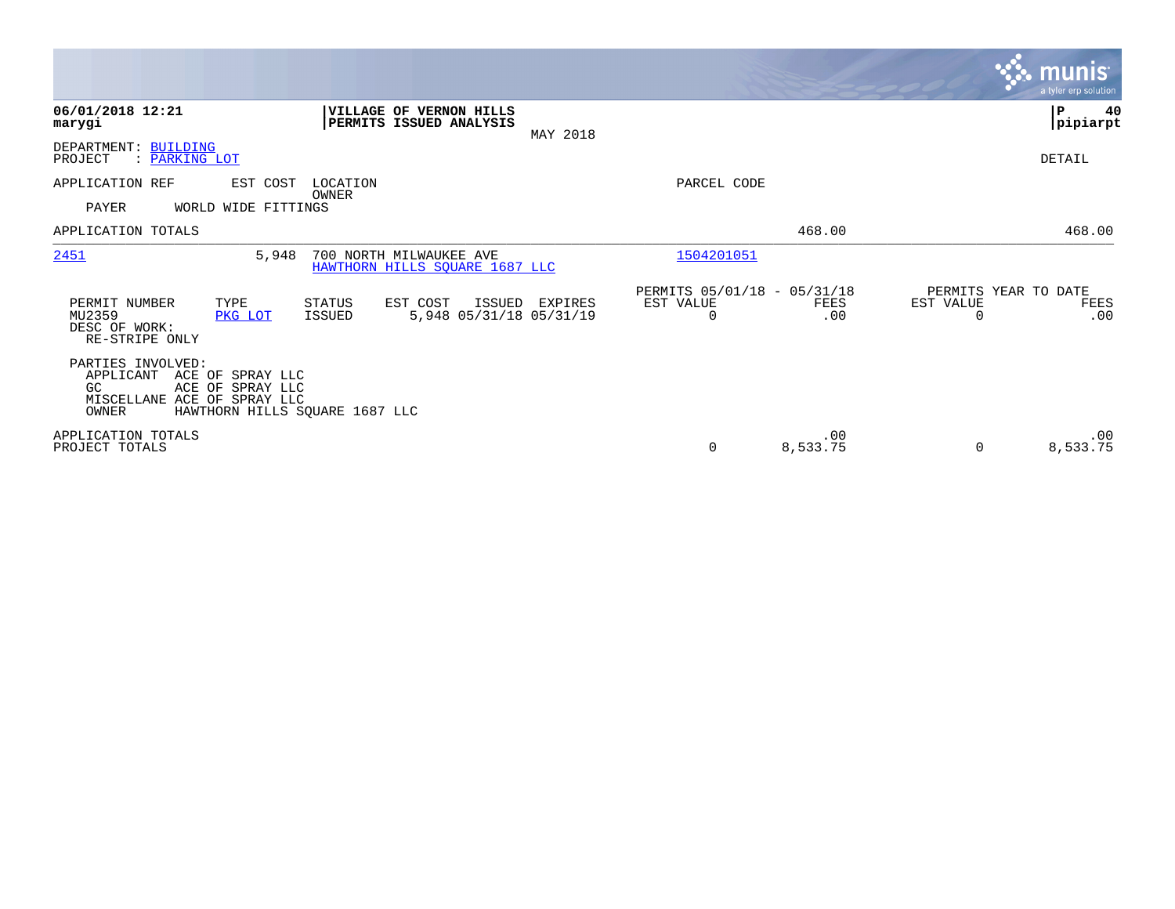|                                                                                                                                                         |                                                                |                                               |                 |                                               | <b>munis</b><br>a tyler erp solution |
|---------------------------------------------------------------------------------------------------------------------------------------------------------|----------------------------------------------------------------|-----------------------------------------------|-----------------|-----------------------------------------------|--------------------------------------|
| 06/01/2018 12:21<br>marygi                                                                                                                              | VILLAGE OF VERNON HILLS<br>PERMITS ISSUED ANALYSIS<br>MAY 2018 |                                               |                 |                                               | P<br>40<br> pipiarpt                 |
| DEPARTMENT: BUILDING<br>PROJECT<br>: PARKING LOT                                                                                                        |                                                                |                                               |                 |                                               | DETAIL                               |
| APPLICATION REF<br>EST COST<br>OWNER<br>PAYER<br>WORLD WIDE FITTINGS                                                                                    | LOCATION                                                       | PARCEL CODE                                   |                 |                                               |                                      |
| APPLICATION TOTALS                                                                                                                                      |                                                                |                                               | 468.00          |                                               | 468.00                               |
| 2451<br>5,948                                                                                                                                           | 700 NORTH MILWAUKEE AVE<br>HAWTHORN HILLS SQUARE 1687 LLC      | 1504201051                                    |                 |                                               |                                      |
| PERMIT NUMBER<br>TYPE<br>STATUS<br>MU2359<br><b>ISSUED</b><br>PKG LOT<br>DESC OF WORK:<br>RE-STRIPE ONLY                                                | EST COST<br>ISSUED<br>EXPIRES<br>5,948 05/31/18 05/31/19       | PERMITS 05/01/18 - 05/31/18<br>EST VALUE<br>0 | FEES<br>.00     | PERMITS YEAR TO DATE<br>EST VALUE<br>$\Omega$ | FEES<br>.00                          |
| PARTIES INVOLVED:<br>APPLICANT<br>ACE OF SPRAY LLC<br>ACE OF SPRAY LLC<br>GC.<br>MISCELLANE ACE OF SPRAY LLC<br>HAWTHORN HILLS SQUARE 1687 LLC<br>OWNER |                                                                |                                               |                 |                                               |                                      |
| APPLICATION TOTALS<br>PROJECT TOTALS                                                                                                                    |                                                                | 0                                             | .00<br>8,533.75 | 0                                             | .00<br>8,533.75                      |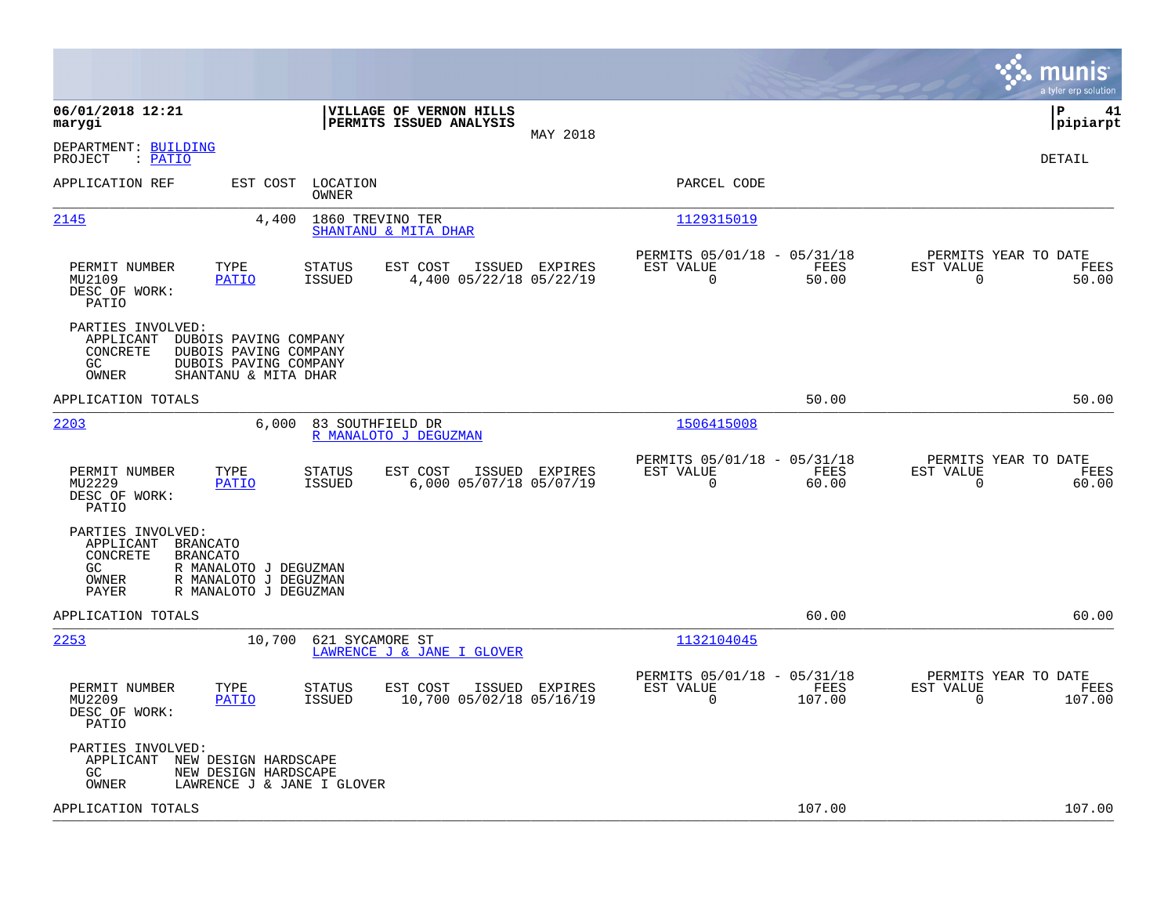|                                                                                                                                                                              |                                                                           | munis<br>a tyler erp solution                                     |
|------------------------------------------------------------------------------------------------------------------------------------------------------------------------------|---------------------------------------------------------------------------|-------------------------------------------------------------------|
| 06/01/2018 12:21<br>VILLAGE OF VERNON HILLS<br>marygi<br>PERMITS ISSUED ANALYSIS<br>MAY 2018                                                                                 |                                                                           | l P<br>41<br> pipiarpt                                            |
| DEPARTMENT: BUILDING<br>: PATIO<br>PROJECT                                                                                                                                   |                                                                           | DETAIL                                                            |
| APPLICATION REF<br>EST COST<br>LOCATION<br>OWNER                                                                                                                             | PARCEL CODE                                                               |                                                                   |
| 2145<br>1860 TREVINO TER<br>4,400<br>SHANTANU & MITA DHAR                                                                                                                    | 1129315019                                                                |                                                                   |
| PERMIT NUMBER<br>TYPE<br><b>STATUS</b><br>EST COST<br>ISSUED EXPIRES<br>MU2109<br>PATIO<br>ISSUED<br>4,400 05/22/18 05/22/19<br>DESC OF WORK:<br>PATIO                       | PERMITS 05/01/18 - 05/31/18<br>EST VALUE<br>FEES<br>$\Omega$<br>50.00     | PERMITS YEAR TO DATE<br>EST VALUE<br>FEES<br>$\Omega$<br>50.00    |
| PARTIES INVOLVED:<br>APPLICANT<br>DUBOIS PAVING COMPANY<br>CONCRETE<br>DUBOIS PAVING COMPANY<br>GC<br>DUBOIS PAVING COMPANY<br>OWNER<br>SHANTANU & MITA DHAR                 |                                                                           |                                                                   |
| APPLICATION TOTALS                                                                                                                                                           | 50.00                                                                     | 50.00                                                             |
| 2203<br>6,000<br>83 SOUTHFIELD DR<br>R MANALOTO J DEGUZMAN                                                                                                                   | 1506415008                                                                |                                                                   |
| TYPE<br>EST COST<br>PERMIT NUMBER<br><b>STATUS</b><br>ISSUED EXPIRES<br>MU2229<br><b>ISSUED</b><br>6,000 05/07/18 05/07/19<br><b>PATIO</b><br>DESC OF WORK:<br>PATIO         | PERMITS 05/01/18 - 05/31/18<br>EST VALUE<br>FEES<br>0<br>60.00            | PERMITS YEAR TO DATE<br>EST VALUE<br>FEES<br>$\mathbf 0$<br>60.00 |
| PARTIES INVOLVED:<br>APPLICANT<br>BRANCATO<br>CONCRETE<br><b>BRANCATO</b><br>GC<br>R MANALOTO J DEGUZMAN<br>OWNER<br>R MANALOTO J DEGUZMAN<br>PAYER<br>R MANALOTO J DEGUZMAN |                                                                           |                                                                   |
| APPLICATION TOTALS                                                                                                                                                           | 60.00                                                                     | 60.00                                                             |
| 2253<br>10,700<br>621 SYCAMORE ST<br>LAWRENCE J & JANE I GLOVER                                                                                                              | 1132104045                                                                |                                                                   |
| TYPE<br>PERMIT NUMBER<br>STATUS<br>EST COST<br>ISSUED EXPIRES<br>MU2209<br>PATIO<br><b>ISSUED</b><br>10,700 05/02/18 05/16/19<br>DESC OF WORK:<br>PATIO                      | PERMITS 05/01/18 - 05/31/18<br>EST VALUE<br>FEES<br>$\mathbf 0$<br>107.00 | PERMITS YEAR TO DATE<br>EST VALUE<br>FEES<br>$\Omega$<br>107.00   |
| PARTIES INVOLVED:<br>APPLICANT<br>NEW DESIGN HARDSCAPE<br>GC<br>NEW DESIGN HARDSCAPE<br>OWNER<br>LAWRENCE J & JANE I GLOVER                                                  |                                                                           |                                                                   |
| APPLICATION TOTALS                                                                                                                                                           | 107.00                                                                    | 107.00                                                            |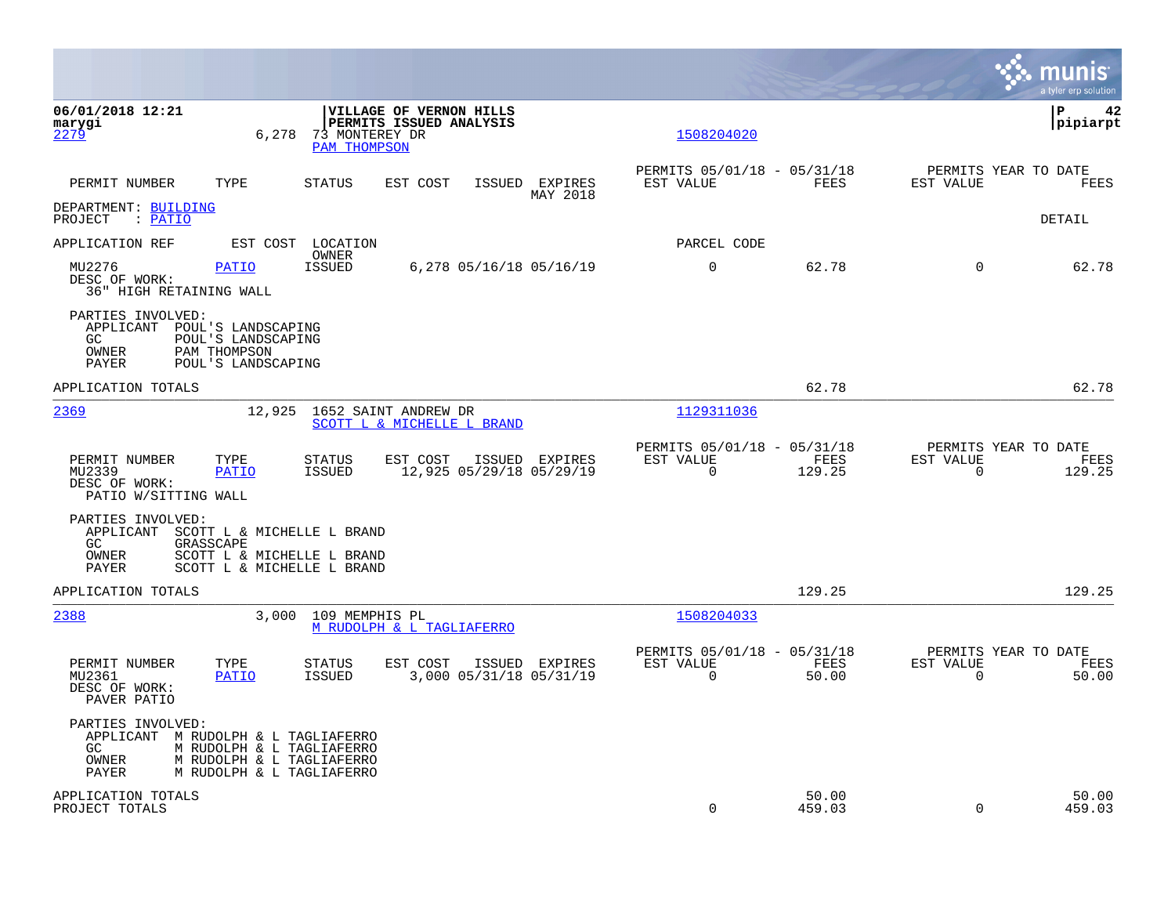|                                                                                  |                                                                                                     |                                       |                                                                  |                            |                                                      |                 |                       | munis<br>a tyler erp solution          |
|----------------------------------------------------------------------------------|-----------------------------------------------------------------------------------------------------|---------------------------------------|------------------------------------------------------------------|----------------------------|------------------------------------------------------|-----------------|-----------------------|----------------------------------------|
| 06/01/2018 12:21<br>marygi<br>2279                                               | 6,278                                                                                               | 73 MONTEREY DR<br><b>PAM THOMPSON</b> | <b>VILLAGE OF VERNON HILLS</b><br><b>PERMITS ISSUED ANALYSIS</b> |                            | 1508204020                                           |                 |                       | l P<br>42<br> pipiarpt                 |
| PERMIT NUMBER                                                                    | TYPE                                                                                                | <b>STATUS</b>                         | EST COST                                                         | ISSUED EXPIRES<br>MAY 2018 | PERMITS 05/01/18 - 05/31/18<br>EST VALUE             | FEES            | EST VALUE             | PERMITS YEAR TO DATE<br>FEES           |
| DEPARTMENT: BUILDING<br>: PATIO<br>PROJECT                                       |                                                                                                     |                                       |                                                                  |                            |                                                      |                 |                       | DETAIL                                 |
| APPLICATION REF                                                                  | EST COST                                                                                            | LOCATION<br><b>OWNER</b>              |                                                                  |                            | PARCEL CODE                                          |                 |                       |                                        |
| MU2276<br>DESC OF WORK:<br><b>36" HIGH RETAINING WALL</b>                        | <b>PATIO</b>                                                                                        | <b>ISSUED</b>                         | 6,278 05/16/18 05/16/19                                          |                            | $\mathbf 0$                                          | 62.78           | $\Omega$              | 62.78                                  |
| PARTIES INVOLVED:<br>APPLICANT<br>GC.<br>OWNER<br>PAYER                          | POUL'S LANDSCAPING<br>POUL'S LANDSCAPING<br>PAM THOMPSON<br>POUL'S LANDSCAPING                      |                                       |                                                                  |                            |                                                      |                 |                       |                                        |
| APPLICATION TOTALS                                                               |                                                                                                     |                                       |                                                                  |                            |                                                      | 62.78           |                       | 62.78                                  |
| 2369                                                                             | 12,925                                                                                              |                                       | 1652 SAINT ANDREW DR<br>SCOTT L & MICHELLE L BRAND               |                            | 1129311036                                           |                 |                       |                                        |
| PERMIT NUMBER<br>MU2339<br>DESC OF WORK:<br>PATIO W/SITTING WALL                 | TYPE<br><b>PATIO</b>                                                                                | <b>STATUS</b><br><b>ISSUED</b>        | EST COST<br>12,925 05/29/18 05/29/19                             | ISSUED EXPIRES             | PERMITS 05/01/18 - 05/31/18<br>EST VALUE<br>$\Omega$ | FEES<br>129.25  | EST VALUE<br>$\Omega$ | PERMITS YEAR TO DATE<br>FEES<br>129.25 |
| PARTIES INVOLVED:<br>APPLICANT<br>GC<br>OWNER<br>PAYER                           | SCOTT L & MICHELLE L BRAND<br>GRASSCAPE<br>SCOTT L & MICHELLE L BRAND<br>SCOTT L & MICHELLE L BRAND |                                       |                                                                  |                            |                                                      |                 |                       |                                        |
| APPLICATION TOTALS                                                               |                                                                                                     |                                       |                                                                  |                            |                                                      | 129.25          |                       | 129.25                                 |
| 2388                                                                             | 3.000                                                                                               | 109 MEMPHIS PL                        | M RUDOLPH & L TAGLIAFERRO                                        |                            | 1508204033                                           |                 |                       |                                        |
| PERMIT NUMBER<br>MU2361<br>DESC OF WORK:<br>PAVER PATIO                          | TYPE<br>PATIO                                                                                       | <b>STATUS</b><br><b>ISSUED</b>        | EST COST<br>3,000 05/31/18 05/31/19                              | ISSUED EXPIRES             | PERMITS 05/01/18 - 05/31/18<br>EST VALUE<br>$\Omega$ | FEES<br>50.00   | EST VALUE<br>$\Omega$ | PERMITS YEAR TO DATE<br>FEES<br>50.00  |
| PARTIES INVOLVED:<br>APPLICANT M RUDOLPH & L TAGLIAFERRO<br>GC<br>OWNER<br>PAYER | M RUDOLPH & L TAGLIAFERRO<br>M RUDOLPH & L TAGLIAFERRO<br>M RUDOLPH & L TAGLIAFERRO                 |                                       |                                                                  |                            |                                                      |                 |                       |                                        |
| APPLICATION TOTALS<br>PROJECT TOTALS                                             |                                                                                                     |                                       |                                                                  |                            | $\mathbf 0$                                          | 50.00<br>459.03 | $\Omega$              | 50.00<br>459.03                        |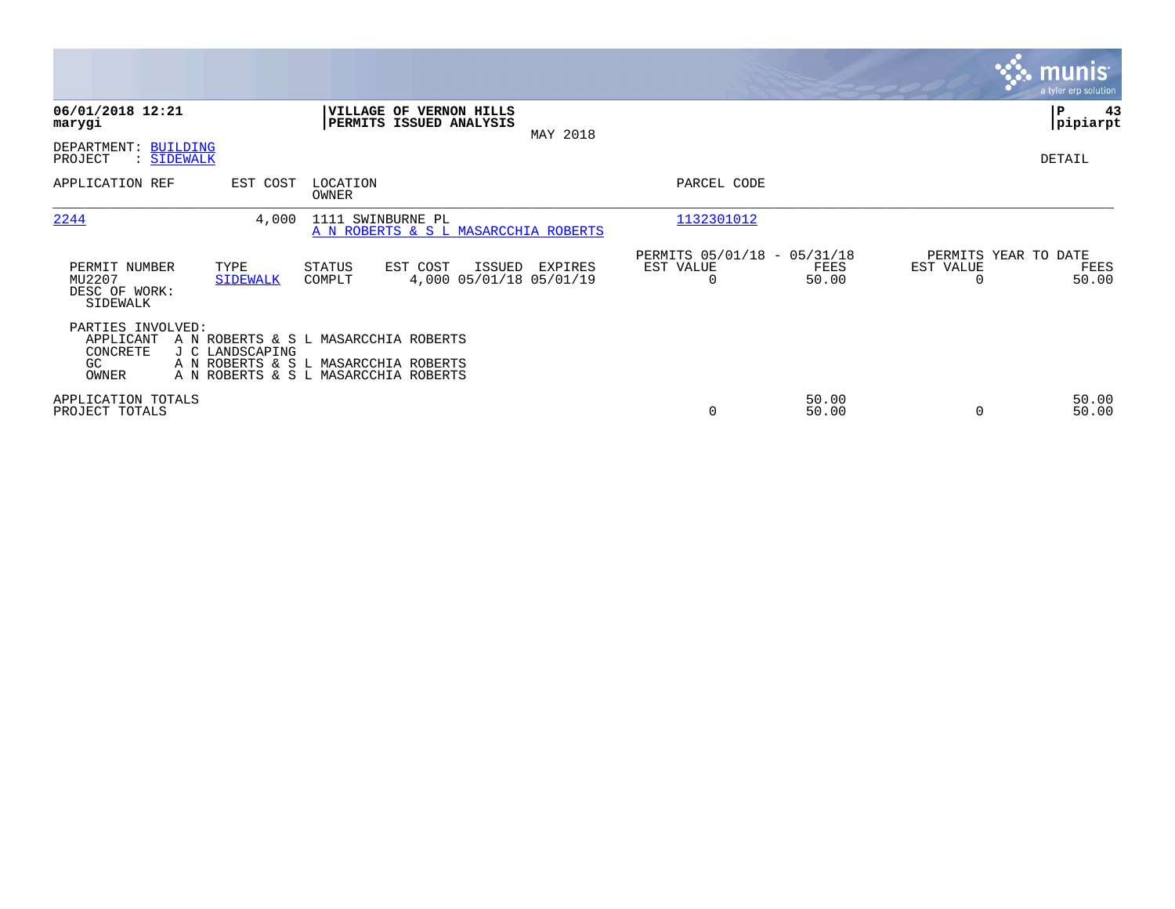|                                                                                                                                                                                                       |                                              |                                                      |                |                                   | munis <sup>®</sup><br>a tyler erp solution |
|-------------------------------------------------------------------------------------------------------------------------------------------------------------------------------------------------------|----------------------------------------------|------------------------------------------------------|----------------|-----------------------------------|--------------------------------------------|
| 06/01/2018 12:21<br>VILLAGE OF VERNON HILLS<br>PERMITS ISSUED ANALYSIS<br>marygi                                                                                                                      | MAY 2018                                     |                                                      |                |                                   | ∣P<br>43<br> pipiarpt                      |
| DEPARTMENT: BUILDING<br>: SIDEWALK<br>PROJECT                                                                                                                                                         |                                              |                                                      |                |                                   | DETAIL                                     |
| APPLICATION REF<br>EST COST<br>LOCATION<br>OWNER                                                                                                                                                      |                                              | PARCEL CODE                                          |                |                                   |                                            |
| 2244<br>4,000<br>1111 SWINBURNE PL                                                                                                                                                                    | A N ROBERTS & S L MASARCCHIA ROBERTS         | 1132301012                                           |                |                                   |                                            |
| PERMIT NUMBER<br>TYPE<br>EST COST<br>STATUS<br>MU2207<br><b>SIDEWALK</b><br>COMPLT<br>DESC OF WORK:<br>SIDEWALK                                                                                       | ISSUED<br>EXPIRES<br>4,000 05/01/18 05/01/19 | PERMITS 05/01/18 - 05/31/18<br>EST VALUE<br>$\Omega$ | FEES<br>50.00  | PERMITS YEAR TO DATE<br>EST VALUE | FEES<br>50.00                              |
| PARTIES INVOLVED:<br>APPLICANT<br>A N ROBERTS & S L MASARCCHIA ROBERTS<br>CONCRETE<br>J C LANDSCAPING<br>A N ROBERTS & S L MASARCCHIA ROBERTS<br>GC.<br>OWNER<br>A N ROBERTS & S L MASARCCHIA ROBERTS |                                              |                                                      |                |                                   |                                            |
| APPLICATION TOTALS<br>PROJECT TOTALS                                                                                                                                                                  |                                              | 0                                                    | 50.00<br>50.00 |                                   | 50.00<br>50.00                             |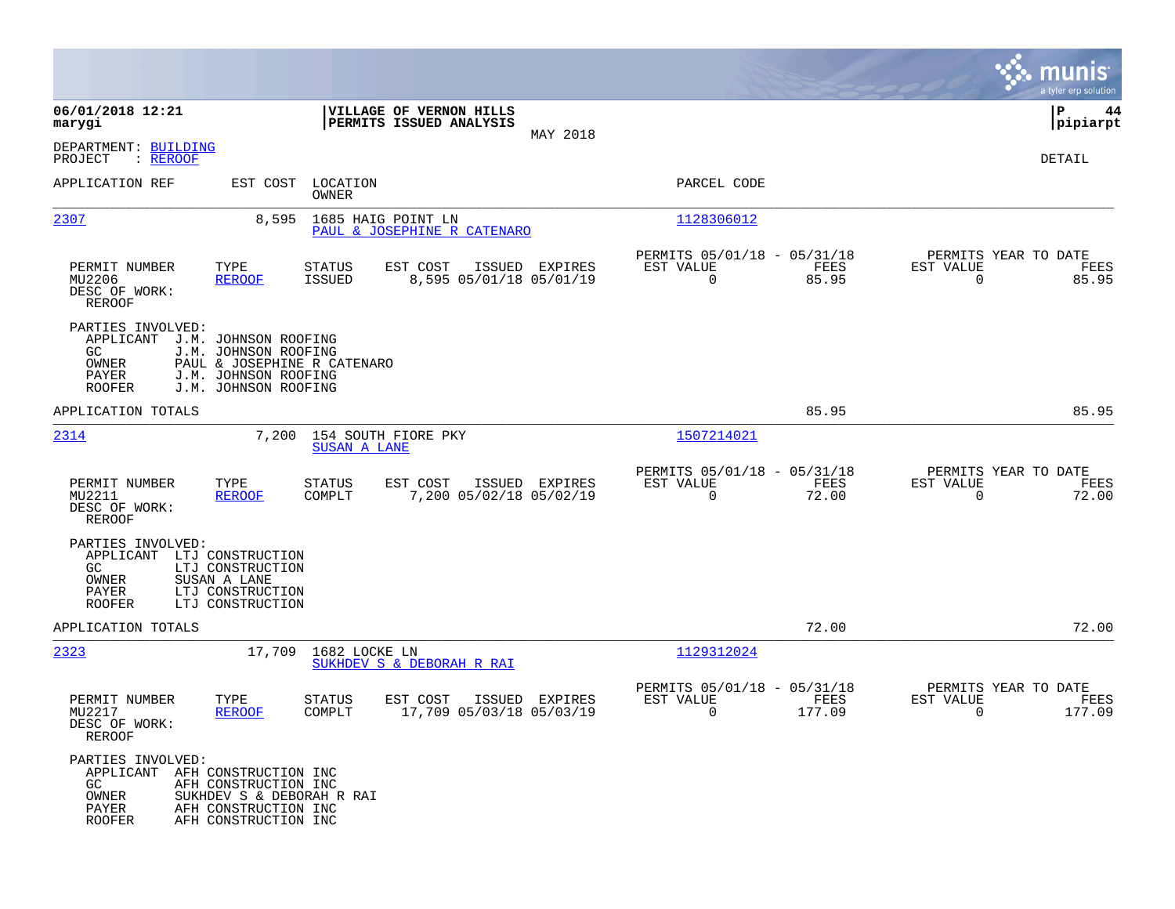|                                                                                              |                                                                                                                             |                            |                                                    |                |                                                            |                |                                                     | munis<br>a tyler erp solution |
|----------------------------------------------------------------------------------------------|-----------------------------------------------------------------------------------------------------------------------------|----------------------------|----------------------------------------------------|----------------|------------------------------------------------------------|----------------|-----------------------------------------------------|-------------------------------|
| 06/01/2018 12:21<br>marygi                                                                   |                                                                                                                             |                            | VILLAGE OF VERNON HILLS<br>PERMITS ISSUED ANALYSIS |                |                                                            |                |                                                     | P<br>44<br> pipiarpt          |
| DEPARTMENT: BUILDING<br>PROJECT<br>: <u>REROOF</u>                                           |                                                                                                                             |                            |                                                    | MAY 2018       |                                                            |                |                                                     | DETAIL                        |
| APPLICATION REF                                                                              |                                                                                                                             | EST COST LOCATION<br>OWNER |                                                    |                | PARCEL CODE                                                |                |                                                     |                               |
| 2307                                                                                         | 8,595                                                                                                                       |                            | 1685 HAIG POINT LN<br>PAUL & JOSEPHINE R CATENARO  |                | 1128306012                                                 |                |                                                     |                               |
| PERMIT NUMBER<br>MU2206<br>DESC OF WORK:<br><b>REROOF</b>                                    | TYPE<br><b>REROOF</b>                                                                                                       | STATUS<br><b>ISSUED</b>    | EST COST<br>8,595 05/01/18 05/01/19                | ISSUED EXPIRES | PERMITS 05/01/18 - 05/31/18<br>EST VALUE<br>$\overline{0}$ | FEES<br>85.95  | PERMITS YEAR TO DATE<br>EST VALUE<br>$\overline{0}$ | FEES<br>85.95                 |
| PARTIES INVOLVED:<br>APPLICANT<br>GC.<br>OWNER<br>PAYER<br><b>ROOFER</b>                     | J.M. JOHNSON ROOFING<br>J.M. JOHNSON ROOFING<br>PAUL & JOSEPHINE R CATENARO<br>J.M. JOHNSON ROOFING<br>J.M. JOHNSON ROOFING |                            |                                                    |                |                                                            |                |                                                     |                               |
| APPLICATION TOTALS                                                                           |                                                                                                                             |                            |                                                    |                |                                                            | 85.95          |                                                     | 85.95                         |
| 2314                                                                                         | 7,200                                                                                                                       | <b>SUSAN A LANE</b>        | 154 SOUTH FIORE PKY                                |                | 1507214021                                                 |                |                                                     |                               |
| PERMIT NUMBER<br>MU2211<br>DESC OF WORK:<br><b>REROOF</b>                                    | TYPE<br><b>REROOF</b>                                                                                                       | <b>STATUS</b><br>COMPLT    | EST COST<br>7,200 05/02/18 05/02/19                | ISSUED EXPIRES | PERMITS 05/01/18 - 05/31/18<br>EST VALUE<br>$\mathbf 0$    | FEES<br>72.00  | PERMITS YEAR TO DATE<br>EST VALUE<br>$\Omega$       | FEES<br>72.00                 |
| PARTIES INVOLVED:<br>APPLICANT<br>GC<br>OWNER<br>PAYER<br><b>ROOFER</b>                      | LTJ CONSTRUCTION<br>LTJ CONSTRUCTION<br>SUSAN A LANE<br>LTJ CONSTRUCTION<br>LTJ CONSTRUCTION                                |                            |                                                    |                |                                                            |                |                                                     |                               |
| APPLICATION TOTALS                                                                           |                                                                                                                             |                            |                                                    |                |                                                            | 72.00          |                                                     | 72.00                         |
| 2323                                                                                         |                                                                                                                             | 17,709 1682 LOCKE LN       | SUKHDEV S & DEBORAH R RAI                          |                | 1129312024                                                 |                |                                                     |                               |
| PERMIT NUMBER<br>MU2217<br>DESC OF WORK:<br>REROOF                                           | TYPE<br><b>REROOF</b>                                                                                                       | <b>STATUS</b><br>COMPLT    | EST COST<br>17,709 05/03/18 05/03/19               | ISSUED EXPIRES | PERMITS 05/01/18 - 05/31/18<br>EST VALUE<br>0              | FEES<br>177.09 | PERMITS YEAR TO DATE<br>EST VALUE<br>0              | FEES<br>177.09                |
| PARTIES INVOLVED:<br>APPLICANT AFH CONSTRUCTION INC<br>GC<br>OWNER<br>PAYER<br><b>ROOFER</b> | AFH CONSTRUCTION INC<br>SUKHDEV S & DEBORAH R RAI<br>AFH CONSTRUCTION INC<br>AFH CONSTRUCTION INC                           |                            |                                                    |                |                                                            |                |                                                     |                               |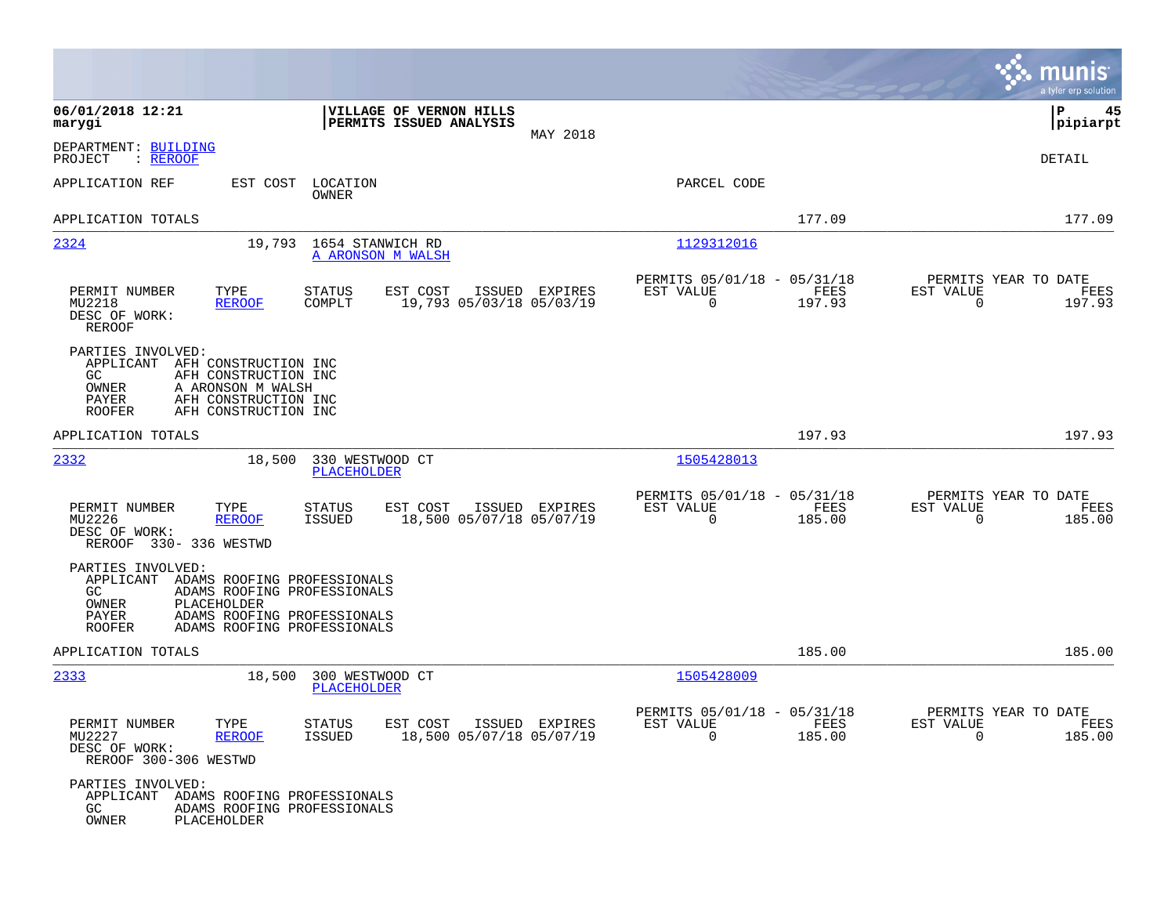|                                                                           |                                                                                                                                         |                                                     |                                                    |                                            |                                                      |                |                                                  | munis<br>a tyler erp solution |
|---------------------------------------------------------------------------|-----------------------------------------------------------------------------------------------------------------------------------------|-----------------------------------------------------|----------------------------------------------------|--------------------------------------------|------------------------------------------------------|----------------|--------------------------------------------------|-------------------------------|
| 06/01/2018 12:21<br>marygi                                                |                                                                                                                                         |                                                     | VILLAGE OF VERNON HILLS<br>PERMITS ISSUED ANALYSIS | MAY 2018                                   |                                                      |                |                                                  | P<br>45<br> pipiarpt          |
| DEPARTMENT: BUILDING<br>: <u>REROOF</u><br>PROJECT                        |                                                                                                                                         |                                                     |                                                    |                                            |                                                      |                |                                                  | DETAIL                        |
| APPLICATION REF                                                           | EST COST                                                                                                                                | LOCATION<br>OWNER                                   |                                                    |                                            | PARCEL CODE                                          |                |                                                  |                               |
| APPLICATION TOTALS                                                        |                                                                                                                                         |                                                     |                                                    |                                            |                                                      | 177.09         |                                                  | 177.09                        |
| 2324                                                                      |                                                                                                                                         | 19,793 1654 STANWICH RD<br><b>A ARONSON M WALSH</b> |                                                    |                                            | 1129312016                                           |                |                                                  |                               |
| PERMIT NUMBER<br>MU2218<br>DESC OF WORK:<br><b>REROOF</b>                 | TYPE<br><b>REROOF</b>                                                                                                                   | <b>STATUS</b><br>COMPLT                             | EST COST                                           | ISSUED EXPIRES<br>19,793 05/03/18 05/03/19 | PERMITS 05/01/18 - 05/31/18<br>EST VALUE<br>0        | FEES<br>197.93 | PERMITS YEAR TO DATE<br>EST VALUE<br>$\mathbf 0$ | FEES<br>197.93                |
| PARTIES INVOLVED:<br>APPLICANT<br>GC.<br>OWNER<br>PAYER<br><b>ROOFER</b>  | AFH CONSTRUCTION INC<br>AFH CONSTRUCTION INC<br>A ARONSON M WALSH<br>AFH CONSTRUCTION INC<br>AFH CONSTRUCTION INC                       |                                                     |                                                    |                                            |                                                      |                |                                                  |                               |
| APPLICATION TOTALS                                                        |                                                                                                                                         |                                                     |                                                    |                                            |                                                      | 197.93         |                                                  | 197.93                        |
| 2332                                                                      | 18,500                                                                                                                                  | 330 WESTWOOD CT<br>PLACEHOLDER                      |                                                    |                                            | 1505428013                                           |                |                                                  |                               |
| PERMIT NUMBER<br>MU2226<br>DESC OF WORK:<br>REROOF 330- 336 WESTWD        | TYPE<br><b>REROOF</b>                                                                                                                   | <b>STATUS</b><br>ISSUED                             | EST COST                                           | ISSUED EXPIRES<br>18,500 05/07/18 05/07/19 | PERMITS 05/01/18 - 05/31/18<br>EST VALUE<br>0        | FEES<br>185.00 | PERMITS YEAR TO DATE<br>EST VALUE<br>$\mathbf 0$ | FEES<br>185.00                |
| PARTIES INVOLVED:<br>APPLICANT<br>GC.<br>OWNER<br>PAYER<br><b>ROOFER</b>  | ADAMS ROOFING PROFESSIONALS<br>ADAMS ROOFING PROFESSIONALS<br>PLACEHOLDER<br>ADAMS ROOFING PROFESSIONALS<br>ADAMS ROOFING PROFESSIONALS |                                                     |                                                    |                                            |                                                      |                |                                                  |                               |
| APPLICATION TOTALS                                                        |                                                                                                                                         |                                                     |                                                    |                                            |                                                      | 185.00         |                                                  | 185.00                        |
| 2333                                                                      | 18,500                                                                                                                                  | 300 WESTWOOD CT<br>PLACEHOLDER                      |                                                    |                                            | 1505428009                                           |                |                                                  |                               |
| PERMIT NUMBER<br>MU2227<br>DESC OF WORK:<br>REROOF 300-306 WESTWD         | TYPE<br><b>REROOF</b>                                                                                                                   | STATUS<br>ISSUED                                    | EST COST ISSUED EXPIRES                            | 18,500 05/07/18 05/07/19                   | PERMITS 05/01/18 - 05/31/18<br>EST VALUE<br>$\Omega$ | FEES<br>185.00 | PERMITS YEAR TO DATE<br>EST VALUE<br>$\Omega$    | FEES<br>185.00                |
| PARTIES INVOLVED:<br>APPLICANT ADAMS ROOFING PROFESSIONALS<br>GC<br>OWNER | ADAMS ROOFING PROFESSIONALS<br>PLACEHOLDER                                                                                              |                                                     |                                                    |                                            |                                                      |                |                                                  |                               |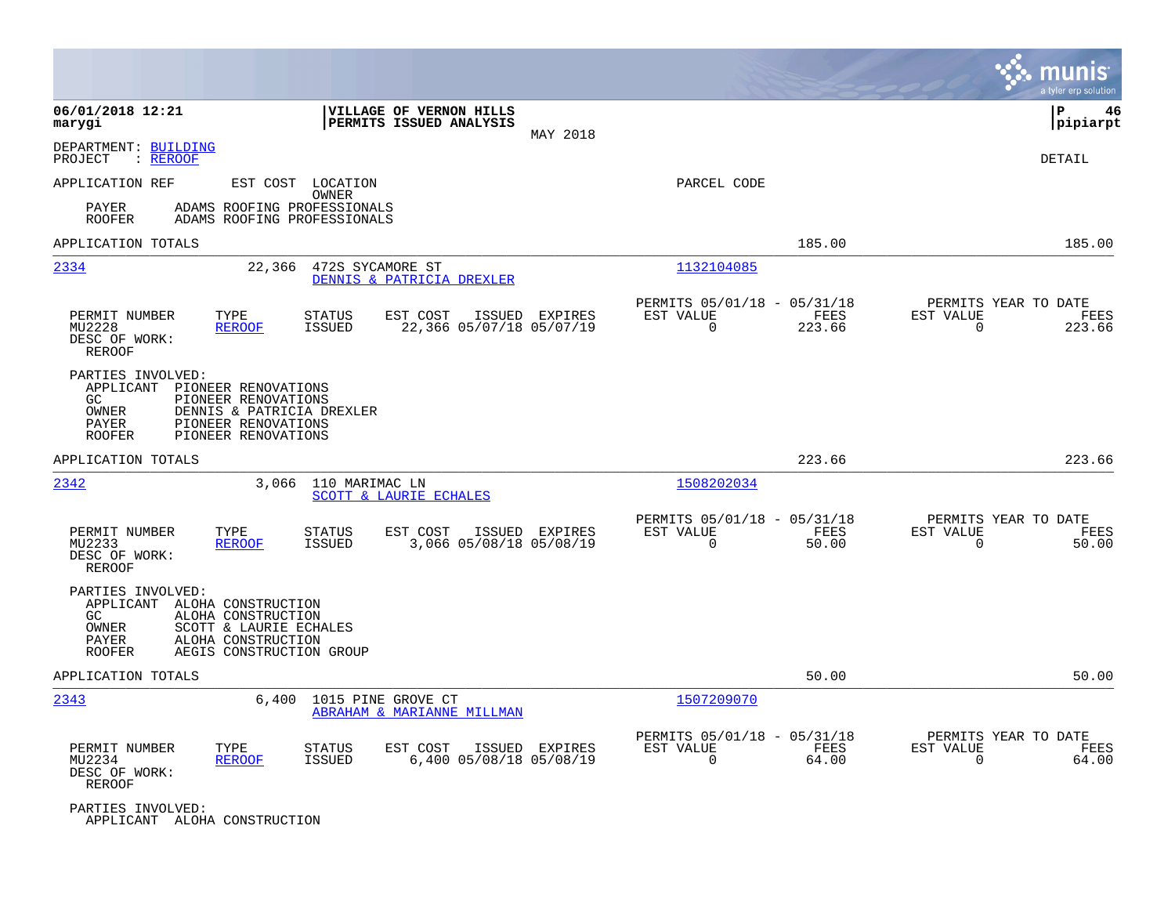|                                                                                            |                                                                                                                       |                                   |                                                    |          |                                                      |                |                                                  | munis<br>a tyler erp solution |
|--------------------------------------------------------------------------------------------|-----------------------------------------------------------------------------------------------------------------------|-----------------------------------|----------------------------------------------------|----------|------------------------------------------------------|----------------|--------------------------------------------------|-------------------------------|
| 06/01/2018 12:21<br>marygi                                                                 |                                                                                                                       |                                   | VILLAGE OF VERNON HILLS<br>PERMITS ISSUED ANALYSIS | MAY 2018 |                                                      |                |                                                  | IΡ<br>46<br> pipiarpt         |
| DEPARTMENT: BUILDING<br>: REROOF<br>PROJECT                                                |                                                                                                                       |                                   |                                                    |          |                                                      |                |                                                  | DETAIL                        |
| APPLICATION REF                                                                            |                                                                                                                       | EST COST LOCATION<br><b>OWNER</b> |                                                    |          | PARCEL CODE                                          |                |                                                  |                               |
| PAYER<br><b>ROOFER</b>                                                                     | ADAMS ROOFING PROFESSIONALS<br>ADAMS ROOFING PROFESSIONALS                                                            |                                   |                                                    |          |                                                      |                |                                                  |                               |
| APPLICATION TOTALS                                                                         |                                                                                                                       |                                   |                                                    |          |                                                      | 185.00         |                                                  | 185.00                        |
| 2334                                                                                       | 22,366                                                                                                                | 472S SYCAMORE ST                  | DENNIS & PATRICIA DREXLER                          |          | 1132104085                                           |                |                                                  |                               |
| PERMIT NUMBER<br>MU2228<br>DESC OF WORK:<br>REROOF                                         | TYPE<br><b>REROOF</b>                                                                                                 | <b>STATUS</b><br><b>ISSUED</b>    | EST COST<br>ISSUED<br>22,366 05/07/18 05/07/19     | EXPIRES  | PERMITS 05/01/18 - 05/31/18<br>EST VALUE<br>$\Omega$ | FEES<br>223.66 | PERMITS YEAR TO DATE<br>EST VALUE<br>0           | FEES<br>223.66                |
| PARTIES INVOLVED:<br>APPLICANT<br><b>GC</b><br>OWNER<br>PAYER<br><b>ROOFER</b>             | PIONEER RENOVATIONS<br>PIONEER RENOVATIONS<br>DENNIS & PATRICIA DREXLER<br>PIONEER RENOVATIONS<br>PIONEER RENOVATIONS |                                   |                                                    |          |                                                      |                |                                                  |                               |
| APPLICATION TOTALS                                                                         |                                                                                                                       |                                   |                                                    |          |                                                      | 223.66         |                                                  | 223.66                        |
| 2342                                                                                       | 3,066                                                                                                                 | 110 MARIMAC LN                    | SCOTT & LAURIE ECHALES                             |          | 1508202034                                           |                |                                                  |                               |
| PERMIT NUMBER<br>MU2233<br>DESC OF WORK:<br>REROOF                                         | TYPE<br><b>REROOF</b>                                                                                                 | <b>STATUS</b><br><b>ISSUED</b>    | EST COST<br>ISSUED<br>3,066 05/08/18 05/08/19      | EXPIRES  | PERMITS 05/01/18 - 05/31/18<br>EST VALUE<br>0        | FEES<br>50.00  | PERMITS YEAR TO DATE<br>EST VALUE<br>$\mathbf 0$ | FEES<br>50.00                 |
| PARTIES INVOLVED:<br>APPLICANT ALOHA CONSTRUCTION<br>GC<br>OWNER<br>PAYER<br><b>ROOFER</b> | ALOHA CONSTRUCTION<br>SCOTT & LAURIE ECHALES<br>ALOHA CONSTRUCTION<br>AEGIS CONSTRUCTION GROUP                        |                                   |                                                    |          |                                                      |                |                                                  |                               |
| APPLICATION TOTALS                                                                         |                                                                                                                       |                                   |                                                    |          |                                                      | 50.00          |                                                  | 50.00                         |
| 2343                                                                                       | 6,400                                                                                                                 | 1015 PINE GROVE CT                | ABRAHAM & MARIANNE MILLMAN                         |          | 1507209070                                           |                |                                                  |                               |
| PERMIT NUMBER<br>MU2234<br>DESC OF WORK:<br>REROOF                                         | TYPE<br><b>REROOF</b>                                                                                                 | <b>STATUS</b><br><b>ISSUED</b>    | EST COST<br>ISSUED<br>6,400 05/08/18 05/08/19      | EXPIRES  | PERMITS 05/01/18 - 05/31/18<br>EST VALUE<br>$\Omega$ | FEES<br>64.00  | PERMITS YEAR TO DATE<br>EST VALUE<br>$\Omega$    | FEES<br>64.00                 |
| PARTIES INVOLVED:<br>APPLICANT ALOHA CONSTRUCTION                                          |                                                                                                                       |                                   |                                                    |          |                                                      |                |                                                  |                               |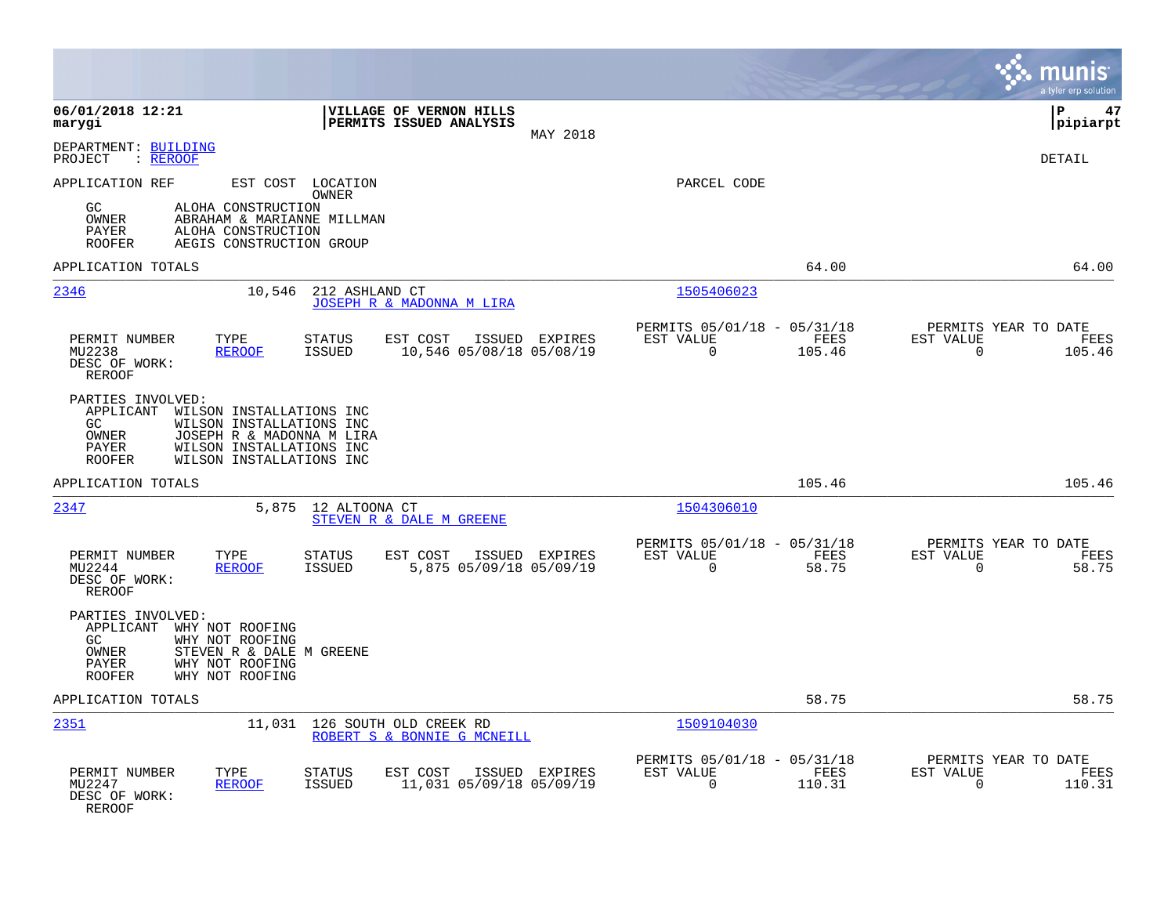|                                                                                                                                                                                                                      |                                                                                  | munis<br>a tyler erp solution                                      |
|----------------------------------------------------------------------------------------------------------------------------------------------------------------------------------------------------------------------|----------------------------------------------------------------------------------|--------------------------------------------------------------------|
| 06/01/2018 12:21<br>VILLAGE OF VERNON HILLS<br>PERMITS ISSUED ANALYSIS<br>marygi<br>MAY 2018                                                                                                                         |                                                                                  | l P<br>47<br> pipiarpt                                             |
| DEPARTMENT: BUILDING<br>: REROOF<br>PROJECT                                                                                                                                                                          |                                                                                  | <b>DETAIL</b>                                                      |
| APPLICATION REF<br>EST COST LOCATION<br>OWNER<br>GC<br>ALOHA CONSTRUCTION<br>OWNER<br>ABRAHAM & MARIANNE MILLMAN<br>ALOHA CONSTRUCTION<br>PAYER<br>AEGIS CONSTRUCTION GROUP<br><b>ROOFER</b>                         | PARCEL CODE                                                                      |                                                                    |
| APPLICATION TOTALS                                                                                                                                                                                                   | 64.00                                                                            | 64.00                                                              |
| 2346<br>212 ASHLAND CT<br>10,546<br>JOSEPH R & MADONNA M LIRA                                                                                                                                                        | 1505406023                                                                       |                                                                    |
| PERMIT NUMBER<br>TYPE<br><b>STATUS</b><br>EST COST<br>ISSUED<br>EXPIRES<br>10,546 05/08/18 05/08/19<br>MU2238<br><b>REROOF</b><br><b>ISSUED</b><br>DESC OF WORK:<br>REROOF                                           | PERMITS 05/01/18 - 05/31/18<br>EST VALUE<br><b>FEES</b><br>$\mathbf 0$<br>105.46 | PERMITS YEAR TO DATE<br>EST VALUE<br>FEES<br>$\mathbf 0$<br>105.46 |
| PARTIES INVOLVED:<br>APPLICANT<br>WILSON INSTALLATIONS INC<br>GC<br>WILSON INSTALLATIONS INC<br>JOSEPH R & MADONNA M LIRA<br>OWNER<br>WILSON INSTALLATIONS INC<br>PAYER<br>WILSON INSTALLATIONS INC<br><b>ROOFER</b> |                                                                                  |                                                                    |
| APPLICATION TOTALS                                                                                                                                                                                                   | 105.46                                                                           | 105.46                                                             |
| 2347<br>5,875<br>12 ALTOONA CT<br>STEVEN R & DALE M GREENE                                                                                                                                                           | 1504306010                                                                       |                                                                    |
| PERMIT NUMBER<br>TYPE<br><b>STATUS</b><br>EST COST<br>ISSUED EXPIRES<br>MU2244<br><b>ISSUED</b><br>5,875 05/09/18 05/09/19<br><b>REROOF</b><br>DESC OF WORK:<br>REROOF                                               | PERMITS 05/01/18 - 05/31/18<br>EST VALUE<br>FEES<br>0<br>58.75                   | PERMITS YEAR TO DATE<br>EST VALUE<br>FEES<br>$\mathbf 0$<br>58.75  |
| PARTIES INVOLVED:<br>APPLICANT WHY NOT ROOFING<br>GC<br>WHY NOT ROOFING<br>OWNER<br>STEVEN R & DALE M GREENE<br>PAYER<br>WHY NOT ROOFING<br><b>ROOFER</b><br>WHY NOT ROOFING                                         |                                                                                  |                                                                    |
| APPLICATION TOTALS                                                                                                                                                                                                   | 58.75                                                                            | 58.75                                                              |
| <u> 2351</u><br>11,031<br>126 SOUTH OLD CREEK RD<br>ROBERT S & BONNIE G MCNEILL                                                                                                                                      | 1509104030                                                                       |                                                                    |
| PERMIT NUMBER<br>TYPE<br><b>STATUS</b><br>EST COST<br>ISSUED EXPIRES<br>11,031 05/09/18 05/09/19<br>MU2247<br><b>REROOF</b><br>ISSUED<br>DESC OF WORK:<br>REROOF                                                     | PERMITS 05/01/18 - 05/31/18<br>EST VALUE<br>FEES<br>$\mathbf 0$<br>110.31        | PERMITS YEAR TO DATE<br>EST VALUE<br>FEES<br>110.31<br>0           |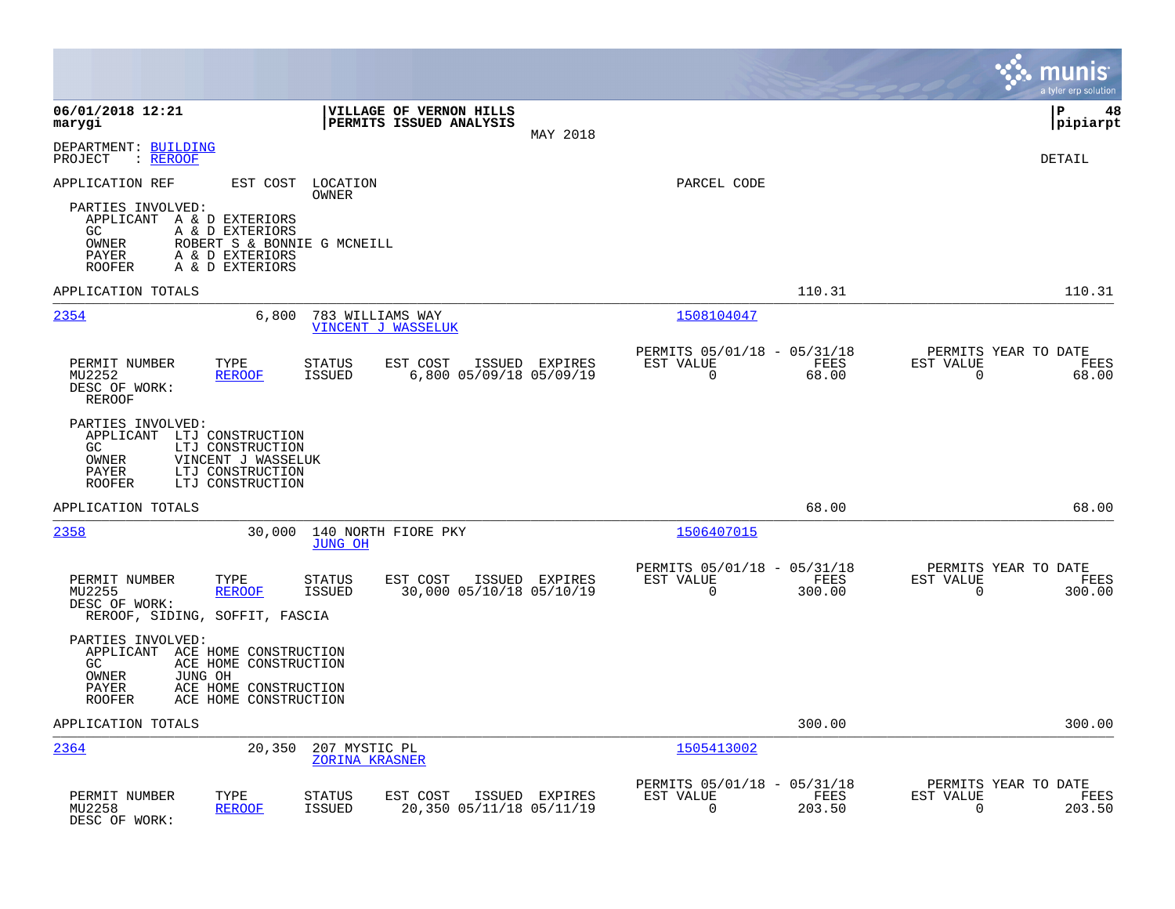|                                                                                                           |                                                                                      |                                                    |                                            |                                                         |                |                          | munis<br>a tyler erp solution          |
|-----------------------------------------------------------------------------------------------------------|--------------------------------------------------------------------------------------|----------------------------------------------------|--------------------------------------------|---------------------------------------------------------|----------------|--------------------------|----------------------------------------|
| 06/01/2018 12:21<br>marygi                                                                                |                                                                                      | VILLAGE OF VERNON HILLS<br>PERMITS ISSUED ANALYSIS | MAY 2018                                   |                                                         |                |                          | l P<br>48<br> pipiarpt                 |
| DEPARTMENT: BUILDING<br>PROJECT<br>: REROOF                                                               |                                                                                      |                                                    |                                            |                                                         |                |                          | <b>DETAIL</b>                          |
| APPLICATION REF                                                                                           | EST COST<br>OWNER                                                                    | LOCATION                                           |                                            | PARCEL CODE                                             |                |                          |                                        |
| PARTIES INVOLVED:<br>APPLICANT A & D EXTERIORS<br>GC.<br>OWNER<br>PAYER<br><b>ROOFER</b>                  | A & D EXTERIORS<br>ROBERT S & BONNIE G MCNEILL<br>A & D EXTERIORS<br>A & D EXTERIORS |                                                    |                                            |                                                         |                |                          |                                        |
| APPLICATION TOTALS                                                                                        |                                                                                      |                                                    |                                            |                                                         | 110.31         |                          | 110.31                                 |
| 2354                                                                                                      | 6,800                                                                                | 783 WILLIAMS WAY<br>VINCENT J WASSELUK             |                                            | 1508104047                                              |                |                          |                                        |
| PERMIT NUMBER<br>MU2252<br>DESC OF WORK:<br><b>REROOF</b>                                                 | TYPE<br>STATUS<br><b>REROOF</b><br>ISSUED                                            | EST COST                                           | ISSUED EXPIRES<br>6,800 05/09/18 05/09/19  | PERMITS 05/01/18 - 05/31/18<br>EST VALUE<br>$\mathbf 0$ | FEES<br>68.00  | EST VALUE<br>0           | PERMITS YEAR TO DATE<br>FEES<br>68.00  |
| PARTIES INVOLVED:<br>APPLICANT LTJ CONSTRUCTION<br>GC<br>OWNER<br>PAYER<br><b>ROOFER</b>                  | LTJ CONSTRUCTION<br>VINCENT J WASSELUK<br>LTJ CONSTRUCTION<br>LTJ CONSTRUCTION       |                                                    |                                            |                                                         |                |                          |                                        |
| APPLICATION TOTALS                                                                                        |                                                                                      |                                                    |                                            |                                                         | 68.00          |                          | 68.00                                  |
| 2358                                                                                                      | 30,000<br><b>JUNG OH</b>                                                             | 140 NORTH FIORE PKY                                |                                            | 1506407015                                              |                |                          |                                        |
| PERMIT NUMBER<br>MU2255<br>DESC OF WORK:<br>REROOF, SIDING, SOFFIT, FASCIA                                | TYPE<br><b>STATUS</b><br><b>REROOF</b><br><b>ISSUED</b>                              | EST COST                                           | ISSUED EXPIRES<br>30,000 05/10/18 05/10/19 | PERMITS 05/01/18 - 05/31/18<br>EST VALUE<br>$\mathbf 0$ | FEES<br>300.00 | EST VALUE<br>$\mathbf 0$ | PERMITS YEAR TO DATE<br>FEES<br>300.00 |
| PARTIES INVOLVED:<br>APPLICANT ACE HOME CONSTRUCTION<br>GC.<br>OWNER<br>JUNG OH<br>PAYER<br><b>ROOFER</b> | ACE HOME CONSTRUCTION<br>ACE HOME CONSTRUCTION<br>ACE HOME CONSTRUCTION              |                                                    |                                            |                                                         |                |                          |                                        |
| APPLICATION TOTALS                                                                                        |                                                                                      |                                                    |                                            |                                                         | 300.00         |                          | 300.00                                 |
| 2364                                                                                                      | 20,350                                                                               | 207 MYSTIC PL<br><b>ZORINA KRASNER</b>             |                                            | 1505413002                                              |                |                          |                                        |
| PERMIT NUMBER<br>MU2258<br>DESC OF WORK:                                                                  | TYPE<br><b>STATUS</b><br><b>REROOF</b><br><b>ISSUED</b>                              | EST COST                                           | ISSUED EXPIRES<br>20,350 05/11/18 05/11/19 | PERMITS 05/01/18 - 05/31/18<br>EST VALUE<br>$\mathbf 0$ | FEES<br>203.50 | EST VALUE<br>$\mathbf 0$ | PERMITS YEAR TO DATE<br>FEES<br>203.50 |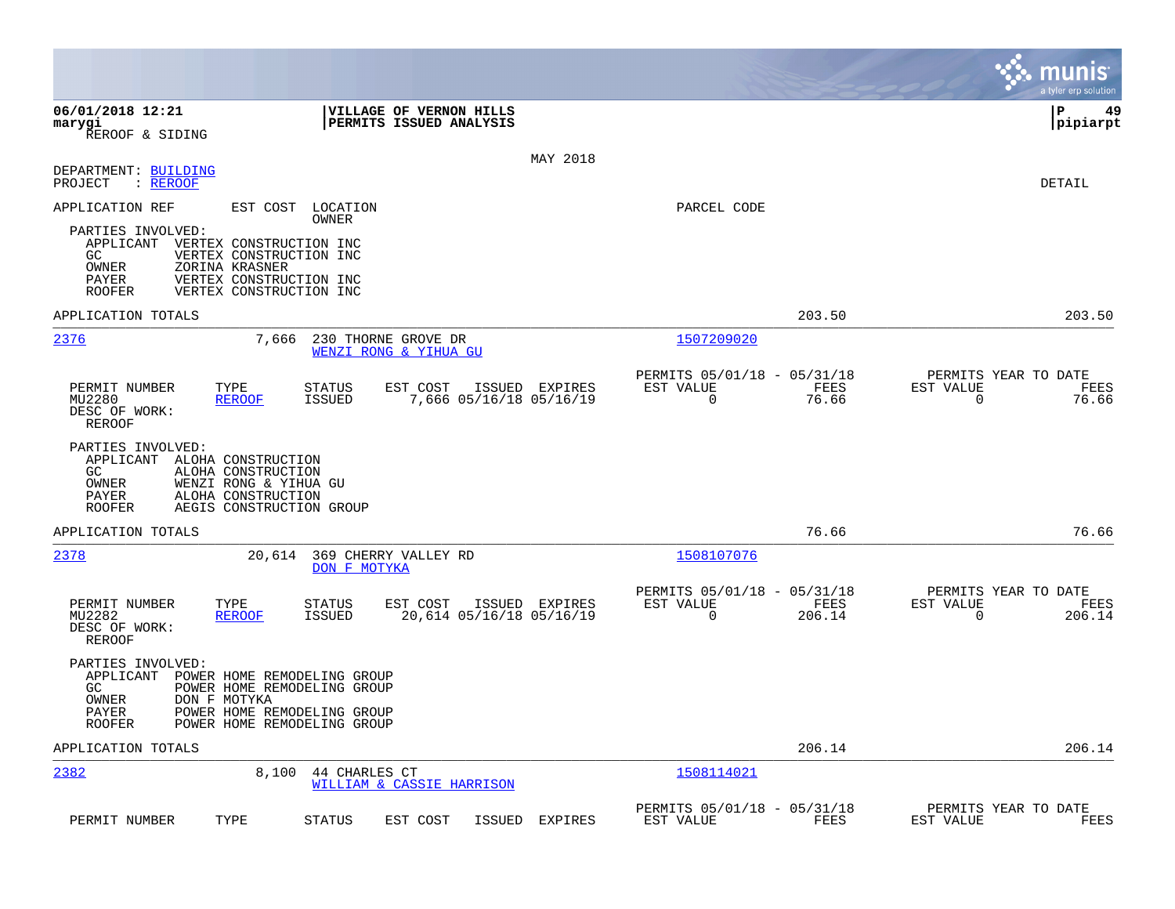|                                                                                                                                                                                                                                                     |                                                                              | a tyler erp solution                                              |
|-----------------------------------------------------------------------------------------------------------------------------------------------------------------------------------------------------------------------------------------------------|------------------------------------------------------------------------------|-------------------------------------------------------------------|
| 06/01/2018 12:21<br><b>VILLAGE OF VERNON HILLS</b><br>PERMITS ISSUED ANALYSIS<br>marygi<br>REROOF & SIDING                                                                                                                                          |                                                                              | l P<br>49<br> pipiarpt                                            |
| MAY 2018<br>DEPARTMENT: BUILDING<br>PROJECT<br>$:$ REROOF                                                                                                                                                                                           |                                                                              | DETAIL                                                            |
| APPLICATION REF<br>EST COST LOCATION<br>OWNER<br>PARTIES INVOLVED:<br>APPLICANT VERTEX CONSTRUCTION INC<br>VERTEX CONSTRUCTION INC<br>GC<br>OWNER<br>ZORINA KRASNER<br>PAYER<br>VERTEX CONSTRUCTION INC<br>VERTEX CONSTRUCTION INC<br><b>ROOFER</b> | PARCEL CODE                                                                  |                                                                   |
| APPLICATION TOTALS                                                                                                                                                                                                                                  | 203.50                                                                       | 203.50                                                            |
| 2376<br>7,666<br>230 THORNE GROVE DR<br>WENZI RONG & YIHUA GU                                                                                                                                                                                       | 1507209020                                                                   |                                                                   |
| TYPE<br><b>STATUS</b><br>ISSUED EXPIRES<br>PERMIT NUMBER<br>EST COST<br><b>ISSUED</b><br>7,666 05/16/18 05/16/19<br>MU2280<br><b>REROOF</b><br>DESC OF WORK:<br>REROOF                                                                              | PERMITS 05/01/18 - 05/31/18<br>EST VALUE<br>FEES<br>$\mathbf 0$<br>76.66     | PERMITS YEAR TO DATE<br>EST VALUE<br>FEES<br>$\mathbf 0$<br>76.66 |
| PARTIES INVOLVED:<br>ALOHA CONSTRUCTION<br>APPLICANT<br>GC<br>ALOHA CONSTRUCTION<br>WENZI RONG & YIHUA GU<br>OWNER<br>PAYER<br>ALOHA CONSTRUCTION<br>ROOFER<br>AEGIS CONSTRUCTION GROUP                                                             |                                                                              |                                                                   |
| APPLICATION TOTALS                                                                                                                                                                                                                                  | 76.66                                                                        | 76.66                                                             |
| 2378<br>369 CHERRY VALLEY RD<br>20,614<br>DON F MOTYKA                                                                                                                                                                                              | 1508107076                                                                   |                                                                   |
| PERMIT NUMBER<br>TYPE<br><b>STATUS</b><br>EST COST<br>ISSUED EXPIRES<br>MU2282<br>ISSUED<br>20,614 05/16/18 05/16/19<br><b>REROOF</b><br>DESC OF WORK:<br><b>REROOF</b>                                                                             | PERMITS 05/01/18 - 05/31/18<br>EST VALUE<br>FEES<br>206.14<br>$\overline{0}$ | PERMITS YEAR TO DATE<br>EST VALUE<br>FEES<br>$\Omega$<br>206.14   |
| PARTIES INVOLVED:<br>APPLICANT<br>POWER HOME REMODELING GROUP<br>GC.<br>POWER HOME REMODELING GROUP<br>DON F MOTYKA<br>OWNER<br>PAYER<br>POWER HOME REMODELING GROUP<br><b>ROOFER</b><br>POWER HOME REMODELING GROUP                                |                                                                              |                                                                   |
| APPLICATION TOTALS                                                                                                                                                                                                                                  | 206.14                                                                       | 206.14                                                            |
| 2382<br>8,100<br>44 CHARLES CT<br><b>WILLIAM &amp; CASSIE HARRISON</b>                                                                                                                                                                              | 1508114021                                                                   |                                                                   |
| TYPE<br>PERMIT NUMBER<br>STATUS<br>EST COST<br>ISSUED<br>EXPIRES                                                                                                                                                                                    | PERMITS 05/01/18 - 05/31/18<br>EST VALUE<br>FEES                             | PERMITS YEAR TO DATE<br>EST VALUE<br>FEES                         |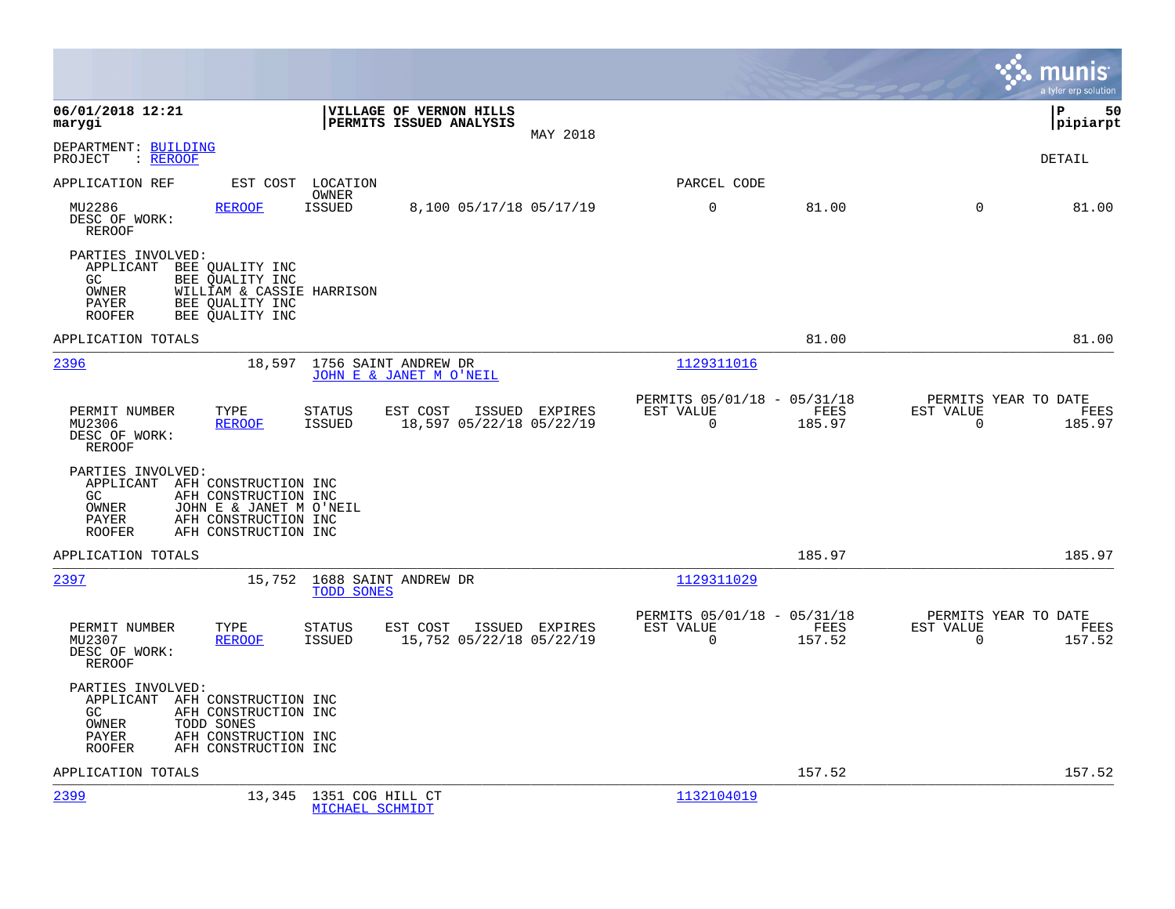|                                                                                                                                                                                     |                                                                                  |                |                                                      |                |                                                  | munis<br>a tyler erp solution |
|-------------------------------------------------------------------------------------------------------------------------------------------------------------------------------------|----------------------------------------------------------------------------------|----------------|------------------------------------------------------|----------------|--------------------------------------------------|-------------------------------|
| 06/01/2018 12:21<br>marygi                                                                                                                                                          | VILLAGE OF VERNON HILLS<br>PERMITS ISSUED ANALYSIS                               | MAY 2018       |                                                      |                |                                                  | Þ<br>50<br> pipiarpt          |
| DEPARTMENT: BUILDING<br>PROJECT<br>: <u>REROOF</u>                                                                                                                                  |                                                                                  |                |                                                      |                |                                                  | DETAIL                        |
| APPLICATION REF                                                                                                                                                                     | EST COST LOCATION<br>OWNER                                                       |                | PARCEL CODE                                          |                |                                                  |                               |
| MU2286<br><b>REROOF</b><br>DESC OF WORK:<br><b>REROOF</b>                                                                                                                           | <b>ISSUED</b><br>8,100 05/17/18 05/17/19                                         |                | 0                                                    | 81.00          | $\Omega$                                         | 81.00                         |
| PARTIES INVOLVED:<br>APPLICANT<br>BEE OUALITY INC<br>GC<br>BEE OUALITY INC<br>OWNER<br>PAYER<br>BEE OUALITY INC<br>BEE QUALITY INC<br><b>ROOFER</b>                                 | WILLIAM & CASSIE HARRISON                                                        |                |                                                      |                |                                                  |                               |
| APPLICATION TOTALS                                                                                                                                                                  |                                                                                  |                |                                                      | 81.00          |                                                  | 81.00                         |
| 2396                                                                                                                                                                                | 18,597<br>1756 SAINT ANDREW DR<br>JOHN E & JANET M O'NEIL                        |                | 1129311016                                           |                |                                                  |                               |
| PERMIT NUMBER<br>TYPE<br>MU2306<br><b>REROOF</b><br>DESC OF WORK:<br>REROOF                                                                                                         | EST COST<br><b>STATUS</b><br>ISSUED<br>18,597 05/22/18 05/22/19<br><b>ISSUED</b> | EXPIRES        | PERMITS 05/01/18 - 05/31/18<br>EST VALUE<br>$\Omega$ | FEES<br>185.97 | PERMITS YEAR TO DATE<br>EST VALUE<br>$\Omega$    | FEES<br>185.97                |
| PARTIES INVOLVED:<br>APPLICANT AFH CONSTRUCTION INC<br>GC<br>AFH CONSTRUCTION INC<br>OWNER<br>AFH CONSTRUCTION INC<br>PAYER<br>AFH CONSTRUCTION INC<br><b>ROOFER</b>                | JOHN E & JANET M O'NEIL                                                          |                |                                                      |                |                                                  |                               |
| APPLICATION TOTALS                                                                                                                                                                  |                                                                                  |                |                                                      | 185.97         |                                                  | 185.97                        |
| 2397                                                                                                                                                                                | 15,752 1688 SAINT ANDREW DR<br><b>TODD SONES</b>                                 |                | 1129311029                                           |                |                                                  |                               |
| PERMIT NUMBER<br>TYPE<br>MU2307<br><b>REROOF</b><br>DESC OF WORK:<br><b>REROOF</b>                                                                                                  | EST COST<br><b>STATUS</b><br><b>ISSUED</b><br>15,752 05/22/18 05/22/19           | ISSUED EXPIRES | PERMITS 05/01/18 - 05/31/18<br>EST VALUE<br>0        | FEES<br>157.52 | PERMITS YEAR TO DATE<br>EST VALUE<br>$\mathbf 0$ | FEES<br>157.52                |
| PARTIES INVOLVED:<br>APPLICANT AFH CONSTRUCTION INC<br>GC.<br>AFH CONSTRUCTION INC<br>OWNER<br>TODD SONES<br>AFH CONSTRUCTION INC<br>PAYER<br><b>ROOFER</b><br>AFH CONSTRUCTION INC |                                                                                  |                |                                                      |                |                                                  |                               |
| APPLICATION TOTALS                                                                                                                                                                  |                                                                                  |                |                                                      | 157.52         |                                                  | 157.52                        |
| 2399                                                                                                                                                                                | 13,345<br>1351 COG HILL CT<br>MICHAEL SCHMIDT                                    |                | 1132104019                                           |                |                                                  |                               |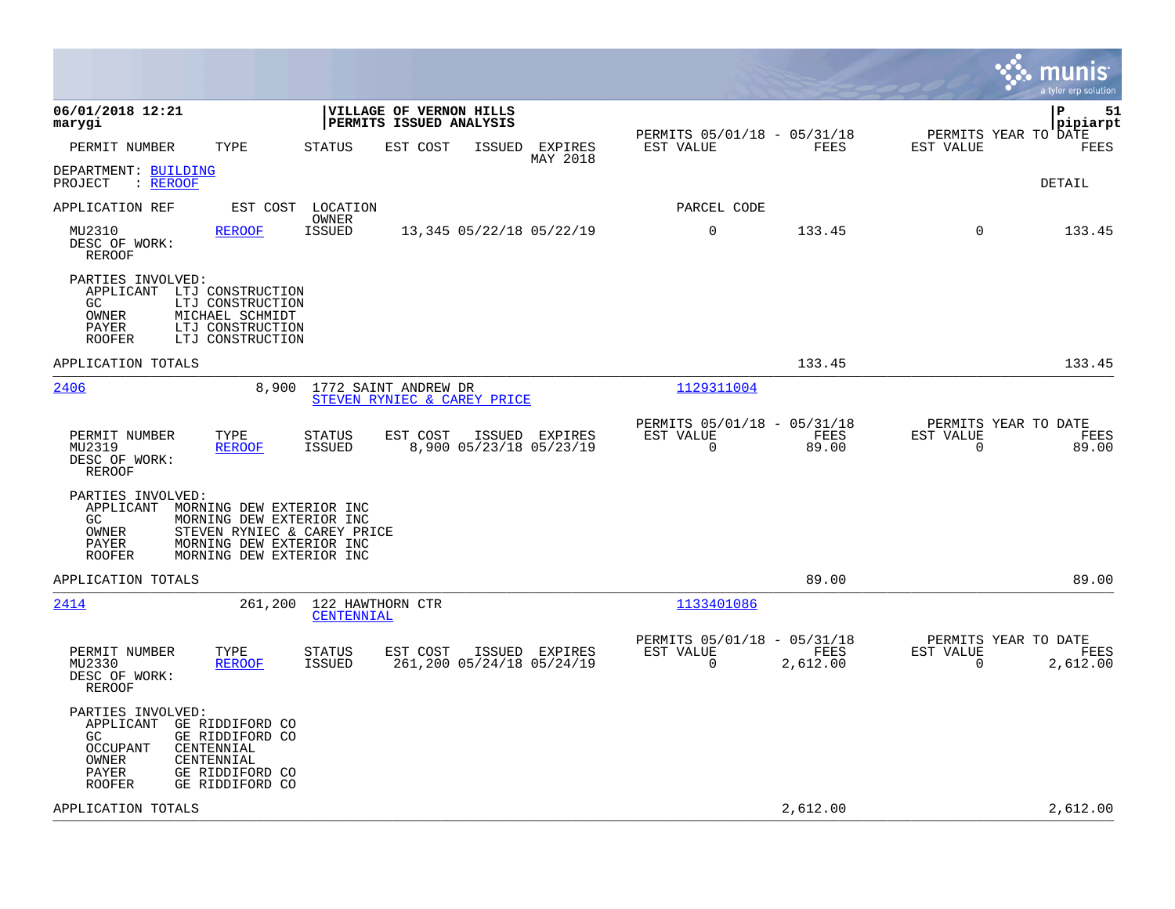|                                                                                                                                                                                                                         |                                                                                           |                                                                          | munis<br>a tyler erp solution                                     |
|-------------------------------------------------------------------------------------------------------------------------------------------------------------------------------------------------------------------------|-------------------------------------------------------------------------------------------|--------------------------------------------------------------------------|-------------------------------------------------------------------|
| 06/01/2018 12:21<br>marygi                                                                                                                                                                                              | VILLAGE OF VERNON HILLS<br>PERMITS ISSUED ANALYSIS                                        |                                                                          | l P<br>51<br> pipiarpt                                            |
| PERMIT NUMBER<br>TYPE                                                                                                                                                                                                   | <b>STATUS</b><br>EST COST<br>ISSUED<br>EXPIRES<br>MAY 2018                                | PERMITS 05/01/18 - 05/31/18<br>FEES<br>EST VALUE                         | PERMITS YEAR TO DATE<br>FEES<br>EST VALUE                         |
| DEPARTMENT: BUILDING<br>: REROOF<br>PROJECT                                                                                                                                                                             |                                                                                           |                                                                          | <b>DETAIL</b>                                                     |
| APPLICATION REF<br>EST COST                                                                                                                                                                                             | LOCATION<br>OWNER                                                                         | PARCEL CODE                                                              |                                                                   |
| MU2310<br><b>REROOF</b><br>DESC OF WORK:<br><b>REROOF</b>                                                                                                                                                               | <b>ISSUED</b><br>13,345 05/22/18 05/22/19                                                 | $\mathbf 0$<br>133.45                                                    | $\Omega$<br>133.45                                                |
| PARTIES INVOLVED:<br>APPLICANT LTJ CONSTRUCTION<br>GC<br>LTJ CONSTRUCTION<br><b>OWNER</b><br>MICHAEL SCHMIDT<br>PAYER<br>LTJ CONSTRUCTION<br><b>ROOFER</b><br>LTJ CONSTRUCTION                                          |                                                                                           |                                                                          |                                                                   |
| APPLICATION TOTALS                                                                                                                                                                                                      |                                                                                           | 133.45                                                                   | 133.45                                                            |
| 2406<br>8,900                                                                                                                                                                                                           | 1772 SAINT ANDREW DR<br>STEVEN RYNIEC & CAREY PRICE                                       | 1129311004                                                               |                                                                   |
| PERMIT NUMBER<br>TYPE<br>MU2319<br><b>REROOF</b><br>DESC OF WORK:<br><b>REROOF</b>                                                                                                                                      | EST COST<br>ISSUED EXPIRES<br><b>STATUS</b><br><b>ISSUED</b><br>8,900 05/23/18 05/23/19   | PERMITS 05/01/18 - 05/31/18<br>EST VALUE<br>FEES<br>0<br>89.00           | PERMITS YEAR TO DATE<br>EST VALUE<br>FEES<br>0<br>89.00           |
| PARTIES INVOLVED:<br>APPLICANT<br>MORNING DEW EXTERIOR INC<br>MORNING DEW EXTERIOR INC<br>GC.<br>OWNER<br>STEVEN RYNIEC & CAREY PRICE<br>PAYER<br>MORNING DEW EXTERIOR INC<br>MORNING DEW EXTERIOR INC<br><b>ROOFER</b> |                                                                                           |                                                                          |                                                                   |
| APPLICATION TOTALS                                                                                                                                                                                                      |                                                                                           | 89.00                                                                    | 89.00                                                             |
| 2414<br>261,200                                                                                                                                                                                                         | 122 HAWTHORN CTR<br>CENTENNIAL                                                            | 1133401086                                                               |                                                                   |
| PERMIT NUMBER<br>TYPE<br>MU2330<br><b>REROOF</b><br>DESC OF WORK:<br>REROOF                                                                                                                                             | <b>STATUS</b><br>EST COST<br>ISSUED EXPIRES<br><b>ISSUED</b><br>261,200 05/24/18 05/24/19 | PERMITS 05/01/18 - 05/31/18<br>EST VALUE<br>FEES<br>$\Omega$<br>2,612.00 | PERMITS YEAR TO DATE<br>EST VALUE<br>FEES<br>$\Omega$<br>2,612.00 |
| PARTIES INVOLVED:<br>APPLICANT<br>GE RIDDIFORD CO<br>GC.<br>GE RIDDIFORD CO<br>OCCUPANT<br>CENTENNIAL<br>OWNER<br>CENTENNIAL<br>PAYER<br>GE RIDDIFORD CO<br>GE RIDDIFORD CO<br>ROOFER                                   |                                                                                           |                                                                          |                                                                   |
| APPLICATION TOTALS                                                                                                                                                                                                      |                                                                                           | 2,612.00                                                                 | 2,612.00                                                          |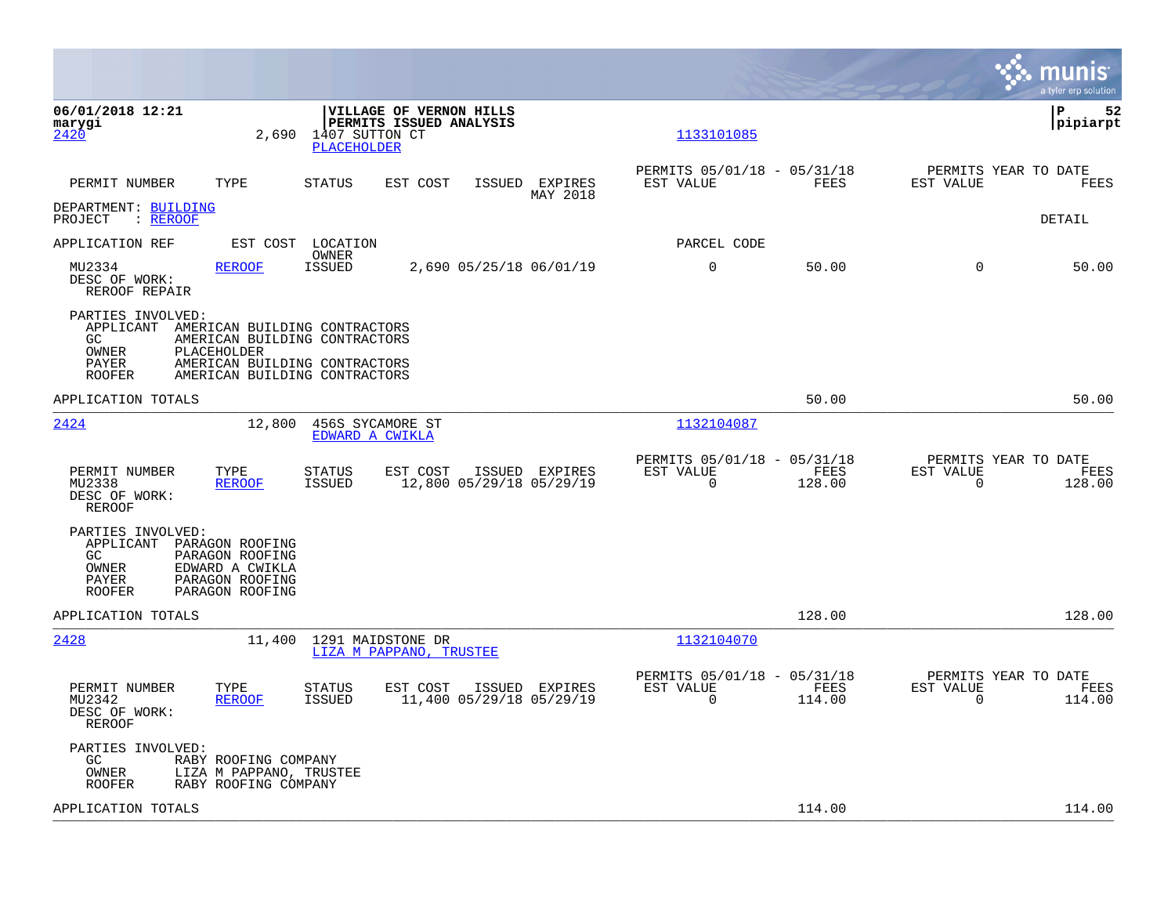|                                                                                |                                                                                                                                                 |                                              |                                                    |                                            |                                                      |                |                                                  | munis<br>a tyler erp solution |
|--------------------------------------------------------------------------------|-------------------------------------------------------------------------------------------------------------------------------------------------|----------------------------------------------|----------------------------------------------------|--------------------------------------------|------------------------------------------------------|----------------|--------------------------------------------------|-------------------------------|
| 06/01/2018 12:21<br>marygi<br>2420                                             | 2,690                                                                                                                                           | 1407 SUTTON CT<br>PLACEHOLDER                | VILLAGE OF VERNON HILLS<br>PERMITS ISSUED ANALYSIS |                                            | 1133101085                                           |                |                                                  | 52<br>ΙP<br> pipiarpt         |
| PERMIT NUMBER                                                                  | TYPE                                                                                                                                            | <b>STATUS</b>                                | EST COST                                           | ISSUED EXPIRES<br>MAY 2018                 | PERMITS 05/01/18 - 05/31/18<br>EST VALUE             | FEES           | PERMITS YEAR TO DATE<br>EST VALUE                | FEES                          |
| DEPARTMENT: BUILDING<br>PROJECT<br>: <u>REROOF</u>                             |                                                                                                                                                 |                                              |                                                    |                                            |                                                      |                |                                                  | DETAIL                        |
| APPLICATION REF                                                                | EST COST                                                                                                                                        | LOCATION<br>OWNER                            |                                                    |                                            | PARCEL CODE                                          |                |                                                  |                               |
| MU2334<br>DESC OF WORK:<br>REROOF REPAIR                                       | <b>REROOF</b>                                                                                                                                   | <b>ISSUED</b>                                |                                                    | 2,690 05/25/18 06/01/19                    | 0                                                    | 50.00          | $\mathbf 0$                                      | 50.00                         |
| PARTIES INVOLVED:<br>APPLICANT<br>GC<br>OWNER<br>PAYER<br><b>ROOFER</b>        | AMERICAN BUILDING CONTRACTORS<br>AMERICAN BUILDING CONTRACTORS<br>PLACEHOLDER<br>AMERICAN BUILDING CONTRACTORS<br>AMERICAN BUILDING CONTRACTORS |                                              |                                                    |                                            |                                                      |                |                                                  |                               |
| APPLICATION TOTALS                                                             |                                                                                                                                                 |                                              |                                                    |                                            |                                                      | 50.00          |                                                  | 50.00                         |
| 2424                                                                           | 12,800                                                                                                                                          | 456S SYCAMORE ST<br>EDWARD A CWIKLA          |                                                    |                                            | 1132104087                                           |                |                                                  |                               |
| PERMIT NUMBER<br>MU2338<br>DESC OF WORK:<br><b>REROOF</b>                      | TYPE<br><b>REROOF</b>                                                                                                                           | <b>STATUS</b><br><b>ISSUED</b>               | EST COST                                           | ISSUED EXPIRES<br>12,800 05/29/18 05/29/19 | PERMITS 05/01/18 - 05/31/18<br>EST VALUE<br>$\Omega$ | FEES<br>128.00 | PERMITS YEAR TO DATE<br>EST VALUE<br>$\mathbf 0$ | FEES<br>128.00                |
| PARTIES INVOLVED:<br>APPLICANT<br>GC<br><b>OWNER</b><br>PAYER<br><b>ROOFER</b> | PARAGON ROOFING<br>PARAGON ROOFING<br>EDWARD A CWIKLA<br>PARAGON ROOFING<br>PARAGON ROOFING                                                     |                                              |                                                    |                                            |                                                      |                |                                                  |                               |
| APPLICATION TOTALS                                                             |                                                                                                                                                 |                                              |                                                    |                                            |                                                      | 128.00         |                                                  | 128.00                        |
| 2428                                                                           | 11,400                                                                                                                                          | 1291 MAIDSTONE DR<br>LIZA M PAPPANO, TRUSTEE |                                                    |                                            | 1132104070                                           |                |                                                  |                               |
| PERMIT NUMBER<br>MU2342<br>DESC OF WORK:<br><b>REROOF</b>                      | TYPE<br><b>REROOF</b>                                                                                                                           | <b>STATUS</b><br><b>ISSUED</b>               | EST COST                                           | ISSUED EXPIRES<br>11,400 05/29/18 05/29/19 | PERMITS 05/01/18 - 05/31/18<br>EST VALUE<br>$\Omega$ | FEES<br>114.00 | PERMITS YEAR TO DATE<br>EST VALUE<br>$\Omega$    | FEES<br>114.00                |
| PARTIES INVOLVED:<br>GC<br>OWNER<br>ROOFER                                     | RABY ROOFING COMPANY<br>LIZA M PAPPANO, TRUSTEE<br>RABY ROOFING COMPANY                                                                         |                                              |                                                    |                                            |                                                      |                |                                                  |                               |
| APPLICATION TOTALS                                                             |                                                                                                                                                 |                                              |                                                    |                                            |                                                      | 114.00         |                                                  | 114.00                        |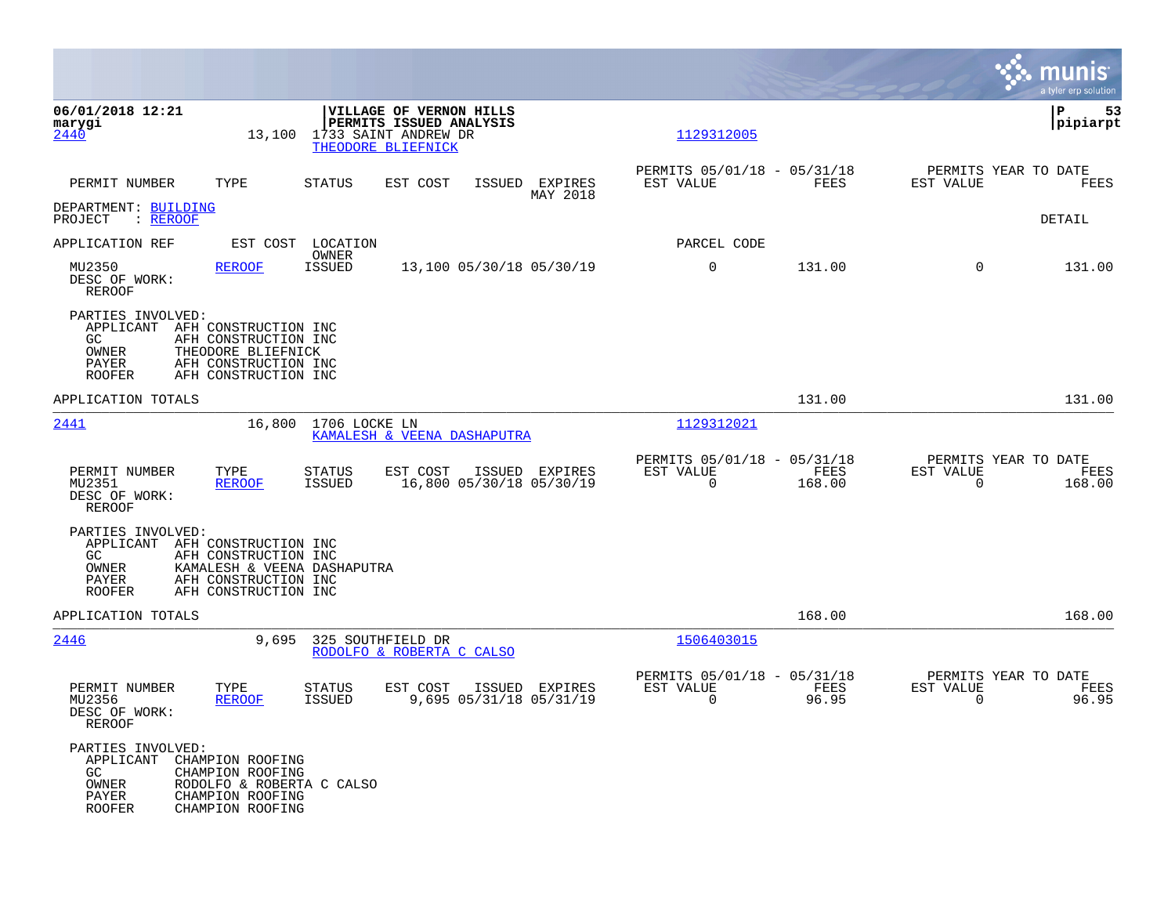|                                                                                               |                                                                                                                             |                                |                                                                                                  |                                   |                     |                                                         |                |                          | munis<br>a tyler erp solution          |
|-----------------------------------------------------------------------------------------------|-----------------------------------------------------------------------------------------------------------------------------|--------------------------------|--------------------------------------------------------------------------------------------------|-----------------------------------|---------------------|---------------------------------------------------------|----------------|--------------------------|----------------------------------------|
| 06/01/2018 12:21<br>marygi<br>2440                                                            | 13,100                                                                                                                      |                                | VILLAGE OF VERNON HILLS<br>PERMITS ISSUED ANALYSIS<br>1733 SAINT ANDREW DR<br>THEODORE BLIEFNICK |                                   |                     | 1129312005                                              |                |                          | ΙP<br>53<br> pipiarpt                  |
| PERMIT NUMBER                                                                                 | TYPE                                                                                                                        | <b>STATUS</b>                  | EST COST                                                                                         | ISSUED                            | EXPIRES<br>MAY 2018 | PERMITS 05/01/18 - 05/31/18<br>EST VALUE                | <b>FEES</b>    | EST VALUE                | PERMITS YEAR TO DATE<br>FEES           |
| DEPARTMENT: BUILDING<br>: <u>REROOF</u><br>PROJECT                                            |                                                                                                                             |                                |                                                                                                  |                                   |                     |                                                         |                |                          | DETAIL                                 |
| APPLICATION REF                                                                               | EST COST                                                                                                                    | LOCATION<br>OWNER              |                                                                                                  |                                   |                     | PARCEL CODE                                             |                |                          |                                        |
| MU2350<br>DESC OF WORK:<br>REROOF                                                             | <b>REROOF</b>                                                                                                               | <b>ISSUED</b>                  |                                                                                                  | 13,100 05/30/18 05/30/19          |                     | $\mathbf 0$                                             | 131.00         | $\Omega$                 | 131.00                                 |
| PARTIES INVOLVED:<br>APPLICANT AFH CONSTRUCTION INC<br>GC.<br>OWNER<br>PAYER<br><b>ROOFER</b> | AFH CONSTRUCTION INC<br>THEODORE BLIEFNICK<br>AFH CONSTRUCTION INC<br>AFH CONSTRUCTION INC                                  |                                |                                                                                                  |                                   |                     |                                                         |                |                          |                                        |
| APPLICATION TOTALS                                                                            |                                                                                                                             |                                |                                                                                                  |                                   |                     |                                                         | 131.00         |                          | 131.00                                 |
| 2441                                                                                          | 16,800                                                                                                                      | 1706 LOCKE LN                  |                                                                                                  | KAMALESH & VEENA DASHAPUTRA       |                     | 1129312021                                              |                |                          |                                        |
| PERMIT NUMBER<br>MU2351<br>DESC OF WORK:<br>REROOF                                            | TYPE<br><b>REROOF</b>                                                                                                       | <b>STATUS</b><br><b>ISSUED</b> | EST COST                                                                                         | 16,800 05/30/18 05/30/19          | ISSUED EXPIRES      | PERMITS 05/01/18 - 05/31/18<br>EST VALUE<br>0           | FEES<br>168.00 | EST VALUE<br>$\mathbf 0$ | PERMITS YEAR TO DATE<br>FEES<br>168.00 |
| PARTIES INVOLVED:<br>APPLICANT<br>GC<br>OWNER<br>PAYER<br><b>ROOFER</b>                       | AFH CONSTRUCTION INC<br>AFH CONSTRUCTION INC<br>KAMALESH & VEENA DASHAPUTRA<br>AFH CONSTRUCTION INC<br>AFH CONSTRUCTION INC |                                |                                                                                                  |                                   |                     |                                                         |                |                          |                                        |
| APPLICATION TOTALS                                                                            |                                                                                                                             |                                |                                                                                                  |                                   |                     |                                                         | 168.00         |                          | 168.00                                 |
| 2446                                                                                          | 9,695                                                                                                                       | 325 SOUTHFIELD DR              | RODOLFO & ROBERTA C CALSO                                                                        |                                   |                     | 1506403015                                              |                |                          |                                        |
| PERMIT NUMBER<br>MU2356<br>DESC OF WORK:<br>REROOF                                            | TYPE<br><b>REROOF</b>                                                                                                       | STATUS<br><b>ISSUED</b>        | EST COST                                                                                         | ISSUED<br>9,695 05/31/18 05/31/19 | EXPIRES             | PERMITS 05/01/18 - 05/31/18<br>EST VALUE<br>$\mathbf 0$ | FEES<br>96.95  | EST VALUE<br>$\Omega$    | PERMITS YEAR TO DATE<br>FEES<br>96.95  |
| PARTIES INVOLVED:<br>APPLICANT<br>GC<br>OWNER<br><b>PAYER</b><br><b>ROOFER</b>                | CHAMPION ROOFING<br>CHAMPION ROOFING<br>RODOLFO & ROBERTA C CALSO<br>CHAMPION ROOFING<br>CHAMPION ROOFING                   |                                |                                                                                                  |                                   |                     |                                                         |                |                          |                                        |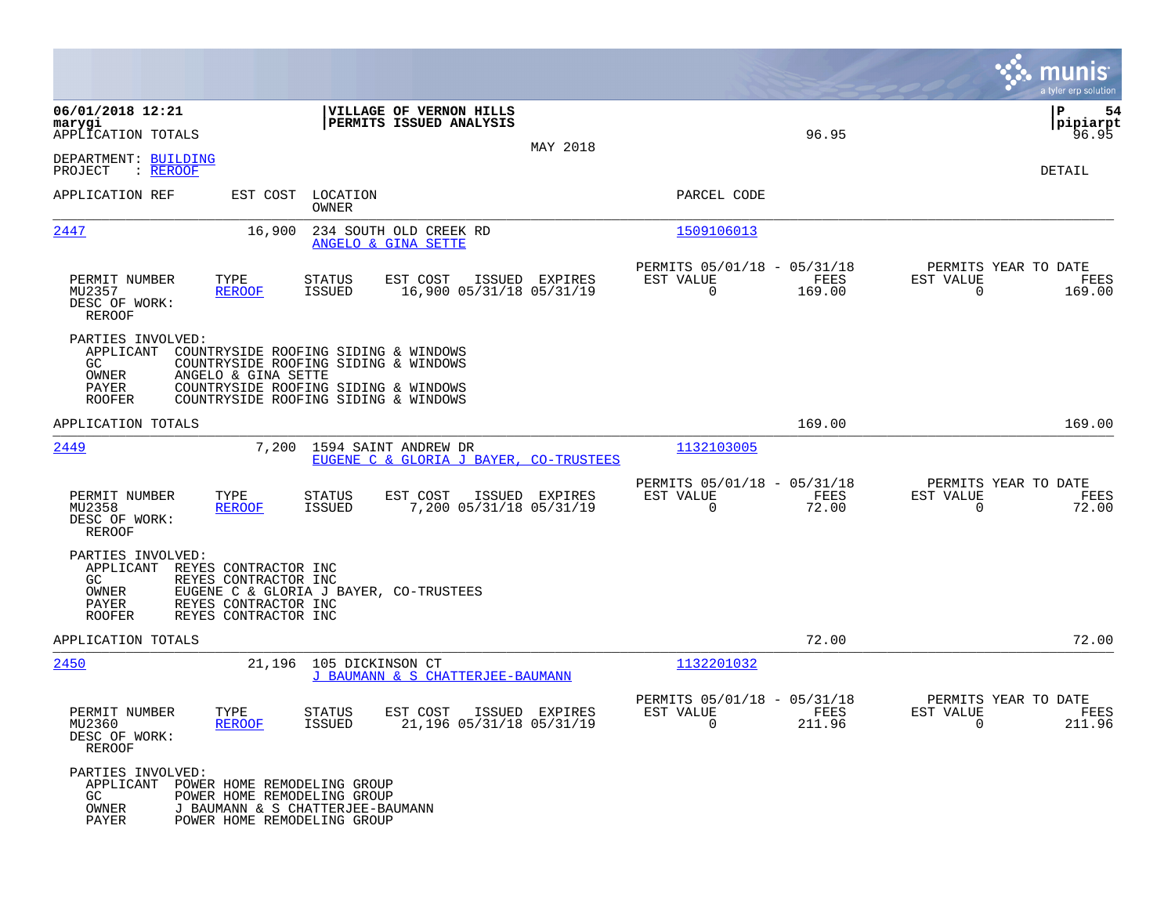|                                                                                                                                                                       |                                                                                                                                                              |                    |                                                         |                | munis<br>a tyler erp solution                                      |
|-----------------------------------------------------------------------------------------------------------------------------------------------------------------------|--------------------------------------------------------------------------------------------------------------------------------------------------------------|--------------------|---------------------------------------------------------|----------------|--------------------------------------------------------------------|
| 06/01/2018 12:21<br>marygi<br>APPLICATION TOTALS                                                                                                                      | VILLAGE OF VERNON HILLS<br>PERMITS ISSUED ANALYSIS                                                                                                           | MAY 2018           |                                                         | 96.95          | P<br>54<br> pipiarpt<br>96.95                                      |
| DEPARTMENT: BUILDING<br>PROJECT<br>: REROOF                                                                                                                           |                                                                                                                                                              |                    |                                                         |                | DETAIL                                                             |
| APPLICATION REF<br>EST COST                                                                                                                                           | LOCATION<br>OWNER                                                                                                                                            |                    | PARCEL CODE                                             |                |                                                                    |
| 2447<br>16,900                                                                                                                                                        | 234 SOUTH OLD CREEK RD<br>ANGELO & GINA SETTE                                                                                                                |                    | 1509106013                                              |                |                                                                    |
| PERMIT NUMBER<br>TYPE<br>MU2357<br><b>REROOF</b><br>DESC OF WORK:<br>REROOF                                                                                           | <b>STATUS</b><br>EST COST<br><b>ISSUED</b><br>16,900 05/31/18 05/31/19                                                                                       | ISSUED EXPIRES     | PERMITS 05/01/18 - 05/31/18<br>EST VALUE<br>$\mathbf 0$ | FEES<br>169.00 | PERMITS YEAR TO DATE<br>EST VALUE<br>FEES<br>$\mathbf 0$<br>169.00 |
| PARTIES INVOLVED:<br>APPLICANT<br>GC<br>OWNER<br>ANGELO & GINA SETTE<br>PAYER<br><b>ROOFER</b>                                                                        | COUNTRYSIDE ROOFING SIDING & WINDOWS<br>COUNTRYSIDE ROOFING SIDING & WINDOWS<br>COUNTRYSIDE ROOFING SIDING & WINDOWS<br>COUNTRYSIDE ROOFING SIDING & WINDOWS |                    |                                                         |                |                                                                    |
| APPLICATION TOTALS                                                                                                                                                    |                                                                                                                                                              |                    |                                                         | 169.00         | 169.00                                                             |
| 2449<br>7,200                                                                                                                                                         | 1594 SAINT ANDREW DR<br>EUGENE C & GLORIA J BAYER,                                                                                                           | <b>CO-TRUSTEES</b> | 1132103005                                              |                |                                                                    |
| PERMIT NUMBER<br>TYPE<br>MU2358<br><b>REROOF</b><br>DESC OF WORK:<br>REROOF                                                                                           | EST COST<br>STATUS<br>ISSUED<br>7,200 05/31/18 05/31/19                                                                                                      | ISSUED EXPIRES     | PERMITS 05/01/18 - 05/31/18<br>EST VALUE<br>0           | FEES<br>72.00  | PERMITS YEAR TO DATE<br>EST VALUE<br>FEES<br>72.00<br>$\mathbf 0$  |
| PARTIES INVOLVED:<br>APPLICANT REYES CONTRACTOR INC<br>GC.<br>REYES CONTRACTOR INC<br>OWNER<br>PAYER<br>REYES CONTRACTOR INC<br>REYES CONTRACTOR INC<br><b>ROOFER</b> | EUGENE C & GLORIA J BAYER, CO-TRUSTEES                                                                                                                       |                    |                                                         |                |                                                                    |
| APPLICATION TOTALS                                                                                                                                                    |                                                                                                                                                              |                    |                                                         | 72.00          | 72.00                                                              |
| 2450<br>21,196                                                                                                                                                        | 105 DICKINSON CT<br>J BAUMANN & S CHATTERJEE-BAUMANN                                                                                                         |                    | 1132201032                                              |                |                                                                    |
| PERMIT NUMBER<br>TYPE<br>MU2360<br><b>REROOF</b><br>DESC OF WORK:<br><b>REROOF</b>                                                                                    | EST COST<br>STATUS<br>21,196 05/31/18 05/31/19<br>ISSUED                                                                                                     | ISSUED EXPIRES     | PERMITS 05/01/18 - 05/31/18<br>EST VALUE<br>$\mathbf 0$ | FEES<br>211.96 | PERMITS YEAR TO DATE<br>EST VALUE<br>FEES<br>$\mathbf 0$<br>211.96 |
| PARTIES INVOLVED:<br>APPLICANT<br>POWER HOME REMODELING GROUP<br>POWER HOME REMODELING GROUP<br>GC.<br>OWNER<br>PAYER<br>POWER HOME REMODELING GROUP                  | J BAUMANN & S CHATTERJEE-BAUMANN                                                                                                                             |                    |                                                         |                |                                                                    |

**Contract**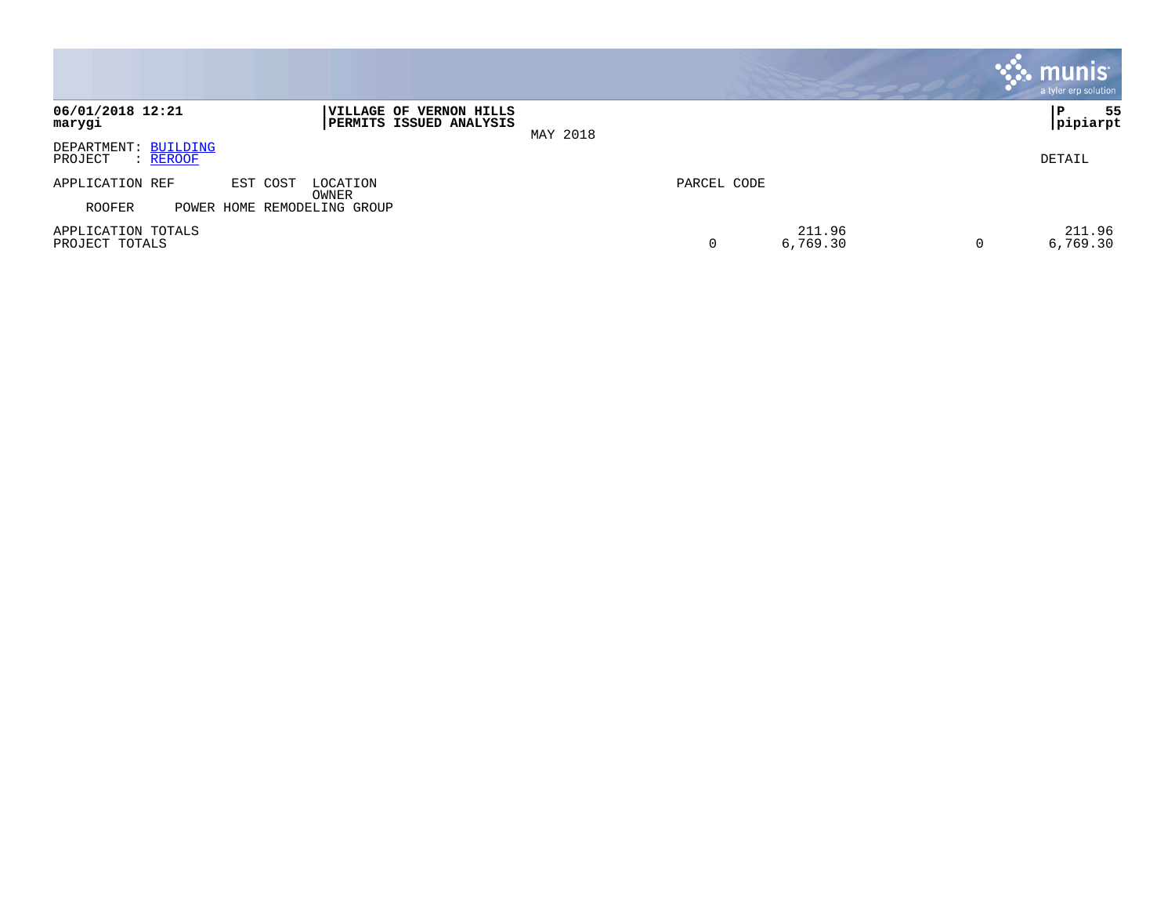|                                             |                                                    |                         | <b>munis</b><br>a tyler erp solution |
|---------------------------------------------|----------------------------------------------------|-------------------------|--------------------------------------|
| 06/01/2018 12:21<br>marygi                  | VILLAGE OF VERNON HILLS<br>PERMITS ISSUED ANALYSIS | MAY 2018                | 55<br>∣P<br> pipiarpt                |
| DEPARTMENT: BUILDING<br>PROJECT<br>: REROOF |                                                    |                         | DETAIL                               |
| APPLICATION REF                             | EST COST<br>LOCATION<br>OWNER                      | PARCEL CODE             |                                      |
| <b>ROOFER</b>                               | POWER HOME REMODELING GROUP                        |                         |                                      |
| APPLICATION TOTALS<br>PROJECT TOTALS        |                                                    | 211.96<br>0<br>6,769.30 | 211.96<br>6,769.30<br>0              |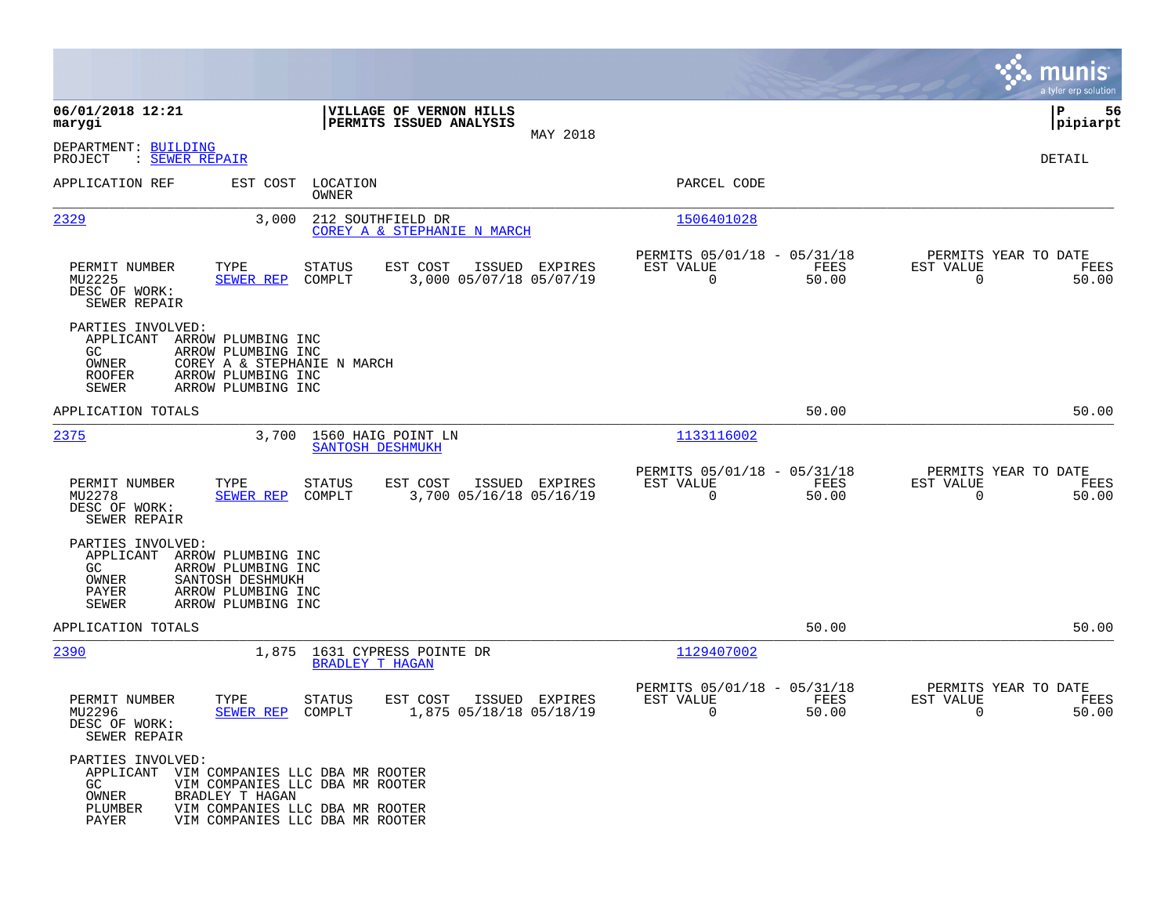|                                                                                                                                                                                                 |                                                                                                       |                                                                          | munis<br>a tyler erp solution                                     |
|-------------------------------------------------------------------------------------------------------------------------------------------------------------------------------------------------|-------------------------------------------------------------------------------------------------------|--------------------------------------------------------------------------|-------------------------------------------------------------------|
| 06/01/2018 12:21<br>marygi                                                                                                                                                                      | VILLAGE OF VERNON HILLS<br>PERMITS ISSUED ANALYSIS                                                    |                                                                          | 56<br>IΡ<br> pipiarpt                                             |
| DEPARTMENT: BUILDING<br>PROJECT<br>: SEWER REPAIR                                                                                                                                               | MAY 2018                                                                                              |                                                                          | DETAIL                                                            |
| APPLICATION REF<br>EST COST                                                                                                                                                                     | LOCATION<br>OWNER                                                                                     | PARCEL CODE                                                              |                                                                   |
| 2329<br>3,000                                                                                                                                                                                   | 212 SOUTHFIELD DR<br>COREY A & STEPHANIE N MARCH                                                      | 1506401028                                                               |                                                                   |
| PERMIT NUMBER<br>TYPE<br>MU2225<br>SEWER REP<br>DESC OF WORK:<br>SEWER REPAIR                                                                                                                   | ISSUED EXPIRES<br>STATUS<br>EST COST<br>COMPLT<br>3,000 05/07/18 05/07/19                             | PERMITS 05/01/18 - 05/31/18<br>FEES<br>EST VALUE<br>$\mathbf 0$<br>50.00 | PERMITS YEAR TO DATE<br>EST VALUE<br>FEES<br>$\mathbf 0$<br>50.00 |
| PARTIES INVOLVED:<br>APPLICANT<br>ARROW PLUMBING INC<br>GC.<br>ARROW PLUMBING INC<br>OWNER<br>COREY A & STEPHANIE N MARCH<br><b>ROOFER</b><br>ARROW PLUMBING INC<br>SEWER<br>ARROW PLUMBING INC |                                                                                                       |                                                                          |                                                                   |
| APPLICATION TOTALS                                                                                                                                                                              |                                                                                                       | 50.00                                                                    | 50.00                                                             |
| 2375<br>3,700                                                                                                                                                                                   | 1560 HAIG POINT LN<br>SANTOSH DESHMUKH                                                                | 1133116002                                                               |                                                                   |
| PERMIT NUMBER<br>TYPE<br>MU2278<br><b>SEWER REP</b><br>DESC OF WORK:<br>SEWER REPAIR                                                                                                            | <b>STATUS</b><br>EST COST<br>ISSUED EXPIRES<br>COMPLT<br>3,700 05/16/18 05/16/19                      | PERMITS 05/01/18 - 05/31/18<br>EST VALUE<br>FEES<br>$\Omega$<br>50.00    | PERMITS YEAR TO DATE<br>EST VALUE<br>FEES<br>$\Omega$<br>50.00    |
| PARTIES INVOLVED:<br>APPLICANT<br>ARROW PLUMBING INC<br>ARROW PLUMBING INC<br>GC.<br>SANTOSH DESHMUKH<br>OWNER<br>PAYER<br>ARROW PLUMBING INC<br><b>SEWER</b><br>ARROW PLUMBING INC             |                                                                                                       |                                                                          |                                                                   |
| APPLICATION TOTALS                                                                                                                                                                              |                                                                                                       | 50.00                                                                    | 50.00                                                             |
| 2390                                                                                                                                                                                            | 1,875 1631 CYPRESS POINTE DR<br><b>BRADLEY T HAGAN</b>                                                | 1129407002                                                               |                                                                   |
| PERMIT NUMBER<br>TYPE<br>MU2296<br>SEWER REP<br>DESC OF WORK:<br>SEWER REPAIR                                                                                                                   | STATUS<br>EST COST<br>ISSUED EXPIRES<br>1,875 05/18/18 05/18/19<br>COMPLT                             | PERMITS 05/01/18 - 05/31/18<br>EST VALUE<br>FEES<br>0<br>50.00           | PERMITS YEAR TO DATE<br>EST VALUE<br>FEES<br>0<br>50.00           |
| PARTIES INVOLVED:<br>APPLICANT VIM COMPANIES LLC DBA MR ROOTER<br>GC.<br>OWNER<br>BRADLEY T HAGAN<br>PLUMBER<br>PAYER                                                                           | VIM COMPANIES LLC DBA MR ROOTER<br>VIM COMPANIES LLC DBA MR ROOTER<br>VIM COMPANIES LLC DBA MR ROOTER |                                                                          |                                                                   |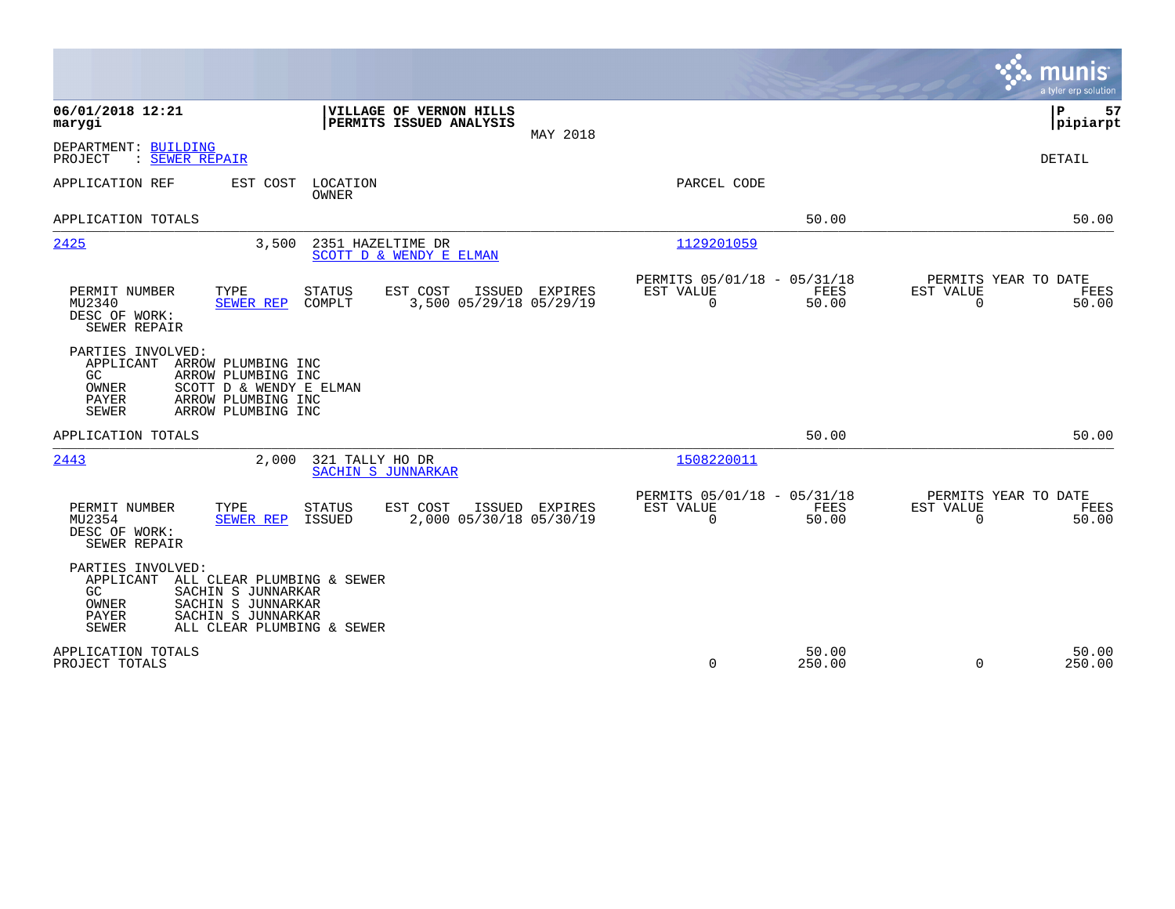|                                                                                                                                                                                                              |                                                                   |                |                                                         |                      |                                                  | munis<br>a tyler erp solution |
|--------------------------------------------------------------------------------------------------------------------------------------------------------------------------------------------------------------|-------------------------------------------------------------------|----------------|---------------------------------------------------------|----------------------|--------------------------------------------------|-------------------------------|
| 06/01/2018 12:21<br>marygi                                                                                                                                                                                   | VILLAGE OF VERNON HILLS<br>PERMITS ISSUED ANALYSIS                | MAY 2018       |                                                         |                      |                                                  | 57<br>P<br> pipiarpt          |
| DEPARTMENT: BUILDING<br>: SEWER REPAIR<br>PROJECT                                                                                                                                                            |                                                                   |                |                                                         |                      |                                                  | DETAIL                        |
| EST COST<br>APPLICATION REF                                                                                                                                                                                  | LOCATION<br><b>OWNER</b>                                          |                | PARCEL CODE                                             |                      |                                                  |                               |
| APPLICATION TOTALS                                                                                                                                                                                           |                                                                   |                |                                                         | 50.00                |                                                  | 50.00                         |
| 2425<br>3,500                                                                                                                                                                                                | 2351 HAZELTIME DR<br>SCOTT D & WENDY E ELMAN                      |                | 1129201059                                              |                      |                                                  |                               |
| PERMIT NUMBER<br>TYPE<br>MU2340<br>SEWER REP<br>DESC OF WORK:<br>SEWER REPAIR                                                                                                                                | STATUS<br>EST COST<br>ISSUED<br>3,500 05/29/18 05/29/19<br>COMPLT | <b>EXPIRES</b> | PERMITS 05/01/18 - 05/31/18<br>EST VALUE<br>$\mathbf 0$ | FEES<br>50.00        | PERMITS YEAR TO DATE<br>EST VALUE<br>$\mathbf 0$ | FEES<br>50.00                 |
| PARTIES INVOLVED:<br>APPLICANT<br>ARROW PLUMBING INC<br>GC.<br>ARROW PLUMBING INC<br>OWNER<br>SCOTT D & WENDY E ELMAN<br><b>PAYER</b><br>ARROW PLUMBING INC<br><b>SEWER</b><br>ARROW PLUMBING INC            |                                                                   |                |                                                         |                      |                                                  |                               |
| APPLICATION TOTALS                                                                                                                                                                                           |                                                                   |                |                                                         | 50.00                |                                                  | 50.00                         |
| 2443<br>2,000                                                                                                                                                                                                | 321 TALLY HO DR<br>SACHIN S JUNNARKAR                             |                | 1508220011                                              |                      |                                                  |                               |
| PERMIT NUMBER<br>TYPE<br>MU2354<br>SEWER REP<br>DESC OF WORK:<br>SEWER REPAIR                                                                                                                                | EST COST<br>STATUS<br>2,000 05/30/18 05/30/19<br>ISSUED           | ISSUED EXPIRES | PERMITS 05/01/18 - 05/31/18<br>EST VALUE<br>$\Omega$    | <b>FEES</b><br>50.00 | PERMITS YEAR TO DATE<br>EST VALUE<br>$\Omega$    | FEES<br>50.00                 |
| PARTIES INVOLVED:<br>APPLICANT<br>ALL CLEAR PLUMBING & SEWER<br>SACHIN S JUNNARKAR<br>GC.<br>SACHIN S JUNNARKAR<br>OWNER<br><b>PAYER</b><br>SACHIN S JUNNARKAR<br><b>SEWER</b><br>ALL CLEAR PLUMBING & SEWER |                                                                   |                |                                                         |                      |                                                  |                               |
| APPLICATION TOTALS<br>PROJECT TOTALS                                                                                                                                                                         |                                                                   |                | $\mathbf 0$                                             | 50.00<br>250.00      | $\mathbf 0$                                      | 50.00<br>250.00               |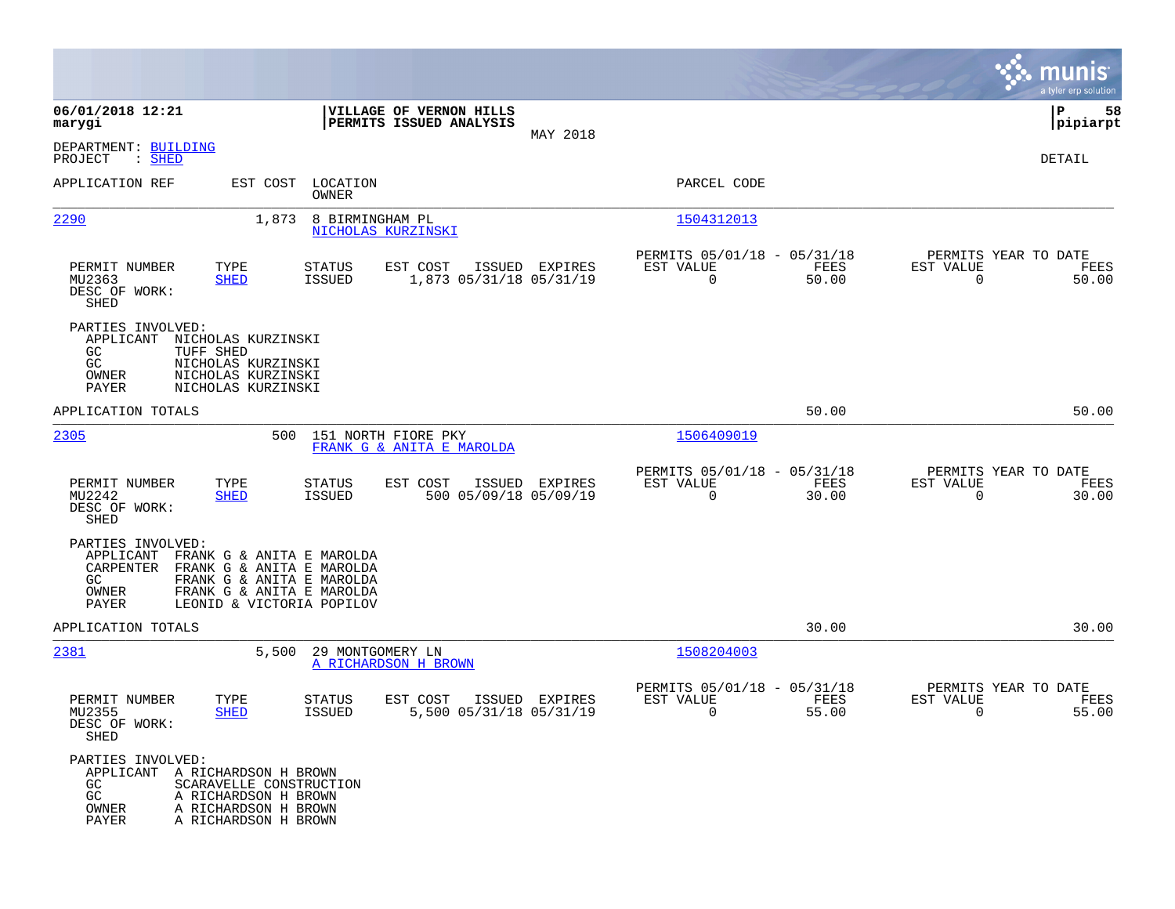|                                                                                                                                                                                                                      |                                                                                         |                                                                          | munis<br>a tyler erp solution                                     |
|----------------------------------------------------------------------------------------------------------------------------------------------------------------------------------------------------------------------|-----------------------------------------------------------------------------------------|--------------------------------------------------------------------------|-------------------------------------------------------------------|
| 06/01/2018 12:21<br>marygi                                                                                                                                                                                           | VILLAGE OF VERNON HILLS<br>PERMITS ISSUED ANALYSIS                                      |                                                                          | 58<br>  P<br> pipiarpt                                            |
| DEPARTMENT: BUILDING<br>: SHED<br>PROJECT                                                                                                                                                                            | MAY 2018                                                                                |                                                                          | DETAIL                                                            |
| APPLICATION REF<br>EST COST                                                                                                                                                                                          | LOCATION<br>OWNER                                                                       | PARCEL CODE                                                              |                                                                   |
| 2290<br>1,873                                                                                                                                                                                                        | 8 BIRMINGHAM PL<br>NICHOLAS KURZINSKI                                                   | 1504312013                                                               |                                                                   |
| PERMIT NUMBER<br>TYPE<br>MU2363<br><b>SHED</b><br>DESC OF WORK:<br>SHED                                                                                                                                              | ISSUED EXPIRES<br>STATUS<br>EST COST<br><b>ISSUED</b><br>1,873 05/31/18 05/31/19        | PERMITS 05/01/18 - 05/31/18<br>FEES<br>EST VALUE<br>$\mathbf 0$<br>50.00 | PERMITS YEAR TO DATE<br>EST VALUE<br>FEES<br>$\mathbf 0$<br>50.00 |
| PARTIES INVOLVED:<br>APPLICANT<br>NICHOLAS KURZINSKI<br>GC<br>TUFF SHED<br>GC<br>NICHOLAS KURZINSKI<br>OWNER<br>NICHOLAS KURZINSKI<br>PAYER<br>NICHOLAS KURZINSKI                                                    |                                                                                         |                                                                          |                                                                   |
| APPLICATION TOTALS                                                                                                                                                                                                   |                                                                                         | 50.00                                                                    | 50.00                                                             |
| 2305                                                                                                                                                                                                                 | 500<br>151 NORTH FIORE PKY<br>FRANK G & ANITA E MAROLDA                                 | 1506409019                                                               |                                                                   |
| PERMIT NUMBER<br>TYPE<br>MU2242<br><b>SHED</b><br>DESC OF WORK:<br>SHED                                                                                                                                              | ISSUED EXPIRES<br><b>STATUS</b><br>EST COST<br>500 05/09/18 05/09/19<br>ISSUED          | PERMITS 05/01/18 - 05/31/18<br>EST VALUE<br>FEES<br>0<br>30.00           | PERMITS YEAR TO DATE<br>EST VALUE<br>FEES<br>$\mathbf 0$<br>30.00 |
| PARTIES INVOLVED:<br>APPLICANT<br>FRANK G & ANITA E MAROLDA<br>FRANK G & ANITA E MAROLDA<br>CARPENTER<br>GC<br>FRANK G & ANITA E MAROLDA<br>OWNER<br>FRANK G & ANITA E MAROLDA<br>PAYER<br>LEONID & VICTORIA POPILOV |                                                                                         |                                                                          |                                                                   |
| APPLICATION TOTALS                                                                                                                                                                                                   |                                                                                         | 30.00                                                                    | 30.00                                                             |
| 2381<br>5,500                                                                                                                                                                                                        | 29 MONTGOMERY LN<br>A RICHARDSON H BROWN                                                | 1508204003                                                               |                                                                   |
| PERMIT NUMBER<br>TYPE<br>MU2355<br><b>SHED</b><br>DESC OF WORK:<br><b>SHED</b>                                                                                                                                       | <b>STATUS</b><br>EST COST<br>ISSUED EXPIRES<br>5,500 05/31/18 05/31/19<br><b>ISSUED</b> | PERMITS 05/01/18 - 05/31/18<br>EST VALUE<br>FEES<br>0<br>55.00           | PERMITS YEAR TO DATE<br>EST VALUE<br>FEES<br>0<br>55.00           |
| PARTIES INVOLVED:<br>APPLICANT A RICHARDSON H BROWN<br>GC.<br>SCARAVELLE CONSTRUCTION<br>GC<br>A RICHARDSON H BROWN<br>OWNER<br>A RICHARDSON H BROWN<br>PAYER<br>A RICHARDSON H BROWN                                |                                                                                         |                                                                          |                                                                   |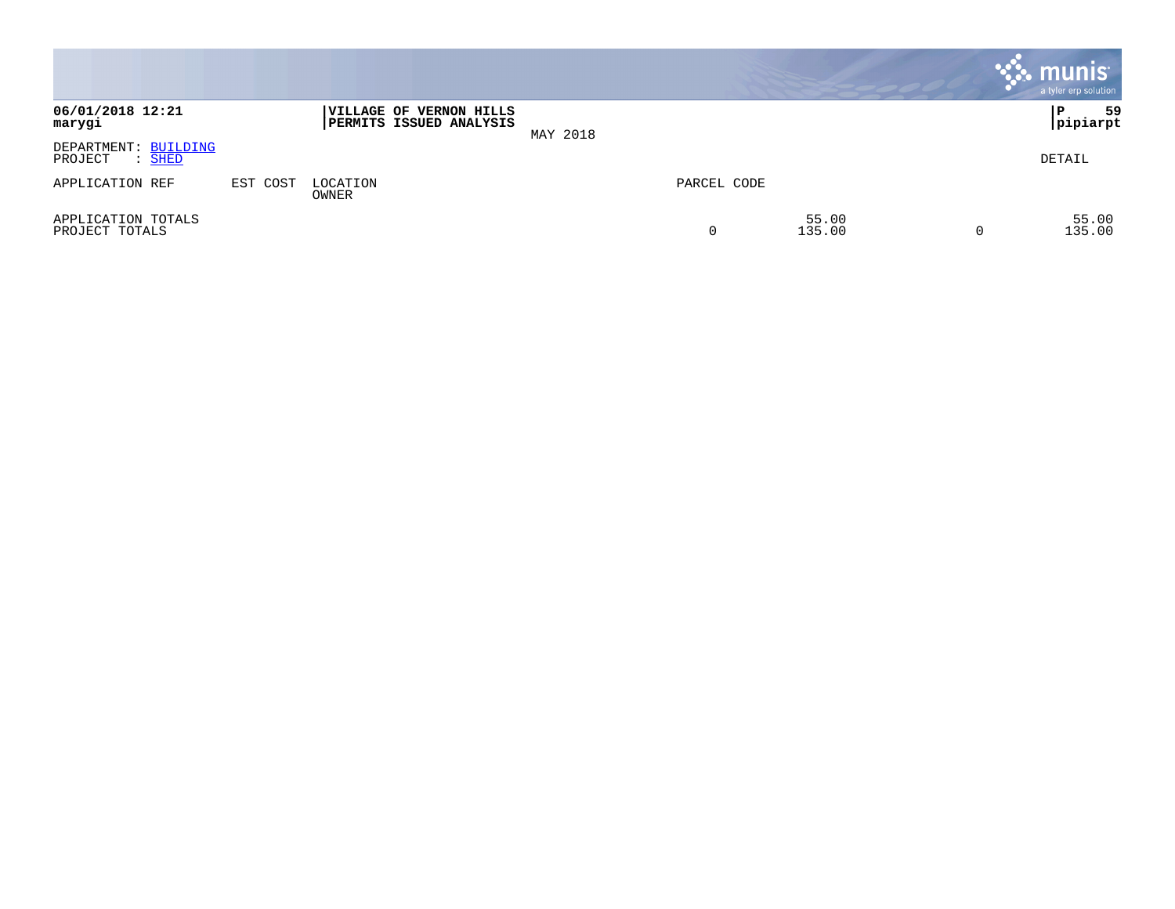|                                           |          |                                                    |          |             |                 |          | <b>munis</b><br>a tyler erp solution |
|-------------------------------------------|----------|----------------------------------------------------|----------|-------------|-----------------|----------|--------------------------------------|
| 06/01/2018 12:21<br>marygi                |          | VILLAGE OF VERNON HILLS<br>PERMITS ISSUED ANALYSIS | MAY 2018 |             |                 |          | 59<br>P<br> pipiarpt                 |
| DEPARTMENT: BUILDING<br>PROJECT<br>: SHED |          |                                                    |          |             |                 |          | DETAIL                               |
| APPLICATION REF                           | EST COST | LOCATION<br>OWNER                                  |          | PARCEL CODE |                 |          |                                      |
| APPLICATION TOTALS<br>PROJECT TOTALS      |          |                                                    |          | 0           | 55.00<br>135.00 | $\Omega$ | 55.00<br>135.00                      |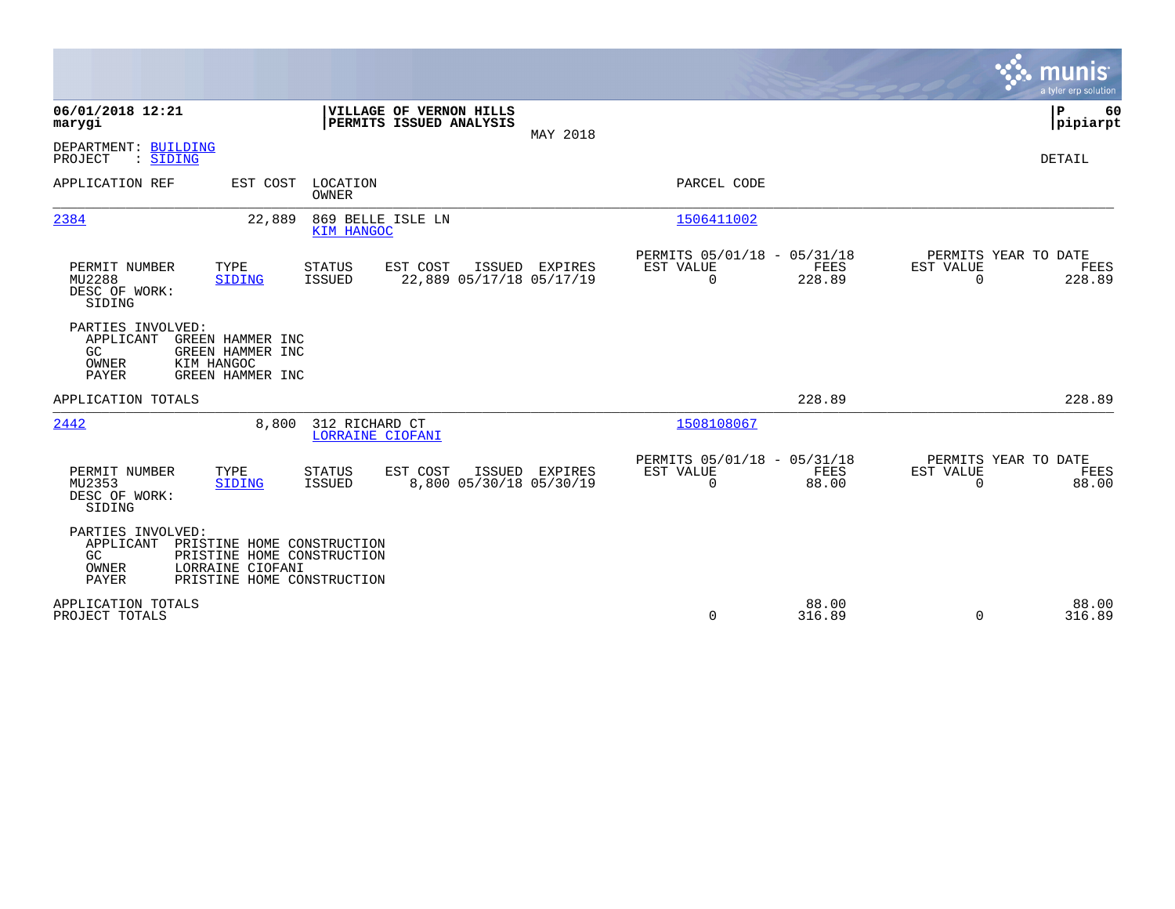|                                                                                                                                                                      |                                                                       |                |                                                      |                 |                                               | munis<br>a tyler erp solution |
|----------------------------------------------------------------------------------------------------------------------------------------------------------------------|-----------------------------------------------------------------------|----------------|------------------------------------------------------|-----------------|-----------------------------------------------|-------------------------------|
| 06/01/2018 12:21<br>marygi                                                                                                                                           | VILLAGE OF VERNON HILLS<br>PERMITS ISSUED ANALYSIS                    | MAY 2018       |                                                      |                 |                                               | P<br>60<br> pipiarpt          |
| DEPARTMENT: BUILDING<br>: SIDING<br>PROJECT                                                                                                                          |                                                                       |                |                                                      |                 |                                               | DETAIL                        |
| APPLICATION REF<br>EST COST                                                                                                                                          | LOCATION<br><b>OWNER</b>                                              |                | PARCEL CODE                                          |                 |                                               |                               |
| 2384<br>22,889                                                                                                                                                       | 869 BELLE ISLE LN<br><b>KIM HANGOC</b>                                |                | 1506411002                                           |                 |                                               |                               |
| TYPE<br>PERMIT NUMBER<br>MU2288<br><b>SIDING</b><br>DESC OF WORK:<br>SIDING                                                                                          | EST COST<br><b>STATUS</b><br>22,889 05/17/18 05/17/19<br>ISSUED       | ISSUED EXPIRES | PERMITS 05/01/18 - 05/31/18<br>EST VALUE<br>$\Omega$ | FEES<br>228.89  | PERMITS YEAR TO DATE<br>EST VALUE<br>$\Omega$ | FEES<br>228.89                |
| PARTIES INVOLVED:<br>APPLICANT<br>GREEN HAMMER INC<br>GC<br>GREEN HAMMER INC<br>KIM HANGOC<br>OWNER<br>PAYER<br>GREEN HAMMER INC                                     |                                                                       |                |                                                      |                 |                                               |                               |
| APPLICATION TOTALS                                                                                                                                                   |                                                                       |                |                                                      | 228.89          |                                               | 228.89                        |
| 2442<br>8,800                                                                                                                                                        | 312 RICHARD CT<br>LORRAINE CIOFANI                                    |                | 1508108067                                           |                 |                                               |                               |
| PERMIT NUMBER<br>TYPE<br>MU2353<br>SIDING<br>DESC OF WORK:<br>SIDING                                                                                                 | EST COST<br><b>STATUS</b><br>8,800 05/30/18 05/30/19<br><b>ISSUED</b> | ISSUED EXPIRES | PERMITS 05/01/18 - 05/31/18<br>EST VALUE<br>$\Omega$ | FEES<br>88.00   | PERMITS YEAR TO DATE<br>EST VALUE<br>$\Omega$ | FEES<br>88.00                 |
| PARTIES INVOLVED:<br>APPLICANT<br>PRISTINE HOME CONSTRUCTION<br>GC<br>PRISTINE HOME CONSTRUCTION<br>OWNER<br>LORRAINE CIOFANI<br>PRISTINE HOME CONSTRUCTION<br>PAYER |                                                                       |                |                                                      |                 |                                               |                               |
| APPLICATION TOTALS<br>PROJECT TOTALS                                                                                                                                 |                                                                       |                | $\Omega$                                             | 88.00<br>316.89 | $\Omega$                                      | 88.00<br>316.89               |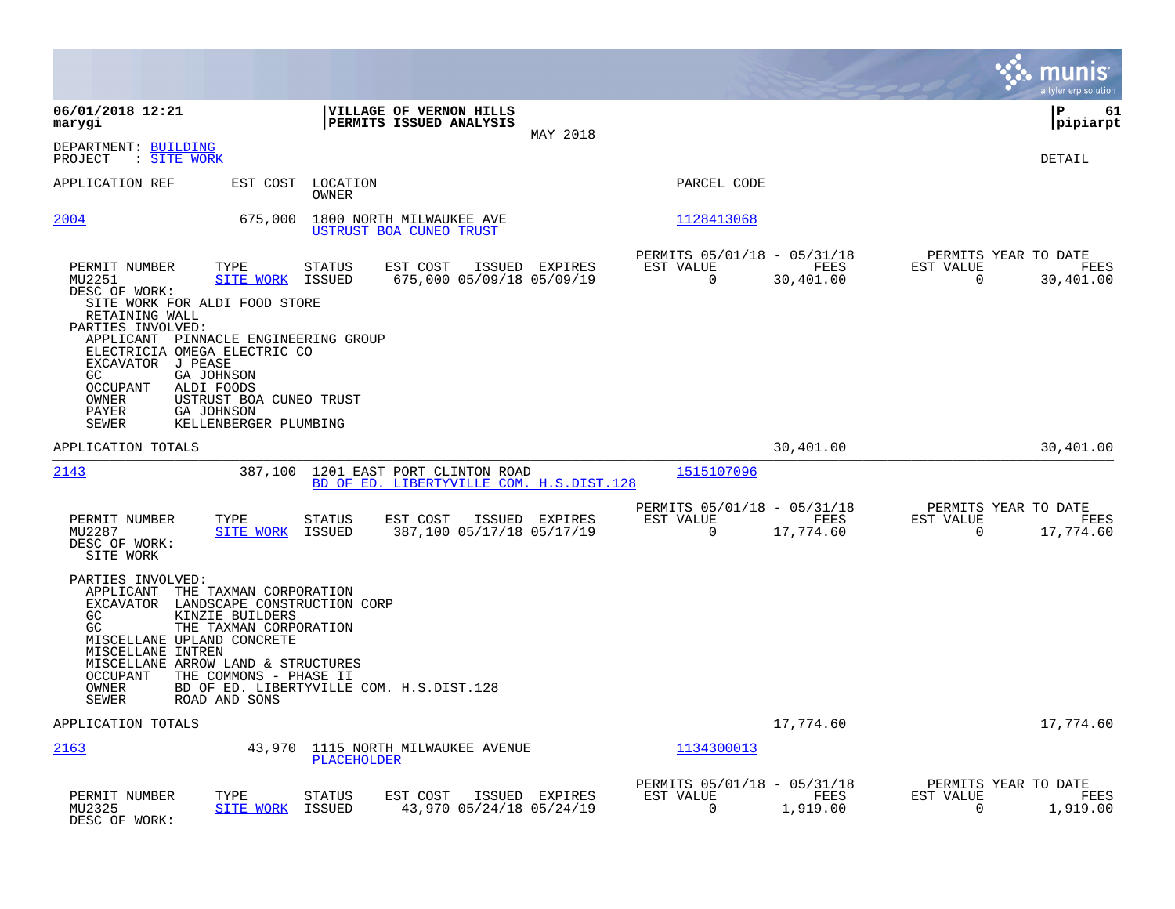|                                                                                                                                                                                                                                                                                                                                                                                                     |                                                                         |                                                                           |                          | munis<br>a tyler erp solution                               |
|-----------------------------------------------------------------------------------------------------------------------------------------------------------------------------------------------------------------------------------------------------------------------------------------------------------------------------------------------------------------------------------------------------|-------------------------------------------------------------------------|---------------------------------------------------------------------------|--------------------------|-------------------------------------------------------------|
| 06/01/2018 12:21<br>marygi                                                                                                                                                                                                                                                                                                                                                                          | VILLAGE OF VERNON HILLS<br>PERMITS ISSUED ANALYSIS                      | MAY 2018                                                                  |                          | ΙP<br>61<br> pipiarpt                                       |
| DEPARTMENT: BUILDING<br>: SITE WORK<br>PROJECT                                                                                                                                                                                                                                                                                                                                                      |                                                                         |                                                                           |                          | <b>DETAIL</b>                                               |
| APPLICATION REF<br>EST COST                                                                                                                                                                                                                                                                                                                                                                         | LOCATION<br><b>OWNER</b>                                                | PARCEL CODE                                                               |                          |                                                             |
| 2004<br>675,000                                                                                                                                                                                                                                                                                                                                                                                     | 1800 NORTH MILWAUKEE AVE<br>USTRUST BOA CUNEO TRUST                     | 1128413068                                                                |                          |                                                             |
| PERMIT NUMBER<br>TYPE<br>MU2251<br><b>SITE WORK</b><br>DESC OF WORK:<br>SITE WORK FOR ALDI FOOD STORE<br>RETAINING WALL<br>PARTIES INVOLVED:<br>APPLICANT PINNACLE ENGINEERING GROUP<br>ELECTRICIA OMEGA ELECTRIC CO<br>EXCAVATOR J PEASE<br>GA JOHNSON<br>GC.<br>OCCUPANT<br>ALDI FOODS<br>OWNER<br>USTRUST BOA CUNEO TRUST<br><b>GA JOHNSON</b><br>PAYER<br><b>SEWER</b><br>KELLENBERGER PLUMBING | EST COST<br>STATUS<br>675,000 05/09/18 05/09/19<br>ISSUED               | PERMITS 05/01/18 - 05/31/18<br>ISSUED EXPIRES<br>EST VALUE<br>$\mathbf 0$ | FEES<br>30,401.00        | PERMITS YEAR TO DATE<br>EST VALUE<br>FEES<br>30,401.00<br>0 |
| APPLICATION TOTALS                                                                                                                                                                                                                                                                                                                                                                                  |                                                                         |                                                                           | 30,401.00                | 30,401.00                                                   |
| 2143<br>387,100                                                                                                                                                                                                                                                                                                                                                                                     | 1201 EAST PORT CLINTON ROAD<br>BD OF ED. LIBERTYVILLE COM. H.S.DIST.128 | 1515107096                                                                |                          |                                                             |
| PERMIT NUMBER<br>TYPE<br>MU2287<br>SITE WORK<br>DESC OF WORK:<br>SITE WORK                                                                                                                                                                                                                                                                                                                          | <b>STATUS</b><br>EST COST<br>387,100 05/17/18 05/17/19<br>ISSUED        | PERMITS 05/01/18 - 05/31/18<br>EST VALUE<br>ISSUED EXPIRES<br>$\mathbf 0$ | <b>FEES</b><br>17,774.60 | PERMITS YEAR TO DATE<br>EST VALUE<br>FEES<br>0<br>17,774.60 |
| PARTIES INVOLVED:<br>APPLICANT<br>THE TAXMAN CORPORATION<br>EXCAVATOR LANDSCAPE CONSTRUCTION CORP<br>GC<br>KINZIE BUILDERS<br>GC<br>THE TAXMAN CORPORATION<br>MISCELLANE UPLAND CONCRETE<br>MISCELLANE INTREN<br>MISCELLANE ARROW LAND & STRUCTURES<br><b>OCCUPANT</b><br>THE COMMONS - PHASE II<br>OWNER<br><b>SEWER</b><br>ROAD AND SONS                                                          | BD OF ED. LIBERTYVILLE COM. H.S.DIST.128                                |                                                                           |                          |                                                             |
| APPLICATION TOTALS                                                                                                                                                                                                                                                                                                                                                                                  |                                                                         |                                                                           | 17,774.60                | 17,774.60                                                   |
| 2163<br>43,970                                                                                                                                                                                                                                                                                                                                                                                      | 1115 NORTH MILWAUKEE AVENUE<br><b>PLACEHOLDER</b>                       | 1134300013                                                                |                          |                                                             |
| PERMIT NUMBER<br>TYPE<br>MU2325<br><b>SITE WORK</b><br>DESC OF WORK:                                                                                                                                                                                                                                                                                                                                | STATUS<br>EST COST<br>43,970 05/24/18 05/24/19<br>ISSUED                | PERMITS 05/01/18 - 05/31/18<br>EST VALUE<br>ISSUED EXPIRES<br>0           | <b>FEES</b><br>1,919.00  | PERMITS YEAR TO DATE<br>EST VALUE<br>FEES<br>1,919.00<br>0  |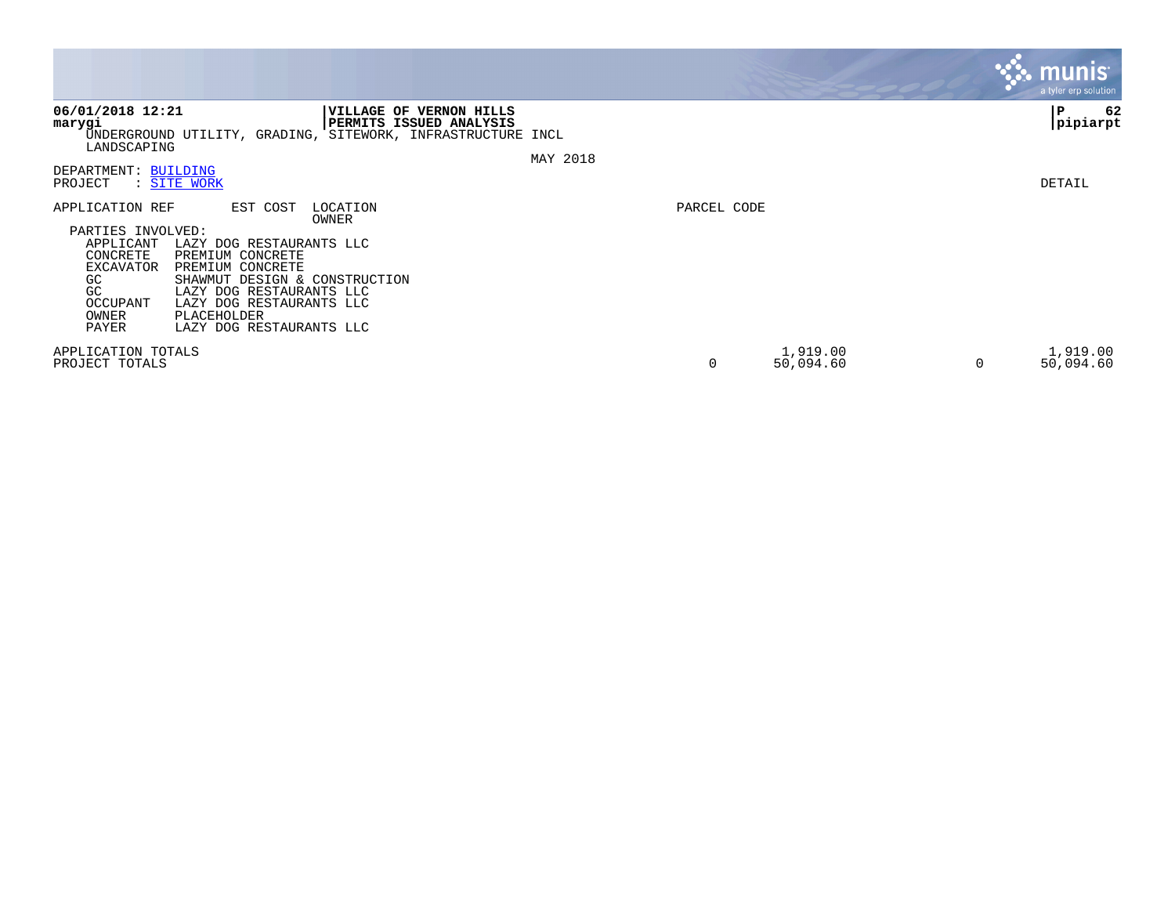|                                                                                                                                                                                                                                                                                                                                                               |                                 | $\mathbf{3.3}\ \mathbf{m}$ unis '<br>a tyler erp solution |
|---------------------------------------------------------------------------------------------------------------------------------------------------------------------------------------------------------------------------------------------------------------------------------------------------------------------------------------------------------------|---------------------------------|-----------------------------------------------------------|
| 06/01/2018 12:21<br>VILLAGE OF VERNON HILLS<br><b>PERMITS ISSUED ANALYSIS</b><br>marygi<br>UNDERGROUND UTILITY, GRADING, SITEWORK, INFRASTRUCTURE INCL<br>LANDSCAPING<br>DEPARTMENT: BUILDING                                                                                                                                                                 | MAY 2018                        | 62<br>∣P<br> pipiarpt                                     |
| : SITE WORK<br>PROJECT                                                                                                                                                                                                                                                                                                                                        |                                 | DETAIL                                                    |
| APPLICATION REF<br>EST COST<br>LOCATION<br>OWNER<br>PARTIES INVOLVED:<br>APPLICANT<br>LAZY DOG RESTAURANTS LLC<br>CONCRETE<br>PREMIUM CONCRETE<br>PREMIUM CONCRETE<br>EXCAVATOR<br>GC<br>SHAWMUT DESIGN & CONSTRUCTION<br>GC<br>LAZY DOG RESTAURANTS LLC<br>OCCUPANT<br>LAZY DOG RESTAURANTS LLC<br>PLACEHOLDER<br>OWNER<br>PAYER<br>LAZY DOG RESTAURANTS LLC | PARCEL CODE                     |                                                           |
| APPLICATION TOTALS<br>PROJECT TOTALS                                                                                                                                                                                                                                                                                                                          | 1,919.00<br>0<br>50,094.60<br>0 | 1,919.00<br>50,094.60                                     |

the contract of the contract of

and the contract of the contract of the contract of the contract of the contract of the contract of the contract of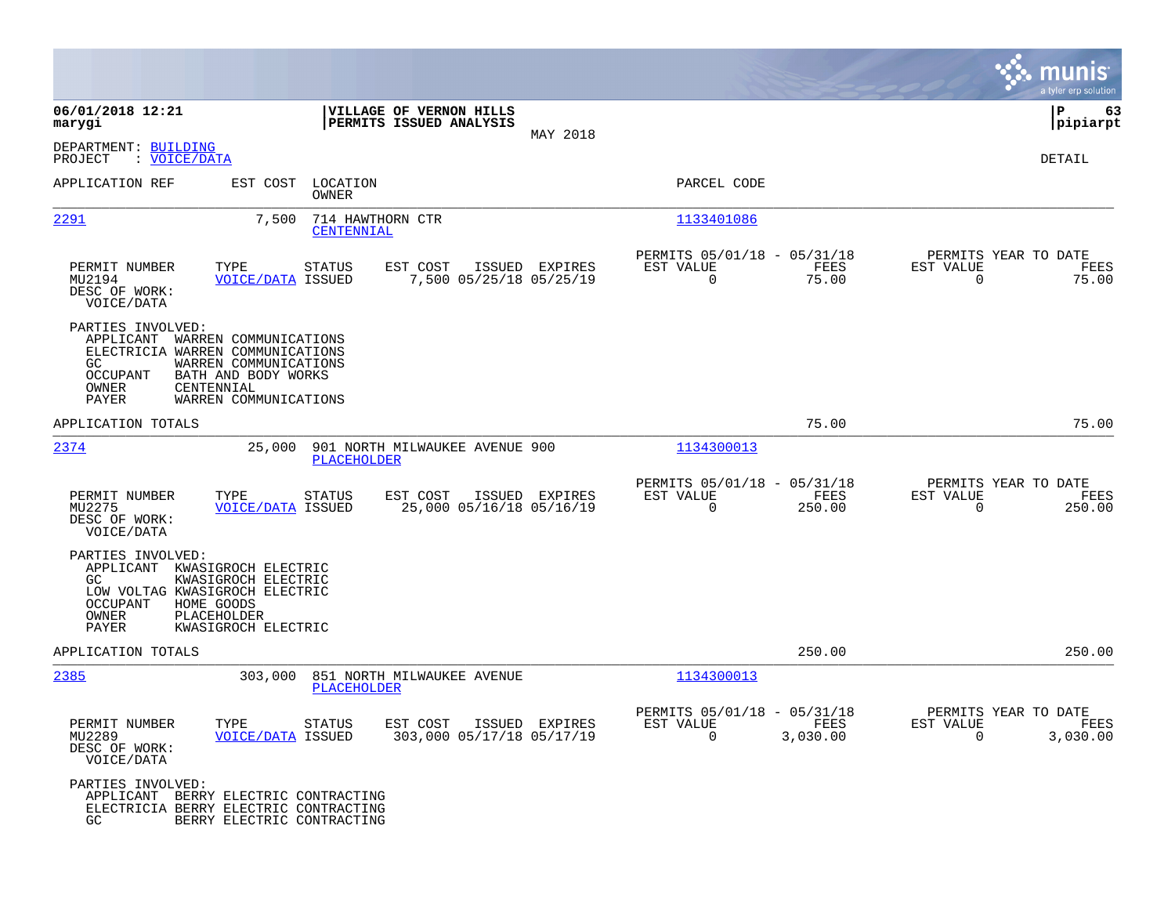|                                                                                                                                                               |                                                                                                             |                                                      |                |                                                         |                  |                                                  | munis<br>a tyler erp solution |
|---------------------------------------------------------------------------------------------------------------------------------------------------------------|-------------------------------------------------------------------------------------------------------------|------------------------------------------------------|----------------|---------------------------------------------------------|------------------|--------------------------------------------------|-------------------------------|
| 06/01/2018 12:21<br>marygi                                                                                                                                    |                                                                                                             | VILLAGE OF VERNON HILLS<br>PERMITS ISSUED ANALYSIS   |                |                                                         |                  |                                                  | 63<br>IΡ<br> pipiarpt         |
| DEPARTMENT: BUILDING<br>: VOICE/DATA<br>PROJECT                                                                                                               |                                                                                                             |                                                      | MAY 2018       |                                                         |                  |                                                  | DETAIL                        |
| APPLICATION REF                                                                                                                                               | LOCATION<br>EST COST<br>OWNER                                                                               |                                                      |                | PARCEL CODE                                             |                  |                                                  |                               |
| 2291                                                                                                                                                          | 7,500<br>714 HAWTHORN CTR<br>CENTENNIAL                                                                     |                                                      |                | 1133401086                                              |                  |                                                  |                               |
| PERMIT NUMBER<br>MU2194<br>DESC OF WORK:<br>VOICE/DATA                                                                                                        | TYPE<br>STATUS<br><b>VOICE/DATA ISSUED</b>                                                                  | EST COST<br>7,500 05/25/18 05/25/19                  | ISSUED EXPIRES | PERMITS 05/01/18 - 05/31/18<br>EST VALUE<br>$\mathbf 0$ | FEES<br>75.00    | PERMITS YEAR TO DATE<br>EST VALUE<br>$\mathbf 0$ | FEES<br>75.00                 |
| PARTIES INVOLVED:<br>APPLICANT<br>ELECTRICIA WARREN COMMUNICATIONS<br>GC.<br><b>OCCUPANT</b><br>OWNER<br>CENTENNIAL<br><b>PAYER</b>                           | WARREN COMMUNICATIONS<br>WARREN COMMUNICATIONS<br>BATH AND BODY WORKS<br>WARREN COMMUNICATIONS              |                                                      |                |                                                         |                  |                                                  |                               |
| APPLICATION TOTALS                                                                                                                                            |                                                                                                             |                                                      |                |                                                         | 75.00            |                                                  | 75.00                         |
| 2374                                                                                                                                                          | 25,000<br><b>PLACEHOLDER</b>                                                                                | 901 NORTH MILWAUKEE AVENUE 900                       |                | 1134300013                                              |                  |                                                  |                               |
| PERMIT NUMBER<br>MU2275<br>DESC OF WORK:<br>VOICE/DATA                                                                                                        | TYPE<br><b>STATUS</b><br><b>VOICE/DATA ISSUED</b>                                                           | EST COST<br>25,000 05/16/18 05/16/19                 | ISSUED EXPIRES | PERMITS 05/01/18 - 05/31/18<br>EST VALUE<br>$\Omega$    | FEES<br>250.00   | PERMITS YEAR TO DATE<br>EST VALUE<br>0           | FEES<br>250.00                |
| PARTIES INVOLVED:<br>APPLICANT KWASIGROCH ELECTRIC<br>GC.<br>LOW VOLTAG KWASIGROCH ELECTRIC<br><b>OCCUPANT</b><br>HOME GOODS<br>OWNER<br>PLACEHOLDER<br>PAYER | KWASIGROCH ELECTRIC<br>KWASIGROCH ELECTRIC                                                                  |                                                      |                |                                                         |                  |                                                  |                               |
| APPLICATION TOTALS                                                                                                                                            |                                                                                                             |                                                      |                |                                                         | 250.00           |                                                  | 250.00                        |
| 2385                                                                                                                                                          | 303,000<br>PLACEHOLDER                                                                                      | 851 NORTH MILWAUKEE AVENUE                           |                | 1134300013                                              |                  |                                                  |                               |
| PERMIT NUMBER<br>MU2289<br>DESC OF WORK:<br>VOICE/DATA                                                                                                        | TYPE STATUS<br><b>VOICE/DATA ISSUED</b>                                                                     | EST COST ISSUED EXPIRES<br>303,000 05/17/18 05/17/19 |                | PERMITS 05/01/18 - 05/31/18<br>EST VALUE<br>$\Omega$    | FEES<br>3,030.00 | PERMITS YEAR TO DATE<br>EST VALUE<br>$\Omega$    | FEES<br>3,030.00              |
| PARTIES INVOLVED:<br>GC.                                                                                                                                      | APPLICANT BERRY ELECTRIC CONTRACTING<br>ELECTRICIA BERRY ELECTRIC CONTRACTING<br>BERRY ELECTRIC CONTRACTING |                                                      |                |                                                         |                  |                                                  |                               |

**Contract**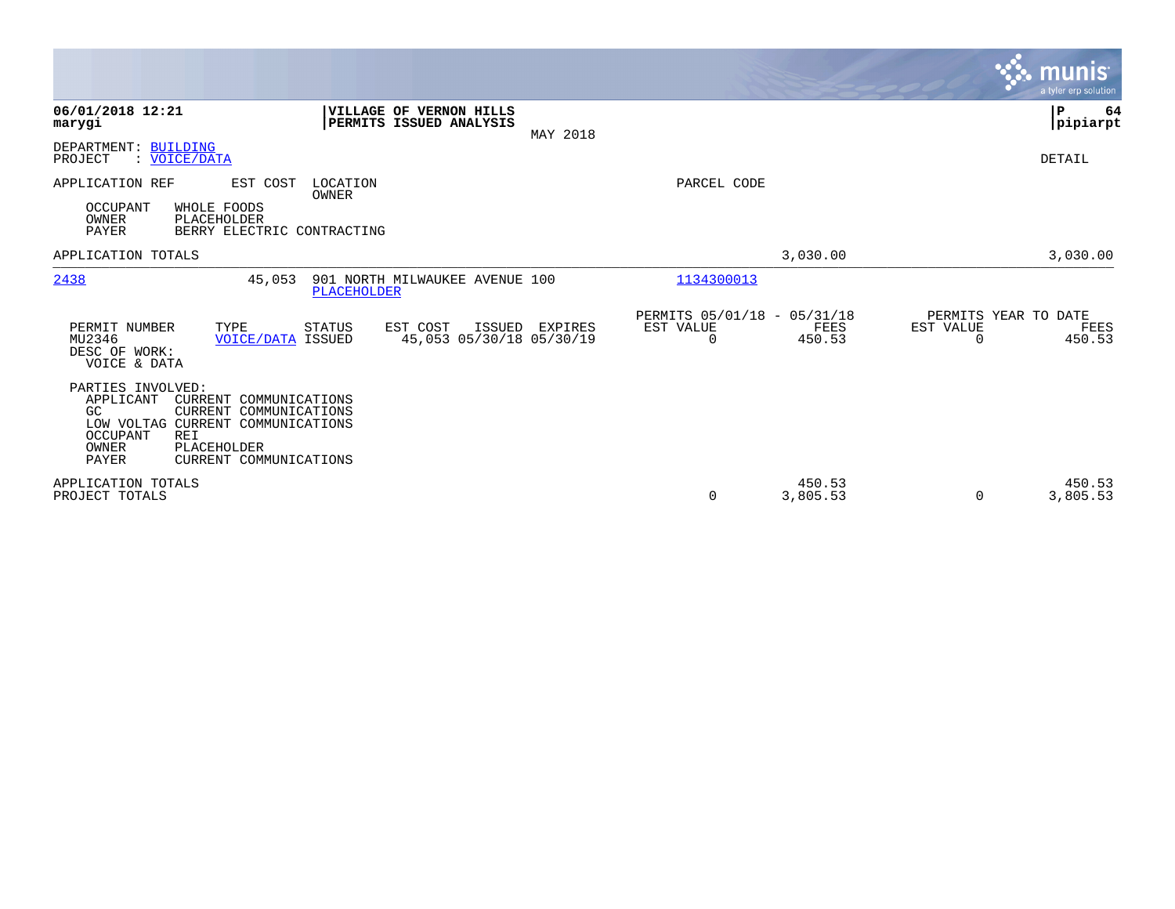|                                                                                                                                                                                                                                   |                                                    |                |                                                      |                       |                                                      | munis<br>a tyler erp solution |
|-----------------------------------------------------------------------------------------------------------------------------------------------------------------------------------------------------------------------------------|----------------------------------------------------|----------------|------------------------------------------------------|-----------------------|------------------------------------------------------|-------------------------------|
| 06/01/2018 12:21<br>marygi                                                                                                                                                                                                        | VILLAGE OF VERNON HILLS<br>PERMITS ISSUED ANALYSIS | MAY 2018       |                                                      |                       |                                                      | ΙP<br>64<br> pipiarpt         |
| DEPARTMENT: BUILDING<br>: VOICE/DATA<br>PROJECT                                                                                                                                                                                   |                                                    |                |                                                      |                       |                                                      | DETAIL                        |
| APPLICATION REF<br>EST COST<br>OCCUPANT<br>WHOLE FOODS<br>OWNER<br>PLACEHOLDER<br><b>PAYER</b><br>BERRY ELECTRIC CONTRACTING                                                                                                      | LOCATION<br>OWNER                                  |                | PARCEL CODE                                          |                       |                                                      |                               |
| APPLICATION TOTALS                                                                                                                                                                                                                |                                                    |                |                                                      | 3,030.00              |                                                      | 3,030.00                      |
| 2438<br>45,053                                                                                                                                                                                                                    | 901 NORTH MILWAUKEE AVENUE 100<br>PLACEHOLDER      |                | 1134300013                                           |                       |                                                      |                               |
| PERMIT NUMBER<br>TYPE<br>MU2346<br><b>VOICE/DATA ISSUED</b><br>DESC OF WORK:<br>VOICE & DATA                                                                                                                                      | STATUS<br>EST COST<br>45,053 05/30/18 05/30/19     | ISSUED EXPIRES | PERMITS 05/01/18 - 05/31/18<br>EST VALUE<br>$\Omega$ | <b>FEES</b><br>450.53 | PERMITS YEAR TO DATE<br><b>EST VALUE</b><br>$\Omega$ | FEES<br>450.53                |
| PARTIES INVOLVED:<br>APPLICANT<br>CURRENT COMMUNICATIONS<br>GC.<br>CURRENT COMMUNICATIONS<br>LOW VOLTAG CURRENT COMMUNICATIONS<br><b>OCCUPANT</b><br><b>REI</b><br>OWNER<br>PLACEHOLDER<br><b>PAYER</b><br>CURRENT COMMUNICATIONS |                                                    |                |                                                      |                       |                                                      |                               |
| APPLICATION TOTALS<br>PROJECT TOTALS                                                                                                                                                                                              |                                                    |                | $\mathbf 0$                                          | 450.53<br>3,805.53    | $\Omega$                                             | 450.53<br>3,805.53            |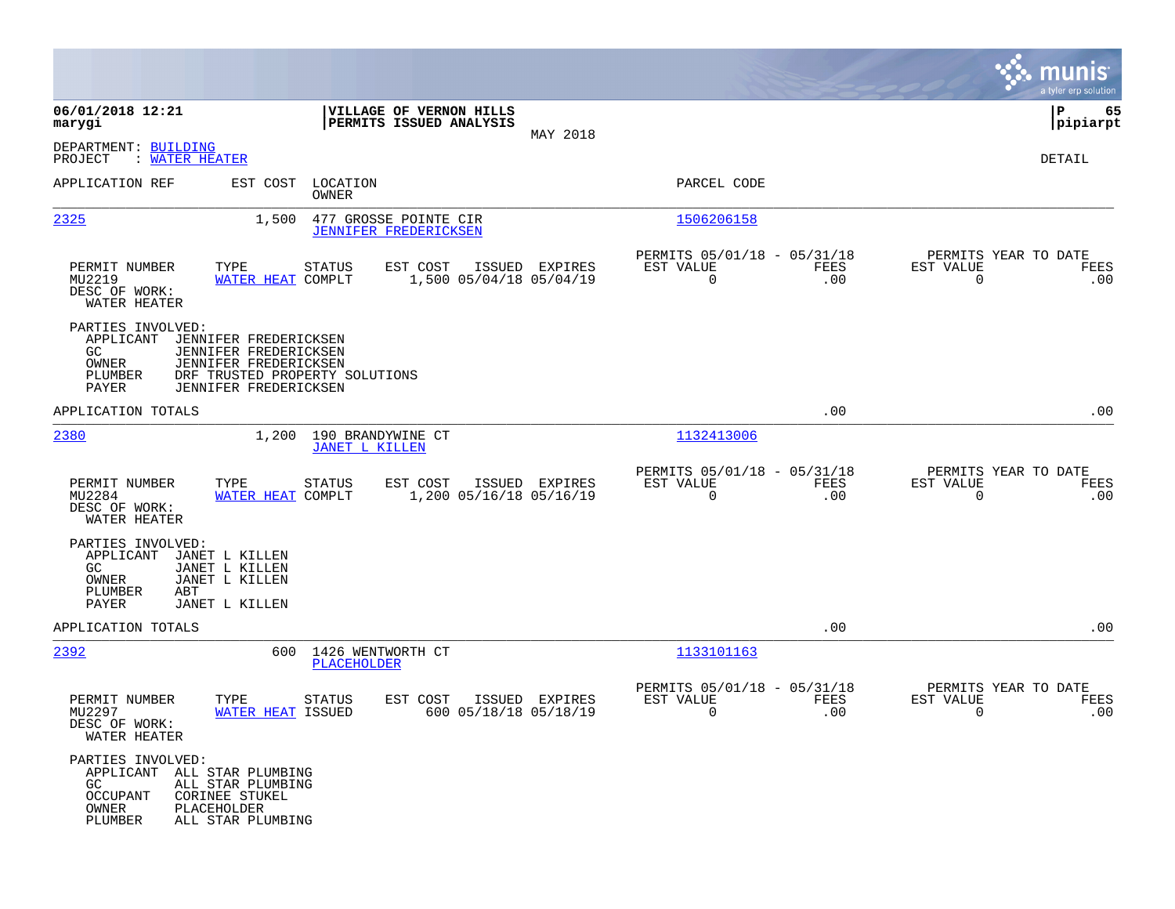|                                                                                                                                                                               |                                                                                             |                                                            |             | munis<br>a tyler erp solution                                   |
|-------------------------------------------------------------------------------------------------------------------------------------------------------------------------------|---------------------------------------------------------------------------------------------|------------------------------------------------------------|-------------|-----------------------------------------------------------------|
| 06/01/2018 12:21<br>marygi                                                                                                                                                    | VILLAGE OF VERNON HILLS<br>PERMITS ISSUED ANALYSIS                                          | MAY 2018                                                   |             | l P<br>65<br> pipiarpt                                          |
| DEPARTMENT: BUILDING<br>: WATER HEATER<br>PROJECT                                                                                                                             |                                                                                             |                                                            |             | DETAIL                                                          |
| APPLICATION REF                                                                                                                                                               | EST COST<br>LOCATION<br>OWNER                                                               | PARCEL CODE                                                |             |                                                                 |
| 2325                                                                                                                                                                          | 1,500<br>477 GROSSE POINTE CIR<br><b>JENNIFER FREDERICKSEN</b>                              | 1506206158                                                 |             |                                                                 |
| PERMIT NUMBER<br>TYPE<br>MU2219<br>DESC OF WORK:<br>WATER HEATER                                                                                                              | <b>STATUS</b><br>EST COST<br>ISSUED EXPIRES<br>WATER HEAT COMPLT<br>1,500 05/04/18 05/04/19 | PERMITS 05/01/18 - 05/31/18<br>EST VALUE<br>$\overline{0}$ | FEES<br>.00 | PERMITS YEAR TO DATE<br>EST VALUE<br>FEES<br>$\mathbf 0$<br>.00 |
| PARTIES INVOLVED:<br>APPLICANT<br>JENNIFER FREDERICKSEN<br>JENNIFER FREDERICKSEN<br>GC.<br>OWNER<br>JENNIFER FREDERICKSEN<br>PLUMBER<br>JENNIFER FREDERICKSEN<br><b>PAYER</b> | DRF TRUSTED PROPERTY SOLUTIONS                                                              |                                                            |             |                                                                 |
| APPLICATION TOTALS                                                                                                                                                            |                                                                                             |                                                            | .00         | .00                                                             |
| 2380                                                                                                                                                                          | 1,200<br>190 BRANDYWINE CT<br><b>JANET L KILLEN</b>                                         | 1132413006                                                 |             |                                                                 |
| PERMIT NUMBER<br>TYPE<br>MU2284<br>DESC OF WORK:<br>WATER HEATER                                                                                                              | STATUS<br>EST COST<br>ISSUED EXPIRES<br>WATER HEAT COMPLT<br>1,200 05/16/18 05/16/19        | PERMITS 05/01/18 - 05/31/18<br>EST VALUE<br>$\overline{0}$ | FEES<br>.00 | PERMITS YEAR TO DATE<br>EST VALUE<br>FEES<br>$\mathbf 0$<br>.00 |
| PARTIES INVOLVED:<br>APPLICANT<br>JANET L KILLEN<br>GC.<br>JANET L KILLEN<br>JANET L KILLEN<br>OWNER<br>PLUMBER<br>ABT<br>PAYER<br>JANET L KILLEN                             |                                                                                             |                                                            |             |                                                                 |
| APPLICATION TOTALS                                                                                                                                                            |                                                                                             |                                                            | .00         | .00                                                             |
| 2392                                                                                                                                                                          | 600<br>1426 WENTWORTH CT<br><b>PLACEHOLDER</b>                                              | 1133101163                                                 |             |                                                                 |
| PERMIT NUMBER<br>TYPE<br>MU2297<br>DESC OF WORK:<br>WATER HEATER                                                                                                              | STATUS<br>EST COST<br>ISSUED EXPIRES<br>WATER HEAT ISSUED<br>600 05/18/18 05/18/19          | PERMITS 05/01/18 - 05/31/18<br>EST VALUE<br>0              | FEES<br>.00 | PERMITS YEAR TO DATE<br>EST VALUE<br>FEES<br>0<br>.00           |
| PARTIES INVOLVED:<br>APPLICANT ALL STAR PLUMBING<br>GC<br>ALL STAR PLUMBING<br><b>OCCUPANT</b><br>CORINEE STUKEL<br>OWNER<br>PLACEHOLDER<br>PLUMBER<br>ALL STAR PLUMBING      |                                                                                             |                                                            |             |                                                                 |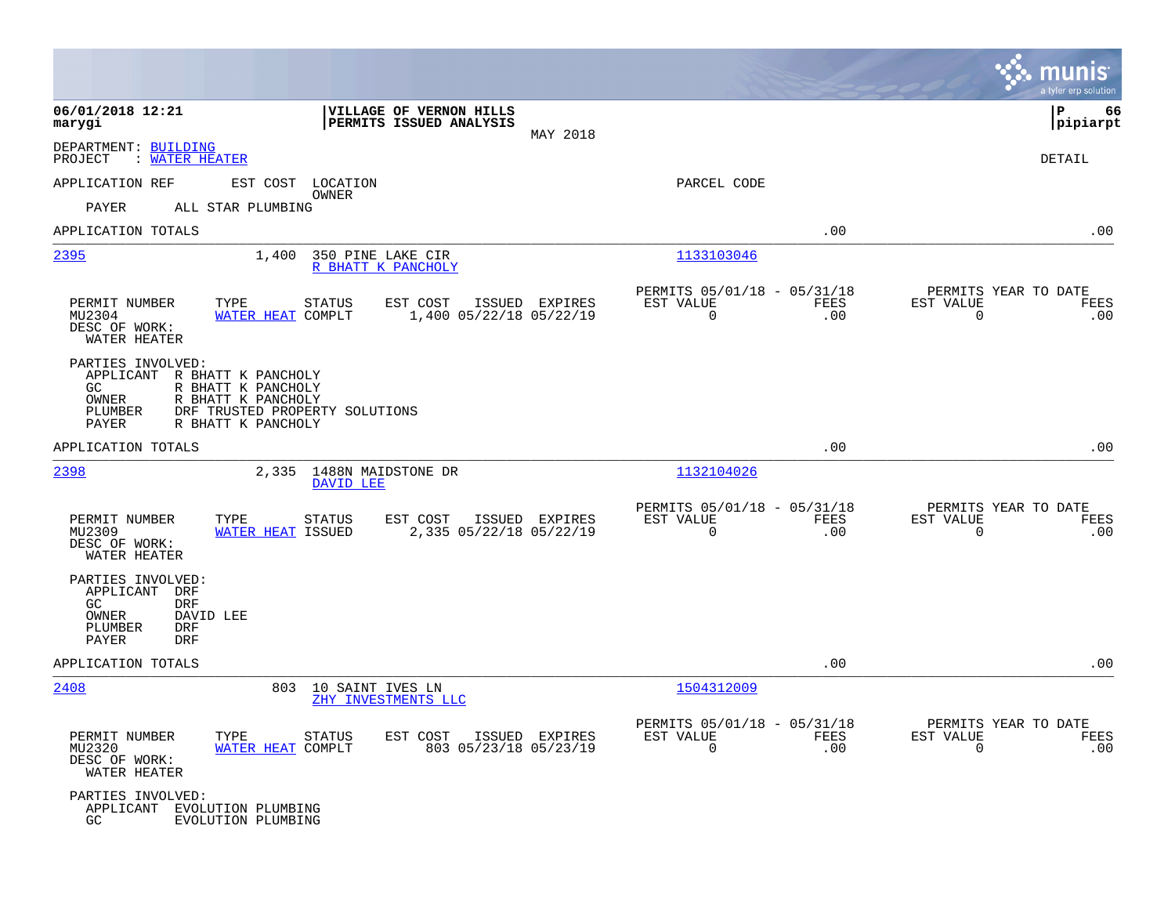|                                                                                                                                                        |                                                                                             |                                                         |             | munis<br>a tyler erp solution                                   |
|--------------------------------------------------------------------------------------------------------------------------------------------------------|---------------------------------------------------------------------------------------------|---------------------------------------------------------|-------------|-----------------------------------------------------------------|
| 06/01/2018 12:21<br>marygi                                                                                                                             | VILLAGE OF VERNON HILLS<br>PERMITS ISSUED ANALYSIS<br>MAY 2018                              |                                                         |             | ΙP<br>66<br> pipiarpt                                           |
| DEPARTMENT: BUILDING<br>PROJECT<br>: WATER HEATER                                                                                                      |                                                                                             |                                                         |             | DETAIL                                                          |
| APPLICATION REF                                                                                                                                        | EST COST LOCATION                                                                           | PARCEL CODE                                             |             |                                                                 |
| PAYER<br>ALL STAR PLUMBING                                                                                                                             | OWNER                                                                                       |                                                         |             |                                                                 |
| APPLICATION TOTALS                                                                                                                                     |                                                                                             |                                                         | .00         | .00                                                             |
| 2395<br>1,400                                                                                                                                          | 350 PINE LAKE CIR<br>R BHATT K PANCHOLY                                                     | 1133103046                                              |             |                                                                 |
| PERMIT NUMBER<br>TYPE<br>MU2304<br>DESC OF WORK:<br>WATER HEATER                                                                                       | <b>STATUS</b><br>EST COST<br>ISSUED EXPIRES<br>WATER HEAT COMPLT<br>1,400 05/22/18 05/22/19 | PERMITS 05/01/18 - 05/31/18<br>EST VALUE<br>$\mathbf 0$ | FEES<br>.00 | PERMITS YEAR TO DATE<br>EST VALUE<br>FEES<br>$\mathbf 0$<br>.00 |
| PARTIES INVOLVED:<br>APPLICANT R BHATT K PANCHOLY<br>GC<br>R BHATT K PANCHOLY<br>OWNER<br>R BHATT K PANCHOLY<br>PLUMBER<br>PAYER<br>R BHATT K PANCHOLY | DRF TRUSTED PROPERTY SOLUTIONS                                                              |                                                         |             |                                                                 |
| APPLICATION TOTALS                                                                                                                                     |                                                                                             |                                                         | .00         | .00                                                             |
| 2398<br>2,335                                                                                                                                          | 1488N MAIDSTONE DR<br>DAVID LEE                                                             | 1132104026                                              |             |                                                                 |
| PERMIT NUMBER<br>TYPE<br>MU2309<br>DESC OF WORK:<br>WATER HEATER                                                                                       | <b>STATUS</b><br>EST COST<br>ISSUED EXPIRES<br>2,335 05/22/18 05/22/19<br>WATER HEAT ISSUED | PERMITS 05/01/18 - 05/31/18<br>EST VALUE<br>$\mathbf 0$ | FEES<br>.00 | PERMITS YEAR TO DATE<br>EST VALUE<br>FEES<br>$\mathbf 0$<br>.00 |
| PARTIES INVOLVED:<br>APPLICANT<br>DRF<br><b>DRF</b><br>GC<br>OWNER<br>DAVID LEE<br>PLUMBER<br><b>DRF</b><br><b>DRF</b><br>PAYER                        |                                                                                             |                                                         |             |                                                                 |
| APPLICATION TOTALS                                                                                                                                     |                                                                                             |                                                         | .00         | .00                                                             |
| 2408                                                                                                                                                   | 803 10 SAINT IVES LN<br>ZHY INVESTMENTS LLC                                                 | 1504312009                                              |             |                                                                 |
| PERMIT NUMBER<br>TYPE<br>MU2320<br>DESC OF WORK:<br>WATER HEATER                                                                                       | <b>STATUS</b><br>EST COST<br>ISSUED EXPIRES<br>803 05/23/18 05/23/19<br>WATER HEAT COMPLT   | PERMITS 05/01/18 - 05/31/18<br>EST VALUE<br>$\mathbf 0$ | FEES<br>.00 | PERMITS YEAR TO DATE<br>EST VALUE<br>FEES<br>$\mathbf 0$<br>.00 |
| PARTIES INVOLVED:<br>APPLICANT EVOLUTION PLUMBING<br>GC<br>EVOLUTION PLUMBING                                                                          |                                                                                             |                                                         |             |                                                                 |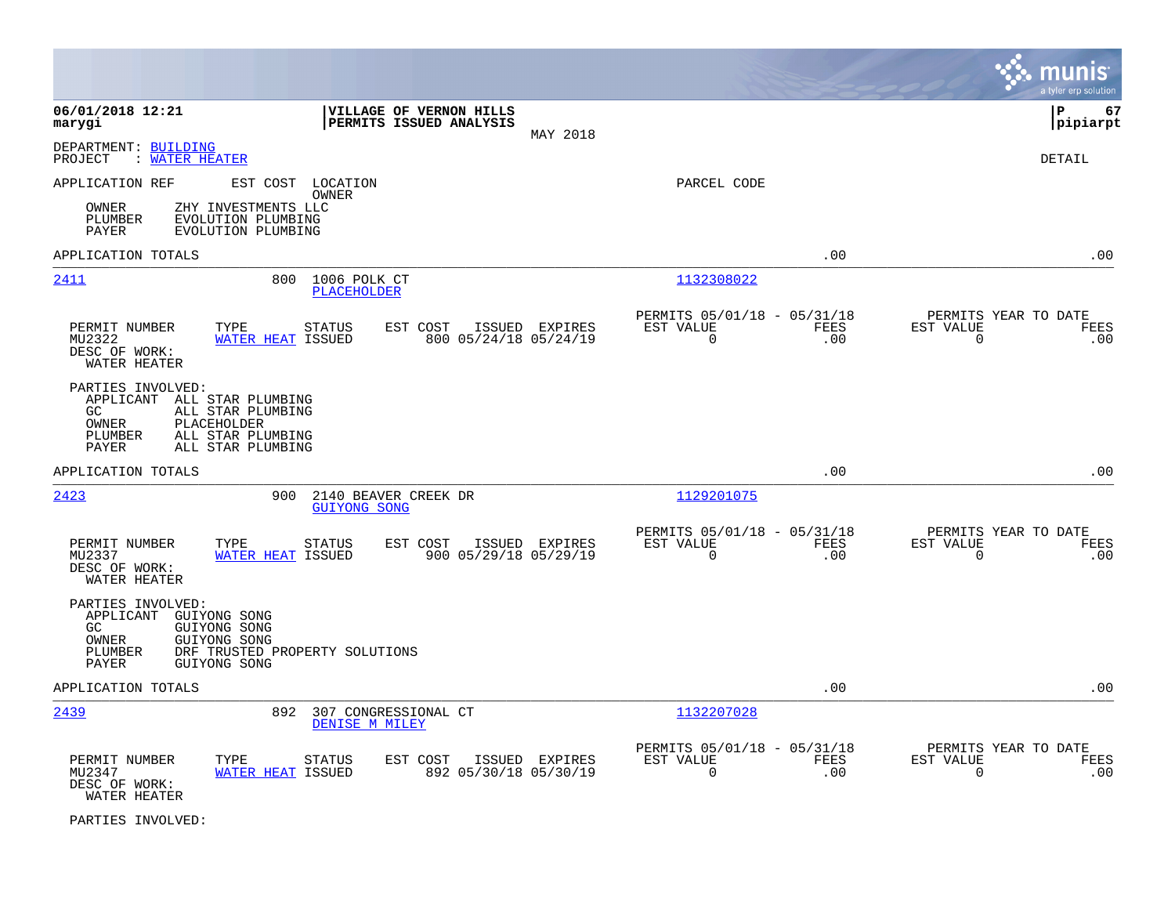|                                                                                                                                                                    |                                                                      |                                                                        | a tyler erp solution                                                   |
|--------------------------------------------------------------------------------------------------------------------------------------------------------------------|----------------------------------------------------------------------|------------------------------------------------------------------------|------------------------------------------------------------------------|
| 06/01/2018 12:21<br>marygi                                                                                                                                         | VILLAGE OF VERNON HILLS<br>PERMITS ISSUED ANALYSIS                   | MAY 2018                                                               | lР<br>67<br> pipiarpt                                                  |
| DEPARTMENT: BUILDING<br>PROJECT<br>: WATER HEATER                                                                                                                  |                                                                      |                                                                        | <b>DETAIL</b>                                                          |
| APPLICATION REF                                                                                                                                                    | EST COST LOCATION<br>OWNER                                           | PARCEL CODE                                                            |                                                                        |
| OWNER<br>ZHY INVESTMENTS LLC<br>PLUMBER<br>EVOLUTION PLUMBING<br>PAYER<br>EVOLUTION PLUMBING                                                                       |                                                                      |                                                                        |                                                                        |
| APPLICATION TOTALS                                                                                                                                                 |                                                                      |                                                                        | .00<br>.00                                                             |
| 2411<br>800                                                                                                                                                        | 1006 POLK CT<br><b>PLACEHOLDER</b>                                   | 1132308022                                                             |                                                                        |
| TYPE<br>PERMIT NUMBER<br>MU2322<br><b>WATER HEAT ISSUED</b><br>DESC OF WORK:<br>WATER HEATER                                                                       | <b>STATUS</b><br>EST COST<br>ISSUED EXPIRES<br>800 05/24/18 05/24/19 | PERMITS 05/01/18 - 05/31/18<br>EST VALUE<br>FEES<br>$\mathbf 0$        | PERMITS YEAR TO DATE<br>FEES<br>EST VALUE<br>.00<br>$\mathbf 0$<br>.00 |
| PARTIES INVOLVED:<br>APPLICANT ALL STAR PLUMBING<br>ALL STAR PLUMBING<br>GC.<br>PLACEHOLDER<br>OWNER<br>ALL STAR PLUMBING<br>PLUMBER<br>ALL STAR PLUMBING<br>PAYER |                                                                      |                                                                        |                                                                        |
| APPLICATION TOTALS                                                                                                                                                 |                                                                      |                                                                        | .00<br>.00                                                             |
| 2423<br>900                                                                                                                                                        | 2140 BEAVER CREEK DR<br><b>GUIYONG SONG</b>                          | 1129201075                                                             |                                                                        |
| PERMIT NUMBER<br>TYPE<br>MU2337<br><b>WATER HEAT ISSUED</b><br>DESC OF WORK:<br>WATER HEATER                                                                       | <b>STATUS</b><br>EST COST<br>ISSUED EXPIRES<br>900 05/29/18 05/29/19 | PERMITS 05/01/18 - 05/31/18<br>EST VALUE<br>FEES<br>$\Omega$           | PERMITS YEAR TO DATE<br>EST VALUE<br>FEES<br>.00<br>$\Omega$<br>.00    |
| PARTIES INVOLVED:<br>APPLICANT GUIYONG SONG<br>GC<br>GUIYONG SONG<br>GUIYONG SONG<br>OWNER<br>DRF TRUSTED PROPERTY SOLUTIONS<br>PLUMBER<br>PAYER<br>GUIYONG SONG   |                                                                      |                                                                        |                                                                        |
| APPLICATION TOTALS                                                                                                                                                 |                                                                      |                                                                        | .00<br>.00                                                             |
| 2439<br>892                                                                                                                                                        | 307 CONGRESSIONAL CT<br>DENISE M MILEY                               | 1132207028                                                             |                                                                        |
| PERMIT NUMBER<br>TYPE<br>MU2347<br>WATER HEAT ISSUED<br>DESC OF WORK:<br>WATER HEATER                                                                              | EST COST<br>ISSUED EXPIRES<br>STATUS<br>892 05/30/18 05/30/19        | PERMITS 05/01/18 - 05/31/18<br>EST VALUE<br><b>FEES</b><br>$\mathbf 0$ | PERMITS YEAR TO DATE<br>EST VALUE<br>FEES<br>.00<br>$\mathbf 0$<br>.00 |

PARTIES INVOLVED: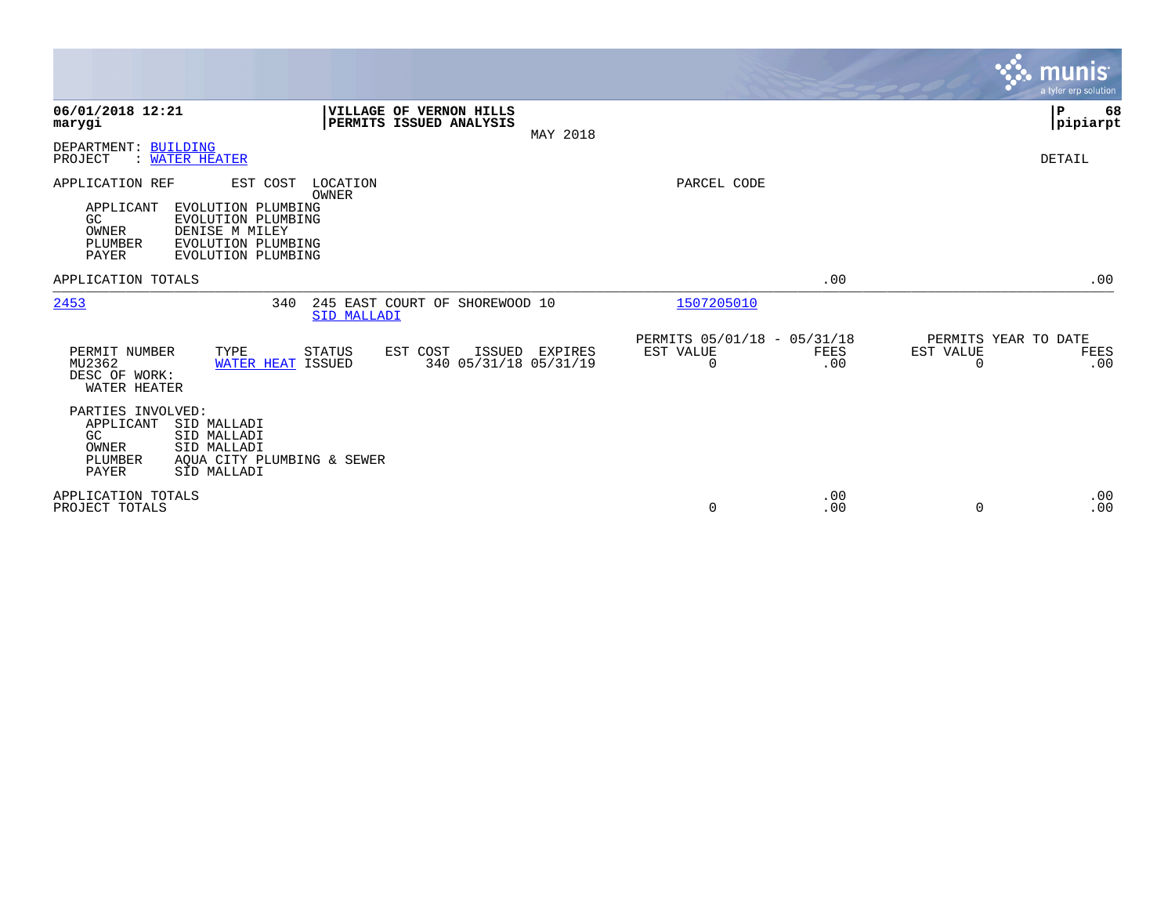|                                                                                                                                                                                       |                                                                              |                                               |                    | <b>munis</b><br>a tyler erp solution                  |
|---------------------------------------------------------------------------------------------------------------------------------------------------------------------------------------|------------------------------------------------------------------------------|-----------------------------------------------|--------------------|-------------------------------------------------------|
| 06/01/2018 12:21<br>marygi                                                                                                                                                            | <b>VILLAGE OF VERNON HILLS</b><br><b>PERMITS ISSUED ANALYSIS</b><br>MAY 2018 |                                               |                    | ∣P<br>68<br> pipiarpt                                 |
| DEPARTMENT: BUILDING<br>: WATER HEATER<br>PROJECT                                                                                                                                     |                                                                              |                                               |                    | DETAIL                                                |
| APPLICATION REF<br>EST COST<br>APPLICANT<br>EVOLUTION PLUMBING<br>GC<br>EVOLUTION PLUMBING<br>DENISE M MILEY<br>OWNER<br>PLUMBER<br>EVOLUTION PLUMBING<br>PAYER<br>EVOLUTION PLUMBING | LOCATION<br><b>OWNER</b>                                                     | PARCEL CODE                                   |                    |                                                       |
| APPLICATION TOTALS                                                                                                                                                                    |                                                                              |                                               | .00                | .00                                                   |
| 2453<br>340                                                                                                                                                                           | 245 EAST COURT OF SHOREWOOD 10<br>SID MALLADI                                | 1507205010                                    |                    |                                                       |
| PERMIT NUMBER<br>TYPE<br>MU2362<br>WATER HEAT ISSUED<br>DESC OF WORK:<br>WATER HEATER                                                                                                 | STATUS<br>ISSUED EXPIRES<br>EST COST<br>340 05/31/18 05/31/19                | PERMITS 05/01/18 - 05/31/18<br>EST VALUE<br>0 | <b>FEES</b><br>.00 | PERMITS YEAR TO DATE<br>EST VALUE<br>FEES<br>0<br>.00 |
| PARTIES INVOLVED:<br>APPLICANT<br>SID MALLADI<br>GC<br>SID MALLADI<br>SID MALLADI<br>OWNER<br>PLUMBER<br>AOUA CITY PLUMBING & SEWER<br>PAYER<br>SID MALLADI                           |                                                                              |                                               |                    |                                                       |
| APPLICATION TOTALS<br>PROJECT TOTALS                                                                                                                                                  |                                                                              | 0                                             | .00<br>.00         | .00<br>.00<br>0                                       |

 $\mathcal{L}^{\text{max}}$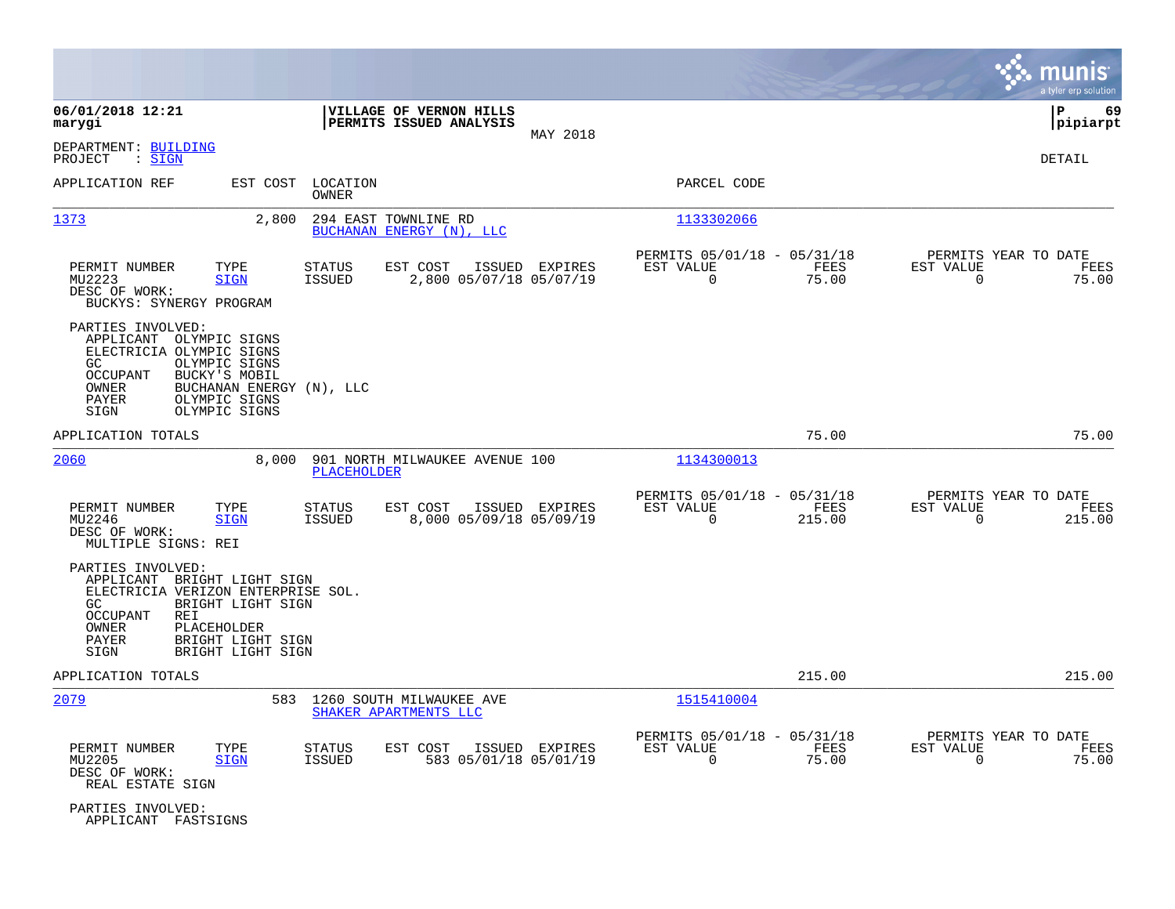|                                                                                                                                                                                                                                        |                                                                     |                |                                                                          | munis<br>a tyler erp solution                                   |
|----------------------------------------------------------------------------------------------------------------------------------------------------------------------------------------------------------------------------------------|---------------------------------------------------------------------|----------------|--------------------------------------------------------------------------|-----------------------------------------------------------------|
| 06/01/2018 12:21<br>marygi                                                                                                                                                                                                             | VILLAGE OF VERNON HILLS<br>PERMITS ISSUED ANALYSIS                  |                |                                                                          | P<br>69<br> pipiarpt                                            |
| DEPARTMENT: BUILDING<br>: <u>SIGN</u><br>PROJECT                                                                                                                                                                                       |                                                                     | MAY 2018       |                                                                          | DETAIL                                                          |
| APPLICATION REF<br>EST COST                                                                                                                                                                                                            | LOCATION<br>OWNER                                                   |                | PARCEL CODE                                                              |                                                                 |
| 1373<br>2,800                                                                                                                                                                                                                          | 294 EAST TOWNLINE RD<br>BUCHANAN ENERGY (N), LLC                    |                | 1133302066                                                               |                                                                 |
| TYPE<br>PERMIT NUMBER<br>MU2223<br><b>SIGN</b><br>DESC OF WORK:<br>BUCKYS: SYNERGY PROGRAM                                                                                                                                             | STATUS<br>EST COST<br><b>ISSUED</b><br>2,800 05/07/18 05/07/19      | ISSUED EXPIRES | PERMITS 05/01/18 - 05/31/18<br>EST VALUE<br>FEES<br>$\Omega$<br>75.00    | PERMITS YEAR TO DATE<br>EST VALUE<br>FEES<br>0<br>75.00         |
| PARTIES INVOLVED:<br>APPLICANT OLYMPIC SIGNS<br>ELECTRICIA OLYMPIC SIGNS<br>GC<br>OLYMPIC SIGNS<br>OCCUPANT<br>BUCKY'S MOBIL<br>OWNER<br>BUCHANAN ENERGY (N), LLC<br>OLYMPIC SIGNS<br>PAYER<br>OLYMPIC SIGNS<br>SIGN                   |                                                                     |                |                                                                          |                                                                 |
| APPLICATION TOTALS                                                                                                                                                                                                                     |                                                                     |                | 75.00                                                                    | 75.00                                                           |
| 2060<br>8,000                                                                                                                                                                                                                          | 901 NORTH MILWAUKEE AVENUE 100<br><b>PLACEHOLDER</b>                |                | 1134300013                                                               |                                                                 |
| PERMIT NUMBER<br>TYPE<br>MU2246<br><b>SIGN</b><br>DESC OF WORK:<br>MULTIPLE SIGNS: REI                                                                                                                                                 | STATUS<br>EST COST<br>8,000 05/09/18 05/09/19<br>ISSUED             | ISSUED EXPIRES | PERMITS 05/01/18 - 05/31/18<br>FEES<br>EST VALUE<br>$\Omega$<br>215.00   | PERMITS YEAR TO DATE<br>EST VALUE<br>FEES<br>$\Omega$<br>215.00 |
| PARTIES INVOLVED:<br>APPLICANT BRIGHT LIGHT SIGN<br>ELECTRICIA VERIZON ENTERPRISE SOL.<br>GC.<br>BRIGHT LIGHT SIGN<br><b>OCCUPANT</b><br><b>REI</b><br>OWNER<br>PLACEHOLDER<br>PAYER<br>BRIGHT LIGHT SIGN<br>SIGN<br>BRIGHT LIGHT SIGN |                                                                     |                |                                                                          |                                                                 |
| APPLICATION TOTALS                                                                                                                                                                                                                     |                                                                     |                | 215.00                                                                   | 215.00                                                          |
| 2079<br>583                                                                                                                                                                                                                            | 1260 SOUTH MILWAUKEE AVE<br>SHAKER APARTMENTS LLC                   |                | 1515410004                                                               |                                                                 |
| PERMIT NUMBER<br>TYPE<br>MU2205<br><b>SIGN</b><br>DESC OF WORK:<br>REAL ESTATE SIGN                                                                                                                                                    | EST COST<br><b>STATUS</b><br><b>ISSUED</b><br>583 05/01/18 05/01/19 | ISSUED EXPIRES | PERMITS 05/01/18 - 05/31/18<br>EST VALUE<br>FEES<br>$\mathbf 0$<br>75.00 | PERMITS YEAR TO DATE<br>EST VALUE<br>FEES<br>75.00<br>0         |
| PARTIES INVOLVED:<br>APPLICANT FASTSIGNS                                                                                                                                                                                               |                                                                     |                |                                                                          |                                                                 |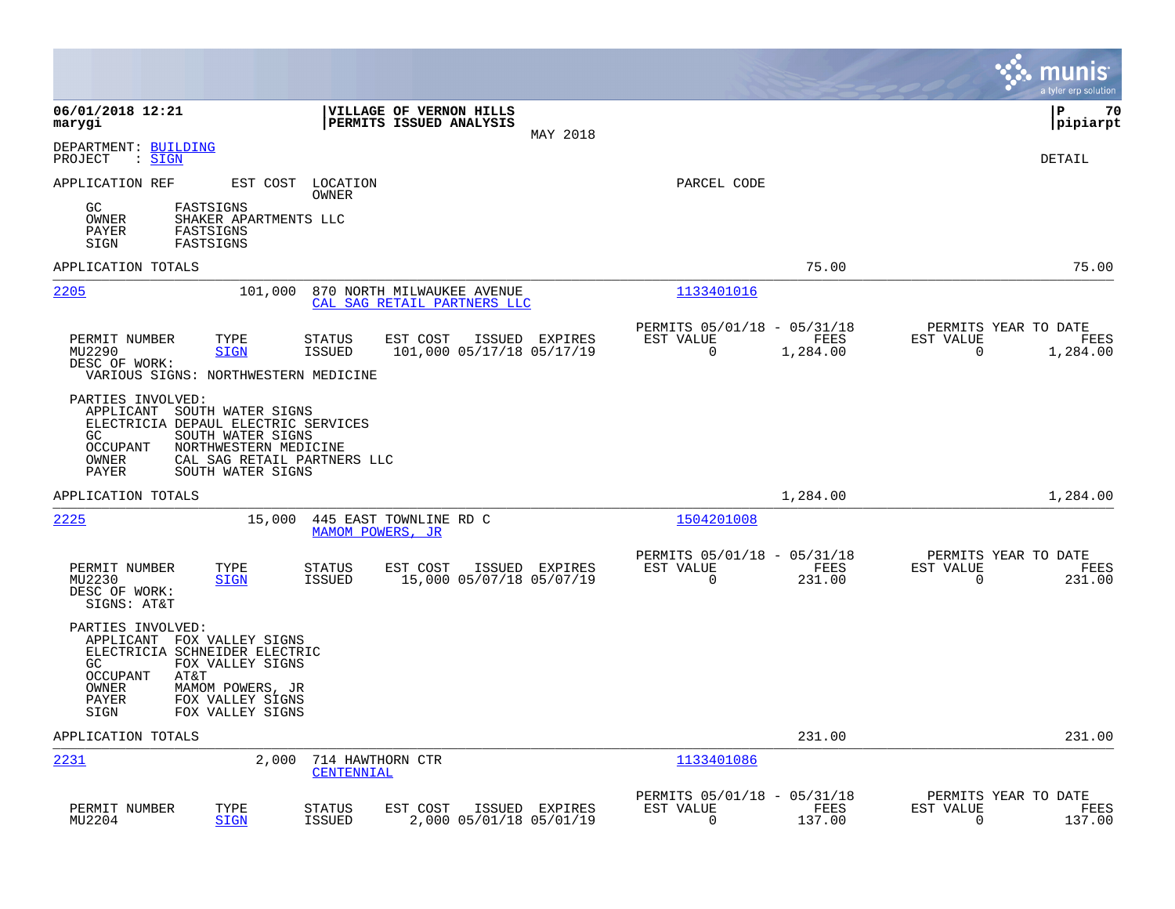|                                                                                                                                                                                                                             |                                                                                           |                                                                             | munis<br>a tyler erp solution                                        |
|-----------------------------------------------------------------------------------------------------------------------------------------------------------------------------------------------------------------------------|-------------------------------------------------------------------------------------------|-----------------------------------------------------------------------------|----------------------------------------------------------------------|
| 06/01/2018 12:21<br>marygi                                                                                                                                                                                                  | VILLAGE OF VERNON HILLS<br>PERMITS ISSUED ANALYSIS<br>MAY 2018                            |                                                                             | ΙP<br>70<br> pipiarpt                                                |
| DEPARTMENT: BUILDING<br>PROJECT<br>: <u>SIGN</u>                                                                                                                                                                            |                                                                                           |                                                                             | <b>DETAIL</b>                                                        |
| APPLICATION REF                                                                                                                                                                                                             | EST COST LOCATION<br>OWNER                                                                | PARCEL CODE                                                                 |                                                                      |
| FASTSIGNS<br>GC.<br>OWNER<br>SHAKER APARTMENTS LLC<br>PAYER<br>FASTSIGNS<br>FASTSIGNS<br>SIGN                                                                                                                               |                                                                                           |                                                                             |                                                                      |
| APPLICATION TOTALS                                                                                                                                                                                                          |                                                                                           | 75.00                                                                       | 75.00                                                                |
| 2205                                                                                                                                                                                                                        | 101,000<br>870 NORTH MILWAUKEE AVENUE<br>CAL SAG RETAIL PARTNERS LLC                      | 1133401016                                                                  |                                                                      |
| PERMIT NUMBER<br>TYPE<br>MU2290<br><b>SIGN</b><br>DESC OF WORK:<br>VARIOUS SIGNS: NORTHWESTERN MEDICINE                                                                                                                     | <b>STATUS</b><br>EST COST<br>ISSUED EXPIRES<br>101,000 05/17/18 05/17/19<br><b>ISSUED</b> | PERMITS 05/01/18 - 05/31/18<br>EST VALUE<br>FEES<br>$\mathbf 0$<br>1,284.00 | PERMITS YEAR TO DATE<br>EST VALUE<br>FEES<br>$\mathbf 0$<br>1,284.00 |
| PARTIES INVOLVED:<br>APPLICANT SOUTH WATER SIGNS<br>ELECTRICIA DEPAUL ELECTRIC SERVICES<br>GC<br>SOUTH WATER SIGNS<br>NORTHWESTERN MEDICINE<br>OCCUPANT<br>OWNER<br>PAYER<br>SOUTH WATER SIGNS                              | CAL SAG RETAIL PARTNERS LLC                                                               |                                                                             |                                                                      |
| APPLICATION TOTALS                                                                                                                                                                                                          |                                                                                           | 1,284.00                                                                    | 1,284.00                                                             |
| 2225                                                                                                                                                                                                                        | 15,000<br>445 EAST TOWNLINE RD C<br>MAMOM POWERS, JR                                      | 1504201008                                                                  |                                                                      |
| PERMIT NUMBER<br>TYPE<br>MU2230<br><b>SIGN</b><br>DESC OF WORK:<br>SIGNS: AT&T                                                                                                                                              | <b>STATUS</b><br>EST COST<br>ISSUED EXPIRES<br><b>ISSUED</b><br>15,000 05/07/18 05/07/19  | PERMITS 05/01/18 - 05/31/18<br>EST VALUE<br>FEES<br>$\mathbf 0$<br>231.00   | PERMITS YEAR TO DATE<br>EST VALUE<br>FEES<br>$\Omega$<br>231.00      |
| PARTIES INVOLVED:<br>APPLICANT FOX VALLEY SIGNS<br>ELECTRICIA SCHNEIDER ELECTRIC<br>GC<br>FOX VALLEY SIGNS<br><b>OCCUPANT</b><br>AT&T<br>OWNER<br>MAMOM POWERS, JR<br>PAYER<br>FOX VALLEY SIGNS<br>SIGN<br>FOX VALLEY SIGNS |                                                                                           |                                                                             |                                                                      |
| APPLICATION TOTALS                                                                                                                                                                                                          |                                                                                           | 231.00                                                                      | 231.00                                                               |
| <u> 2231</u>                                                                                                                                                                                                                | 2,000<br>714 HAWTHORN CTR<br>CENTENNIAL                                                   | 1133401086                                                                  |                                                                      |
| PERMIT NUMBER<br>TYPE<br>MU2204<br><b>SIGN</b>                                                                                                                                                                              | EST COST<br>STATUS<br>ISSUED EXPIRES<br>2,000 05/01/18 05/01/19<br><b>ISSUED</b>          | PERMITS 05/01/18 - 05/31/18<br>EST VALUE<br>FEES<br>$\Omega$<br>137.00      | PERMITS YEAR TO DATE<br>EST VALUE<br>FEES<br>0<br>137.00             |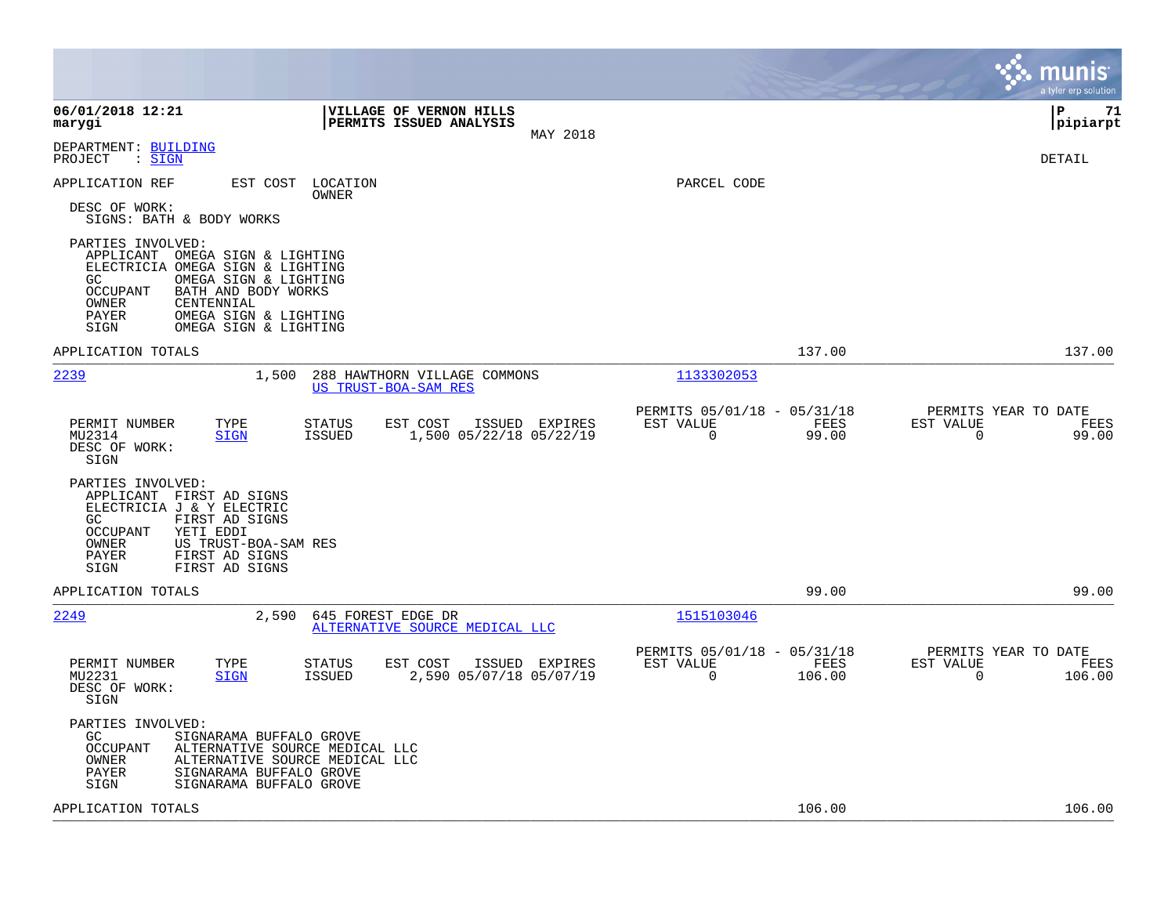|                                                                                                                                                                                                                                                          |                                                                                         |                                                                           | munis<br>a tyler erp solution                                     |
|----------------------------------------------------------------------------------------------------------------------------------------------------------------------------------------------------------------------------------------------------------|-----------------------------------------------------------------------------------------|---------------------------------------------------------------------------|-------------------------------------------------------------------|
| 06/01/2018 12:21<br>marygi                                                                                                                                                                                                                               | VILLAGE OF VERNON HILLS<br>PERMITS ISSUED ANALYSIS<br>MAY 2018                          |                                                                           | l P<br>71<br> pipiarpt                                            |
| DEPARTMENT: BUILDING<br>: <u>SIGN</u><br>PROJECT                                                                                                                                                                                                         |                                                                                         |                                                                           | DETAIL                                                            |
| APPLICATION REF<br>EST COST                                                                                                                                                                                                                              | LOCATION<br>OWNER                                                                       | PARCEL CODE                                                               |                                                                   |
| DESC OF WORK:<br>SIGNS: BATH & BODY WORKS                                                                                                                                                                                                                |                                                                                         |                                                                           |                                                                   |
| PARTIES INVOLVED:<br>APPLICANT<br>OMEGA SIGN & LIGHTING<br>ELECTRICIA OMEGA SIGN & LIGHTING<br>GC.<br>OMEGA SIGN & LIGHTING<br>OCCUPANT<br>BATH AND BODY WORKS<br>OWNER<br>CENTENNIAL<br>PAYER<br>OMEGA SIGN & LIGHTING<br>SIGN<br>OMEGA SIGN & LIGHTING |                                                                                         |                                                                           |                                                                   |
| APPLICATION TOTALS                                                                                                                                                                                                                                       |                                                                                         | 137.00                                                                    | 137.00                                                            |
| 2239<br>1,500                                                                                                                                                                                                                                            | 288 HAWTHORN VILLAGE COMMONS<br>US TRUST-BOA-SAM RES                                    | 1133302053                                                                |                                                                   |
| PERMIT NUMBER<br>TYPE<br>MU2314<br><b>SIGN</b><br>DESC OF WORK:<br>SIGN                                                                                                                                                                                  | <b>STATUS</b><br>EST COST<br>ISSUED EXPIRES<br>1,500 05/22/18 05/22/19<br>ISSUED        | PERMITS 05/01/18 - 05/31/18<br>EST VALUE<br>FEES<br>$\mathbf 0$<br>99.00  | PERMITS YEAR TO DATE<br>EST VALUE<br>FEES<br>$\mathbf 0$<br>99.00 |
| PARTIES INVOLVED:<br>APPLICANT FIRST AD SIGNS<br>ELECTRICIA J & Y ELECTRIC<br>FIRST AD SIGNS<br>GC.<br>OCCUPANT<br>YETI EDDI<br>OWNER<br>US TRUST-BOA-SAM RES<br>PAYER<br>FIRST AD SIGNS<br>SIGN<br>FIRST AD SIGNS                                       |                                                                                         |                                                                           |                                                                   |
| APPLICATION TOTALS                                                                                                                                                                                                                                       |                                                                                         | 99.00                                                                     | 99.00                                                             |
| 2249<br>2,590                                                                                                                                                                                                                                            | 645 FOREST EDGE DR<br>ALTERNATIVE SOURCE MEDICAL LLC                                    | 1515103046                                                                |                                                                   |
| PERMIT NUMBER<br>TYPE<br>MU2231<br><b>SIGN</b><br>DESC OF WORK:<br>SIGN                                                                                                                                                                                  | <b>STATUS</b><br>EST COST<br>ISSUED EXPIRES<br>2,590 05/07/18 05/07/19<br><b>ISSUED</b> | PERMITS 05/01/18 - 05/31/18<br>EST VALUE<br>FEES<br>$\mathbf 0$<br>106.00 | PERMITS YEAR TO DATE<br>EST VALUE<br>FEES<br>0<br>106.00          |
| PARTIES INVOLVED:<br>GC<br>SIGNARAMA BUFFALO GROVE<br><b>OCCUPANT</b><br>ALTERNATIVE SOURCE MEDICAL LLC<br>OWNER<br>ALTERNATIVE SOURCE MEDICAL LLC<br>SIGNARAMA BUFFALO GROVE<br>PAYER<br>SIGN<br>SIGNARAMA BUFFALO GROVE                                |                                                                                         |                                                                           |                                                                   |
| APPLICATION TOTALS                                                                                                                                                                                                                                       |                                                                                         | 106.00                                                                    | 106.00                                                            |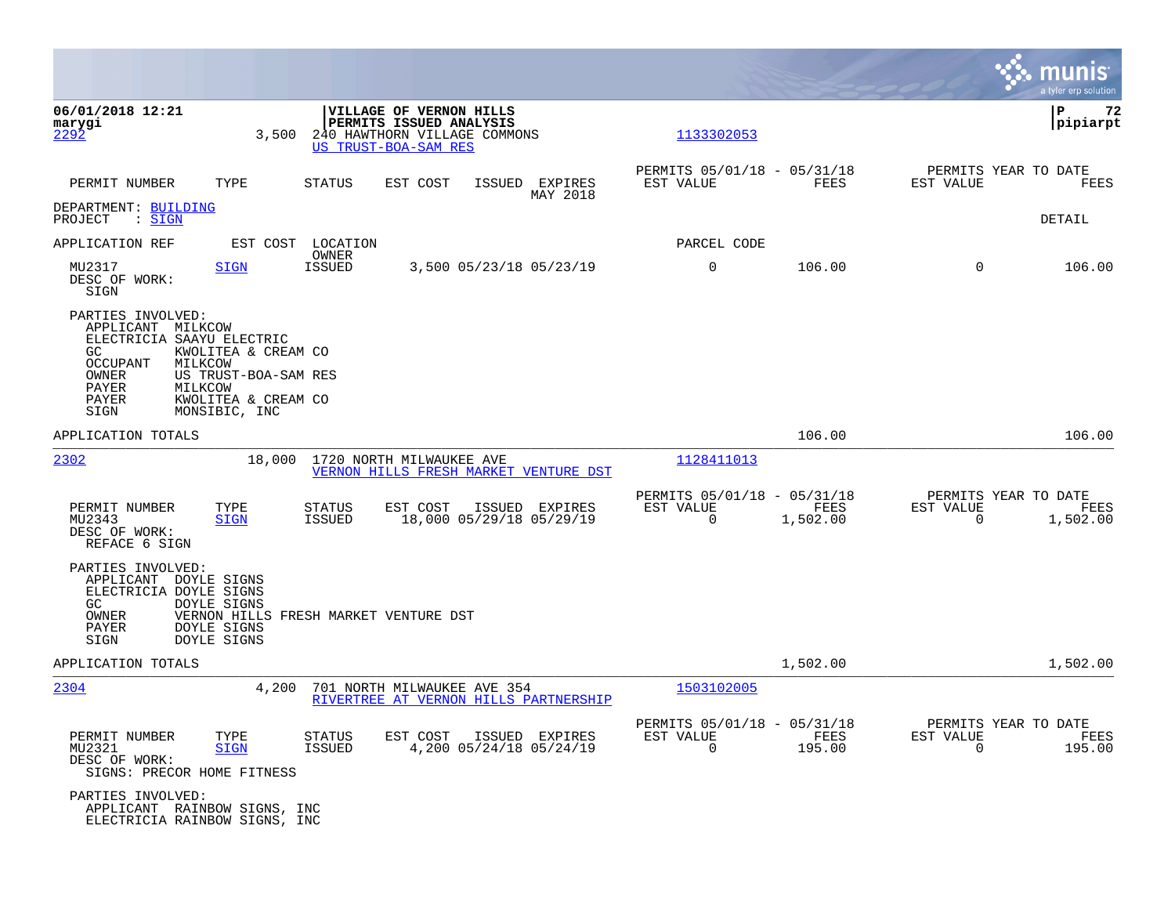|                                                                                                                                  |                                                                                                           |                                |                                                                                                            |                                            |                                                         |                  |                          | munis<br>a tyler erp solution            |
|----------------------------------------------------------------------------------------------------------------------------------|-----------------------------------------------------------------------------------------------------------|--------------------------------|------------------------------------------------------------------------------------------------------------|--------------------------------------------|---------------------------------------------------------|------------------|--------------------------|------------------------------------------|
| 06/01/2018 12:21<br>marygi<br>2292                                                                                               | 3,500                                                                                                     |                                | VILLAGE OF VERNON HILLS<br>PERMITS ISSUED ANALYSIS<br>240 HAWTHORN VILLAGE COMMONS<br>US TRUST-BOA-SAM RES |                                            | 1133302053                                              |                  |                          | l P<br>72<br> pipiarpt                   |
| PERMIT NUMBER                                                                                                                    | TYPE                                                                                                      | STATUS                         | EST COST                                                                                                   | ISSUED EXPIRES<br>MAY 2018                 | PERMITS 05/01/18 - 05/31/18<br>EST VALUE                | FEES             | EST VALUE                | PERMITS YEAR TO DATE<br>FEES             |
| DEPARTMENT: BUILDING<br>PROJECT<br>: <u>SIGN</u>                                                                                 |                                                                                                           |                                |                                                                                                            |                                            |                                                         |                  |                          | DETAIL                                   |
| APPLICATION REF                                                                                                                  | EST COST                                                                                                  | LOCATION<br>OWNER              |                                                                                                            |                                            | PARCEL CODE                                             |                  |                          |                                          |
| MU2317<br>DESC OF WORK:<br>SIGN                                                                                                  | <b>SIGN</b>                                                                                               | ISSUED                         |                                                                                                            | 3,500 05/23/18 05/23/19                    | $\mathbf 0$                                             | 106.00           | $\Omega$                 | 106.00                                   |
| PARTIES INVOLVED:<br>APPLICANT MILKCOW<br>ELECTRICIA SAAYU ELECTRIC<br>GC.<br><b>OCCUPANT</b><br>OWNER<br>PAYER<br>PAYER<br>SIGN | KWOLITEA & CREAM CO<br>MILKCOW<br>US TRUST-BOA-SAM RES<br>MILKCOW<br>KWOLITEA & CREAM CO<br>MONSIBIC, INC |                                |                                                                                                            |                                            |                                                         |                  |                          |                                          |
| APPLICATION TOTALS                                                                                                               |                                                                                                           |                                |                                                                                                            |                                            |                                                         | 106.00           |                          | 106.00                                   |
| 2302                                                                                                                             | 18,000                                                                                                    |                                | 1720 NORTH MILWAUKEE AVE                                                                                   | VERNON HILLS FRESH MARKET VENTURE DST      | 1128411013                                              |                  |                          |                                          |
| PERMIT NUMBER<br>MU2343<br>DESC OF WORK:<br>REFACE 6 SIGN                                                                        | TYPE<br><b>SIGN</b>                                                                                       | <b>STATUS</b><br><b>ISSUED</b> | EST COST                                                                                                   | ISSUED EXPIRES<br>18,000 05/29/18 05/29/19 | PERMITS 05/01/18 - 05/31/18<br>EST VALUE<br>$\mathbf 0$ | FEES<br>1,502.00 | EST VALUE<br>$\mathbf 0$ | PERMITS YEAR TO DATE<br>FEES<br>1,502.00 |
| PARTIES INVOLVED:<br>APPLICANT DOYLE SIGNS<br>ELECTRICIA DOYLE SIGNS<br>GC.<br>OWNER<br>PAYER<br>SIGN                            | DOYLE SIGNS<br>VERNON HILLS FRESH MARKET VENTURE DST<br>DOYLE SIGNS<br>DOYLE SIGNS                        |                                |                                                                                                            |                                            |                                                         |                  |                          |                                          |
| APPLICATION TOTALS                                                                                                               |                                                                                                           |                                |                                                                                                            |                                            |                                                         | 1,502.00         |                          | 1,502.00                                 |
| 2304                                                                                                                             | 4,200                                                                                                     |                                | 701 NORTH MILWAUKEE AVE 354                                                                                | RIVERTREE AT VERNON HILLS PARTNERSHIP      | 1503102005                                              |                  |                          |                                          |
| PERMIT NUMBER<br>MU2321<br>DESC OF WORK:<br>SIGNS: PRECOR HOME FITNESS                                                           | TYPE<br><b>SIGN</b>                                                                                       | STATUS<br><b>ISSUED</b>        | EST COST                                                                                                   | ISSUED EXPIRES<br>4,200 05/24/18 05/24/19  | PERMITS 05/01/18 - 05/31/18<br>EST VALUE<br>$\Omega$    | FEES<br>195.00   | EST VALUE<br>$\Omega$    | PERMITS YEAR TO DATE<br>FEES<br>195.00   |
| PARTIES INVOLVED:<br>APPLICANT RAINBOW SIGNS, INC<br>ELECTRICIA RAINBOW SIGNS, INC                                               |                                                                                                           |                                |                                                                                                            |                                            |                                                         |                  |                          |                                          |